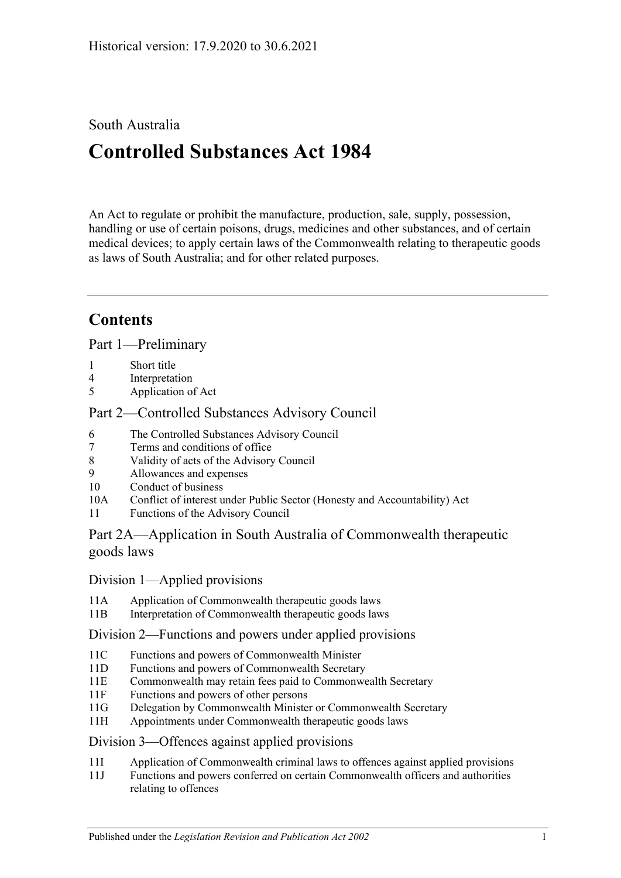# South Australia

# **Controlled Substances Act 1984**

An Act to regulate or prohibit the manufacture, production, sale, supply, possession, handling or use of certain poisons, drugs, medicines and other substances, and of certain medical devices; to apply certain laws of the Commonwealth relating to therapeutic goods as laws of South Australia; and for other related purposes.

# **Contents**

[Part 1—Preliminary](#page-5-0)

- 1 [Short title](#page-5-1)
- 4 [Interpretation](#page-5-2)
- 5 [Application of Act](#page-12-0)

## [Part 2—Controlled Substances Advisory Council](#page-12-1)

- 6 [The Controlled Substances Advisory Council](#page-12-2)
- 7 [Terms and conditions of office](#page-13-0)
- 8 [Validity of acts of the Advisory Council](#page-13-1)
- 9 [Allowances and expenses](#page-13-2)
- 10 [Conduct of business](#page-13-3)
- 10A Conflict of interest [under Public Sector \(Honesty and Accountability\) Act](#page-14-0)
- 11 [Functions of the Advisory Council](#page-14-1)

## [Part 2A—Application in South Australia of Commonwealth therapeutic](#page-15-0)  [goods laws](#page-15-0)

#### Division [1—Applied provisions](#page-15-1)

- 11A [Application of Commonwealth therapeutic goods laws](#page-15-2)
- 11B [Interpretation of Commonwealth therapeutic goods laws](#page-15-3)

#### Division [2—Functions and powers under applied provisions](#page-15-4)

- 11C [Functions and powers of Commonwealth Minister](#page-15-5)
- 11D [Functions and powers of Commonwealth Secretary](#page-16-0)
- 11E [Commonwealth may retain fees paid to Commonwealth Secretary](#page-16-1)
- 11F [Functions and powers of other persons](#page-16-2)
- 11G [Delegation by Commonwealth Minister or Commonwealth Secretary](#page-16-3)
- 11H [Appointments under Commonwealth therapeutic goods laws](#page-16-4)

#### Division [3—Offences against applied provisions](#page-16-5)

- 11I [Application of Commonwealth criminal laws to offences against applied provisions](#page-16-6)
- 11J [Functions and powers conferred on certain Commonwealth officers and authorities](#page-17-0)  [relating to offences](#page-17-0)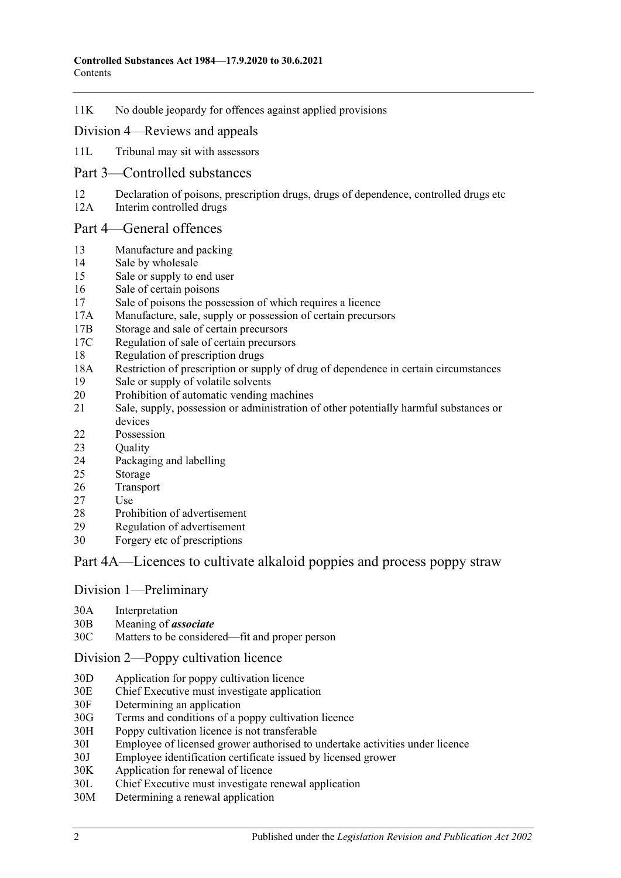11K [No double jeopardy for offences against applied provisions](#page-17-1)

#### Division [4—Reviews and appeals](#page-17-2)

- 11L [Tribunal may sit with assessors](#page-17-3)
- [Part 3—Controlled substances](#page-17-4)
- 12 [Declaration of poisons, prescription drugs, drugs of dependence, controlled drugs etc](#page-17-5)
- 12A [Interim controlled drugs](#page-18-0)

#### [Part 4—General offences](#page-18-1)

- 13 [Manufacture and packing](#page-18-2)
- 14 [Sale by wholesale](#page-19-0)
- 15 [Sale or supply to end user](#page-19-1)
- 16 [Sale of certain poisons](#page-20-0)
- 17 [Sale of poisons the possession of which requires a licence](#page-20-1)
- 17A [Manufacture, sale, supply or possession of certain precursors](#page-20-2)
- 17B [Storage and sale of certain precursors](#page-20-3)
- 17C [Regulation of sale of certain precursors](#page-22-0)
- 18 [Regulation of prescription drugs](#page-22-1)
- 18A [Restriction of prescription or supply of drug of dependence in certain circumstances](#page-26-0)
- 19 [Sale or supply of volatile solvents](#page-28-0)
- 20 [Prohibition of automatic vending machines](#page-28-1)
- 21 [Sale, supply, possession or administration of other potentially harmful substances or](#page-29-0)  [devices](#page-29-0)
- 22 [Possession](#page-29-1)
- 23 Ouality
- 24 [Packaging and labelling](#page-29-3)
- 25 [Storage](#page-29-4)
- 26 [Transport](#page-30-0)
- 27 [Use](#page-30-1)
- 28 [Prohibition of advertisement](#page-30-2)
- 29 [Regulation of advertisement](#page-30-3)
- 30 Forgery [etc of prescriptions](#page-30-4)

#### [Part 4A—Licences to cultivate alkaloid poppies and process poppy straw](#page-31-0)

#### Division [1—Preliminary](#page-31-1)

- 30A [Interpretation](#page-31-2)
- 30B [Meaning of](#page-33-0) *associate*
- 30C [Matters to be considered—fit and proper person](#page-34-0)

#### Division [2—Poppy cultivation licence](#page-36-0)

- 30D [Application for poppy cultivation licence](#page-36-1)
- 30E [Chief Executive must investigate application](#page-36-2)
- 30F [Determining an application](#page-37-0)
- 30G [Terms and conditions of a poppy cultivation licence](#page-37-1)
- 30H [Poppy cultivation licence is not transferable](#page-38-0)
- 30I [Employee of licensed grower authorised to undertake activities under licence](#page-38-1)
- 30J [Employee identification certificate issued by licensed grower](#page-39-0)
- 30K [Application for renewal of licence](#page-39-1)<br>30L Chief Executive must investigate r
- [Chief Executive must investigate renewal application](#page-40-0)
- 30M [Determining a renewal application](#page-40-1)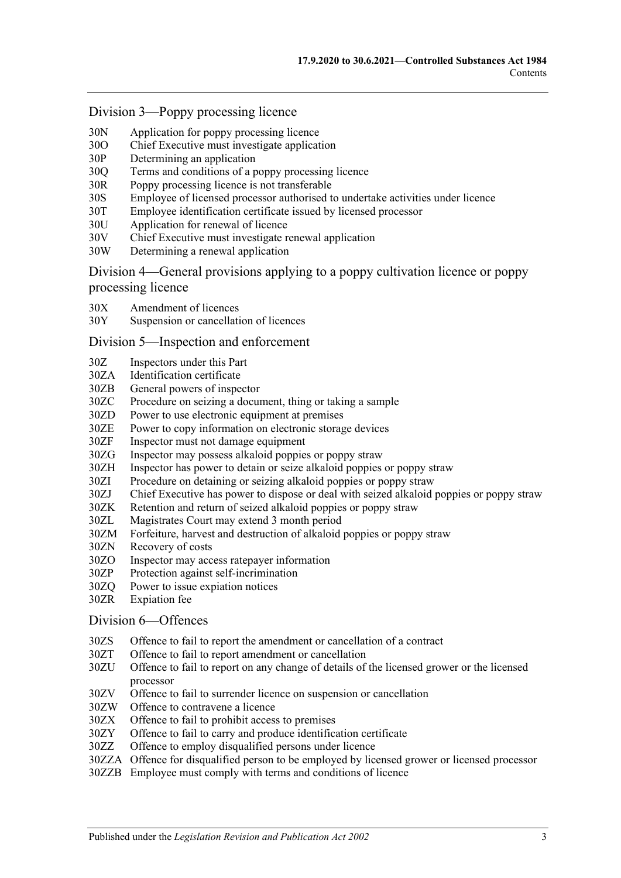#### Division [3—Poppy processing licence](#page-41-0)

- 30N [Application for poppy processing licence](#page-41-1)
- 30O [Chief Executive must investigate application](#page-42-0)
- 30P [Determining an application](#page-42-1)
- 30Q [Terms and conditions of a poppy processing licence](#page-42-2)
- 30R [Poppy processing licence is not transferable](#page-43-0)
- 30S [Employee of licensed processor authorised to undertake activities under licence](#page-43-1)
- 30T [Employee identification certificate issued by licensed processor](#page-44-0)
- 30U [Application for renewal of licence](#page-44-1)
- 30V [Chief Executive must investigate renewal application](#page-45-0)
- 30W [Determining a renewal application](#page-45-1)

Division [4—General provisions applying to a poppy cultivation licence or poppy](#page-46-0)  [processing licence](#page-46-0)

- 30X [Amendment of licences](#page-46-1)
- 30Y [Suspension or cancellation of licences](#page-46-2)

#### Division [5—Inspection and enforcement](#page-47-0)

- 30Z [Inspectors under this Part](#page-47-1)
- 30ZA [Identification certificate](#page-47-2)
- 30ZB [General powers of inspector](#page-48-0)
- 30ZC [Procedure on seizing a document, thing or taking a sample](#page-48-1)
- 30ZD [Power to use electronic equipment at premises](#page-49-0)
- 30ZE [Power to copy information on electronic storage devices](#page-50-0)
- 30ZF [Inspector must not damage equipment](#page-50-1)<br>30ZG Inspector may possess alkaloid poppie
- [Inspector may possess alkaloid poppies or poppy straw](#page-50-2)
- 30ZH [Inspector has power to detain or seize alkaloid poppies or poppy straw](#page-50-3)
- 30ZI [Procedure on detaining or seizing alkaloid poppies or poppy straw](#page-50-4)
- 30ZJ [Chief Executive has power to dispose or deal with seized alkaloid poppies or poppy straw](#page-51-0)
- 30ZK [Retention and return of seized alkaloid poppies or poppy straw](#page-51-1)
- 30ZL [Magistrates Court may extend 3 month period](#page-52-0)
- 30ZM [Forfeiture, harvest and destruction of alkaloid poppies or poppy straw](#page-52-1)
- 30ZN [Recovery of costs](#page-53-0)<br>30ZO Inspector may acc
- [Inspector may access ratepayer information](#page-53-1)
- 30ZP [Protection against self-incrimination](#page-53-2)
- 30ZQ [Power to issue expiation notices](#page-53-3)
- 30ZR [Expiation fee](#page-53-4)

#### Division [6—Offences](#page-54-0)

- 30ZS [Offence to fail to report the amendment or cancellation of a contract](#page-54-1)
- 30ZT [Offence to fail to report amendment or cancellation](#page-54-2)
- 30ZU [Offence to fail to report on any change of details of the licensed grower or the licensed](#page-54-3)  [processor](#page-54-3)
- 30ZV [Offence to fail to surrender licence on suspension or cancellation](#page-55-0)
- 30ZW [Offence to contravene a licence](#page-55-1)
- 30ZX [Offence to fail to prohibit access to premises](#page-55-2)
- 30ZY [Offence to fail to carry and produce identification certificate](#page-56-0)
- 30ZZ [Offence to employ disqualified persons under licence](#page-56-1)
- 30ZZA [Offence for disqualified person to be employed by licensed grower or licensed processor](#page-57-0)
- 30ZZB [Employee must comply with terms and conditions of licence](#page-57-1)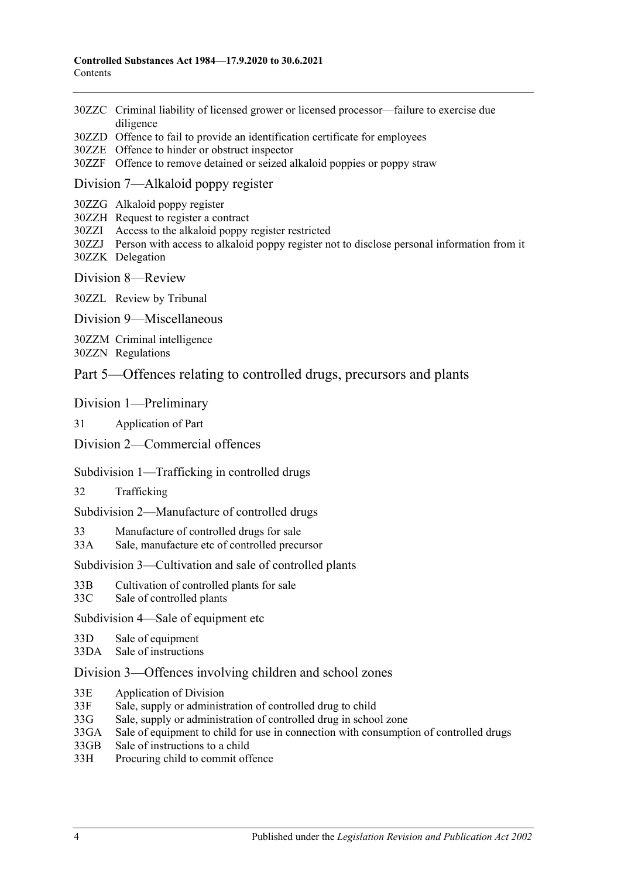- 30ZZC [Criminal liability of licensed grower or licensed processor—failure to exercise due](#page-58-0)  [diligence](#page-58-0)
- 30ZZD [Offence to fail to provide an identification certificate for employees](#page-58-1)
- 30ZZE [Offence to hinder or obstruct inspector](#page-58-2)
- 30ZZF [Offence to remove detained or seized alkaloid poppies or poppy straw](#page-59-0)

#### Division [7—Alkaloid poppy register](#page-59-1)

- 30ZZG [Alkaloid poppy register](#page-59-2)
- 30ZZH [Request to register a contract](#page-59-3)
- 30ZZI [Access to the alkaloid poppy register restricted](#page-60-0)
- 30ZZJ [Person with access to alkaloid poppy register not to disclose personal information from it](#page-60-1) 30ZZK [Delegation](#page-60-2)
- Division [8—Review](#page-61-0)

30ZZL [Review by Tribunal](#page-61-1)

Division [9—Miscellaneous](#page-61-2)

30ZZM [Criminal intelligence](#page-61-3)

30ZZN [Regulations](#page-62-0)

#### [Part 5—Offences relating to controlled drugs, precursors and plants](#page-63-0)

#### [Division 1—Preliminary](#page-63-1)

31 [Application of Part](#page-63-2)

#### [Division 2—Commercial offences](#page-65-0)

#### [Subdivision 1—Trafficking in controlled drugs](#page-65-1)

32 [Trafficking](#page-65-2)

[Subdivision 2—Manufacture of controlled drugs](#page-67-0)

33 [Manufacture of controlled drugs for sale](#page-67-1)

33A [Sale, manufacture etc of controlled precursor](#page-68-0)

[Subdivision 3—Cultivation and sale of controlled plants](#page-70-0)

- 33B [Cultivation of controlled plants for sale](#page-70-1)
- 33C [Sale of controlled plants](#page-71-0)

[Subdivision 4—Sale of equipment etc](#page-72-0)

- 33D [Sale of equipment](#page-72-1)
- 33DA [Sale of instructions](#page-72-2)

#### [Division 3—Offences involving children and school zones](#page-72-3)

- 33E [Application of Division](#page-72-4)
- 33F [Sale, supply or administration of controlled drug to child](#page-73-0)
- 33G [Sale, supply or administration of controlled drug in school zone](#page-73-1)
- 33GA [Sale of equipment to child for use in connection with consumption of controlled drugs](#page-73-2)
- 33GB [Sale of instructions to a child](#page-74-0)
- 33H [Procuring child to commit offence](#page-74-1)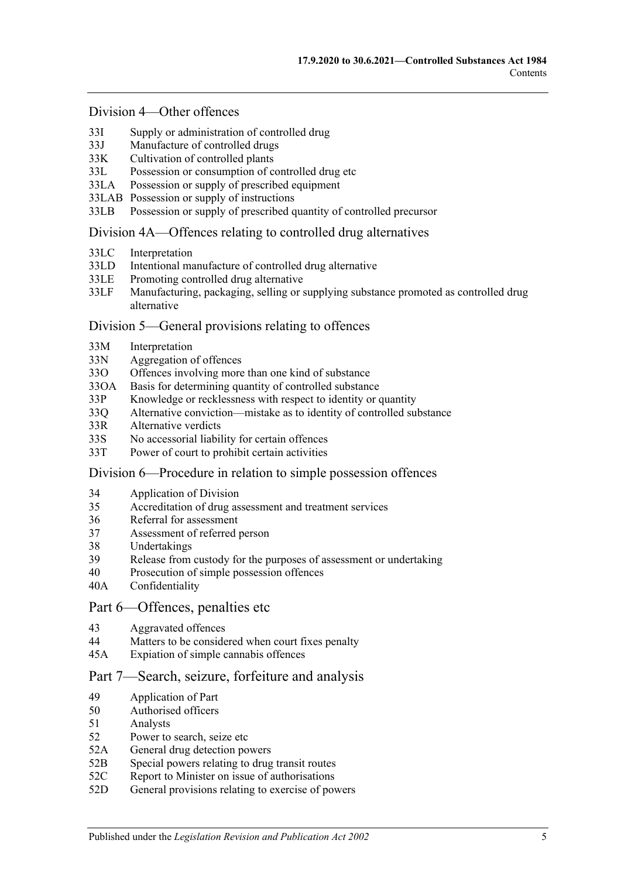#### [Division 4—Other offences](#page-74-2)

- 33I [Supply or administration of controlled drug](#page-74-3)
- 33J [Manufacture of controlled drugs](#page-75-0)
- 33K [Cultivation of controlled plants](#page-75-1)
- 33L [Possession or consumption of controlled drug etc](#page-76-0)
- 33LA [Possession or supply of prescribed equipment](#page-76-1)
- 33LAB [Possession or supply of instructions](#page-77-0)
- 33LB [Possession or supply of prescribed quantity of controlled precursor](#page-77-1)

#### [Division 4A—Offences relating to controlled drug alternatives](#page-78-0)

- 33LC [Interpretation](#page-78-1)
- 33LD [Intentional manufacture of controlled drug alternative](#page-79-0)
- 33LE [Promoting controlled drug alternative](#page-79-1)
- 33LF [Manufacturing, packaging, selling or supplying substance promoted as controlled drug](#page-80-0)  [alternative](#page-80-0)

#### [Division 5—General provisions relating to offences](#page-81-0)

- 33M [Interpretation](#page-81-1)
- 33N [Aggregation of offences](#page-81-2)
- 33O [Offences involving more than one kind of substance](#page-82-0)
- 33OA [Basis for determining quantity of controlled substance](#page-82-1)
- 33P [Knowledge or recklessness with respect to identity or quantity](#page-83-0)
- 33Q [Alternative conviction—mistake as to identity of controlled substance](#page-83-1)
- 33R [Alternative verdicts](#page-84-0)
- 33S [No accessorial liability for certain offences](#page-84-1)
- 33T [Power of court to prohibit certain activities](#page-84-2)

#### [Division 6—Procedure in relation to simple possession offences](#page-84-3)

- 34 [Application of Division](#page-84-4)
- 35 [Accreditation of drug assessment and treatment services](#page-85-0)
- 36 [Referral for assessment](#page-85-1)
- 37 [Assessment of referred person](#page-85-2)
- 38 [Undertakings](#page-87-0)
- 39 [Release from custody for the purposes of assessment or undertaking](#page-87-1)
- 40 [Prosecution of simple possession offences](#page-87-2)
- 40A [Confidentiality](#page-88-0)

#### [Part 6—Offences, penalties etc](#page-88-1)

- 43 [Aggravated offences](#page-88-2)
- 44 [Matters to be considered when court fixes penalty](#page-89-0)
- 45A [Expiation of simple cannabis offences](#page-90-0)

#### [Part 7—Search, seizure, forfeiture and analysis](#page-91-0)

- 49 [Application of Part](#page-91-1)
- 50 [Authorised officers](#page-91-2)
- 51 [Analysts](#page-91-3)
- 52 [Power to search, seize etc](#page-91-4)
- 52A [General drug detection powers](#page-93-0)
- 52B [Special powers relating to drug transit routes](#page-94-0)
- 52C [Report to Minister on issue of authorisations](#page-96-0)
- 52D [General provisions relating to exercise of powers](#page-96-1)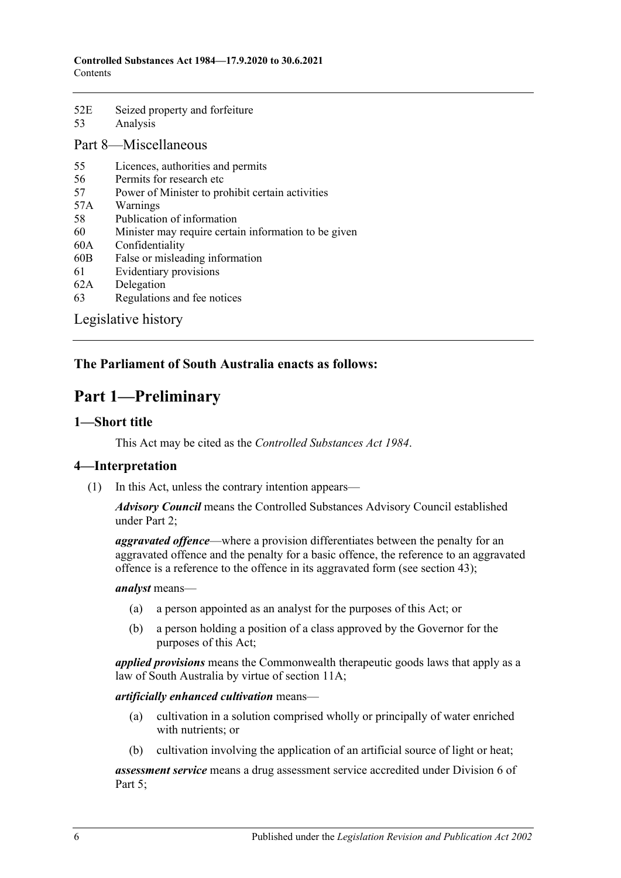| 52E | Seized property and forfeiture |
|-----|--------------------------------|
| 53  | Analysis                       |

# [Part 8—Miscellaneous](#page-99-0)

- 55 [Licences, authorities and permits](#page-99-1)
- 56 [Permits for research etc](#page-100-0)
- 57 [Power of Minister to prohibit certain activities](#page-100-1)
- 57A [Warnings](#page-101-0)
- 58 [Publication of information](#page-101-1)
- 60 [Minister may require certain information to be given](#page-102-0)
- 60A [Confidentiality](#page-103-0)
- 60B [False or misleading information](#page-103-1)
- 61 [Evidentiary provisions](#page-104-0)
- 62A [Delegation](#page-104-1)
- 63 [Regulations and fee notices](#page-105-0)

[Legislative history](#page-107-0)

# <span id="page-5-0"></span>**The Parliament of South Australia enacts as follows:**

# **Part 1—Preliminary**

#### <span id="page-5-1"></span>**1—Short title**

This Act may be cited as the *Controlled Substances Act 1984*.

#### <span id="page-5-2"></span>**4—Interpretation**

(1) In this Act, unless the contrary intention appears—

*Advisory Council* means the Controlled Substances Advisory Council established under [Part 2;](#page-12-1)

*aggravated offence*—where a provision differentiates between the penalty for an aggravated offence and the penalty for a basic offence, the reference to an aggravated offence is a reference to the offence in its aggravated form (see [section](#page-88-2) 43);

*analyst* means—

- (a) a person appointed as an analyst for the purposes of this Act; or
- (b) a person holding a position of a class approved by the Governor for the purposes of this Act;

*applied provisions* means the Commonwealth therapeutic goods laws that apply as a law of South Australia by virtue of [section](#page-15-2) 11A;

#### *artificially enhanced cultivation* means—

- (a) cultivation in a solution comprised wholly or principally of water enriched with nutrients; or
- (b) cultivation involving the application of an artificial source of light or heat;

*assessment service* means a drug assessment service accredited under [Division](#page-84-3) 6 of [Part 5;](#page-63-0)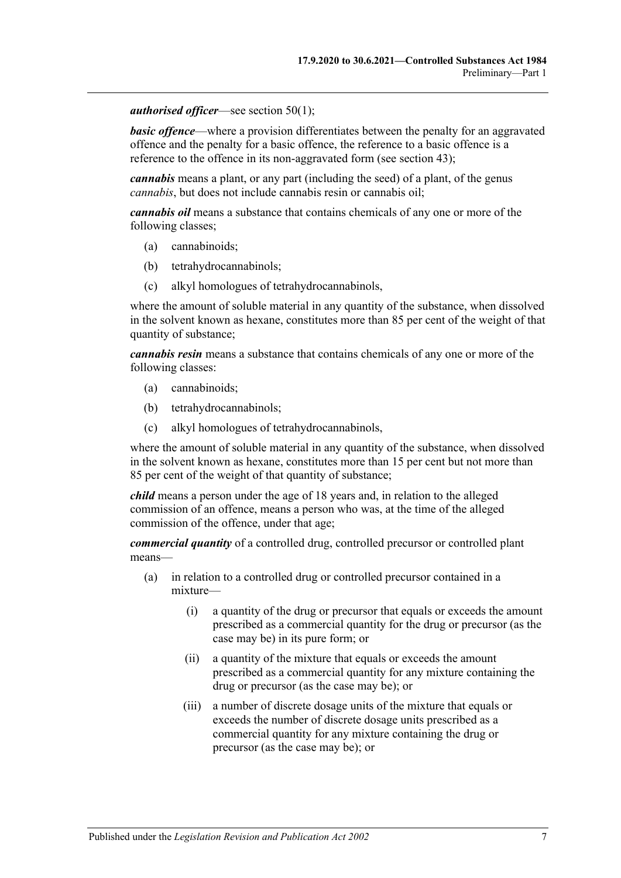*authorised officer*—see [section](#page-91-5) 50(1);

*basic offence*—where a provision differentiates between the penalty for an aggravated offence and the penalty for a basic offence, the reference to a basic offence is a reference to the offence in its non-aggravated form (see [section](#page-88-2) 43);

*cannabis* means a plant, or any part (including the seed) of a plant, of the genus *cannabis*, but does not include cannabis resin or cannabis oil;

*cannabis oil* means a substance that contains chemicals of any one or more of the following classes;

- (a) cannabinoids;
- (b) tetrahydrocannabinols;
- (c) alkyl homologues of tetrahydrocannabinols,

where the amount of soluble material in any quantity of the substance, when dissolved in the solvent known as hexane, constitutes more than 85 per cent of the weight of that quantity of substance;

*cannabis resin* means a substance that contains chemicals of any one or more of the following classes:

- (a) cannabinoids;
- (b) tetrahydrocannabinols;
- (c) alkyl homologues of tetrahydrocannabinols,

where the amount of soluble material in any quantity of the substance, when dissolved in the solvent known as hexane, constitutes more than 15 per cent but not more than 85 per cent of the weight of that quantity of substance;

*child* means a person under the age of 18 years and, in relation to the alleged commission of an offence, means a person who was, at the time of the alleged commission of the offence, under that age;

*commercial quantity* of a controlled drug, controlled precursor or controlled plant means—

- (a) in relation to a controlled drug or controlled precursor contained in a mixture—
	- (i) a quantity of the drug or precursor that equals or exceeds the amount prescribed as a commercial quantity for the drug or precursor (as the case may be) in its pure form; or
	- (ii) a quantity of the mixture that equals or exceeds the amount prescribed as a commercial quantity for any mixture containing the drug or precursor (as the case may be); or
	- (iii) a number of discrete dosage units of the mixture that equals or exceeds the number of discrete dosage units prescribed as a commercial quantity for any mixture containing the drug or precursor (as the case may be); or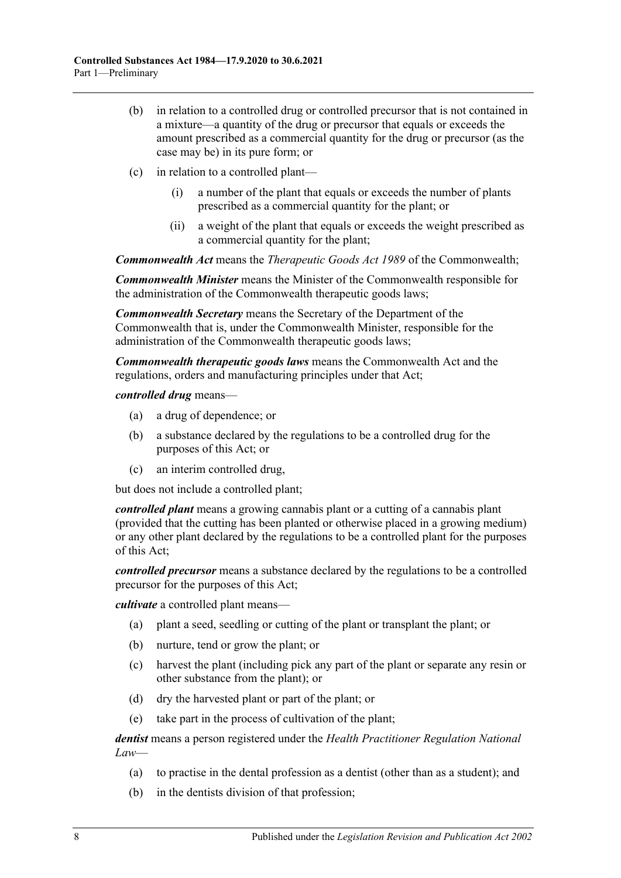- (b) in relation to a controlled drug or controlled precursor that is not contained in a mixture—a quantity of the drug or precursor that equals or exceeds the amount prescribed as a commercial quantity for the drug or precursor (as the case may be) in its pure form; or
- (c) in relation to a controlled plant—
	- (i) a number of the plant that equals or exceeds the number of plants prescribed as a commercial quantity for the plant; or
	- (ii) a weight of the plant that equals or exceeds the weight prescribed as a commercial quantity for the plant;

*Commonwealth Act* means the *Therapeutic Goods Act 1989* of the Commonwealth;

*Commonwealth Minister* means the Minister of the Commonwealth responsible for the administration of the Commonwealth therapeutic goods laws;

*Commonwealth Secretary* means the Secretary of the Department of the Commonwealth that is, under the Commonwealth Minister, responsible for the administration of the Commonwealth therapeutic goods laws;

*Commonwealth therapeutic goods laws* means the Commonwealth Act and the regulations, orders and manufacturing principles under that Act;

*controlled drug* means—

- (a) a drug of dependence; or
- (b) a substance declared by the regulations to be a controlled drug for the purposes of this Act; or
- (c) an interim controlled drug,

but does not include a controlled plant;

*controlled plant* means a growing cannabis plant or a cutting of a cannabis plant (provided that the cutting has been planted or otherwise placed in a growing medium) or any other plant declared by the regulations to be a controlled plant for the purposes of this Act;

*controlled precursor* means a substance declared by the regulations to be a controlled precursor for the purposes of this Act;

*cultivate* a controlled plant means—

- (a) plant a seed, seedling or cutting of the plant or transplant the plant; or
- (b) nurture, tend or grow the plant; or
- (c) harvest the plant (including pick any part of the plant or separate any resin or other substance from the plant); or
- (d) dry the harvested plant or part of the plant; or
- (e) take part in the process of cultivation of the plant;

*dentist* means a person registered under the *Health Practitioner Regulation National Law*—

- (a) to practise in the dental profession as a dentist (other than as a student); and
- (b) in the dentists division of that profession;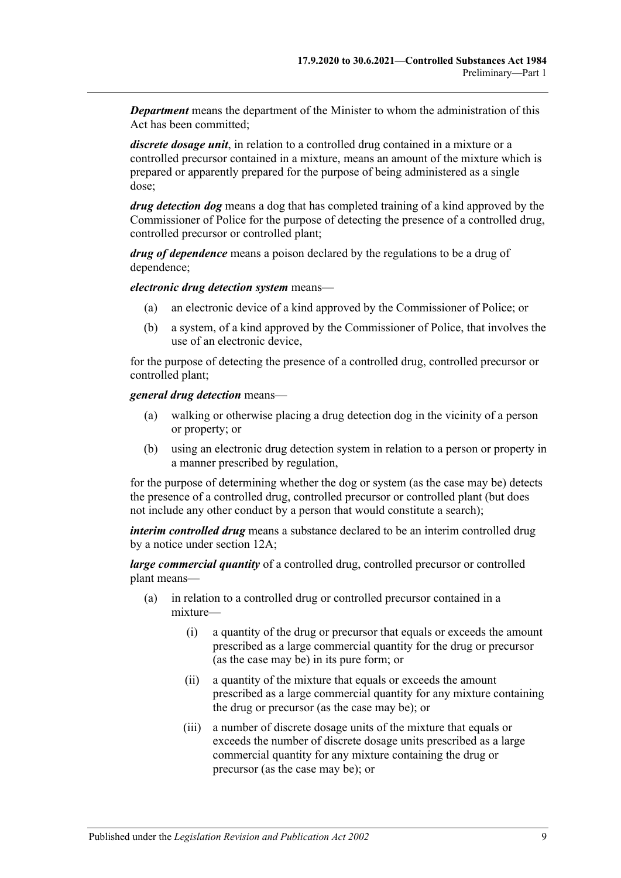*Department* means the department of the Minister to whom the administration of this Act has been committed;

*discrete dosage unit*, in relation to a controlled drug contained in a mixture or a controlled precursor contained in a mixture, means an amount of the mixture which is prepared or apparently prepared for the purpose of being administered as a single dose;

*drug detection dog* means a dog that has completed training of a kind approved by the Commissioner of Police for the purpose of detecting the presence of a controlled drug, controlled precursor or controlled plant;

*drug of dependence* means a poison declared by the regulations to be a drug of dependence;

*electronic drug detection system* means—

- (a) an electronic device of a kind approved by the Commissioner of Police; or
- (b) a system, of a kind approved by the Commissioner of Police, that involves the use of an electronic device,

for the purpose of detecting the presence of a controlled drug, controlled precursor or controlled plant;

*general drug detection* means—

- (a) walking or otherwise placing a drug detection dog in the vicinity of a person or property; or
- (b) using an electronic drug detection system in relation to a person or property in a manner prescribed by regulation,

for the purpose of determining whether the dog or system (as the case may be) detects the presence of a controlled drug, controlled precursor or controlled plant (but does not include any other conduct by a person that would constitute a search);

*interim controlled drug* means a substance declared to be an interim controlled drug by a notice under [section](#page-18-0) 12A;

*large commercial quantity* of a controlled drug, controlled precursor or controlled plant means—

- (a) in relation to a controlled drug or controlled precursor contained in a mixture—
	- (i) a quantity of the drug or precursor that equals or exceeds the amount prescribed as a large commercial quantity for the drug or precursor (as the case may be) in its pure form; or
	- (ii) a quantity of the mixture that equals or exceeds the amount prescribed as a large commercial quantity for any mixture containing the drug or precursor (as the case may be); or
	- (iii) a number of discrete dosage units of the mixture that equals or exceeds the number of discrete dosage units prescribed as a large commercial quantity for any mixture containing the drug or precursor (as the case may be); or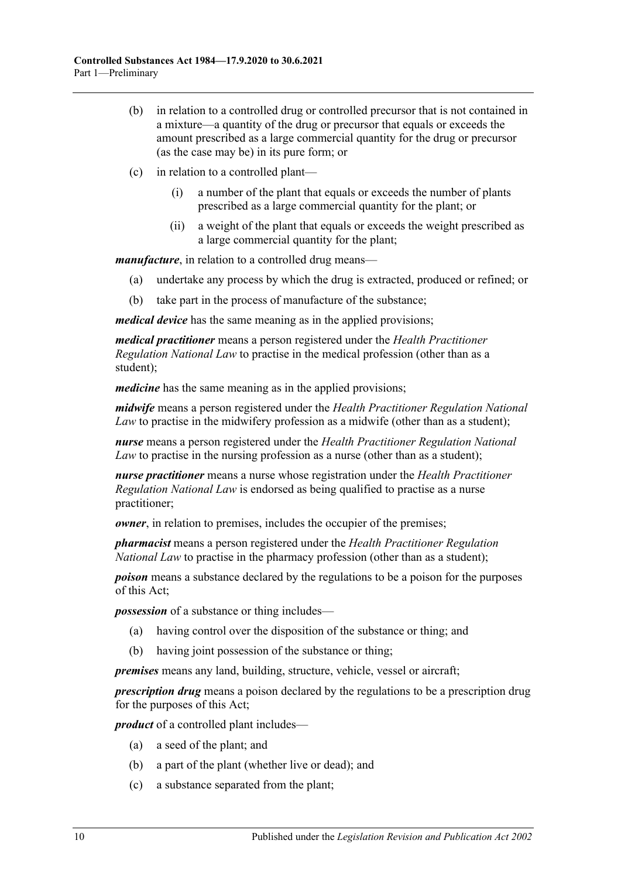- (b) in relation to a controlled drug or controlled precursor that is not contained in a mixture—a quantity of the drug or precursor that equals or exceeds the amount prescribed as a large commercial quantity for the drug or precursor (as the case may be) in its pure form; or
- (c) in relation to a controlled plant—
	- (i) a number of the plant that equals or exceeds the number of plants prescribed as a large commercial quantity for the plant; or
	- (ii) a weight of the plant that equals or exceeds the weight prescribed as a large commercial quantity for the plant;

*manufacture*, in relation to a controlled drug means—

- (a) undertake any process by which the drug is extracted, produced or refined; or
- (b) take part in the process of manufacture of the substance;

*medical device* has the same meaning as in the applied provisions;

*medical practitioner* means a person registered under the *Health Practitioner Regulation National Law* to practise in the medical profession (other than as a student);

*medicine* has the same meaning as in the applied provisions;

*midwife* means a person registered under the *Health Practitioner Regulation National Law* to practise in the midwifery profession as a midwife (other than as a student);

*nurse* means a person registered under the *Health Practitioner Regulation National Law* to practise in the nursing profession as a nurse (other than as a student);

*nurse practitioner* means a nurse whose registration under the *Health Practitioner Regulation National Law* is endorsed as being qualified to practise as a nurse practitioner;

*owner*, in relation to premises, includes the occupier of the premises;

*pharmacist* means a person registered under the *Health Practitioner Regulation National Law* to practise in the pharmacy profession (other than as a student);

*poison* means a substance declared by the regulations to be a poison for the purposes of this Act;

*possession* of a substance or thing includes—

- (a) having control over the disposition of the substance or thing; and
- (b) having joint possession of the substance or thing;

*premises* means any land, building, structure, vehicle, vessel or aircraft;

*prescription drug* means a poison declared by the regulations to be a prescription drug for the purposes of this Act;

*product* of a controlled plant includes—

- (a) a seed of the plant; and
- (b) a part of the plant (whether live or dead); and
- (c) a substance separated from the plant;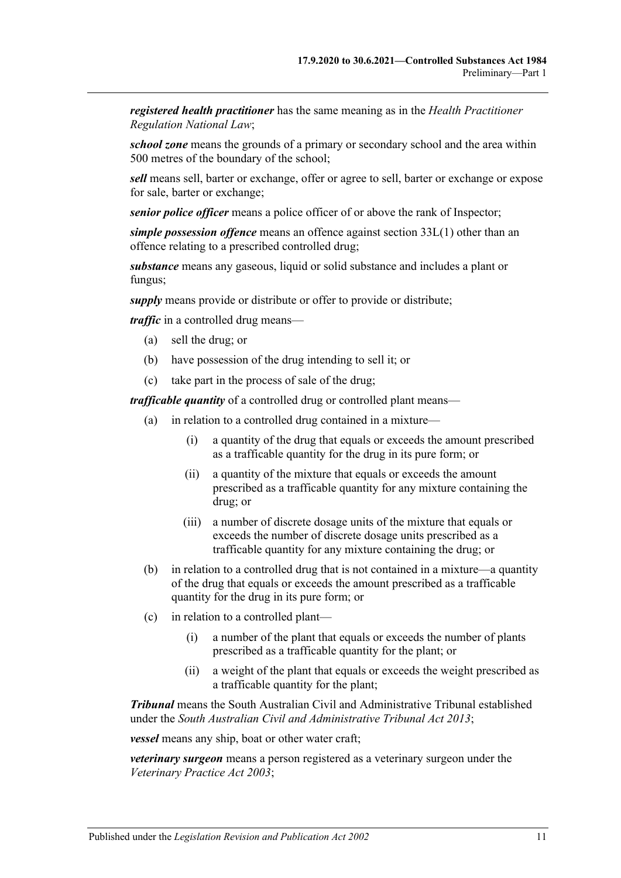*registered health practitioner* has the same meaning as in the *Health Practitioner Regulation National Law*;

*school zone* means the grounds of a primary or secondary school and the area within 500 metres of the boundary of the school;

*sell* means sell, barter or exchange, offer or agree to sell, barter or exchange or expose for sale, barter or exchange;

*senior police officer* means a police officer of or above the rank of Inspector;

*simple possession offence* means an offence against [section](#page-76-2) 33L(1) other than an offence relating to a prescribed controlled drug;

*substance* means any gaseous, liquid or solid substance and includes a plant or fungus;

*supply* means provide or distribute or offer to provide or distribute;

*traffic* in a controlled drug means—

- (a) sell the drug; or
- (b) have possession of the drug intending to sell it; or
- (c) take part in the process of sale of the drug;

*trafficable quantity* of a controlled drug or controlled plant means—

- (a) in relation to a controlled drug contained in a mixture—
	- (i) a quantity of the drug that equals or exceeds the amount prescribed as a trafficable quantity for the drug in its pure form; or
	- (ii) a quantity of the mixture that equals or exceeds the amount prescribed as a trafficable quantity for any mixture containing the drug; or
	- (iii) a number of discrete dosage units of the mixture that equals or exceeds the number of discrete dosage units prescribed as a trafficable quantity for any mixture containing the drug; or
- (b) in relation to a controlled drug that is not contained in a mixture—a quantity of the drug that equals or exceeds the amount prescribed as a trafficable quantity for the drug in its pure form; or
- (c) in relation to a controlled plant—
	- (i) a number of the plant that equals or exceeds the number of plants prescribed as a trafficable quantity for the plant; or
	- (ii) a weight of the plant that equals or exceeds the weight prescribed as a trafficable quantity for the plant;

*Tribunal* means the South Australian Civil and Administrative Tribunal established under the *[South Australian Civil and Administrative Tribunal Act](http://www.legislation.sa.gov.au/index.aspx?action=legref&type=act&legtitle=South%20Australian%20Civil%20and%20Administrative%20Tribunal%20Act%202013) 2013*;

*vessel* means any ship, boat or other water craft;

*veterinary surgeon* means a person registered as a veterinary surgeon under the *[Veterinary Practice Act](http://www.legislation.sa.gov.au/index.aspx?action=legref&type=act&legtitle=Veterinary%20Practice%20Act%202003) 2003*;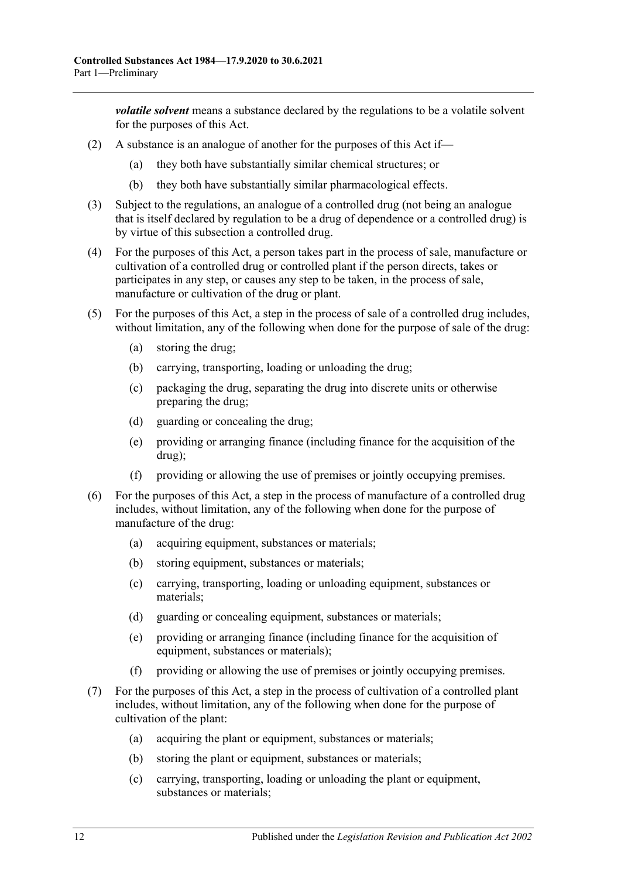*volatile solvent* means a substance declared by the regulations to be a volatile solvent for the purposes of this Act.

- (2) A substance is an analogue of another for the purposes of this Act if—
	- (a) they both have substantially similar chemical structures; or
	- (b) they both have substantially similar pharmacological effects.
- (3) Subject to the regulations, an analogue of a controlled drug (not being an analogue that is itself declared by regulation to be a drug of dependence or a controlled drug) is by virtue of this subsection a controlled drug.
- (4) For the purposes of this Act, a person takes part in the process of sale, manufacture or cultivation of a controlled drug or controlled plant if the person directs, takes or participates in any step, or causes any step to be taken, in the process of sale, manufacture or cultivation of the drug or plant.
- (5) For the purposes of this Act, a step in the process of sale of a controlled drug includes, without limitation, any of the following when done for the purpose of sale of the drug:
	- (a) storing the drug;
	- (b) carrying, transporting, loading or unloading the drug;
	- (c) packaging the drug, separating the drug into discrete units or otherwise preparing the drug;
	- (d) guarding or concealing the drug;
	- (e) providing or arranging finance (including finance for the acquisition of the drug);
	- (f) providing or allowing the use of premises or jointly occupying premises.
- (6) For the purposes of this Act, a step in the process of manufacture of a controlled drug includes, without limitation, any of the following when done for the purpose of manufacture of the drug:
	- (a) acquiring equipment, substances or materials;
	- (b) storing equipment, substances or materials;
	- (c) carrying, transporting, loading or unloading equipment, substances or materials;
	- (d) guarding or concealing equipment, substances or materials;
	- (e) providing or arranging finance (including finance for the acquisition of equipment, substances or materials);
	- (f) providing or allowing the use of premises or jointly occupying premises.
- <span id="page-11-0"></span>(7) For the purposes of this Act, a step in the process of cultivation of a controlled plant includes, without limitation, any of the following when done for the purpose of cultivation of the plant:
	- (a) acquiring the plant or equipment, substances or materials;
	- (b) storing the plant or equipment, substances or materials;
	- (c) carrying, transporting, loading or unloading the plant or equipment, substances or materials;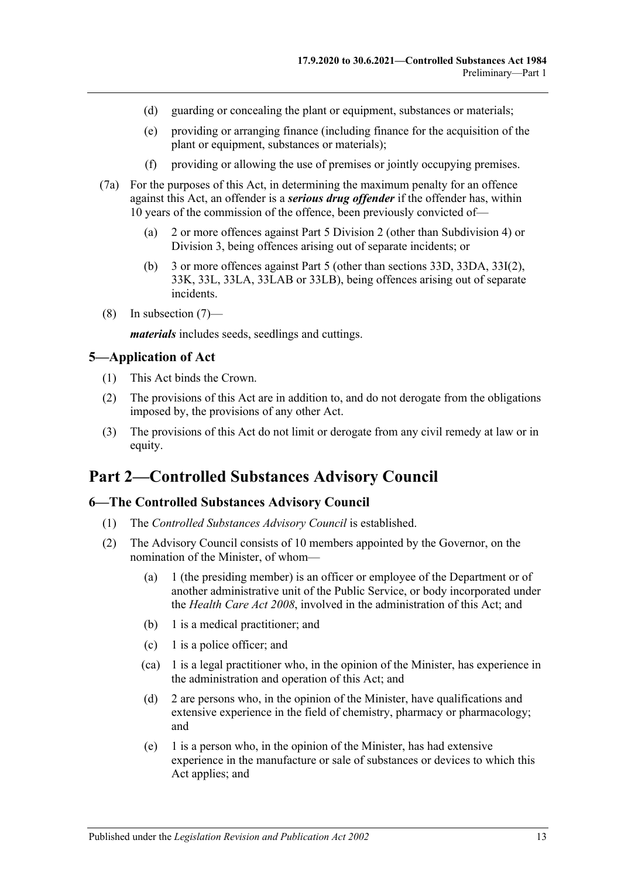- (d) guarding or concealing the plant or equipment, substances or materials;
- (e) providing or arranging finance (including finance for the acquisition of the plant or equipment, substances or materials);
- (f) providing or allowing the use of premises or jointly occupying premises.
- (7a) For the purposes of this Act, in determining the maximum penalty for an offence against this Act, an offender is a *serious drug offender* if the offender has, within 10 years of the commission of the offence, been previously convicted of—
	- (a) 2 or more offences against [Part 5 Division 2](#page-65-0) (other than [Subdivision 4\)](#page-72-0) or [Division 3,](#page-72-3) being offences arising out of separate incidents; or
	- (b) 3 or more offences against [Part 5](#page-63-0) (other than [sections](#page-72-1) 33D, [33DA,](#page-72-2) [33I\(2\),](#page-74-4) [33K,](#page-75-1) [33L,](#page-76-0) [33LA,](#page-76-1) [33LAB](#page-77-0) or [33LB\)](#page-77-1), being offences arising out of separate incidents.
- (8) In [subsection](#page-11-0) (7)—

*materials* includes seeds, seedlings and cuttings.

#### <span id="page-12-0"></span>**5—Application of Act**

- (1) This Act binds the Crown.
- (2) The provisions of this Act are in addition to, and do not derogate from the obligations imposed by, the provisions of any other Act.
- (3) The provisions of this Act do not limit or derogate from any civil remedy at law or in equity.

# <span id="page-12-1"></span>**Part 2—Controlled Substances Advisory Council**

# <span id="page-12-2"></span>**6—The Controlled Substances Advisory Council**

- (1) The *Controlled Substances Advisory Council* is established.
- (2) The Advisory Council consists of 10 members appointed by the Governor, on the nomination of the Minister, of whom—
	- (a) 1 (the presiding member) is an officer or employee of the Department or of another administrative unit of the Public Service, or body incorporated under the *[Health Care Act](http://www.legislation.sa.gov.au/index.aspx?action=legref&type=act&legtitle=Health%20Care%20Act%202008) 2008*, involved in the administration of this Act; and
	- (b) 1 is a medical practitioner; and
	- (c) 1 is a police officer; and
	- (ca) 1 is a legal practitioner who, in the opinion of the Minister, has experience in the administration and operation of this Act; and
	- (d) 2 are persons who, in the opinion of the Minister, have qualifications and extensive experience in the field of chemistry, pharmacy or pharmacology; and
	- (e) 1 is a person who, in the opinion of the Minister, has had extensive experience in the manufacture or sale of substances or devices to which this Act applies; and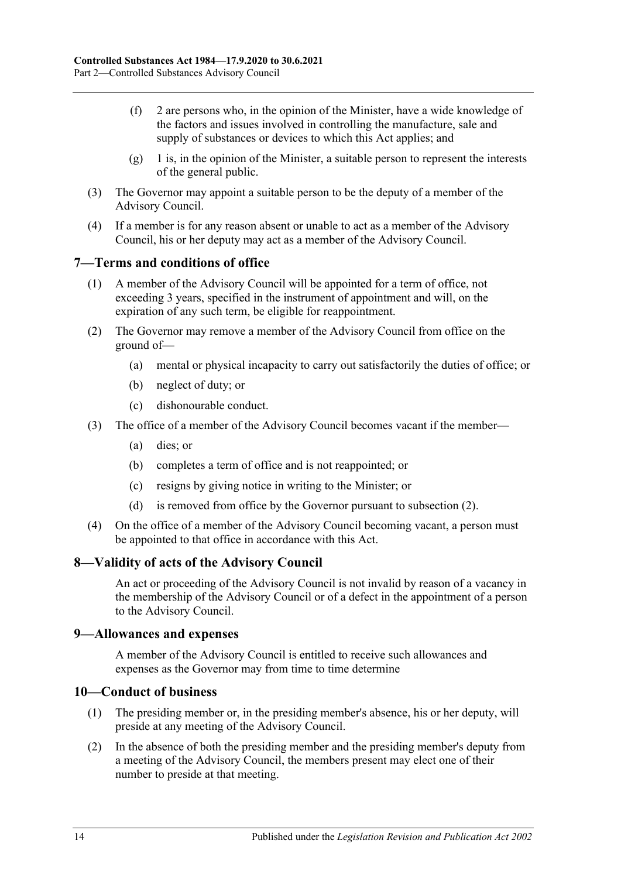- (f) 2 are persons who, in the opinion of the Minister, have a wide knowledge of the factors and issues involved in controlling the manufacture, sale and supply of substances or devices to which this Act applies; and
- $(g)$  1 is, in the opinion of the Minister, a suitable person to represent the interests of the general public.
- (3) The Governor may appoint a suitable person to be the deputy of a member of the Advisory Council.
- (4) If a member is for any reason absent or unable to act as a member of the Advisory Council, his or her deputy may act as a member of the Advisory Council.

#### <span id="page-13-0"></span>**7—Terms and conditions of office**

- (1) A member of the Advisory Council will be appointed for a term of office, not exceeding 3 years, specified in the instrument of appointment and will, on the expiration of any such term, be eligible for reappointment.
- <span id="page-13-4"></span>(2) The Governor may remove a member of the Advisory Council from office on the ground of—
	- (a) mental or physical incapacity to carry out satisfactorily the duties of office; or
	- (b) neglect of duty; or
	- (c) dishonourable conduct.
- (3) The office of a member of the Advisory Council becomes vacant if the member—
	- (a) dies; or
	- (b) completes a term of office and is not reappointed; or
	- (c) resigns by giving notice in writing to the Minister; or
	- (d) is removed from office by the Governor pursuant to [subsection](#page-13-4) (2).
- (4) On the office of a member of the Advisory Council becoming vacant, a person must be appointed to that office in accordance with this Act.

#### <span id="page-13-1"></span>**8—Validity of acts of the Advisory Council**

An act or proceeding of the Advisory Council is not invalid by reason of a vacancy in the membership of the Advisory Council or of a defect in the appointment of a person to the Advisory Council.

#### <span id="page-13-2"></span>**9—Allowances and expenses**

A member of the Advisory Council is entitled to receive such allowances and expenses as the Governor may from time to time determine

#### <span id="page-13-3"></span>**10—Conduct of business**

- (1) The presiding member or, in the presiding member's absence, his or her deputy, will preside at any meeting of the Advisory Council.
- (2) In the absence of both the presiding member and the presiding member's deputy from a meeting of the Advisory Council, the members present may elect one of their number to preside at that meeting.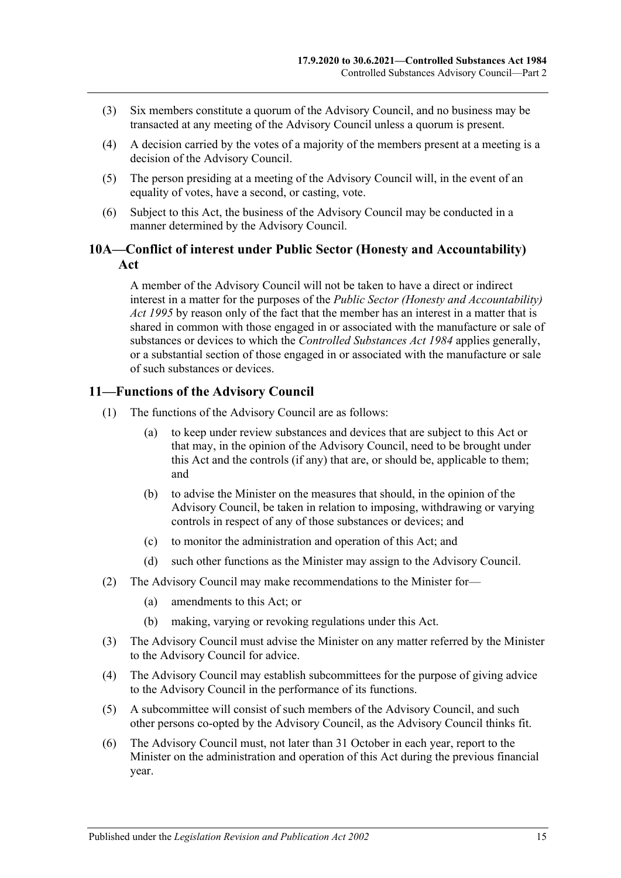- (3) Six members constitute a quorum of the Advisory Council, and no business may be transacted at any meeting of the Advisory Council unless a quorum is present.
- (4) A decision carried by the votes of a majority of the members present at a meeting is a decision of the Advisory Council.
- (5) The person presiding at a meeting of the Advisory Council will, in the event of an equality of votes, have a second, or casting, vote.
- (6) Subject to this Act, the business of the Advisory Council may be conducted in a manner determined by the Advisory Council.

#### <span id="page-14-0"></span>**10A—Conflict of interest under Public Sector (Honesty and Accountability) Act**

A member of the Advisory Council will not be taken to have a direct or indirect interest in a matter for the purposes of the *[Public Sector \(Honesty and Accountability\)](http://www.legislation.sa.gov.au/index.aspx?action=legref&type=act&legtitle=Public%20Sector%20(Honesty%20and%20Accountability)%20Act%201995)  Act [1995](http://www.legislation.sa.gov.au/index.aspx?action=legref&type=act&legtitle=Public%20Sector%20(Honesty%20and%20Accountability)%20Act%201995)* by reason only of the fact that the member has an interest in a matter that is shared in common with those engaged in or associated with the manufacture or sale of substances or devices to which the *[Controlled Substances Act](http://www.legislation.sa.gov.au/index.aspx?action=legref&type=act&legtitle=Controlled%20Substances%20Act%201984) 1984* applies generally, or a substantial section of those engaged in or associated with the manufacture or sale of such substances or devices.

#### <span id="page-14-1"></span>**11—Functions of the Advisory Council**

- (1) The functions of the Advisory Council are as follows:
	- (a) to keep under review substances and devices that are subject to this Act or that may, in the opinion of the Advisory Council, need to be brought under this Act and the controls (if any) that are, or should be, applicable to them; and
	- (b) to advise the Minister on the measures that should, in the opinion of the Advisory Council, be taken in relation to imposing, withdrawing or varying controls in respect of any of those substances or devices; and
	- (c) to monitor the administration and operation of this Act; and
	- (d) such other functions as the Minister may assign to the Advisory Council.
- (2) The Advisory Council may make recommendations to the Minister for—
	- (a) amendments to this Act; or
	- (b) making, varying or revoking regulations under this Act.
- (3) The Advisory Council must advise the Minister on any matter referred by the Minister to the Advisory Council for advice.
- (4) The Advisory Council may establish subcommittees for the purpose of giving advice to the Advisory Council in the performance of its functions.
- (5) A subcommittee will consist of such members of the Advisory Council, and such other persons co-opted by the Advisory Council, as the Advisory Council thinks fit.
- <span id="page-14-2"></span>(6) The Advisory Council must, not later than 31 October in each year, report to the Minister on the administration and operation of this Act during the previous financial year.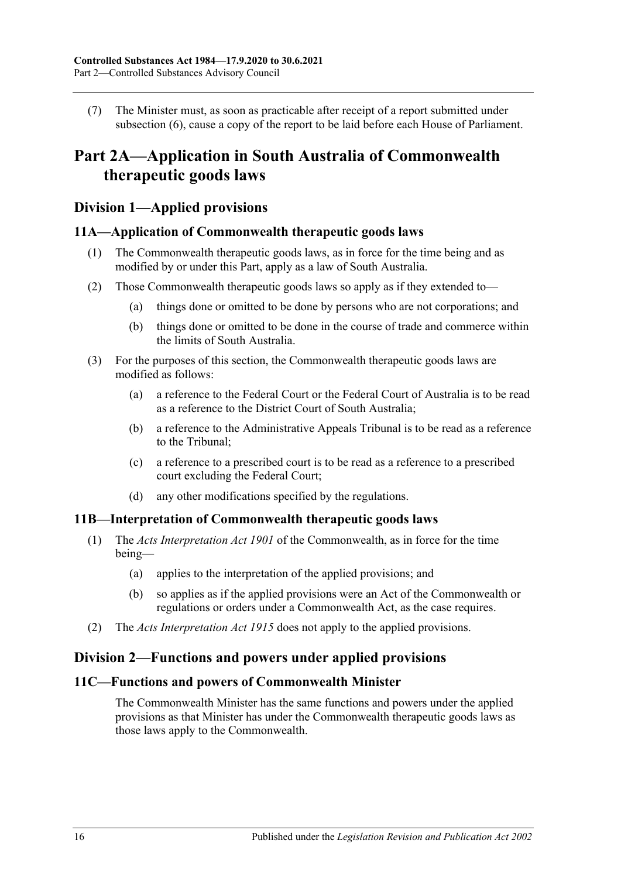(7) The Minister must, as soon as practicable after receipt of a report submitted under [subsection](#page-14-2) (6), cause a copy of the report to be laid before each House of Parliament.

# <span id="page-15-0"></span>**Part 2A—Application in South Australia of Commonwealth therapeutic goods laws**

# <span id="page-15-1"></span>**Division 1—Applied provisions**

#### <span id="page-15-2"></span>**11A—Application of Commonwealth therapeutic goods laws**

- (1) The Commonwealth therapeutic goods laws, as in force for the time being and as modified by or under this Part, apply as a law of South Australia.
- (2) Those Commonwealth therapeutic goods laws so apply as if they extended to—
	- (a) things done or omitted to be done by persons who are not corporations; and
	- (b) things done or omitted to be done in the course of trade and commerce within the limits of South Australia.
- (3) For the purposes of this section, the Commonwealth therapeutic goods laws are modified as follows:
	- (a) a reference to the Federal Court or the Federal Court of Australia is to be read as a reference to the District Court of South Australia;
	- (b) a reference to the Administrative Appeals Tribunal is to be read as a reference to the Tribunal;
	- (c) a reference to a prescribed court is to be read as a reference to a prescribed court excluding the Federal Court;
	- (d) any other modifications specified by the regulations.

#### <span id="page-15-3"></span>**11B—Interpretation of Commonwealth therapeutic goods laws**

- (1) The *Acts Interpretation Act 1901* of the Commonwealth, as in force for the time being—
	- (a) applies to the interpretation of the applied provisions; and
	- (b) so applies as if the applied provisions were an Act of the Commonwealth or regulations or orders under a Commonwealth Act, as the case requires.
- (2) The *[Acts Interpretation Act](http://www.legislation.sa.gov.au/index.aspx?action=legref&type=act&legtitle=Acts%20Interpretation%20Act%201915) 1915* does not apply to the applied provisions.

#### <span id="page-15-4"></span>**Division 2—Functions and powers under applied provisions**

#### <span id="page-15-5"></span>**11C—Functions and powers of Commonwealth Minister**

The Commonwealth Minister has the same functions and powers under the applied provisions as that Minister has under the Commonwealth therapeutic goods laws as those laws apply to the Commonwealth.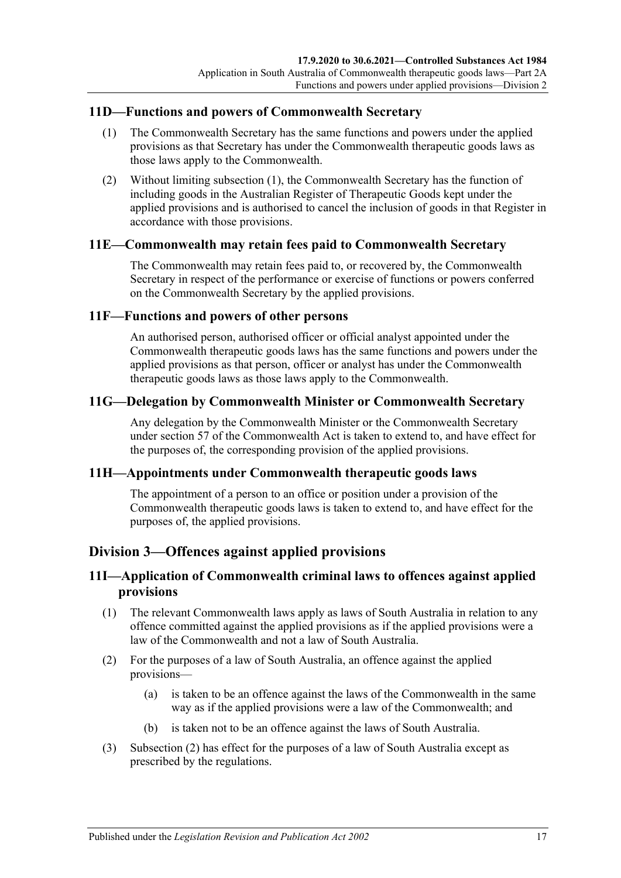#### <span id="page-16-7"></span><span id="page-16-0"></span>**11D—Functions and powers of Commonwealth Secretary**

- (1) The Commonwealth Secretary has the same functions and powers under the applied provisions as that Secretary has under the Commonwealth therapeutic goods laws as those laws apply to the Commonwealth.
- (2) Without limiting [subsection](#page-16-7) (1), the Commonwealth Secretary has the function of including goods in the Australian Register of Therapeutic Goods kept under the applied provisions and is authorised to cancel the inclusion of goods in that Register in accordance with those provisions.

#### <span id="page-16-1"></span>**11E—Commonwealth may retain fees paid to Commonwealth Secretary**

The Commonwealth may retain fees paid to, or recovered by, the Commonwealth Secretary in respect of the performance or exercise of functions or powers conferred on the Commonwealth Secretary by the applied provisions.

#### <span id="page-16-2"></span>**11F—Functions and powers of other persons**

An authorised person, authorised officer or official analyst appointed under the Commonwealth therapeutic goods laws has the same functions and powers under the applied provisions as that person, officer or analyst has under the Commonwealth therapeutic goods laws as those laws apply to the Commonwealth.

#### <span id="page-16-3"></span>**11G—Delegation by Commonwealth Minister or Commonwealth Secretary**

Any delegation by the Commonwealth Minister or the Commonwealth Secretary under section 57 of the Commonwealth Act is taken to extend to, and have effect for the purposes of, the corresponding provision of the applied provisions.

#### <span id="page-16-4"></span>**11H—Appointments under Commonwealth therapeutic goods laws**

The appointment of a person to an office or position under a provision of the Commonwealth therapeutic goods laws is taken to extend to, and have effect for the purposes of, the applied provisions.

#### <span id="page-16-5"></span>**Division 3—Offences against applied provisions**

## <span id="page-16-6"></span>**11I—Application of Commonwealth criminal laws to offences against applied provisions**

- (1) The relevant Commonwealth laws apply as laws of South Australia in relation to any offence committed against the applied provisions as if the applied provisions were a law of the Commonwealth and not a law of South Australia.
- <span id="page-16-8"></span>(2) For the purposes of a law of South Australia, an offence against the applied provisions—
	- (a) is taken to be an offence against the laws of the Commonwealth in the same way as if the applied provisions were a law of the Commonwealth; and
	- (b) is taken not to be an offence against the laws of South Australia.
- (3) [Subsection](#page-16-8) (2) has effect for the purposes of a law of South Australia except as prescribed by the regulations.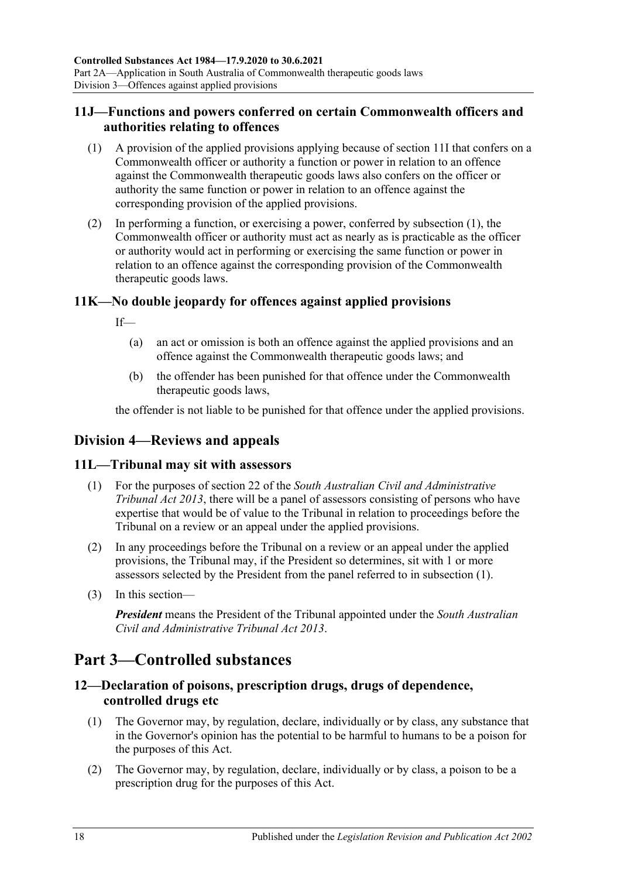# <span id="page-17-0"></span>**11J—Functions and powers conferred on certain Commonwealth officers and authorities relating to offences**

- <span id="page-17-6"></span>(1) A provision of the applied provisions applying because of [section](#page-16-6) 11I that confers on a Commonwealth officer or authority a function or power in relation to an offence against the Commonwealth therapeutic goods laws also confers on the officer or authority the same function or power in relation to an offence against the corresponding provision of the applied provisions.
- (2) In performing a function, or exercising a power, conferred by [subsection](#page-17-6) (1), the Commonwealth officer or authority must act as nearly as is practicable as the officer or authority would act in performing or exercising the same function or power in relation to an offence against the corresponding provision of the Commonwealth therapeutic goods laws.

# <span id="page-17-1"></span>**11K—No double jeopardy for offences against applied provisions**

 $If$ 

- (a) an act or omission is both an offence against the applied provisions and an offence against the Commonwealth therapeutic goods laws; and
- (b) the offender has been punished for that offence under the Commonwealth therapeutic goods laws,

the offender is not liable to be punished for that offence under the applied provisions.

# <span id="page-17-2"></span>**Division 4—Reviews and appeals**

#### <span id="page-17-7"></span><span id="page-17-3"></span>**11L—Tribunal may sit with assessors**

- (1) For the purposes of section 22 of the *[South Australian Civil and Administrative](http://www.legislation.sa.gov.au/index.aspx?action=legref&type=act&legtitle=South%20Australian%20Civil%20and%20Administrative%20Tribunal%20Act%202013)  [Tribunal Act](http://www.legislation.sa.gov.au/index.aspx?action=legref&type=act&legtitle=South%20Australian%20Civil%20and%20Administrative%20Tribunal%20Act%202013) 2013*, there will be a panel of assessors consisting of persons who have expertise that would be of value to the Tribunal in relation to proceedings before the Tribunal on a review or an appeal under the applied provisions.
- (2) In any proceedings before the Tribunal on a review or an appeal under the applied provisions, the Tribunal may, if the President so determines, sit with 1 or more assessors selected by the President from the panel referred to in [subsection](#page-17-7) (1).
- (3) In this section—

*President* means the President of the Tribunal appointed under the *[South Australian](http://www.legislation.sa.gov.au/index.aspx?action=legref&type=act&legtitle=South%20Australian%20Civil%20and%20Administrative%20Tribunal%20Act%202013)  [Civil and Administrative Tribunal Act](http://www.legislation.sa.gov.au/index.aspx?action=legref&type=act&legtitle=South%20Australian%20Civil%20and%20Administrative%20Tribunal%20Act%202013) 2013*.

# <span id="page-17-4"></span>**Part 3—Controlled substances**

# <span id="page-17-5"></span>**12—Declaration of poisons, prescription drugs, drugs of dependence, controlled drugs etc**

- (1) The Governor may, by regulation, declare, individually or by class, any substance that in the Governor's opinion has the potential to be harmful to humans to be a poison for the purposes of this Act.
- (2) The Governor may, by regulation, declare, individually or by class, a poison to be a prescription drug for the purposes of this Act.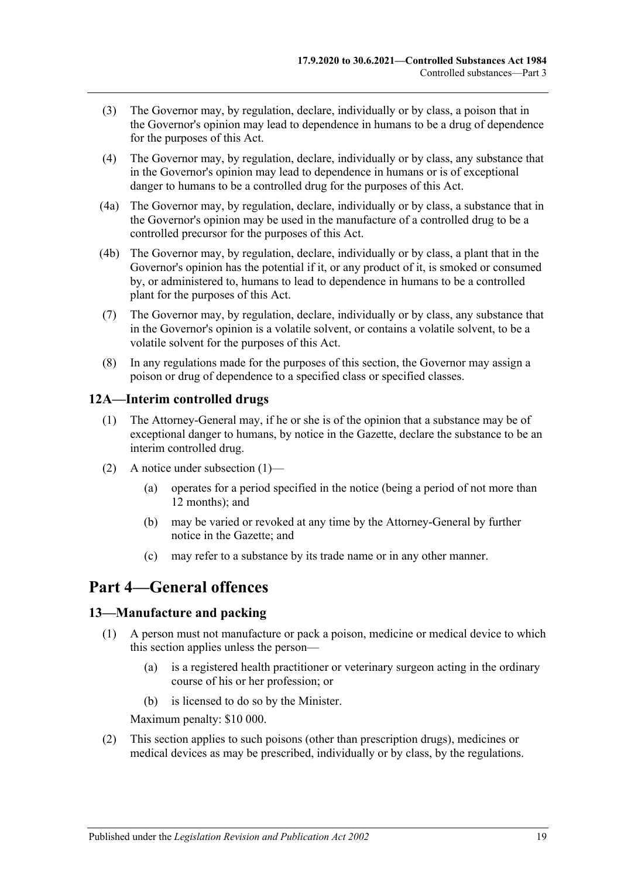- (3) The Governor may, by regulation, declare, individually or by class, a poison that in the Governor's opinion may lead to dependence in humans to be a drug of dependence for the purposes of this Act.
- (4) The Governor may, by regulation, declare, individually or by class, any substance that in the Governor's opinion may lead to dependence in humans or is of exceptional danger to humans to be a controlled drug for the purposes of this Act.
- (4a) The Governor may, by regulation, declare, individually or by class, a substance that in the Governor's opinion may be used in the manufacture of a controlled drug to be a controlled precursor for the purposes of this Act.
- (4b) The Governor may, by regulation, declare, individually or by class, a plant that in the Governor's opinion has the potential if it, or any product of it, is smoked or consumed by, or administered to, humans to lead to dependence in humans to be a controlled plant for the purposes of this Act.
- (7) The Governor may, by regulation, declare, individually or by class, any substance that in the Governor's opinion is a volatile solvent, or contains a volatile solvent, to be a volatile solvent for the purposes of this Act.
- (8) In any regulations made for the purposes of this section, the Governor may assign a poison or drug of dependence to a specified class or specified classes.

#### <span id="page-18-3"></span><span id="page-18-0"></span>**12A—Interim controlled drugs**

- (1) The Attorney-General may, if he or she is of the opinion that a substance may be of exceptional danger to humans, by notice in the Gazette, declare the substance to be an interim controlled drug.
- (2) A notice under [subsection](#page-18-3)  $(1)$ 
	- (a) operates for a period specified in the notice (being a period of not more than 12 months); and
	- (b) may be varied or revoked at any time by the Attorney-General by further notice in the Gazette; and
	- (c) may refer to a substance by its trade name or in any other manner.

# <span id="page-18-1"></span>**Part 4—General offences**

#### <span id="page-18-4"></span><span id="page-18-2"></span>**13—Manufacture and packing**

- (1) A person must not manufacture or pack a poison, medicine or medical device to which this section applies unless the person—
	- (a) is a registered health practitioner or veterinary surgeon acting in the ordinary course of his or her profession; or
	- (b) is licensed to do so by the Minister.

Maximum penalty: \$10 000.

(2) This section applies to such poisons (other than prescription drugs), medicines or medical devices as may be prescribed, individually or by class, by the regulations.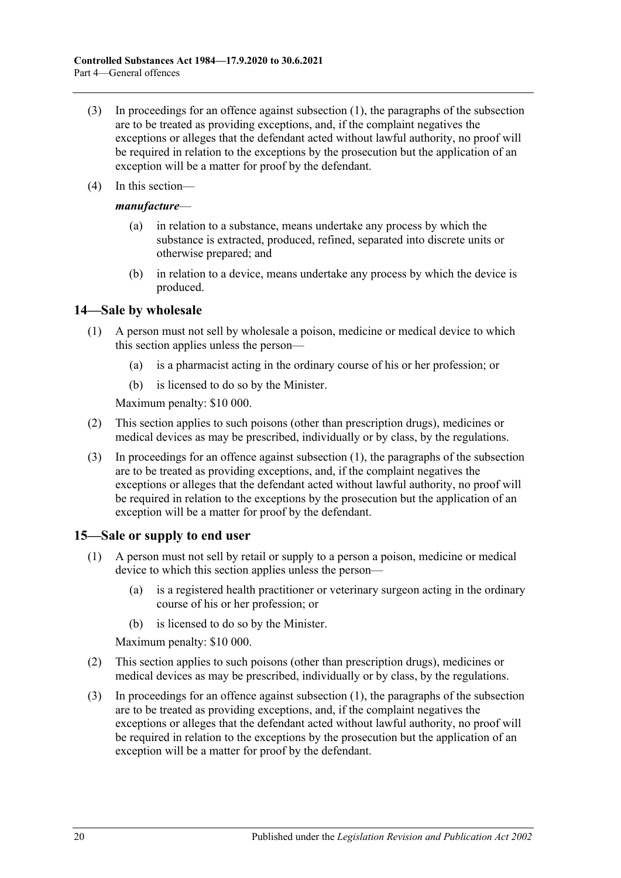- (3) In proceedings for an offence against [subsection](#page-18-4) (1), the paragraphs of the subsection are to be treated as providing exceptions, and, if the complaint negatives the exceptions or alleges that the defendant acted without lawful authority, no proof will be required in relation to the exceptions by the prosecution but the application of an exception will be a matter for proof by the defendant.
- (4) In this section—

#### *manufacture*—

- (a) in relation to a substance, means undertake any process by which the substance is extracted, produced, refined, separated into discrete units or otherwise prepared; and
- (b) in relation to a device, means undertake any process by which the device is produced.

#### <span id="page-19-2"></span><span id="page-19-0"></span>**14—Sale by wholesale**

- (1) A person must not sell by wholesale a poison, medicine or medical device to which this section applies unless the person—
	- (a) is a pharmacist acting in the ordinary course of his or her profession; or
	- (b) is licensed to do so by the Minister.

Maximum penalty: \$10 000.

- (2) This section applies to such poisons (other than prescription drugs), medicines or medical devices as may be prescribed, individually or by class, by the regulations.
- (3) In proceedings for an offence against [subsection](#page-19-2) (1), the paragraphs of the subsection are to be treated as providing exceptions, and, if the complaint negatives the exceptions or alleges that the defendant acted without lawful authority, no proof will be required in relation to the exceptions by the prosecution but the application of an exception will be a matter for proof by the defendant.

# <span id="page-19-3"></span><span id="page-19-1"></span>**15—Sale or supply to end user**

- (1) A person must not sell by retail or supply to a person a poison, medicine or medical device to which this section applies unless the person—
	- (a) is a registered health practitioner or veterinary surgeon acting in the ordinary course of his or her profession; or
	- (b) is licensed to do so by the Minister.

Maximum penalty: \$10 000.

- (2) This section applies to such poisons (other than prescription drugs), medicines or medical devices as may be prescribed, individually or by class, by the regulations.
- (3) In proceedings for an offence against [subsection](#page-19-3) (1), the paragraphs of the subsection are to be treated as providing exceptions, and, if the complaint negatives the exceptions or alleges that the defendant acted without lawful authority, no proof will be required in relation to the exceptions by the prosecution but the application of an exception will be a matter for proof by the defendant.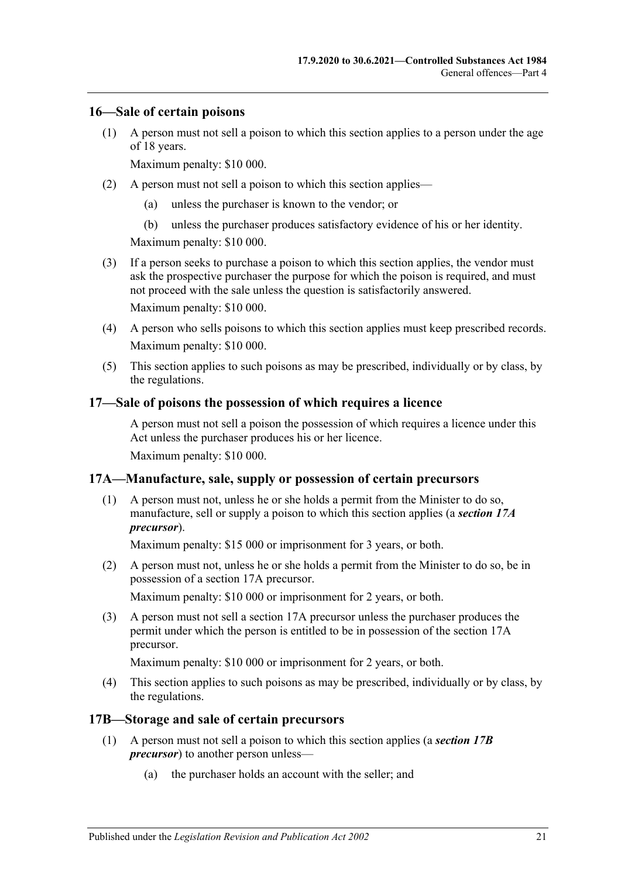#### <span id="page-20-0"></span>**16—Sale of certain poisons**

(1) A person must not sell a poison to which this section applies to a person under the age of 18 years.

Maximum penalty: \$10 000.

- (2) A person must not sell a poison to which this section applies—
	- (a) unless the purchaser is known to the vendor; or
	- (b) unless the purchaser produces satisfactory evidence of his or her identity.

Maximum penalty: \$10 000.

(3) If a person seeks to purchase a poison to which this section applies, the vendor must ask the prospective purchaser the purpose for which the poison is required, and must not proceed with the sale unless the question is satisfactorily answered.

Maximum penalty: \$10 000.

- (4) A person who sells poisons to which this section applies must keep prescribed records. Maximum penalty: \$10 000.
- (5) This section applies to such poisons as may be prescribed, individually or by class, by the regulations.

#### <span id="page-20-1"></span>**17—Sale of poisons the possession of which requires a licence**

A person must not sell a poison the possession of which requires a licence under this Act unless the purchaser produces his or her licence.

Maximum penalty: \$10 000.

# <span id="page-20-2"></span>**17A—Manufacture, sale, supply or possession of certain precursors**

(1) A person must not, unless he or she holds a permit from the Minister to do so, manufacture, sell or supply a poison to which this section applies (a *section 17A precursor*).

Maximum penalty: \$15 000 or imprisonment for 3 years, or both.

(2) A person must not, unless he or she holds a permit from the Minister to do so, be in possession of a section 17A precursor.

Maximum penalty: \$10 000 or imprisonment for 2 years, or both.

(3) A person must not sell a section 17A precursor unless the purchaser produces the permit under which the person is entitled to be in possession of the section 17A precursor.

Maximum penalty: \$10 000 or imprisonment for 2 years, or both.

(4) This section applies to such poisons as may be prescribed, individually or by class, by the regulations.

#### <span id="page-20-3"></span>**17B—Storage and sale of certain precursors**

- (1) A person must not sell a poison to which this section applies (a *section 17B precursor*) to another person unless—
	- (a) the purchaser holds an account with the seller; and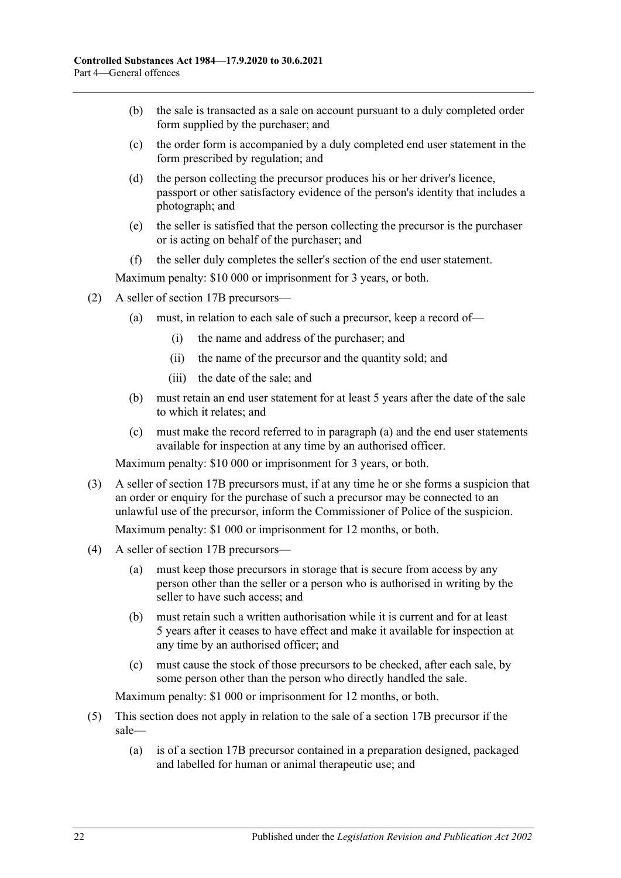- (b) the sale is transacted as a sale on account pursuant to a duly completed order form supplied by the purchaser; and
- (c) the order form is accompanied by a duly completed end user statement in the form prescribed by regulation; and
- (d) the person collecting the precursor produces his or her driver's licence, passport or other satisfactory evidence of the person's identity that includes a photograph; and
- (e) the seller is satisfied that the person collecting the precursor is the purchaser or is acting on behalf of the purchaser; and
- (f) the seller duly completes the seller's section of the end user statement.

- <span id="page-21-0"></span>(2) A seller of section 17B precursors—
	- (a) must, in relation to each sale of such a precursor, keep a record of—
		- (i) the name and address of the purchaser; and
		- (ii) the name of the precursor and the quantity sold; and
		- (iii) the date of the sale; and
	- (b) must retain an end user statement for at least 5 years after the date of the sale to which it relates; and
	- (c) must make the record referred to in [paragraph](#page-21-0) (a) and the end user statements available for inspection at any time by an authorised officer.

Maximum penalty: \$10 000 or imprisonment for 3 years, or both.

- (3) A seller of section 17B precursors must, if at any time he or she forms a suspicion that an order or enquiry for the purchase of such a precursor may be connected to an unlawful use of the precursor, inform the Commissioner of Police of the suspicion. Maximum penalty: \$1 000 or imprisonment for 12 months, or both.
- (4) A seller of section 17B precursors—
	- (a) must keep those precursors in storage that is secure from access by any person other than the seller or a person who is authorised in writing by the seller to have such access; and
	- (b) must retain such a written authorisation while it is current and for at least 5 years after it ceases to have effect and make it available for inspection at any time by an authorised officer; and
	- (c) must cause the stock of those precursors to be checked, after each sale, by some person other than the person who directly handled the sale.

Maximum penalty: \$1 000 or imprisonment for 12 months, or both.

- (5) This section does not apply in relation to the sale of a section 17B precursor if the sale—
	- (a) is of a section 17B precursor contained in a preparation designed, packaged and labelled for human or animal therapeutic use; and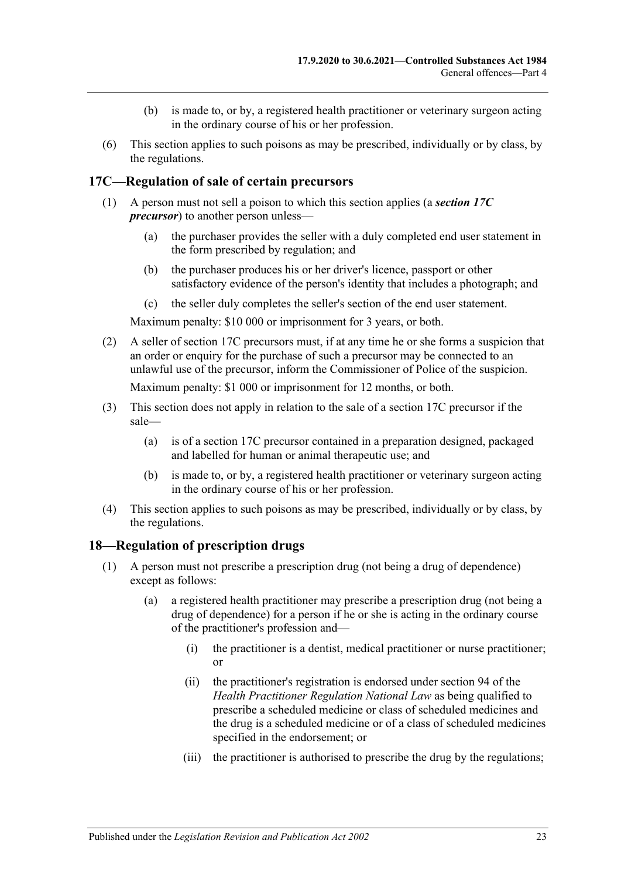- (b) is made to, or by, a registered health practitioner or veterinary surgeon acting in the ordinary course of his or her profession.
- (6) This section applies to such poisons as may be prescribed, individually or by class, by the regulations.

### <span id="page-22-0"></span>**17C—Regulation of sale of certain precursors**

- (1) A person must not sell a poison to which this section applies (a *section 17C precursor*) to another person unless—
	- (a) the purchaser provides the seller with a duly completed end user statement in the form prescribed by regulation; and
	- (b) the purchaser produces his or her driver's licence, passport or other satisfactory evidence of the person's identity that includes a photograph; and
	- (c) the seller duly completes the seller's section of the end user statement.

Maximum penalty: \$10 000 or imprisonment for 3 years, or both.

(2) A seller of section 17C precursors must, if at any time he or she forms a suspicion that an order or enquiry for the purchase of such a precursor may be connected to an unlawful use of the precursor, inform the Commissioner of Police of the suspicion.

Maximum penalty: \$1 000 or imprisonment for 12 months, or both.

- (3) This section does not apply in relation to the sale of a section 17C precursor if the sale—
	- (a) is of a section 17C precursor contained in a preparation designed, packaged and labelled for human or animal therapeutic use; and
	- (b) is made to, or by, a registered health practitioner or veterinary surgeon acting in the ordinary course of his or her profession.
- (4) This section applies to such poisons as may be prescribed, individually or by class, by the regulations.

#### <span id="page-22-2"></span><span id="page-22-1"></span>**18—Regulation of prescription drugs**

- (1) A person must not prescribe a prescription drug (not being a drug of dependence) except as follows:
	- (a) a registered health practitioner may prescribe a prescription drug (not being a drug of dependence) for a person if he or she is acting in the ordinary course of the practitioner's profession and—
		- (i) the practitioner is a dentist, medical practitioner or nurse practitioner; or
		- (ii) the practitioner's registration is endorsed under section 94 of the *Health Practitioner Regulation National Law* as being qualified to prescribe a scheduled medicine or class of scheduled medicines and the drug is a scheduled medicine or of a class of scheduled medicines specified in the endorsement; or
		- (iii) the practitioner is authorised to prescribe the drug by the regulations;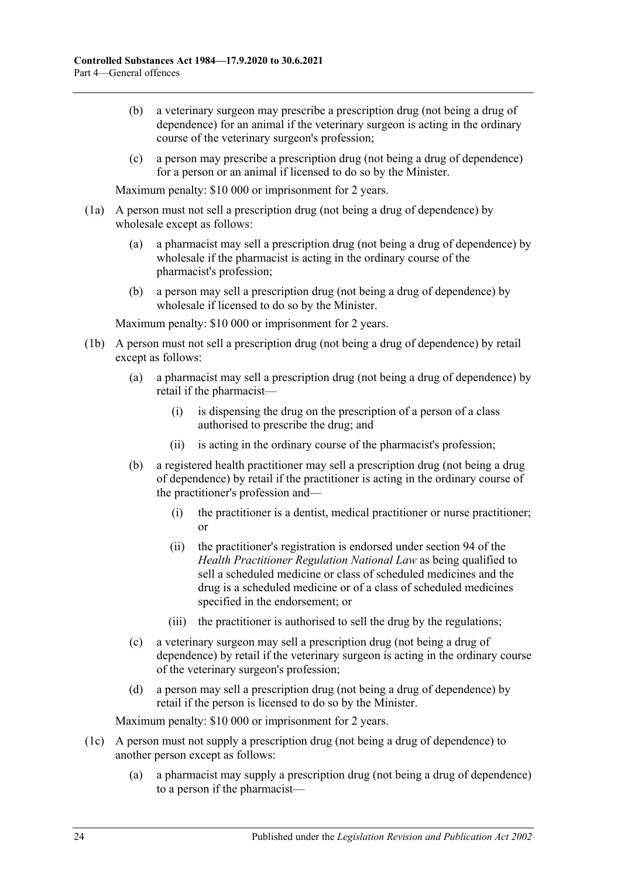- (b) a veterinary surgeon may prescribe a prescription drug (not being a drug of dependence) for an animal if the veterinary surgeon is acting in the ordinary course of the veterinary surgeon's profession;
- (c) a person may prescribe a prescription drug (not being a drug of dependence) for a person or an animal if licensed to do so by the Minister.

- (1a) A person must not sell a prescription drug (not being a drug of dependence) by wholesale except as follows:
	- (a) a pharmacist may sell a prescription drug (not being a drug of dependence) by wholesale if the pharmacist is acting in the ordinary course of the pharmacist's profession;
	- (b) a person may sell a prescription drug (not being a drug of dependence) by wholesale if licensed to do so by the Minister.

Maximum penalty: \$10 000 or imprisonment for 2 years.

- (1b) A person must not sell a prescription drug (not being a drug of dependence) by retail except as follows:
	- (a) a pharmacist may sell a prescription drug (not being a drug of dependence) by retail if the pharmacist—
		- (i) is dispensing the drug on the prescription of a person of a class authorised to prescribe the drug; and
		- (ii) is acting in the ordinary course of the pharmacist's profession;
	- (b) a registered health practitioner may sell a prescription drug (not being a drug of dependence) by retail if the practitioner is acting in the ordinary course of the practitioner's profession and—
		- (i) the practitioner is a dentist, medical practitioner or nurse practitioner; or
		- (ii) the practitioner's registration is endorsed under section 94 of the *Health Practitioner Regulation National Law* as being qualified to sell a scheduled medicine or class of scheduled medicines and the drug is a scheduled medicine or of a class of scheduled medicines specified in the endorsement; or
		- (iii) the practitioner is authorised to sell the drug by the regulations;
	- (c) a veterinary surgeon may sell a prescription drug (not being a drug of dependence) by retail if the veterinary surgeon is acting in the ordinary course of the veterinary surgeon's profession;
	- (d) a person may sell a prescription drug (not being a drug of dependence) by retail if the person is licensed to do so by the Minister.

- (1c) A person must not supply a prescription drug (not being a drug of dependence) to another person except as follows:
	- (a) a pharmacist may supply a prescription drug (not being a drug of dependence) to a person if the pharmacist—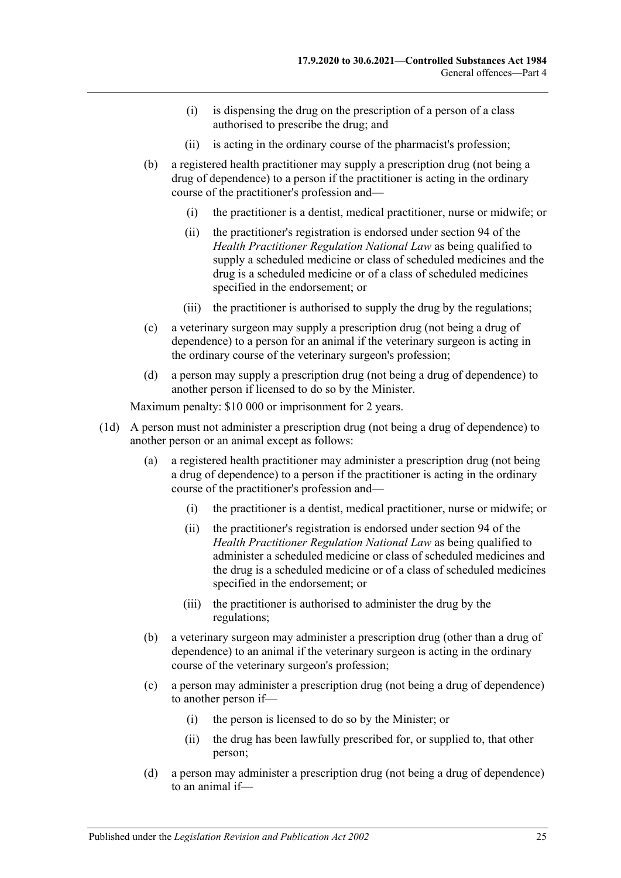- (i) is dispensing the drug on the prescription of a person of a class authorised to prescribe the drug; and
- (ii) is acting in the ordinary course of the pharmacist's profession;
- (b) a registered health practitioner may supply a prescription drug (not being a drug of dependence) to a person if the practitioner is acting in the ordinary course of the practitioner's profession and—
	- (i) the practitioner is a dentist, medical practitioner, nurse or midwife; or
	- (ii) the practitioner's registration is endorsed under section 94 of the *Health Practitioner Regulation National Law* as being qualified to supply a scheduled medicine or class of scheduled medicines and the drug is a scheduled medicine or of a class of scheduled medicines specified in the endorsement; or
	- (iii) the practitioner is authorised to supply the drug by the regulations;
- (c) a veterinary surgeon may supply a prescription drug (not being a drug of dependence) to a person for an animal if the veterinary surgeon is acting in the ordinary course of the veterinary surgeon's profession;
- (d) a person may supply a prescription drug (not being a drug of dependence) to another person if licensed to do so by the Minister.

- (1d) A person must not administer a prescription drug (not being a drug of dependence) to another person or an animal except as follows:
	- (a) a registered health practitioner may administer a prescription drug (not being a drug of dependence) to a person if the practitioner is acting in the ordinary course of the practitioner's profession and—
		- (i) the practitioner is a dentist, medical practitioner, nurse or midwife; or
		- (ii) the practitioner's registration is endorsed under section 94 of the *Health Practitioner Regulation National Law* as being qualified to administer a scheduled medicine or class of scheduled medicines and the drug is a scheduled medicine or of a class of scheduled medicines specified in the endorsement; or
		- (iii) the practitioner is authorised to administer the drug by the regulations;
	- (b) a veterinary surgeon may administer a prescription drug (other than a drug of dependence) to an animal if the veterinary surgeon is acting in the ordinary course of the veterinary surgeon's profession;
	- (c) a person may administer a prescription drug (not being a drug of dependence) to another person if—
		- (i) the person is licensed to do so by the Minister; or
		- (ii) the drug has been lawfully prescribed for, or supplied to, that other person;
	- (d) a person may administer a prescription drug (not being a drug of dependence) to an animal if—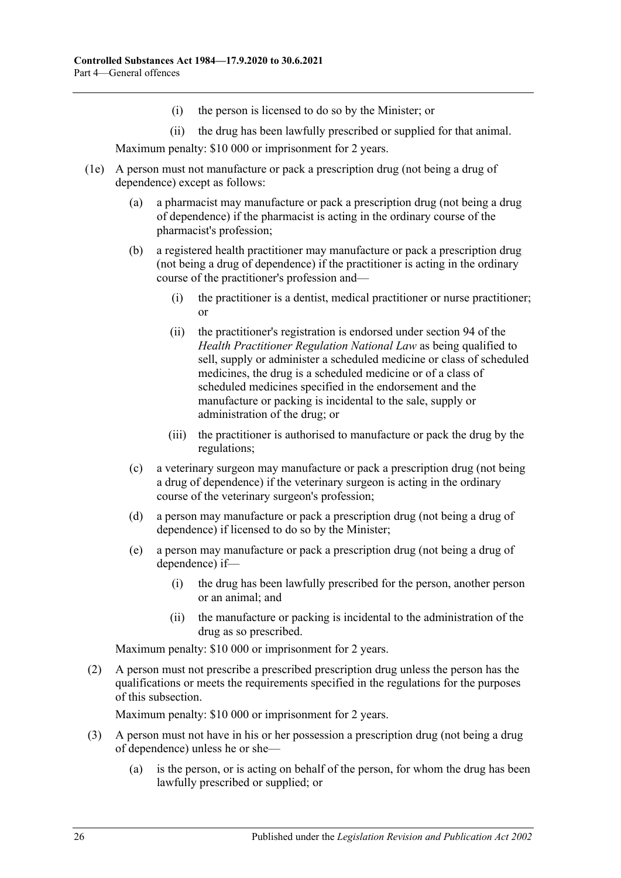- (i) the person is licensed to do so by the Minister; or
- (ii) the drug has been lawfully prescribed or supplied for that animal.

- (1e) A person must not manufacture or pack a prescription drug (not being a drug of dependence) except as follows:
	- (a) a pharmacist may manufacture or pack a prescription drug (not being a drug of dependence) if the pharmacist is acting in the ordinary course of the pharmacist's profession;
	- (b) a registered health practitioner may manufacture or pack a prescription drug (not being a drug of dependence) if the practitioner is acting in the ordinary course of the practitioner's profession and—
		- (i) the practitioner is a dentist, medical practitioner or nurse practitioner; or
		- (ii) the practitioner's registration is endorsed under section 94 of the *Health Practitioner Regulation National Law* as being qualified to sell, supply or administer a scheduled medicine or class of scheduled medicines, the drug is a scheduled medicine or of a class of scheduled medicines specified in the endorsement and the manufacture or packing is incidental to the sale, supply or administration of the drug; or
		- (iii) the practitioner is authorised to manufacture or pack the drug by the regulations;
	- (c) a veterinary surgeon may manufacture or pack a prescription drug (not being a drug of dependence) if the veterinary surgeon is acting in the ordinary course of the veterinary surgeon's profession;
	- (d) a person may manufacture or pack a prescription drug (not being a drug of dependence) if licensed to do so by the Minister;
	- (e) a person may manufacture or pack a prescription drug (not being a drug of dependence) if—
		- (i) the drug has been lawfully prescribed for the person, another person or an animal; and
		- (ii) the manufacture or packing is incidental to the administration of the drug as so prescribed.

Maximum penalty: \$10 000 or imprisonment for 2 years.

(2) A person must not prescribe a prescribed prescription drug unless the person has the qualifications or meets the requirements specified in the regulations for the purposes of this subsection.

- <span id="page-25-0"></span>(3) A person must not have in his or her possession a prescription drug (not being a drug of dependence) unless he or she—
	- (a) is the person, or is acting on behalf of the person, for whom the drug has been lawfully prescribed or supplied; or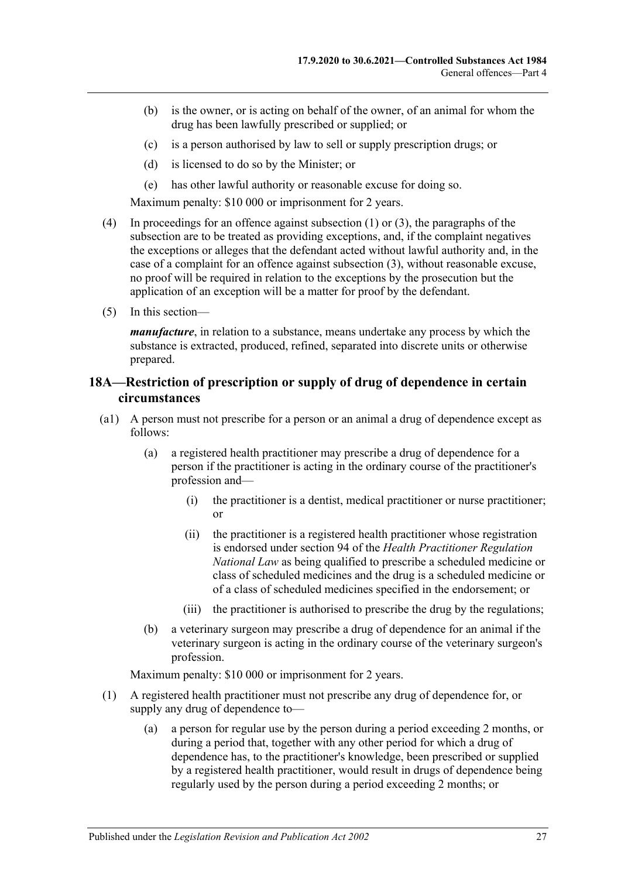- (b) is the owner, or is acting on behalf of the owner, of an animal for whom the drug has been lawfully prescribed or supplied; or
- (c) is a person authorised by law to sell or supply prescription drugs; or
- (d) is licensed to do so by the Minister; or
- (e) has other lawful authority or reasonable excuse for doing so.

- (4) In proceedings for an offence against [subsection](#page-22-2) (1) or [\(3\),](#page-25-0) the paragraphs of the subsection are to be treated as providing exceptions, and, if the complaint negatives the exceptions or alleges that the defendant acted without lawful authority and, in the case of a complaint for an offence against [subsection](#page-25-0) (3), without reasonable excuse, no proof will be required in relation to the exceptions by the prosecution but the application of an exception will be a matter for proof by the defendant.
- (5) In this section—

*manufacture*, in relation to a substance, means undertake any process by which the substance is extracted, produced, refined, separated into discrete units or otherwise prepared.

## <span id="page-26-0"></span>**18A—Restriction of prescription or supply of drug of dependence in certain circumstances**

- (a1) A person must not prescribe for a person or an animal a drug of dependence except as follows:
	- (a) a registered health practitioner may prescribe a drug of dependence for a person if the practitioner is acting in the ordinary course of the practitioner's profession and—
		- (i) the practitioner is a dentist, medical practitioner or nurse practitioner; or
		- (ii) the practitioner is a registered health practitioner whose registration is endorsed under section 94 of the *Health Practitioner Regulation National Law* as being qualified to prescribe a scheduled medicine or class of scheduled medicines and the drug is a scheduled medicine or of a class of scheduled medicines specified in the endorsement; or
		- (iii) the practitioner is authorised to prescribe the drug by the regulations;
	- (b) a veterinary surgeon may prescribe a drug of dependence for an animal if the veterinary surgeon is acting in the ordinary course of the veterinary surgeon's profession.

- (1) A registered health practitioner must not prescribe any drug of dependence for, or supply any drug of dependence to—
	- (a) a person for regular use by the person during a period exceeding 2 months, or during a period that, together with any other period for which a drug of dependence has, to the practitioner's knowledge, been prescribed or supplied by a registered health practitioner, would result in drugs of dependence being regularly used by the person during a period exceeding 2 months; or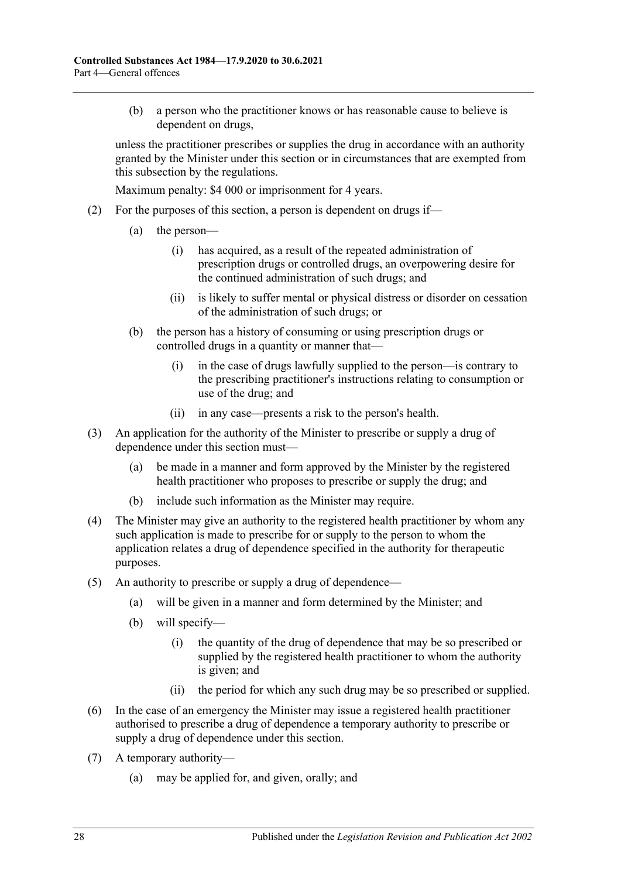(b) a person who the practitioner knows or has reasonable cause to believe is dependent on drugs,

unless the practitioner prescribes or supplies the drug in accordance with an authority granted by the Minister under this section or in circumstances that are exempted from this subsection by the regulations.

- (2) For the purposes of this section, a person is dependent on drugs if—
	- (a) the person—
		- (i) has acquired, as a result of the repeated administration of prescription drugs or controlled drugs, an overpowering desire for the continued administration of such drugs; and
		- (ii) is likely to suffer mental or physical distress or disorder on cessation of the administration of such drugs; or
	- (b) the person has a history of consuming or using prescription drugs or controlled drugs in a quantity or manner that—
		- (i) in the case of drugs lawfully supplied to the person—is contrary to the prescribing practitioner's instructions relating to consumption or use of the drug; and
		- (ii) in any case—presents a risk to the person's health.
- (3) An application for the authority of the Minister to prescribe or supply a drug of dependence under this section must—
	- (a) be made in a manner and form approved by the Minister by the registered health practitioner who proposes to prescribe or supply the drug; and
	- (b) include such information as the Minister may require.
- (4) The Minister may give an authority to the registered health practitioner by whom any such application is made to prescribe for or supply to the person to whom the application relates a drug of dependence specified in the authority for therapeutic purposes.
- (5) An authority to prescribe or supply a drug of dependence—
	- (a) will be given in a manner and form determined by the Minister; and
	- (b) will specify—
		- (i) the quantity of the drug of dependence that may be so prescribed or supplied by the registered health practitioner to whom the authority is given; and
		- (ii) the period for which any such drug may be so prescribed or supplied.
- (6) In the case of an emergency the Minister may issue a registered health practitioner authorised to prescribe a drug of dependence a temporary authority to prescribe or supply a drug of dependence under this section.
- (7) A temporary authority—
	- (a) may be applied for, and given, orally; and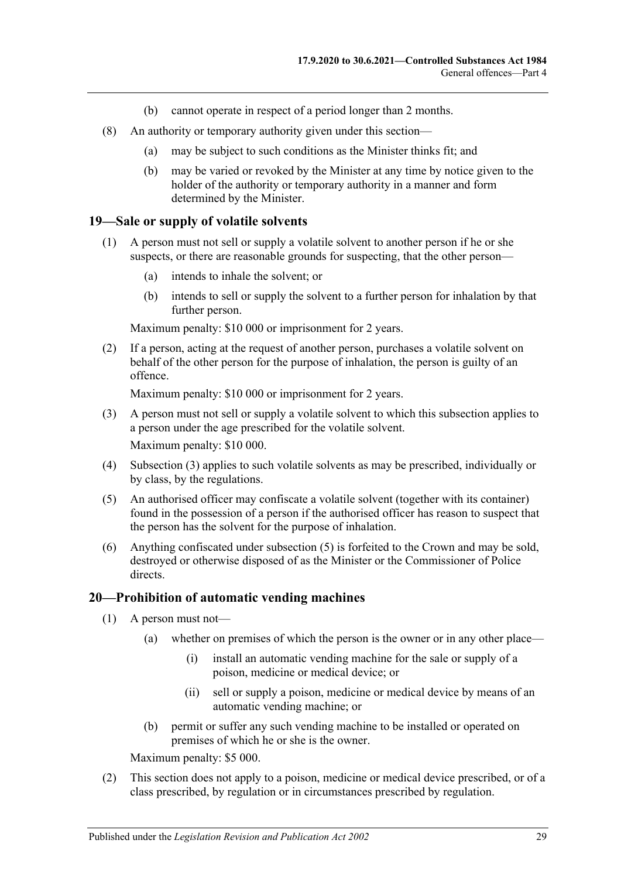- (b) cannot operate in respect of a period longer than 2 months.
- (8) An authority or temporary authority given under this section—
	- (a) may be subject to such conditions as the Minister thinks fit; and
	- (b) may be varied or revoked by the Minister at any time by notice given to the holder of the authority or temporary authority in a manner and form determined by the Minister.

#### <span id="page-28-0"></span>**19—Sale or supply of volatile solvents**

- (1) A person must not sell or supply a volatile solvent to another person if he or she suspects, or there are reasonable grounds for suspecting, that the other person—
	- (a) intends to inhale the solvent; or
	- (b) intends to sell or supply the solvent to a further person for inhalation by that further person.

Maximum penalty: \$10 000 or imprisonment for 2 years.

(2) If a person, acting at the request of another person, purchases a volatile solvent on behalf of the other person for the purpose of inhalation, the person is guilty of an offence.

Maximum penalty: \$10 000 or imprisonment for 2 years.

- <span id="page-28-2"></span>(3) A person must not sell or supply a volatile solvent to which this subsection applies to a person under the age prescribed for the volatile solvent. Maximum penalty: \$10 000.
- (4) [Subsection](#page-28-2) (3) applies to such volatile solvents as may be prescribed, individually or by class, by the regulations.
- <span id="page-28-3"></span>(5) An authorised officer may confiscate a volatile solvent (together with its container) found in the possession of a person if the authorised officer has reason to suspect that the person has the solvent for the purpose of inhalation.
- (6) Anything confiscated under [subsection](#page-28-3) (5) is forfeited to the Crown and may be sold, destroyed or otherwise disposed of as the Minister or the Commissioner of Police directs.

#### <span id="page-28-1"></span>**20—Prohibition of automatic vending machines**

- (1) A person must not—
	- (a) whether on premises of which the person is the owner or in any other place—
		- (i) install an automatic vending machine for the sale or supply of a poison, medicine or medical device; or
		- (ii) sell or supply a poison, medicine or medical device by means of an automatic vending machine; or
	- (b) permit or suffer any such vending machine to be installed or operated on premises of which he or she is the owner.

Maximum penalty: \$5 000.

(2) This section does not apply to a poison, medicine or medical device prescribed, or of a class prescribed, by regulation or in circumstances prescribed by regulation.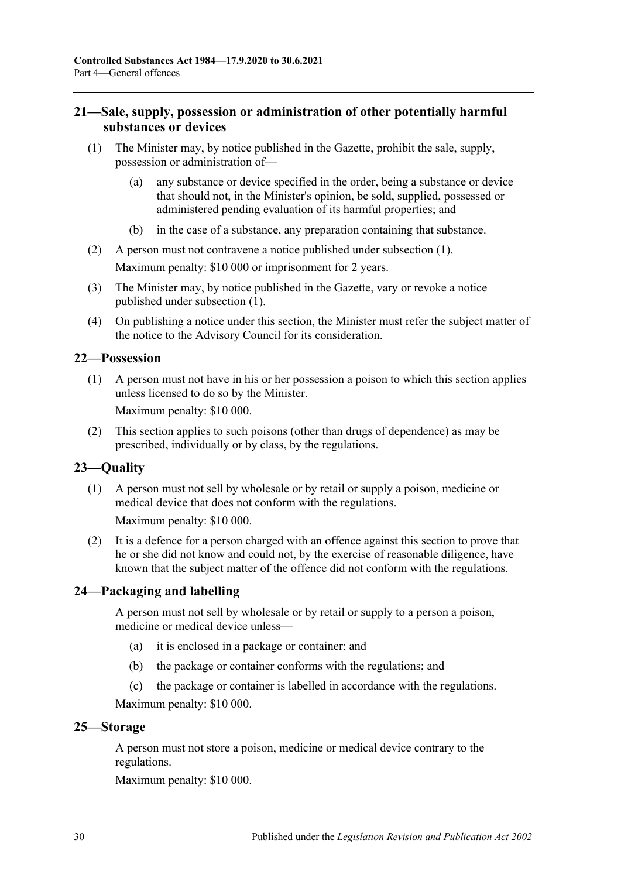## <span id="page-29-0"></span>**21—Sale, supply, possession or administration of other potentially harmful substances or devices**

- <span id="page-29-5"></span>(1) The Minister may, by notice published in the Gazette, prohibit the sale, supply, possession or administration of—
	- (a) any substance or device specified in the order, being a substance or device that should not, in the Minister's opinion, be sold, supplied, possessed or administered pending evaluation of its harmful properties; and
	- (b) in the case of a substance, any preparation containing that substance.
- (2) A person must not contravene a notice published under [subsection](#page-29-5) (1). Maximum penalty: \$10 000 or imprisonment for 2 years.
- (3) The Minister may, by notice published in the Gazette, vary or revoke a notice published under [subsection](#page-29-5) (1).
- (4) On publishing a notice under this section, the Minister must refer the subject matter of the notice to the Advisory Council for its consideration.

# <span id="page-29-1"></span>**22—Possession**

(1) A person must not have in his or her possession a poison to which this section applies unless licensed to do so by the Minister.

Maximum penalty: \$10 000.

(2) This section applies to such poisons (other than drugs of dependence) as may be prescribed, individually or by class, by the regulations.

# <span id="page-29-2"></span>**23—Quality**

(1) A person must not sell by wholesale or by retail or supply a poison, medicine or medical device that does not conform with the regulations.

Maximum penalty: \$10 000.

(2) It is a defence for a person charged with an offence against this section to prove that he or she did not know and could not, by the exercise of reasonable diligence, have known that the subject matter of the offence did not conform with the regulations.

# <span id="page-29-3"></span>**24—Packaging and labelling**

A person must not sell by wholesale or by retail or supply to a person a poison, medicine or medical device unless—

- (a) it is enclosed in a package or container; and
- (b) the package or container conforms with the regulations; and
- (c) the package or container is labelled in accordance with the regulations.

Maximum penalty: \$10 000.

#### <span id="page-29-4"></span>**25—Storage**

A person must not store a poison, medicine or medical device contrary to the regulations.

Maximum penalty: \$10 000.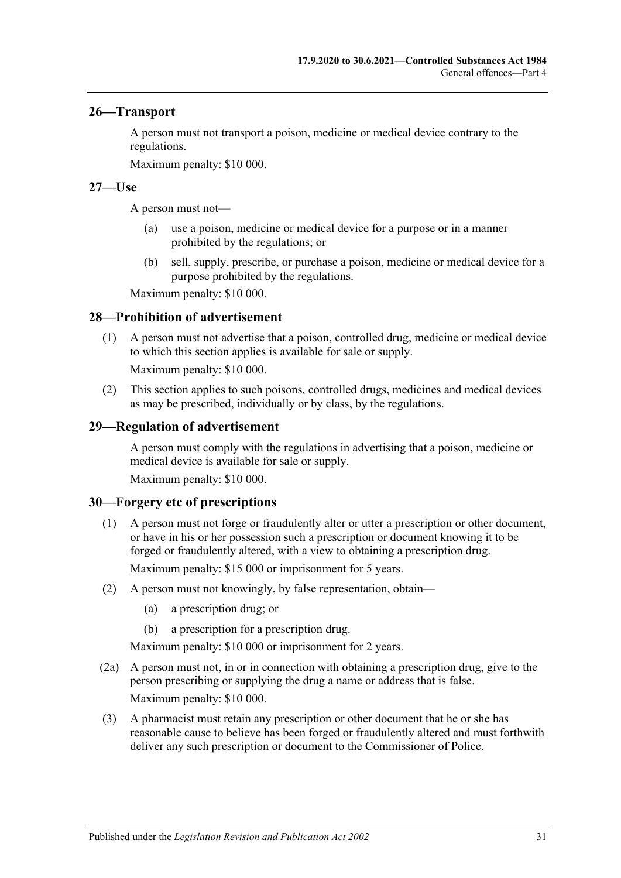#### <span id="page-30-0"></span>**26—Transport**

A person must not transport a poison, medicine or medical device contrary to the regulations.

Maximum penalty: \$10 000.

#### <span id="page-30-1"></span>**27—Use**

A person must not—

- (a) use a poison, medicine or medical device for a purpose or in a manner prohibited by the regulations; or
- (b) sell, supply, prescribe, or purchase a poison, medicine or medical device for a purpose prohibited by the regulations.

Maximum penalty: \$10 000.

#### <span id="page-30-2"></span>**28—Prohibition of advertisement**

(1) A person must not advertise that a poison, controlled drug, medicine or medical device to which this section applies is available for sale or supply.

Maximum penalty: \$10 000.

(2) This section applies to such poisons, controlled drugs, medicines and medical devices as may be prescribed, individually or by class, by the regulations.

#### <span id="page-30-3"></span>**29—Regulation of advertisement**

A person must comply with the regulations in advertising that a poison, medicine or medical device is available for sale or supply.

Maximum penalty: \$10 000.

#### <span id="page-30-4"></span>**30—Forgery etc of prescriptions**

- (1) A person must not forge or fraudulently alter or utter a prescription or other document, or have in his or her possession such a prescription or document knowing it to be forged or fraudulently altered, with a view to obtaining a prescription drug. Maximum penalty: \$15 000 or imprisonment for 5 years.
- (2) A person must not knowingly, by false representation, obtain—
	- (a) a prescription drug; or
	- (b) a prescription for a prescription drug.

- (2a) A person must not, in or in connection with obtaining a prescription drug, give to the person prescribing or supplying the drug a name or address that is false. Maximum penalty: \$10 000.
- (3) A pharmacist must retain any prescription or other document that he or she has reasonable cause to believe has been forged or fraudulently altered and must forthwith deliver any such prescription or document to the Commissioner of Police.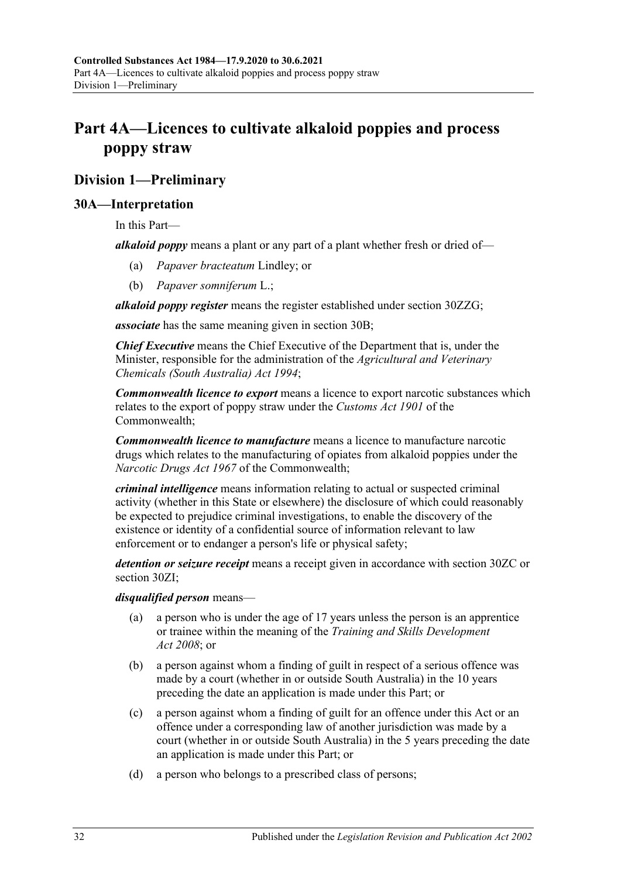# <span id="page-31-0"></span>**Part 4A—Licences to cultivate alkaloid poppies and process poppy straw**

# <span id="page-31-1"></span>**Division 1—Preliminary**

## <span id="page-31-2"></span>**30A—Interpretation**

In this Part—

*alkaloid poppy* means a plant or any part of a plant whether fresh or dried of—

- (a) *Papaver bracteatum* Lindley; or
- (b) *Papaver somniferum* L.;

*alkaloid poppy register* means the register established under section [30ZZG;](#page-59-2)

*associate* has the same meaning given in [section](#page-33-0) 30B;

*Chief Executive* means the Chief Executive of the Department that is, under the Minister, responsible for the administration of the *[Agricultural and Veterinary](http://www.legislation.sa.gov.au/index.aspx?action=legref&type=act&legtitle=Agricultural%20and%20Veterinary%20Chemicals%20(South%20Australia)%20Act%201994)  [Chemicals \(South Australia\) Act](http://www.legislation.sa.gov.au/index.aspx?action=legref&type=act&legtitle=Agricultural%20and%20Veterinary%20Chemicals%20(South%20Australia)%20Act%201994) 1994*;

*Commonwealth licence to export* means a licence to export narcotic substances which relates to the export of poppy straw under the *Customs Act 1901* of the Commonwealth;

*Commonwealth licence to manufacture* means a licence to manufacture narcotic drugs which relates to the manufacturing of opiates from alkaloid poppies under the *Narcotic Drugs Act 1967* of the Commonwealth;

*criminal intelligence* means information relating to actual or suspected criminal activity (whether in this State or elsewhere) the disclosure of which could reasonably be expected to prejudice criminal investigations, to enable the discovery of the existence or identity of a confidential source of information relevant to law enforcement or to endanger a person's life or physical safety;

*detention or seizure receipt* means a receipt given in accordance with [section](#page-48-1) 30ZC or [section](#page-50-4) 30ZI;

*disqualified person* means—

- a person who is under the age of 17 years unless the person is an apprentice or trainee within the meaning of the *[Training and Skills Development](http://www.legislation.sa.gov.au/index.aspx?action=legref&type=act&legtitle=Training%20and%20Skills%20Development%20Act%202008)  Act [2008](http://www.legislation.sa.gov.au/index.aspx?action=legref&type=act&legtitle=Training%20and%20Skills%20Development%20Act%202008)*; or
- (b) a person against whom a finding of guilt in respect of a serious offence was made by a court (whether in or outside South Australia) in the 10 years preceding the date an application is made under this Part; or
- (c) a person against whom a finding of guilt for an offence under this Act or an offence under a corresponding law of another jurisdiction was made by a court (whether in or outside South Australia) in the 5 years preceding the date an application is made under this Part; or
- (d) a person who belongs to a prescribed class of persons;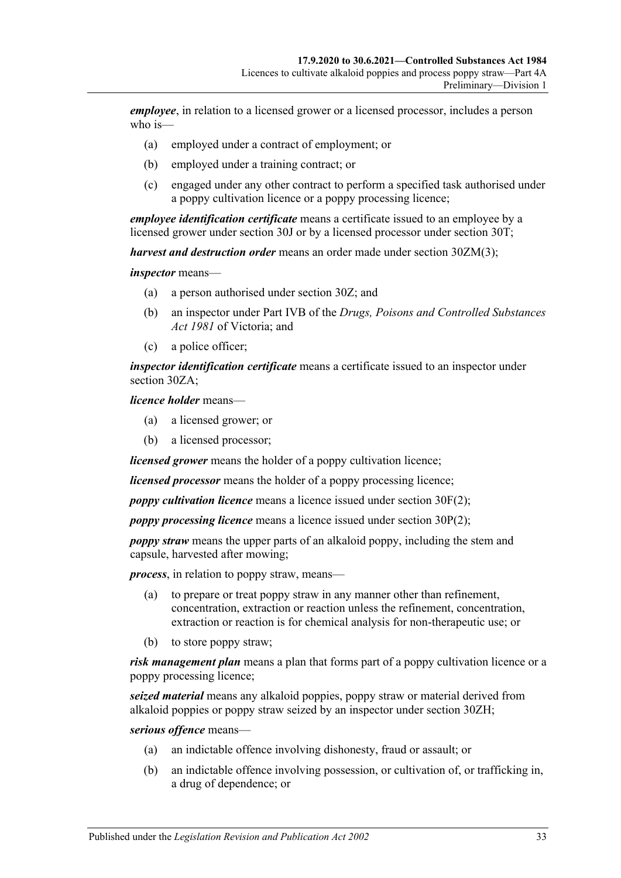*employee*, in relation to a licensed grower or a licensed processor, includes a person who is—

- (a) employed under a contract of employment; or
- (b) employed under a training contract; or
- (c) engaged under any other contract to perform a specified task authorised under a poppy cultivation licence or a poppy processing licence;

*employee identification certificate* means a certificate issued to an employee by a licensed grower under [section](#page-39-0) 30J or by a licensed processor under [section](#page-44-0) 30T;

*harvest and destruction order* means an order made under section [30ZM\(3\);](#page-52-2)

*inspector* means—

- (a) a person authorised under [section](#page-47-1) 30Z; and
- (b) an inspector under Part IVB of the *Drugs, Poisons and Controlled Substances Act 1981* of Victoria; and
- (c) a police officer;

*inspector identification certificate* means a certificate issued to an inspector under [section](#page-47-2) 30ZA;

*licence holder* means—

- (a) a licensed grower; or
- (b) a licensed processor;

*licensed grower* means the holder of a poppy cultivation licence;

*licensed processor* means the holder of a poppy processing licence;

*poppy cultivation licence* means a licence issued under [section](#page-37-2) 30F(2);

*poppy processing licence* means a licence issued under [section](#page-42-3) 30P(2);

*poppy straw* means the upper parts of an alkaloid poppy, including the stem and capsule, harvested after mowing;

*process*, in relation to poppy straw, means—

- (a) to prepare or treat poppy straw in any manner other than refinement, concentration, extraction or reaction unless the refinement, concentration, extraction or reaction is for chemical analysis for non-therapeutic use; or
- (b) to store poppy straw;

*risk management plan* means a plan that forms part of a poppy cultivation licence or a poppy processing licence;

*seized material* means any alkaloid poppies, poppy straw or material derived from alkaloid poppies or poppy straw seized by an inspector under [section](#page-50-3) 30ZH;

*serious offence* means—

- (a) an indictable offence involving dishonesty, fraud or assault; or
- (b) an indictable offence involving possession, or cultivation of, or trafficking in, a drug of dependence; or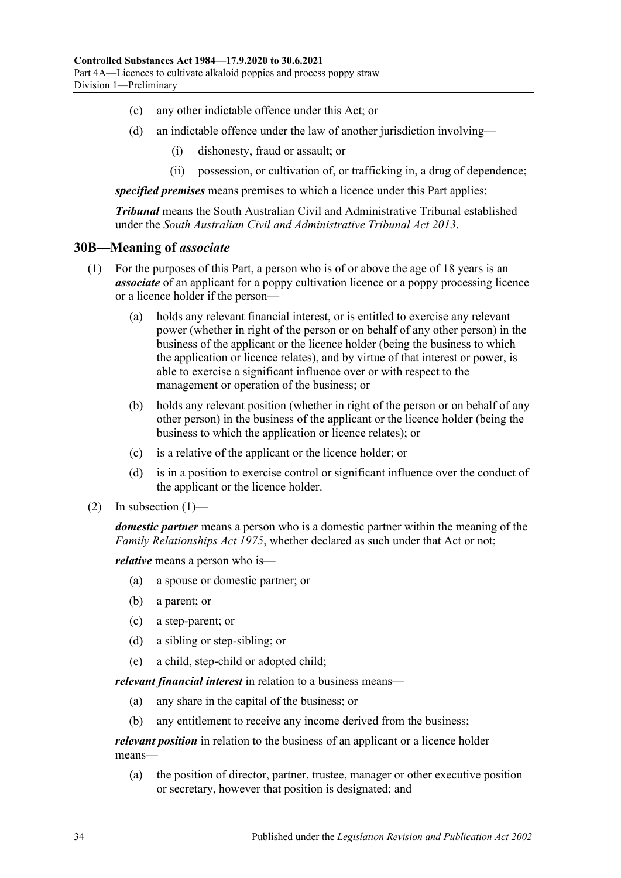- (c) any other indictable offence under this Act; or
- (d) an indictable offence under the law of another jurisdiction involving—
	- (i) dishonesty, fraud or assault; or
	- (ii) possession, or cultivation of, or trafficking in, a drug of dependence;

*specified premises* means premises to which a licence under this Part applies;

*Tribunal* means the South Australian Civil and Administrative Tribunal established under the *[South Australian Civil and Administrative Tribunal Act](http://www.legislation.sa.gov.au/index.aspx?action=legref&type=act&legtitle=South%20Australian%20Civil%20and%20Administrative%20Tribunal%20Act%202013) 2013*.

#### <span id="page-33-0"></span>**30B—Meaning of** *associate*

- (1) For the purposes of this Part, a person who is of or above the age of 18 years is an *associate* of an applicant for a poppy cultivation licence or a poppy processing licence or a licence holder if the person—
	- (a) holds any relevant financial interest, or is entitled to exercise any relevant power (whether in right of the person or on behalf of any other person) in the business of the applicant or the licence holder (being the business to which the application or licence relates), and by virtue of that interest or power, is able to exercise a significant influence over or with respect to the management or operation of the business; or
	- (b) holds any relevant position (whether in right of the person or on behalf of any other person) in the business of the applicant or the licence holder (being the business to which the application or licence relates); or
	- (c) is a relative of the applicant or the licence holder; or
	- (d) is in a position to exercise control or significant influence over the conduct of the applicant or the licence holder.
- (2) In subsection  $(1)$ —

*domestic partner* means a person who is a domestic partner within the meaning of the *[Family Relationships Act](http://www.legislation.sa.gov.au/index.aspx?action=legref&type=act&legtitle=Family%20Relationships%20Act%201975) 1975*, whether declared as such under that Act or not;

*relative* means a person who is—

- (a) a spouse or domestic partner; or
- (b) a parent; or
- (c) a step-parent; or
- (d) a sibling or step-sibling; or
- (e) a child, step-child or adopted child;

*relevant financial interest* in relation to a business means—

- (a) any share in the capital of the business; or
- (b) any entitlement to receive any income derived from the business;

*relevant position* in relation to the business of an applicant or a licence holder means—

(a) the position of director, partner, trustee, manager or other executive position or secretary, however that position is designated; and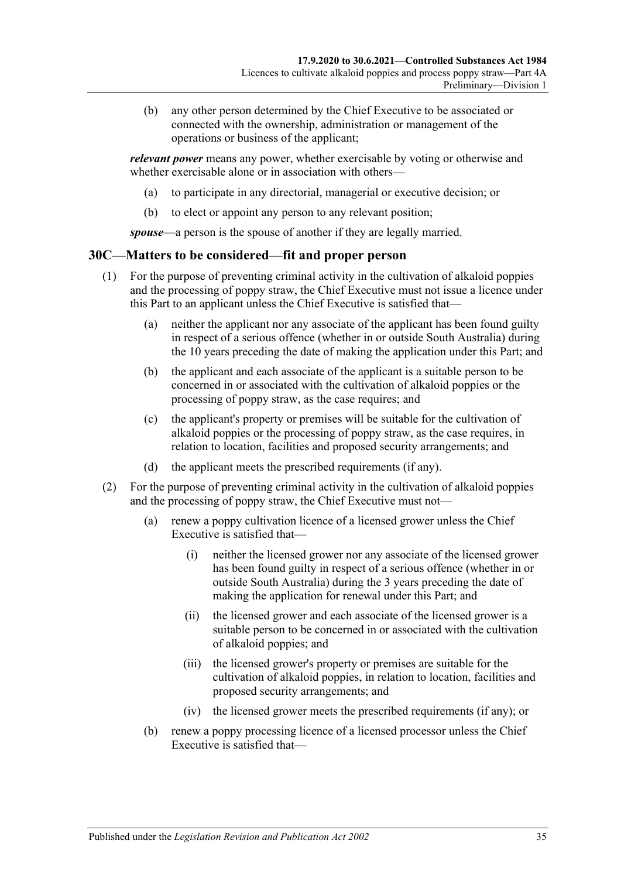(b) any other person determined by the Chief Executive to be associated or connected with the ownership, administration or management of the operations or business of the applicant;

*relevant power* means any power, whether exercisable by voting or otherwise and whether exercisable alone or in association with others—

- (a) to participate in any directorial, managerial or executive decision; or
- (b) to elect or appoint any person to any relevant position;

*spouse*—a person is the spouse of another if they are legally married.

#### <span id="page-34-1"></span><span id="page-34-0"></span>**30C—Matters to be considered—fit and proper person**

- (1) For the purpose of preventing criminal activity in the cultivation of alkaloid poppies and the processing of poppy straw, the Chief Executive must not issue a licence under this Part to an applicant unless the Chief Executive is satisfied that—
	- (a) neither the applicant nor any associate of the applicant has been found guilty in respect of a serious offence (whether in or outside South Australia) during the 10 years preceding the date of making the application under this Part; and
	- (b) the applicant and each associate of the applicant is a suitable person to be concerned in or associated with the cultivation of alkaloid poppies or the processing of poppy straw, as the case requires; and
	- (c) the applicant's property or premises will be suitable for the cultivation of alkaloid poppies or the processing of poppy straw, as the case requires, in relation to location, facilities and proposed security arrangements; and
	- (d) the applicant meets the prescribed requirements (if any).
- <span id="page-34-2"></span>(2) For the purpose of preventing criminal activity in the cultivation of alkaloid poppies and the processing of poppy straw, the Chief Executive must not—
	- (a) renew a poppy cultivation licence of a licensed grower unless the Chief Executive is satisfied that—
		- (i) neither the licensed grower nor any associate of the licensed grower has been found guilty in respect of a serious offence (whether in or outside South Australia) during the 3 years preceding the date of making the application for renewal under this Part; and
		- (ii) the licensed grower and each associate of the licensed grower is a suitable person to be concerned in or associated with the cultivation of alkaloid poppies; and
		- (iii) the licensed grower's property or premises are suitable for the cultivation of alkaloid poppies, in relation to location, facilities and proposed security arrangements; and
		- (iv) the licensed grower meets the prescribed requirements (if any); or
	- (b) renew a poppy processing licence of a licensed processor unless the Chief Executive is satisfied that—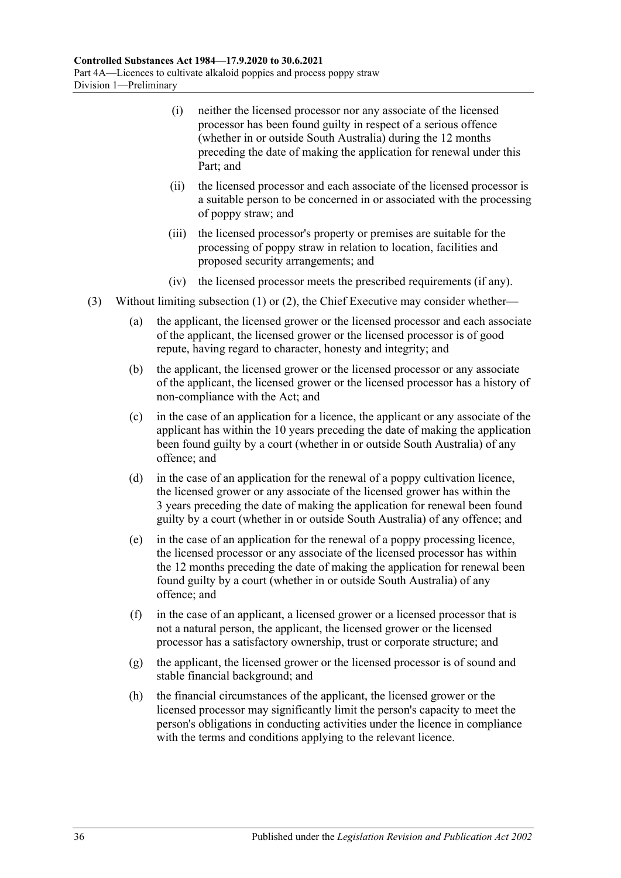- (i) neither the licensed processor nor any associate of the licensed processor has been found guilty in respect of a serious offence (whether in or outside South Australia) during the 12 months preceding the date of making the application for renewal under this Part; and
- (ii) the licensed processor and each associate of the licensed processor is a suitable person to be concerned in or associated with the processing of poppy straw; and
- (iii) the licensed processor's property or premises are suitable for the processing of poppy straw in relation to location, facilities and proposed security arrangements; and
- (iv) the licensed processor meets the prescribed requirements (if any).
- (3) Without limiting [subsection](#page-34-1) (1) or [\(2\),](#page-34-2) the Chief Executive may consider whether—
	- (a) the applicant, the licensed grower or the licensed processor and each associate of the applicant, the licensed grower or the licensed processor is of good repute, having regard to character, honesty and integrity; and
	- (b) the applicant, the licensed grower or the licensed processor or any associate of the applicant, the licensed grower or the licensed processor has a history of non-compliance with the Act; and
	- (c) in the case of an application for a licence, the applicant or any associate of the applicant has within the 10 years preceding the date of making the application been found guilty by a court (whether in or outside South Australia) of any offence; and
	- (d) in the case of an application for the renewal of a poppy cultivation licence, the licensed grower or any associate of the licensed grower has within the 3 years preceding the date of making the application for renewal been found guilty by a court (whether in or outside South Australia) of any offence; and
	- (e) in the case of an application for the renewal of a poppy processing licence, the licensed processor or any associate of the licensed processor has within the 12 months preceding the date of making the application for renewal been found guilty by a court (whether in or outside South Australia) of any offence; and
	- (f) in the case of an applicant, a licensed grower or a licensed processor that is not a natural person, the applicant, the licensed grower or the licensed processor has a satisfactory ownership, trust or corporate structure; and
	- (g) the applicant, the licensed grower or the licensed processor is of sound and stable financial background; and
	- (h) the financial circumstances of the applicant, the licensed grower or the licensed processor may significantly limit the person's capacity to meet the person's obligations in conducting activities under the licence in compliance with the terms and conditions applying to the relevant licence.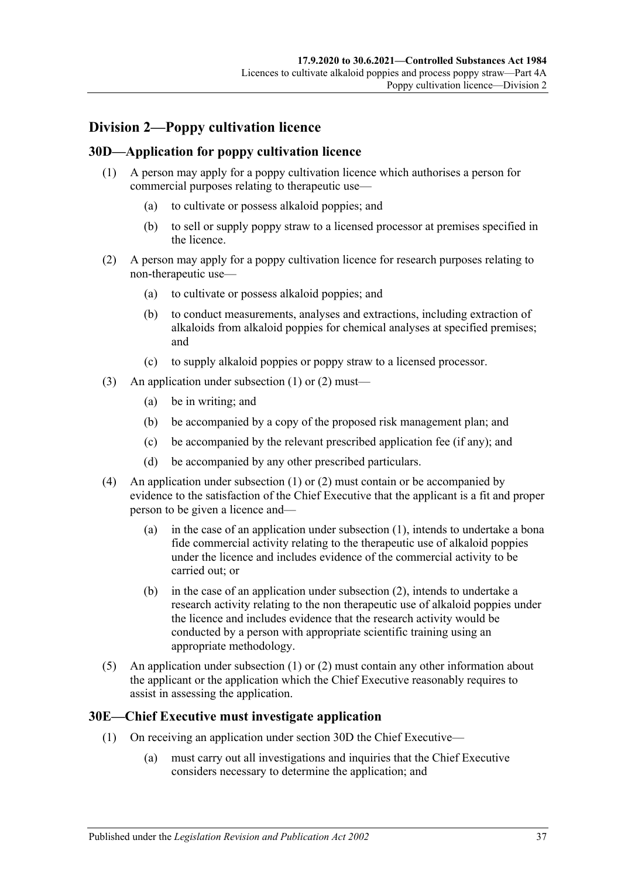# **Division 2—Poppy cultivation licence**

# <span id="page-36-2"></span><span id="page-36-0"></span>**30D—Application for poppy cultivation licence**

- (1) A person may apply for a poppy cultivation licence which authorises a person for commercial purposes relating to therapeutic use—
	- (a) to cultivate or possess alkaloid poppies; and
	- (b) to sell or supply poppy straw to a licensed processor at premises specified in the licence.
- <span id="page-36-1"></span>(2) A person may apply for a poppy cultivation licence for research purposes relating to non-therapeutic use—
	- (a) to cultivate or possess alkaloid poppies; and
	- (b) to conduct measurements, analyses and extractions, including extraction of alkaloids from alkaloid poppies for chemical analyses at specified premises; and
	- (c) to supply alkaloid poppies or poppy straw to a licensed processor.
- (3) An application under [subsection](#page-36-0) (1) or [\(2\)](#page-36-1) must—
	- (a) be in writing; and
	- (b) be accompanied by a copy of the proposed risk management plan; and
	- (c) be accompanied by the relevant prescribed application fee (if any); and
	- (d) be accompanied by any other prescribed particulars.
- (4) An application under [subsection](#page-36-0) (1) or [\(2\)](#page-36-1) must contain or be accompanied by evidence to the satisfaction of the Chief Executive that the applicant is a fit and proper person to be given a licence and—
	- (a) in the case of an application under [subsection](#page-36-0) (1), intends to undertake a bona fide commercial activity relating to the therapeutic use of alkaloid poppies under the licence and includes evidence of the commercial activity to be carried out; or
	- (b) in the case of an application under [subsection](#page-36-1) (2), intends to undertake a research activity relating to the non therapeutic use of alkaloid poppies under the licence and includes evidence that the research activity would be conducted by a person with appropriate scientific training using an appropriate methodology.
- (5) An application under [subsection](#page-36-0) (1) or [\(2\)](#page-36-1) must contain any other information about the applicant or the application which the Chief Executive reasonably requires to assist in assessing the application.

# <span id="page-36-3"></span>**30E—Chief Executive must investigate application**

- (1) On receiving an application under [section](#page-36-2) 30D the Chief Executive—
	- (a) must carry out all investigations and inquiries that the Chief Executive considers necessary to determine the application; and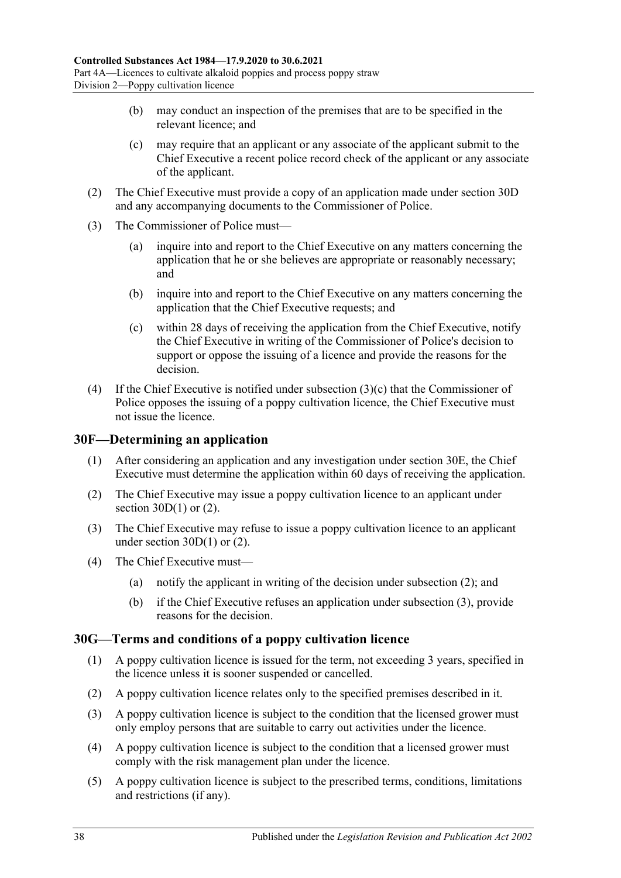- (b) may conduct an inspection of the premises that are to be specified in the relevant licence; and
- (c) may require that an applicant or any associate of the applicant submit to the Chief Executive a recent police record check of the applicant or any associate of the applicant.
- (2) The Chief Executive must provide a copy of an application made under [section](#page-36-2) 30D and any accompanying documents to the Commissioner of Police.
- (3) The Commissioner of Police must—
	- (a) inquire into and report to the Chief Executive on any matters concerning the application that he or she believes are appropriate or reasonably necessary; and
	- (b) inquire into and report to the Chief Executive on any matters concerning the application that the Chief Executive requests; and
	- (c) within 28 days of receiving the application from the Chief Executive, notify the Chief Executive in writing of the Commissioner of Police's decision to support or oppose the issuing of a licence and provide the reasons for the decision.
- <span id="page-37-0"></span>(4) If the Chief Executive is notified under [subsection](#page-37-0)  $(3)(c)$  that the Commissioner of Police opposes the issuing of a poppy cultivation licence, the Chief Executive must not issue the licence.

# **30F—Determining an application**

- (1) After considering an application and any investigation under [section](#page-36-3) 30E, the Chief Executive must determine the application within 60 days of receiving the application.
- <span id="page-37-1"></span>(2) The Chief Executive may issue a poppy cultivation licence to an applicant under section  $30D(1)$  or  $(2)$ .
- <span id="page-37-2"></span>(3) The Chief Executive may refuse to issue a poppy cultivation licence to an applicant under [section](#page-36-0)  $30D(1)$  or [\(2\).](#page-36-1)
- (4) The Chief Executive must—
	- (a) notify the applicant in writing of the decision under [subsection](#page-37-1) (2); and
	- (b) if the Chief Executive refuses an application under [subsection](#page-37-2) (3), provide reasons for the decision.

# **30G—Terms and conditions of a poppy cultivation licence**

- (1) A poppy cultivation licence is issued for the term, not exceeding 3 years, specified in the licence unless it is sooner suspended or cancelled.
- (2) A poppy cultivation licence relates only to the specified premises described in it.
- (3) A poppy cultivation licence is subject to the condition that the licensed grower must only employ persons that are suitable to carry out activities under the licence.
- (4) A poppy cultivation licence is subject to the condition that a licensed grower must comply with the risk management plan under the licence.
- (5) A poppy cultivation licence is subject to the prescribed terms, conditions, limitations and restrictions (if any).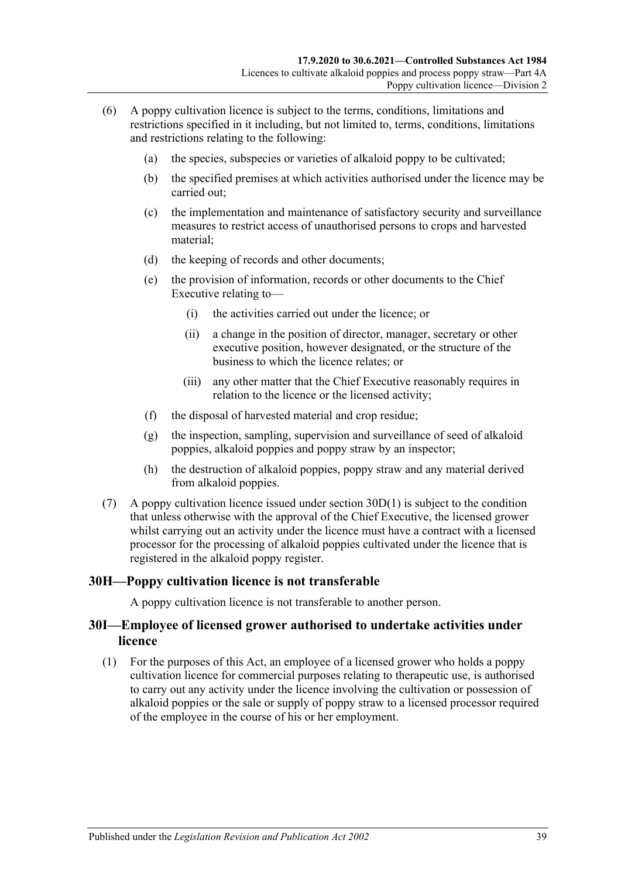- (6) A poppy cultivation licence is subject to the terms, conditions, limitations and restrictions specified in it including, but not limited to, terms, conditions, limitations and restrictions relating to the following:
	- (a) the species, subspecies or varieties of alkaloid poppy to be cultivated;
	- (b) the specified premises at which activities authorised under the licence may be carried out;
	- (c) the implementation and maintenance of satisfactory security and surveillance measures to restrict access of unauthorised persons to crops and harvested material;
	- (d) the keeping of records and other documents;
	- (e) the provision of information, records or other documents to the Chief Executive relating to—
		- (i) the activities carried out under the licence; or
		- (ii) a change in the position of director, manager, secretary or other executive position, however designated, or the structure of the business to which the licence relates; or
		- (iii) any other matter that the Chief Executive reasonably requires in relation to the licence or the licensed activity;
	- (f) the disposal of harvested material and crop residue;
	- (g) the inspection, sampling, supervision and surveillance of seed of alkaloid poppies, alkaloid poppies and poppy straw by an inspector;
	- (h) the destruction of alkaloid poppies, poppy straw and any material derived from alkaloid poppies.
- (7) A poppy cultivation licence issued under [section](#page-36-0)  $30D(1)$  is subject to the condition that unless otherwise with the approval of the Chief Executive, the licensed grower whilst carrying out an activity under the licence must have a contract with a licensed processor for the processing of alkaloid poppies cultivated under the licence that is registered in the alkaloid poppy register.

# **30H—Poppy cultivation licence is not transferable**

A poppy cultivation licence is not transferable to another person.

# **30I—Employee of licensed grower authorised to undertake activities under licence**

<span id="page-38-0"></span>(1) For the purposes of this Act, an employee of a licensed grower who holds a poppy cultivation licence for commercial purposes relating to therapeutic use, is authorised to carry out any activity under the licence involving the cultivation or possession of alkaloid poppies or the sale or supply of poppy straw to a licensed processor required of the employee in the course of his or her employment.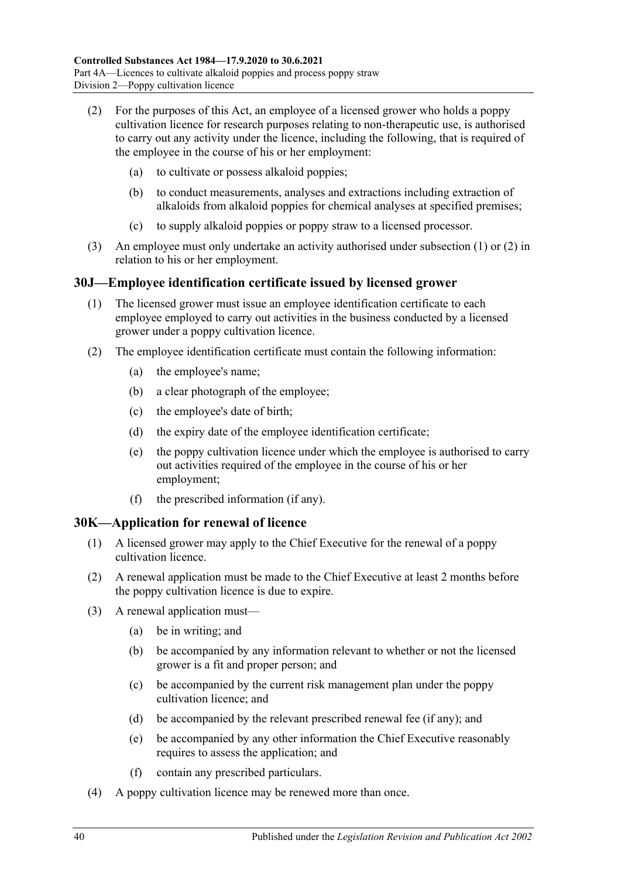- <span id="page-39-0"></span>(2) For the purposes of this Act, an employee of a licensed grower who holds a poppy cultivation licence for research purposes relating to non-therapeutic use, is authorised to carry out any activity under the licence, including the following, that is required of the employee in the course of his or her employment:
	- (a) to cultivate or possess alkaloid poppies;
	- (b) to conduct measurements, analyses and extractions including extraction of alkaloids from alkaloid poppies for chemical analyses at specified premises;
	- (c) to supply alkaloid poppies or poppy straw to a licensed processor.
- (3) An employee must only undertake an activity authorised under [subsection](#page-38-0) (1) or [\(2\)](#page-39-0) in relation to his or her employment.

# **30J—Employee identification certificate issued by licensed grower**

- (1) The licensed grower must issue an employee identification certificate to each employee employed to carry out activities in the business conducted by a licensed grower under a poppy cultivation licence.
- <span id="page-39-2"></span>(2) The employee identification certificate must contain the following information:
	- (a) the employee's name;
	- (b) a clear photograph of the employee;
	- (c) the employee's date of birth;
	- (d) the expiry date of the employee identification certificate;
	- (e) the poppy cultivation licence under which the employee is authorised to carry out activities required of the employee in the course of his or her employment;
	- (f) the prescribed information (if any).

# <span id="page-39-1"></span>**30K—Application for renewal of licence**

- (1) A licensed grower may apply to the Chief Executive for the renewal of a poppy cultivation licence.
- (2) A renewal application must be made to the Chief Executive at least 2 months before the poppy cultivation licence is due to expire.
- (3) A renewal application must—
	- (a) be in writing; and
	- (b) be accompanied by any information relevant to whether or not the licensed grower is a fit and proper person; and
	- (c) be accompanied by the current risk management plan under the poppy cultivation licence; and
	- (d) be accompanied by the relevant prescribed renewal fee (if any); and
	- (e) be accompanied by any other information the Chief Executive reasonably requires to assess the application; and
	- (f) contain any prescribed particulars.
- (4) A poppy cultivation licence may be renewed more than once.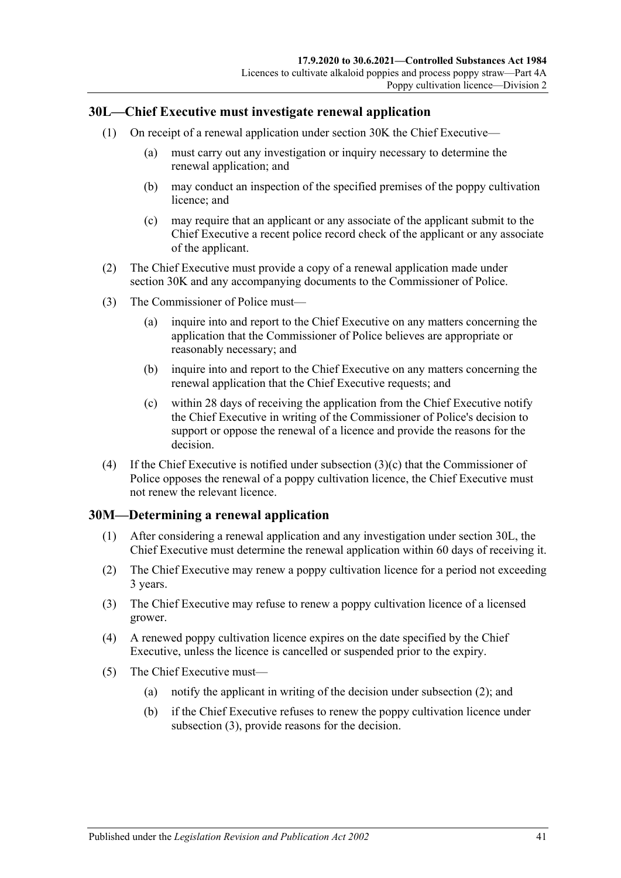# <span id="page-40-1"></span>**30L—Chief Executive must investigate renewal application**

- (1) On receipt of a renewal application under [section](#page-39-1) 30K the Chief Executive—
	- (a) must carry out any investigation or inquiry necessary to determine the renewal application; and
	- (b) may conduct an inspection of the specified premises of the poppy cultivation licence; and
	- (c) may require that an applicant or any associate of the applicant submit to the Chief Executive a recent police record check of the applicant or any associate of the applicant.
- (2) The Chief Executive must provide a copy of a renewal application made under [section](#page-39-1) 30K and any accompanying documents to the Commissioner of Police.
- (3) The Commissioner of Police must—
	- (a) inquire into and report to the Chief Executive on any matters concerning the application that the Commissioner of Police believes are appropriate or reasonably necessary; and
	- (b) inquire into and report to the Chief Executive on any matters concerning the renewal application that the Chief Executive requests; and
	- (c) within 28 days of receiving the application from the Chief Executive notify the Chief Executive in writing of the Commissioner of Police's decision to support or oppose the renewal of a licence and provide the reasons for the decision.
- <span id="page-40-0"></span>(4) If the Chief Executive is notified under [subsection](#page-40-0) (3)(c) that the Commissioner of Police opposes the renewal of a poppy cultivation licence, the Chief Executive must not renew the relevant licence.

# **30M—Determining a renewal application**

- (1) After considering a renewal application and any investigation under [section](#page-40-1) 30L, the Chief Executive must determine the renewal application within 60 days of receiving it.
- <span id="page-40-2"></span>(2) The Chief Executive may renew a poppy cultivation licence for a period not exceeding 3 years.
- <span id="page-40-3"></span>(3) The Chief Executive may refuse to renew a poppy cultivation licence of a licensed grower.
- (4) A renewed poppy cultivation licence expires on the date specified by the Chief Executive, unless the licence is cancelled or suspended prior to the expiry.
- (5) The Chief Executive must—
	- (a) notify the applicant in writing of the decision under [subsection](#page-40-2) (2); and
	- (b) if the Chief Executive refuses to renew the poppy cultivation licence under [subsection](#page-40-3) (3), provide reasons for the decision.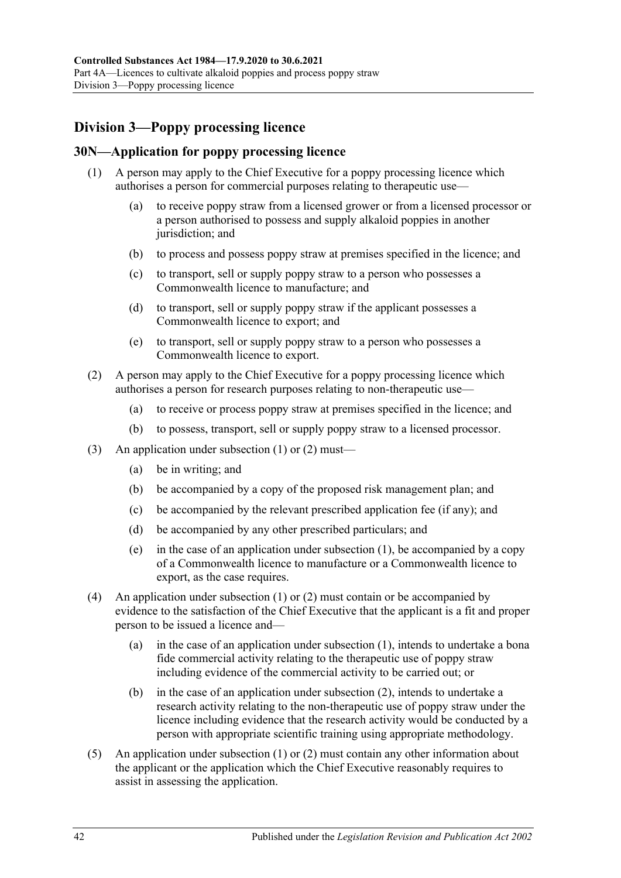# **Division 3—Poppy processing licence**

# <span id="page-41-2"></span><span id="page-41-0"></span>**30N—Application for poppy processing licence**

- (1) A person may apply to the Chief Executive for a poppy processing licence which authorises a person for commercial purposes relating to therapeutic use—
	- (a) to receive poppy straw from a licensed grower or from a licensed processor or a person authorised to possess and supply alkaloid poppies in another jurisdiction; and
	- (b) to process and possess poppy straw at premises specified in the licence; and
	- (c) to transport, sell or supply poppy straw to a person who possesses a Commonwealth licence to manufacture; and
	- (d) to transport, sell or supply poppy straw if the applicant possesses a Commonwealth licence to export; and
	- (e) to transport, sell or supply poppy straw to a person who possesses a Commonwealth licence to export.
- <span id="page-41-1"></span>(2) A person may apply to the Chief Executive for a poppy processing licence which authorises a person for research purposes relating to non-therapeutic use—
	- (a) to receive or process poppy straw at premises specified in the licence; and
	- (b) to possess, transport, sell or supply poppy straw to a licensed processor.
- (3) An application under [subsection](#page-41-0) (1) or [\(2\)](#page-41-1) must—
	- (a) be in writing; and
	- (b) be accompanied by a copy of the proposed risk management plan; and
	- (c) be accompanied by the relevant prescribed application fee (if any); and
	- (d) be accompanied by any other prescribed particulars; and
	- (e) in the case of an application under [subsection](#page-41-0) (1), be accompanied by a copy of a Commonwealth licence to manufacture or a Commonwealth licence to export, as the case requires.
- (4) An application under [subsection](#page-41-0) (1) or [\(2\)](#page-41-1) must contain or be accompanied by evidence to the satisfaction of the Chief Executive that the applicant is a fit and proper person to be issued a licence and—
	- (a) in the case of an application under [subsection](#page-41-0) (1), intends to undertake a bona fide commercial activity relating to the therapeutic use of poppy straw including evidence of the commercial activity to be carried out; or
	- (b) in the case of an application under [subsection](#page-41-1) (2), intends to undertake a research activity relating to the non-therapeutic use of poppy straw under the licence including evidence that the research activity would be conducted by a person with appropriate scientific training using appropriate methodology.
- (5) An application under [subsection](#page-41-0) (1) or [\(2\)](#page-41-1) must contain any other information about the applicant or the application which the Chief Executive reasonably requires to assist in assessing the application.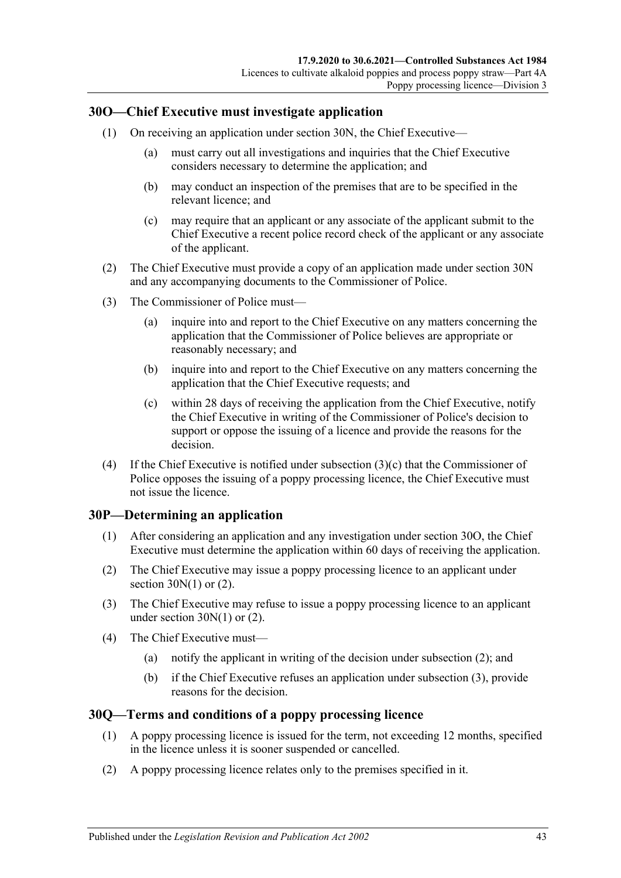# <span id="page-42-1"></span>**30O—Chief Executive must investigate application**

- (1) On receiving an application under [section](#page-41-2) 30N, the Chief Executive—
	- (a) must carry out all investigations and inquiries that the Chief Executive considers necessary to determine the application; and
	- (b) may conduct an inspection of the premises that are to be specified in the relevant licence; and
	- (c) may require that an applicant or any associate of the applicant submit to the Chief Executive a recent police record check of the applicant or any associate of the applicant.
- (2) The Chief Executive must provide a copy of an application made under [section](#page-41-2) 30N and any accompanying documents to the Commissioner of Police.
- (3) The Commissioner of Police must—
	- (a) inquire into and report to the Chief Executive on any matters concerning the application that the Commissioner of Police believes are appropriate or reasonably necessary; and
	- (b) inquire into and report to the Chief Executive on any matters concerning the application that the Chief Executive requests; and
	- (c) within 28 days of receiving the application from the Chief Executive, notify the Chief Executive in writing of the Commissioner of Police's decision to support or oppose the issuing of a licence and provide the reasons for the decision.
- <span id="page-42-0"></span>(4) If the Chief Executive is notified under [subsection](#page-42-0) (3)(c) that the Commissioner of Police opposes the issuing of a poppy processing licence, the Chief Executive must not issue the licence.

# **30P—Determining an application**

- (1) After considering an application and any investigation under [section](#page-42-1) 30O, the Chief Executive must determine the application within 60 days of receiving the application.
- <span id="page-42-2"></span>(2) The Chief Executive may issue a poppy processing licence to an applicant under section  $30N(1)$  or  $(2)$ .
- <span id="page-42-3"></span>(3) The Chief Executive may refuse to issue a poppy processing licence to an applicant under [section](#page-41-0) 30N(1) or [\(2\).](#page-41-1)
- (4) The Chief Executive must—
	- (a) notify the applicant in writing of the decision under [subsection](#page-42-2) (2); and
	- (b) if the Chief Executive refuses an application under [subsection](#page-42-3) (3), provide reasons for the decision.

# **30Q—Terms and conditions of a poppy processing licence**

- (1) A poppy processing licence is issued for the term, not exceeding 12 months, specified in the licence unless it is sooner suspended or cancelled.
- (2) A poppy processing licence relates only to the premises specified in it.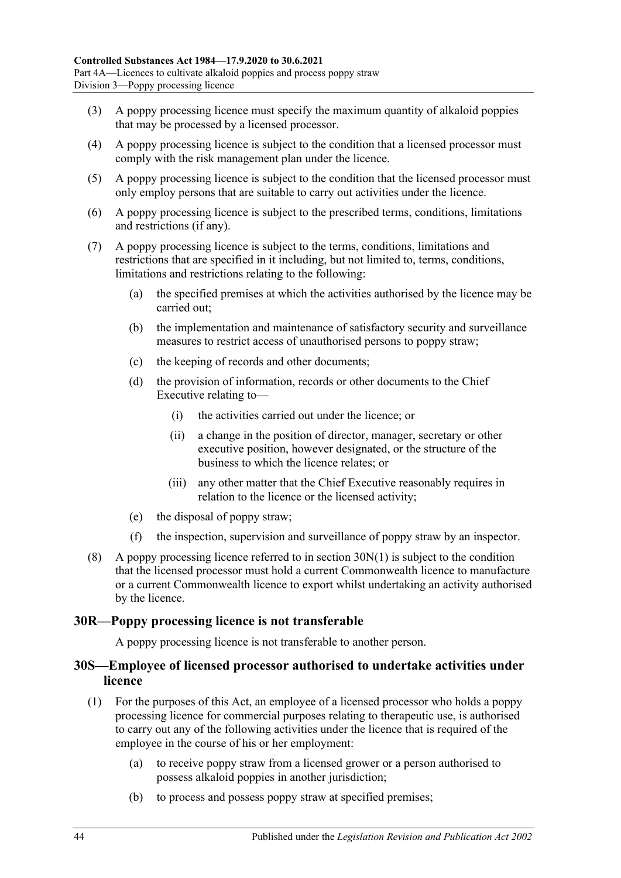- (3) A poppy processing licence must specify the maximum quantity of alkaloid poppies that may be processed by a licensed processor.
- (4) A poppy processing licence is subject to the condition that a licensed processor must comply with the risk management plan under the licence.
- (5) A poppy processing licence is subject to the condition that the licensed processor must only employ persons that are suitable to carry out activities under the licence.
- (6) A poppy processing licence is subject to the prescribed terms, conditions, limitations and restrictions (if any).
- (7) A poppy processing licence is subject to the terms, conditions, limitations and restrictions that are specified in it including, but not limited to, terms, conditions, limitations and restrictions relating to the following:
	- (a) the specified premises at which the activities authorised by the licence may be carried out;
	- (b) the implementation and maintenance of satisfactory security and surveillance measures to restrict access of unauthorised persons to poppy straw;
	- (c) the keeping of records and other documents;
	- (d) the provision of information, records or other documents to the Chief Executive relating to—
		- (i) the activities carried out under the licence; or
		- (ii) a change in the position of director, manager, secretary or other executive position, however designated, or the structure of the business to which the licence relates; or
		- (iii) any other matter that the Chief Executive reasonably requires in relation to the licence or the licensed activity;
	- (e) the disposal of poppy straw;
	- (f) the inspection, supervision and surveillance of poppy straw by an inspector.
- (8) A poppy processing licence referred to in [section](#page-41-0)  $30N(1)$  is subject to the condition that the licensed processor must hold a current Commonwealth licence to manufacture or a current Commonwealth licence to export whilst undertaking an activity authorised by the licence.

# **30R—Poppy processing licence is not transferable**

A poppy processing licence is not transferable to another person.

# **30S—Employee of licensed processor authorised to undertake activities under licence**

- <span id="page-43-0"></span>(1) For the purposes of this Act, an employee of a licensed processor who holds a poppy processing licence for commercial purposes relating to therapeutic use, is authorised to carry out any of the following activities under the licence that is required of the employee in the course of his or her employment:
	- (a) to receive poppy straw from a licensed grower or a person authorised to possess alkaloid poppies in another jurisdiction;
	- (b) to process and possess poppy straw at specified premises;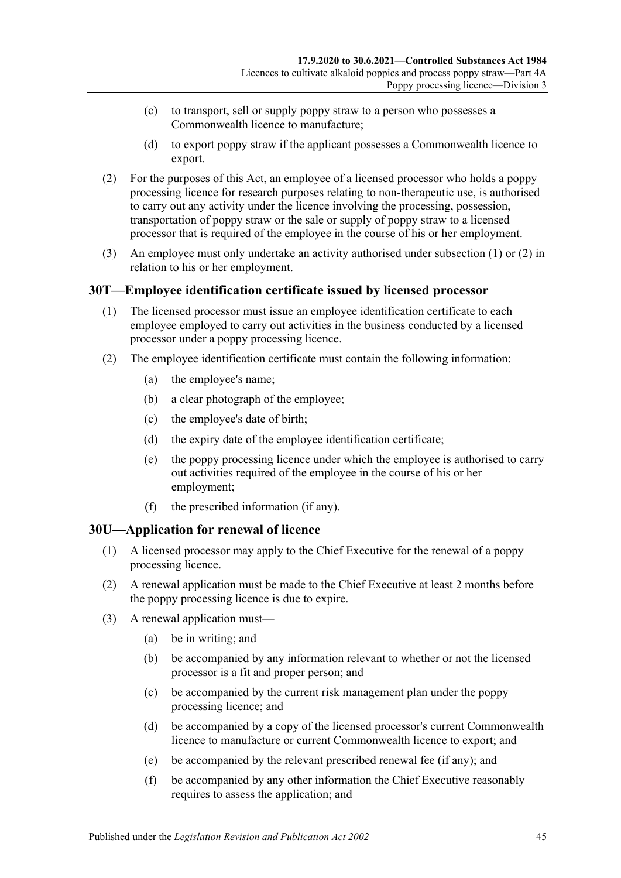- (c) to transport, sell or supply poppy straw to a person who possesses a Commonwealth licence to manufacture;
- (d) to export poppy straw if the applicant possesses a Commonwealth licence to export.
- <span id="page-44-0"></span>(2) For the purposes of this Act, an employee of a licensed processor who holds a poppy processing licence for research purposes relating to non-therapeutic use, is authorised to carry out any activity under the licence involving the processing, possession, transportation of poppy straw or the sale or supply of poppy straw to a licensed processor that is required of the employee in the course of his or her employment.
- (3) An employee must only undertake an activity authorised under [subsection](#page-43-0) (1) or [\(2\)](#page-44-0) in relation to his or her employment.

# **30T—Employee identification certificate issued by licensed processor**

- (1) The licensed processor must issue an employee identification certificate to each employee employed to carry out activities in the business conducted by a licensed processor under a poppy processing licence.
- <span id="page-44-2"></span>(2) The employee identification certificate must contain the following information:
	- (a) the employee's name;
	- (b) a clear photograph of the employee;
	- (c) the employee's date of birth;
	- (d) the expiry date of the employee identification certificate;
	- (e) the poppy processing licence under which the employee is authorised to carry out activities required of the employee in the course of his or her employment;
	- (f) the prescribed information (if any).

# <span id="page-44-1"></span>**30U—Application for renewal of licence**

- (1) A licensed processor may apply to the Chief Executive for the renewal of a poppy processing licence.
- (2) A renewal application must be made to the Chief Executive at least 2 months before the poppy processing licence is due to expire.
- (3) A renewal application must—
	- (a) be in writing; and
	- (b) be accompanied by any information relevant to whether or not the licensed processor is a fit and proper person; and
	- (c) be accompanied by the current risk management plan under the poppy processing licence; and
	- (d) be accompanied by a copy of the licensed processor's current Commonwealth licence to manufacture or current Commonwealth licence to export; and
	- (e) be accompanied by the relevant prescribed renewal fee (if any); and
	- (f) be accompanied by any other information the Chief Executive reasonably requires to assess the application; and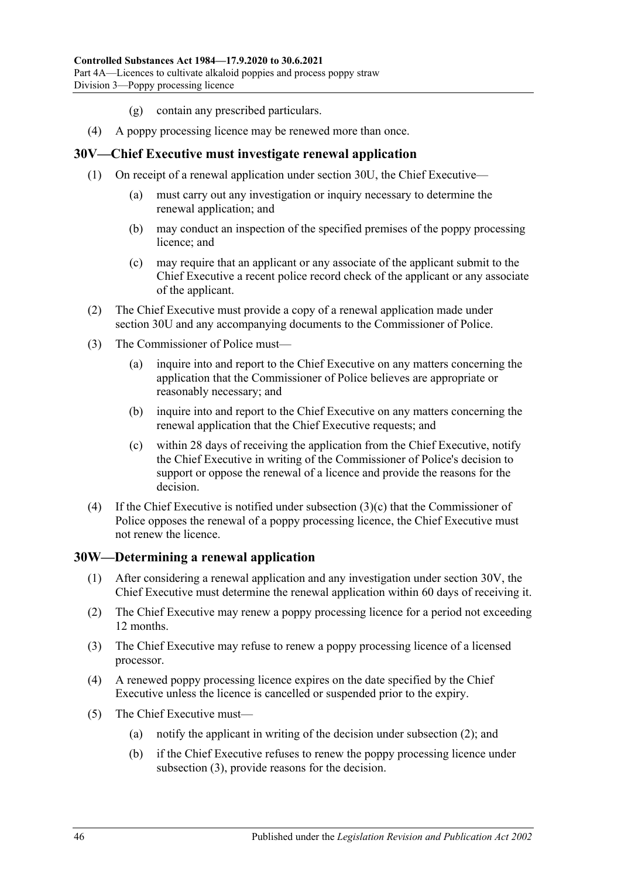- (g) contain any prescribed particulars.
- (4) A poppy processing licence may be renewed more than once.

### <span id="page-45-1"></span>**30V—Chief Executive must investigate renewal application**

- (1) On receipt of a renewal application under [section](#page-44-1) 30U, the Chief Executive—
	- (a) must carry out any investigation or inquiry necessary to determine the renewal application; and
	- (b) may conduct an inspection of the specified premises of the poppy processing licence; and
	- (c) may require that an applicant or any associate of the applicant submit to the Chief Executive a recent police record check of the applicant or any associate of the applicant.
- (2) The Chief Executive must provide a copy of a renewal application made under [section](#page-44-1) 30U and any accompanying documents to the Commissioner of Police.
- (3) The Commissioner of Police must—
	- (a) inquire into and report to the Chief Executive on any matters concerning the application that the Commissioner of Police believes are appropriate or reasonably necessary; and
	- (b) inquire into and report to the Chief Executive on any matters concerning the renewal application that the Chief Executive requests; and
	- (c) within 28 days of receiving the application from the Chief Executive, notify the Chief Executive in writing of the Commissioner of Police's decision to support or oppose the renewal of a licence and provide the reasons for the decision.
- <span id="page-45-0"></span>(4) If the Chief Executive is notified under [subsection](#page-45-0) (3)(c) that the Commissioner of Police opposes the renewal of a poppy processing licence, the Chief Executive must not renew the licence.

# **30W—Determining a renewal application**

- (1) After considering a renewal application and any investigation under [section](#page-45-1) 30V, the Chief Executive must determine the renewal application within 60 days of receiving it.
- <span id="page-45-2"></span>(2) The Chief Executive may renew a poppy processing licence for a period not exceeding 12 months.
- <span id="page-45-3"></span>(3) The Chief Executive may refuse to renew a poppy processing licence of a licensed processor.
- (4) A renewed poppy processing licence expires on the date specified by the Chief Executive unless the licence is cancelled or suspended prior to the expiry.
- (5) The Chief Executive must—
	- (a) notify the applicant in writing of the decision under [subsection](#page-45-2) (2); and
	- (b) if the Chief Executive refuses to renew the poppy processing licence under [subsection](#page-45-3) (3), provide reasons for the decision.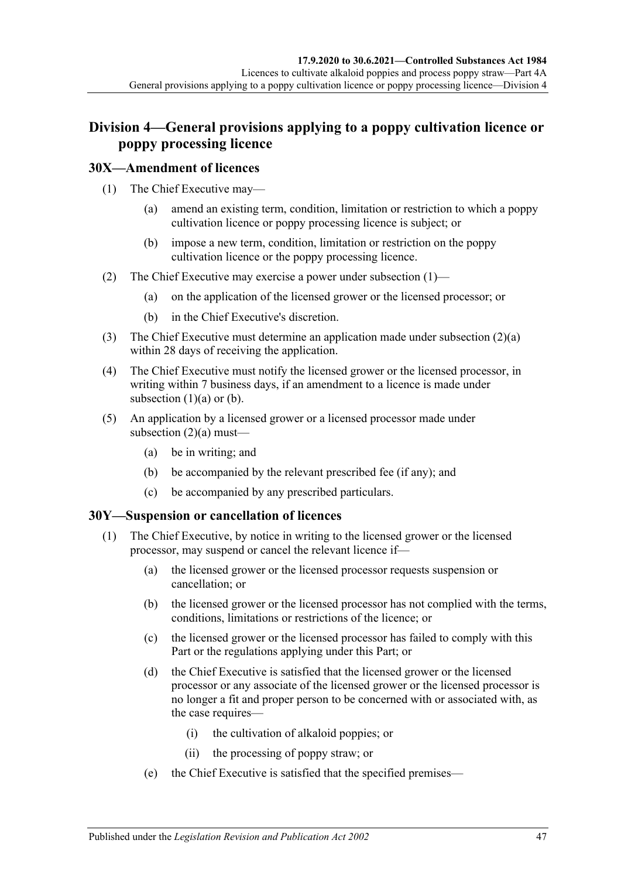# **Division 4—General provisions applying to a poppy cultivation licence or poppy processing licence**

# <span id="page-46-0"></span>**30X—Amendment of licences**

- <span id="page-46-2"></span>(1) The Chief Executive may—
	- (a) amend an existing term, condition, limitation or restriction to which a poppy cultivation licence or poppy processing licence is subject; or
	- (b) impose a new term, condition, limitation or restriction on the poppy cultivation licence or the poppy processing licence.
- <span id="page-46-3"></span><span id="page-46-1"></span>(2) The Chief Executive may exercise a power under [subsection](#page-46-0) (1)—
	- (a) on the application of the licensed grower or the licensed processor; or
	- (b) in the Chief Executive's discretion.
- (3) The Chief Executive must determine an application made under [subsection](#page-46-1)  $(2)(a)$ within 28 days of receiving the application.
- (4) The Chief Executive must notify the licensed grower or the licensed processor, in writing within 7 business days, if an amendment to a licence is made under [subsection](#page-46-2)  $(1)(a)$  or  $(b)$ .
- (5) An application by a licensed grower or a licensed processor made under [subsection](#page-46-1) (2)(a) must—
	- (a) be in writing; and
	- (b) be accompanied by the relevant prescribed fee (if any); and
	- (c) be accompanied by any prescribed particulars.

# <span id="page-46-5"></span><span id="page-46-4"></span>**30Y—Suspension or cancellation of licences**

- (1) The Chief Executive, by notice in writing to the licensed grower or the licensed processor, may suspend or cancel the relevant licence if—
	- (a) the licensed grower or the licensed processor requests suspension or cancellation; or
	- (b) the licensed grower or the licensed processor has not complied with the terms, conditions, limitations or restrictions of the licence; or
	- (c) the licensed grower or the licensed processor has failed to comply with this Part or the regulations applying under this Part; or
	- (d) the Chief Executive is satisfied that the licensed grower or the licensed processor or any associate of the licensed grower or the licensed processor is no longer a fit and proper person to be concerned with or associated with, as the case requires—
		- (i) the cultivation of alkaloid poppies; or
		- (ii) the processing of poppy straw; or
	- (e) the Chief Executive is satisfied that the specified premises—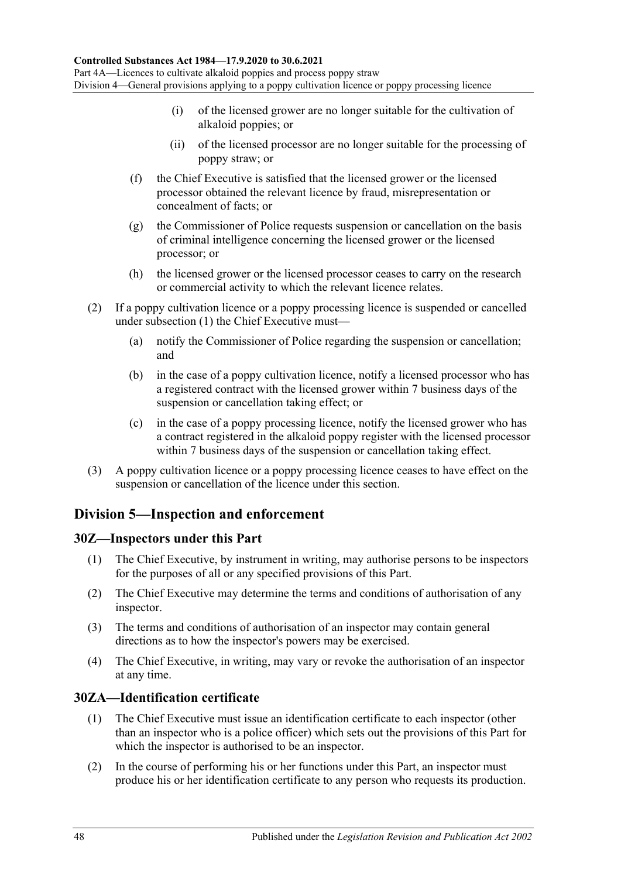- (i) of the licensed grower are no longer suitable for the cultivation of alkaloid poppies; or
- (ii) of the licensed processor are no longer suitable for the processing of poppy straw; or
- (f) the Chief Executive is satisfied that the licensed grower or the licensed processor obtained the relevant licence by fraud, misrepresentation or concealment of facts; or
- (g) the Commissioner of Police requests suspension or cancellation on the basis of criminal intelligence concerning the licensed grower or the licensed processor; or
- (h) the licensed grower or the licensed processor ceases to carry on the research or commercial activity to which the relevant licence relates.
- (2) If a poppy cultivation licence or a poppy processing licence is suspended or cancelled under [subsection](#page-46-4) (1) the Chief Executive must—
	- (a) notify the Commissioner of Police regarding the suspension or cancellation; and
	- (b) in the case of a poppy cultivation licence, notify a licensed processor who has a registered contract with the licensed grower within 7 business days of the suspension or cancellation taking effect; or
	- (c) in the case of a poppy processing licence, notify the licensed grower who has a contract registered in the alkaloid poppy register with the licensed processor within 7 business days of the suspension or cancellation taking effect.
- (3) A poppy cultivation licence or a poppy processing licence ceases to have effect on the suspension or cancellation of the licence under this section.

# **Division 5—Inspection and enforcement**

# **30Z—Inspectors under this Part**

- (1) The Chief Executive, by instrument in writing, may authorise persons to be inspectors for the purposes of all or any specified provisions of this Part.
- (2) The Chief Executive may determine the terms and conditions of authorisation of any inspector.
- (3) The terms and conditions of authorisation of an inspector may contain general directions as to how the inspector's powers may be exercised.
- (4) The Chief Executive, in writing, may vary or revoke the authorisation of an inspector at any time.

# **30ZA—Identification certificate**

- (1) The Chief Executive must issue an identification certificate to each inspector (other than an inspector who is a police officer) which sets out the provisions of this Part for which the inspector is authorised to be an inspector.
- (2) In the course of performing his or her functions under this Part, an inspector must produce his or her identification certificate to any person who requests its production.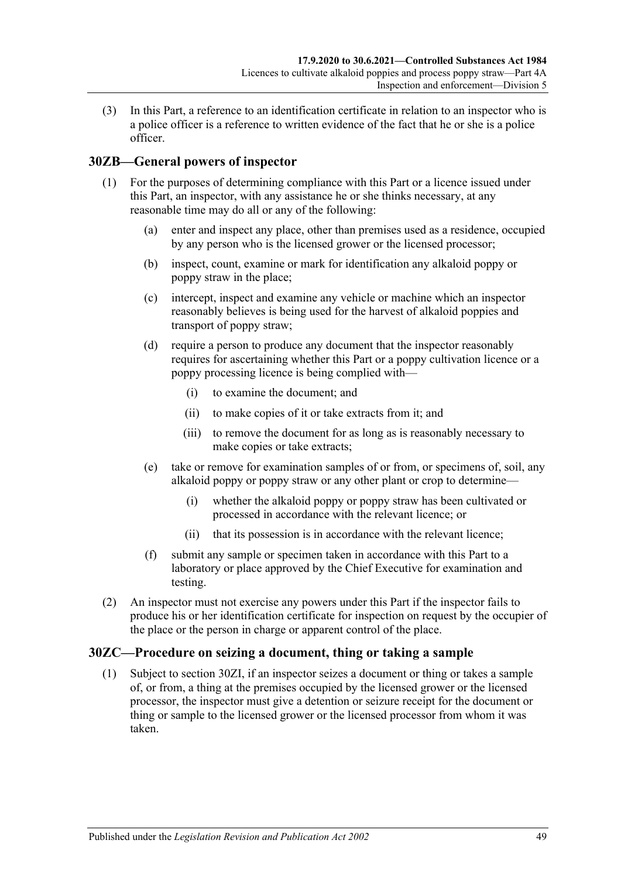(3) In this Part, a reference to an identification certificate in relation to an inspector who is a police officer is a reference to written evidence of the fact that he or she is a police officer.

# <span id="page-48-1"></span>**30ZB—General powers of inspector**

- (1) For the purposes of determining compliance with this Part or a licence issued under this Part, an inspector, with any assistance he or she thinks necessary, at any reasonable time may do all or any of the following:
	- (a) enter and inspect any place, other than premises used as a residence, occupied by any person who is the licensed grower or the licensed processor;
	- (b) inspect, count, examine or mark for identification any alkaloid poppy or poppy straw in the place;
	- (c) intercept, inspect and examine any vehicle or machine which an inspector reasonably believes is being used for the harvest of alkaloid poppies and transport of poppy straw;
	- (d) require a person to produce any document that the inspector reasonably requires for ascertaining whether this Part or a poppy cultivation licence or a poppy processing licence is being complied with—
		- (i) to examine the document; and
		- (ii) to make copies of it or take extracts from it; and
		- (iii) to remove the document for as long as is reasonably necessary to make copies or take extracts;
	- (e) take or remove for examination samples of or from, or specimens of, soil, any alkaloid poppy or poppy straw or any other plant or crop to determine—
		- (i) whether the alkaloid poppy or poppy straw has been cultivated or processed in accordance with the relevant licence; or
		- (ii) that its possession is in accordance with the relevant licence;
	- (f) submit any sample or specimen taken in accordance with this Part to a laboratory or place approved by the Chief Executive for examination and testing.
- <span id="page-48-0"></span>(2) An inspector must not exercise any powers under this Part if the inspector fails to produce his or her identification certificate for inspection on request by the occupier of the place or the person in charge or apparent control of the place.

# **30ZC—Procedure on seizing a document, thing or taking a sample**

(1) Subject to [section](#page-50-0) 30ZI, if an inspector seizes a document or thing or takes a sample of, or from, a thing at the premises occupied by the licensed grower or the licensed processor, the inspector must give a detention or seizure receipt for the document or thing or sample to the licensed grower or the licensed processor from whom it was taken.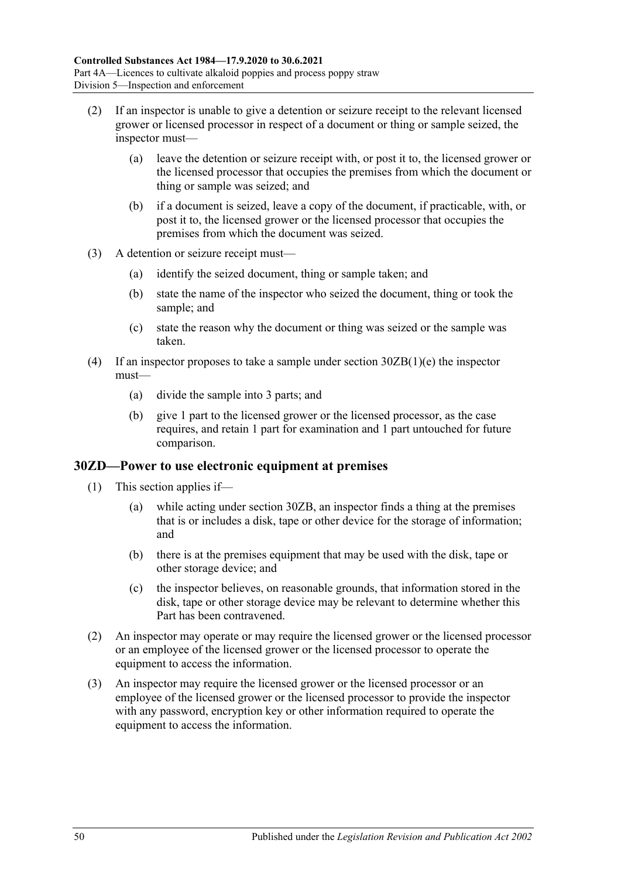- (2) If an inspector is unable to give a detention or seizure receipt to the relevant licensed grower or licensed processor in respect of a document or thing or sample seized, the inspector must—
	- (a) leave the detention or seizure receipt with, or post it to, the licensed grower or the licensed processor that occupies the premises from which the document or thing or sample was seized; and
	- (b) if a document is seized, leave a copy of the document, if practicable, with, or post it to, the licensed grower or the licensed processor that occupies the premises from which the document was seized.
- (3) A detention or seizure receipt must—
	- (a) identify the seized document, thing or sample taken; and
	- (b) state the name of the inspector who seized the document, thing or took the sample; and
	- (c) state the reason why the document or thing was seized or the sample was taken.
- (4) If an inspector proposes to take a sample under section [30ZB\(1\)\(e\)](#page-48-0) the inspector must—
	- (a) divide the sample into 3 parts; and
	- (b) give 1 part to the licensed grower or the licensed processor, as the case requires, and retain 1 part for examination and 1 part untouched for future comparison.

#### <span id="page-49-0"></span>**30ZD—Power to use electronic equipment at premises**

- (1) This section applies if—
	- (a) while acting under [section](#page-48-1) 30ZB, an inspector finds a thing at the premises that is or includes a disk, tape or other device for the storage of information; and
	- (b) there is at the premises equipment that may be used with the disk, tape or other storage device; and
	- (c) the inspector believes, on reasonable grounds, that information stored in the disk, tape or other storage device may be relevant to determine whether this Part has been contravened.
- (2) An inspector may operate or may require the licensed grower or the licensed processor or an employee of the licensed grower or the licensed processor to operate the equipment to access the information.
- (3) An inspector may require the licensed grower or the licensed processor or an employee of the licensed grower or the licensed processor to provide the inspector with any password, encryption key or other information required to operate the equipment to access the information.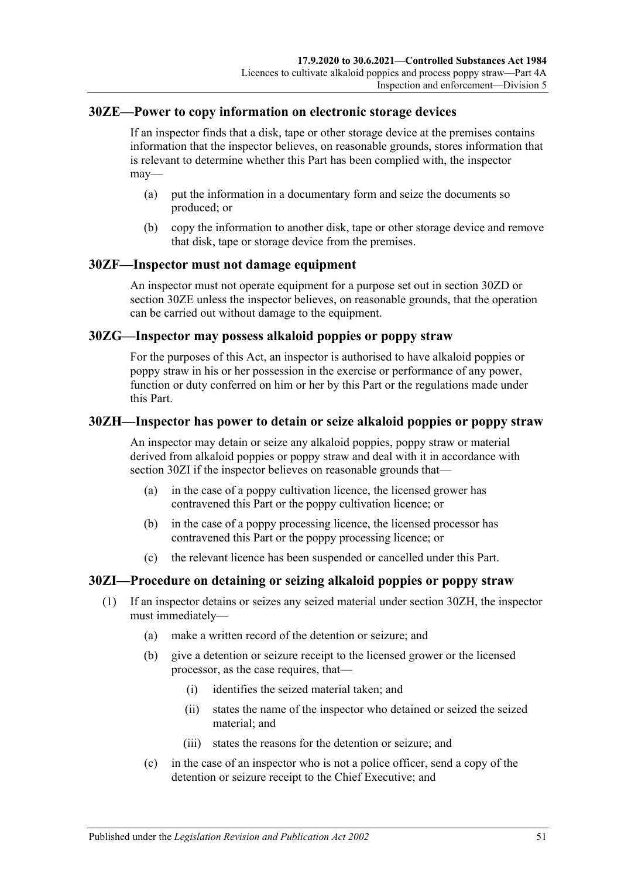### <span id="page-50-1"></span>**30ZE—Power to copy information on electronic storage devices**

If an inspector finds that a disk, tape or other storage device at the premises contains information that the inspector believes, on reasonable grounds, stores information that is relevant to determine whether this Part has been complied with, the inspector may—

- (a) put the information in a documentary form and seize the documents so produced; or
- (b) copy the information to another disk, tape or other storage device and remove that disk, tape or storage device from the premises.

### **30ZF—Inspector must not damage equipment**

An inspector must not operate equipment for a purpose set out in [section](#page-49-0) 30ZD or [section](#page-50-1) 30ZE unless the inspector believes, on reasonable grounds, that the operation can be carried out without damage to the equipment.

### **30ZG—Inspector may possess alkaloid poppies or poppy straw**

For the purposes of this Act, an inspector is authorised to have alkaloid poppies or poppy straw in his or her possession in the exercise or performance of any power, function or duty conferred on him or her by this Part or the regulations made under this Part.

### <span id="page-50-2"></span>**30ZH—Inspector has power to detain or seize alkaloid poppies or poppy straw**

An inspector may detain or seize any alkaloid poppies, poppy straw or material derived from alkaloid poppies or poppy straw and deal with it in accordance with [section](#page-50-0) 30ZI if the inspector believes on reasonable grounds that—

- (a) in the case of a poppy cultivation licence, the licensed grower has contravened this Part or the poppy cultivation licence; or
- (b) in the case of a poppy processing licence, the licensed processor has contravened this Part or the poppy processing licence; or
- (c) the relevant licence has been suspended or cancelled under this Part.

# <span id="page-50-0"></span>**30ZI—Procedure on detaining or seizing alkaloid poppies or poppy straw**

- (1) If an inspector detains or seizes any seized material under [section](#page-50-2) 30ZH, the inspector must immediately—
	- (a) make a written record of the detention or seizure; and
	- (b) give a detention or seizure receipt to the licensed grower or the licensed processor, as the case requires, that—
		- (i) identifies the seized material taken; and
		- (ii) states the name of the inspector who detained or seized the seized material; and
		- (iii) states the reasons for the detention or seizure; and
	- (c) in the case of an inspector who is not a police officer, send a copy of the detention or seizure receipt to the Chief Executive; and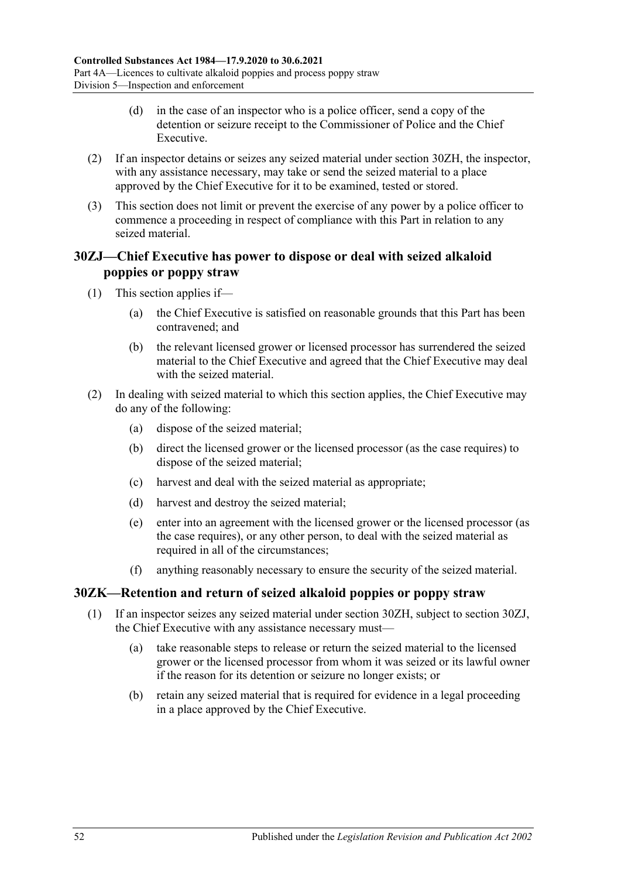- (d) in the case of an inspector who is a police officer, send a copy of the detention or seizure receipt to the Commissioner of Police and the Chief Executive.
- (2) If an inspector detains or seizes any seized material under [section](#page-50-2) 30ZH, the inspector, with any assistance necessary, may take or send the seized material to a place approved by the Chief Executive for it to be examined, tested or stored.
- (3) This section does not limit or prevent the exercise of any power by a police officer to commence a proceeding in respect of compliance with this Part in relation to any seized material.

# <span id="page-51-0"></span>**30ZJ—Chief Executive has power to dispose or deal with seized alkaloid poppies or poppy straw**

- (1) This section applies if—
	- (a) the Chief Executive is satisfied on reasonable grounds that this Part has been contravened; and
	- (b) the relevant licensed grower or licensed processor has surrendered the seized material to the Chief Executive and agreed that the Chief Executive may deal with the seized material.
- (2) In dealing with seized material to which this section applies, the Chief Executive may do any of the following:
	- (a) dispose of the seized material;
	- (b) direct the licensed grower or the licensed processor (as the case requires) to dispose of the seized material;
	- (c) harvest and deal with the seized material as appropriate;
	- (d) harvest and destroy the seized material;
	- (e) enter into an agreement with the licensed grower or the licensed processor (as the case requires), or any other person, to deal with the seized material as required in all of the circumstances;
	- (f) anything reasonably necessary to ensure the security of the seized material.

# **30ZK—Retention and return of seized alkaloid poppies or poppy straw**

- (1) If an inspector seizes any seized material under [section](#page-50-2) 30ZH, subject to [section](#page-51-0) 30ZJ, the Chief Executive with any assistance necessary must—
	- (a) take reasonable steps to release or return the seized material to the licensed grower or the licensed processor from whom it was seized or its lawful owner if the reason for its detention or seizure no longer exists; or
	- (b) retain any seized material that is required for evidence in a legal proceeding in a place approved by the Chief Executive.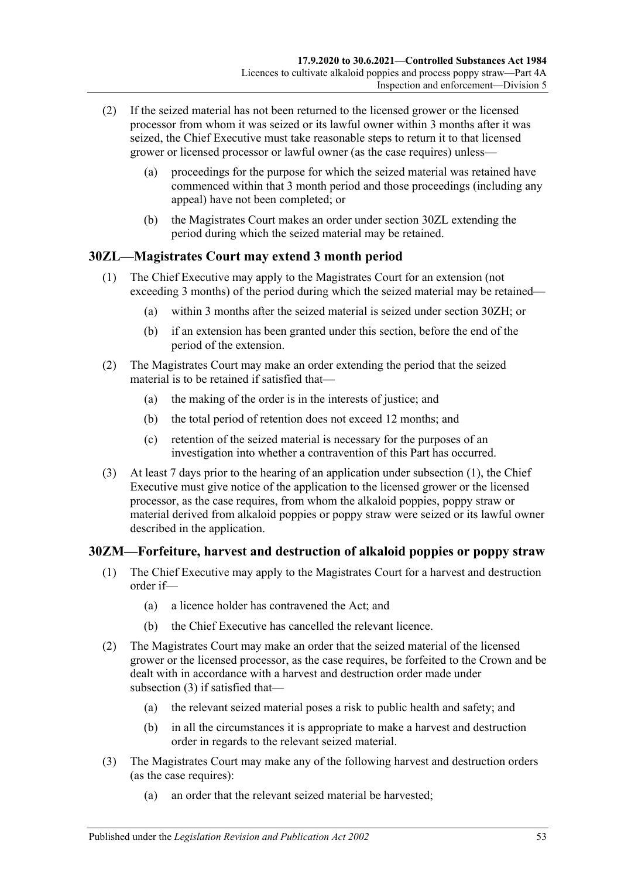- (2) If the seized material has not been returned to the licensed grower or the licensed processor from whom it was seized or its lawful owner within 3 months after it was seized, the Chief Executive must take reasonable steps to return it to that licensed grower or licensed processor or lawful owner (as the case requires) unless—
	- (a) proceedings for the purpose for which the seized material was retained have commenced within that 3 month period and those proceedings (including any appeal) have not been completed; or
	- (b) the Magistrates Court makes an order under [section](#page-52-0) 30ZL extending the period during which the seized material may be retained.

# <span id="page-52-1"></span><span id="page-52-0"></span>**30ZL—Magistrates Court may extend 3 month period**

- (1) The Chief Executive may apply to the Magistrates Court for an extension (not exceeding 3 months) of the period during which the seized material may be retained—
	- (a) within 3 months after the seized material is seized under [section](#page-50-2) 30ZH; or
	- (b) if an extension has been granted under this section, before the end of the period of the extension.
- (2) The Magistrates Court may make an order extending the period that the seized material is to be retained if satisfied that—
	- (a) the making of the order is in the interests of justice; and
	- (b) the total period of retention does not exceed 12 months; and
	- (c) retention of the seized material is necessary for the purposes of an investigation into whether a contravention of this Part has occurred.
- (3) At least 7 days prior to the hearing of an application under [subsection](#page-52-1) (1), the Chief Executive must give notice of the application to the licensed grower or the licensed processor, as the case requires, from whom the alkaloid poppies, poppy straw or material derived from alkaloid poppies or poppy straw were seized or its lawful owner described in the application.

# **30ZM—Forfeiture, harvest and destruction of alkaloid poppies or poppy straw**

- (1) The Chief Executive may apply to the Magistrates Court for a harvest and destruction order if—
	- (a) a licence holder has contravened the Act; and
	- (b) the Chief Executive has cancelled the relevant licence.
- (2) The Magistrates Court may make an order that the seized material of the licensed grower or the licensed processor, as the case requires, be forfeited to the Crown and be dealt with in accordance with a harvest and destruction order made under [subsection](#page-52-2) (3) if satisfied that—
	- (a) the relevant seized material poses a risk to public health and safety; and
	- (b) in all the circumstances it is appropriate to make a harvest and destruction order in regards to the relevant seized material.
- <span id="page-52-2"></span>(3) The Magistrates Court may make any of the following harvest and destruction orders (as the case requires):
	- (a) an order that the relevant seized material be harvested;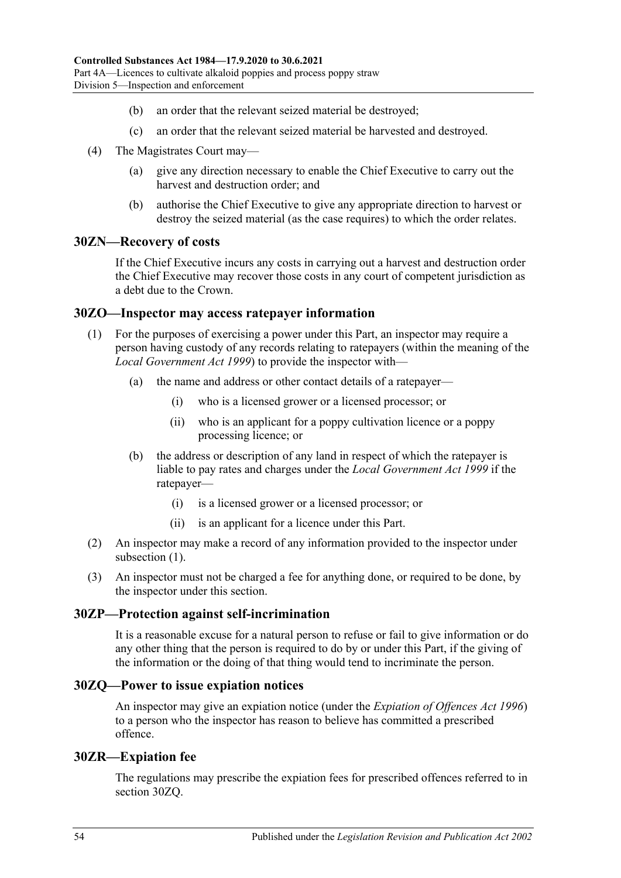- (b) an order that the relevant seized material be destroyed;
- (c) an order that the relevant seized material be harvested and destroyed.
- (4) The Magistrates Court may—
	- (a) give any direction necessary to enable the Chief Executive to carry out the harvest and destruction order; and
	- (b) authorise the Chief Executive to give any appropriate direction to harvest or destroy the seized material (as the case requires) to which the order relates.

### **30ZN—Recovery of costs**

If the Chief Executive incurs any costs in carrying out a harvest and destruction order the Chief Executive may recover those costs in any court of competent jurisdiction as a debt due to the Crown.

### <span id="page-53-0"></span>**30ZO—Inspector may access ratepayer information**

- (1) For the purposes of exercising a power under this Part, an inspector may require a person having custody of any records relating to ratepayers (within the meaning of the *[Local Government Act](http://www.legislation.sa.gov.au/index.aspx?action=legref&type=act&legtitle=Local%20Government%20Act%201999) 1999*) to provide the inspector with—
	- (a) the name and address or other contact details of a ratepayer—
		- (i) who is a licensed grower or a licensed processor; or
		- (ii) who is an applicant for a poppy cultivation licence or a poppy processing licence; or
	- (b) the address or description of any land in respect of which the ratepayer is liable to pay rates and charges under the *[Local Government Act](http://www.legislation.sa.gov.au/index.aspx?action=legref&type=act&legtitle=Local%20Government%20Act%201999) 1999* if the ratepayer—
		- (i) is a licensed grower or a licensed processor; or
		- (ii) is an applicant for a licence under this Part.
- (2) An inspector may make a record of any information provided to the inspector under [subsection](#page-53-0) (1).
- (3) An inspector must not be charged a fee for anything done, or required to be done, by the inspector under this section.

#### **30ZP—Protection against self-incrimination**

It is a reasonable excuse for a natural person to refuse or fail to give information or do any other thing that the person is required to do by or under this Part, if the giving of the information or the doing of that thing would tend to incriminate the person.

#### <span id="page-53-1"></span>**30ZQ—Power to issue expiation notices**

An inspector may give an expiation notice (under the *[Expiation of Offences Act](http://www.legislation.sa.gov.au/index.aspx?action=legref&type=act&legtitle=Expiation%20of%20Offences%20Act%201996) 1996*) to a person who the inspector has reason to believe has committed a prescribed offence.

#### **30ZR—Expiation fee**

The regulations may prescribe the expiation fees for prescribed offences referred to in [section](#page-53-1) 30ZQ.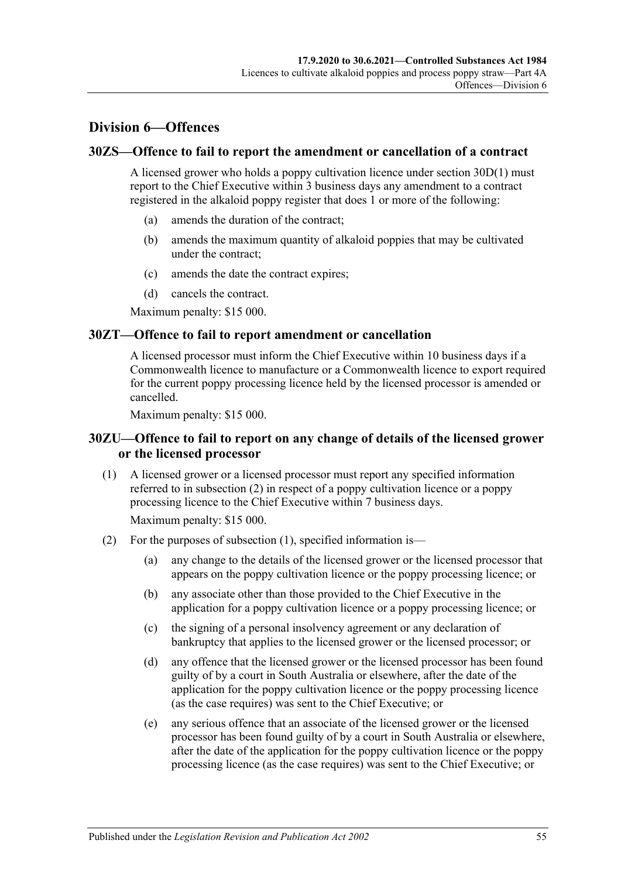# **Division 6—Offences**

### **30ZS—Offence to fail to report the amendment or cancellation of a contract**

A licensed grower who holds a poppy cultivation licence under [section](#page-36-0) 30D(1) must report to the Chief Executive within 3 business days any amendment to a contract registered in the alkaloid poppy register that does 1 or more of the following:

- (a) amends the duration of the contract;
- (b) amends the maximum quantity of alkaloid poppies that may be cultivated under the contract;
- (c) amends the date the contract expires;
- (d) cancels the contract.

Maximum penalty: \$15 000.

### **30ZT—Offence to fail to report amendment or cancellation**

A licensed processor must inform the Chief Executive within 10 business days if a Commonwealth licence to manufacture or a Commonwealth licence to export required for the current poppy processing licence held by the licensed processor is amended or cancelled.

Maximum penalty: \$15 000.

# **30ZU—Offence to fail to report on any change of details of the licensed grower or the licensed processor**

<span id="page-54-1"></span>(1) A licensed grower or a licensed processor must report any specified information referred to in [subsection](#page-54-0) (2) in respect of a poppy cultivation licence or a poppy processing licence to the Chief Executive within 7 business days.

Maximum penalty: \$15 000.

- <span id="page-54-0"></span>(2) For the purposes of [subsection](#page-54-1) (1), specified information is—
	- (a) any change to the details of the licensed grower or the licensed processor that appears on the poppy cultivation licence or the poppy processing licence; or
	- (b) any associate other than those provided to the Chief Executive in the application for a poppy cultivation licence or a poppy processing licence; or
	- (c) the signing of a personal insolvency agreement or any declaration of bankruptcy that applies to the licensed grower or the licensed processor; or
	- (d) any offence that the licensed grower or the licensed processor has been found guilty of by a court in South Australia or elsewhere, after the date of the application for the poppy cultivation licence or the poppy processing licence (as the case requires) was sent to the Chief Executive; or
	- (e) any serious offence that an associate of the licensed grower or the licensed processor has been found guilty of by a court in South Australia or elsewhere, after the date of the application for the poppy cultivation licence or the poppy processing licence (as the case requires) was sent to the Chief Executive; or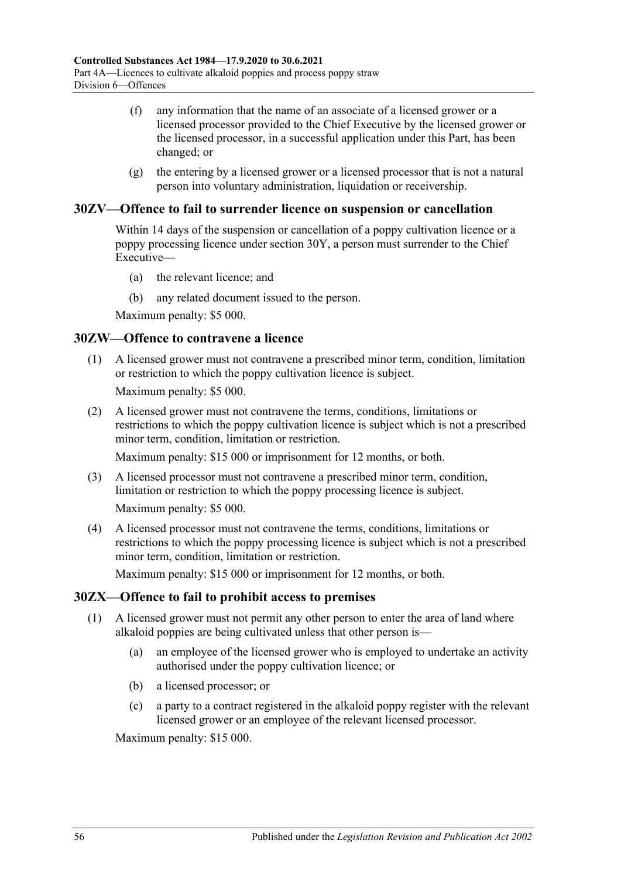- (f) any information that the name of an associate of a licensed grower or a licensed processor provided to the Chief Executive by the licensed grower or the licensed processor, in a successful application under this Part, has been changed; or
- $(g)$  the entering by a licensed grower or a licensed processor that is not a natural person into voluntary administration, liquidation or receivership.

# **30ZV—Offence to fail to surrender licence on suspension or cancellation**

Within 14 days of the suspension or cancellation of a poppy cultivation licence or a poppy processing licence under [section](#page-46-5) 30Y, a person must surrender to the Chief Executive—

- (a) the relevant licence; and
- (b) any related document issued to the person.

Maximum penalty: \$5 000.

#### **30ZW—Offence to contravene a licence**

(1) A licensed grower must not contravene a prescribed minor term, condition, limitation or restriction to which the poppy cultivation licence is subject.

Maximum penalty: \$5 000.

(2) A licensed grower must not contravene the terms, conditions, limitations or restrictions to which the poppy cultivation licence is subject which is not a prescribed minor term, condition, limitation or restriction.

Maximum penalty: \$15 000 or imprisonment for 12 months, or both.

- (3) A licensed processor must not contravene a prescribed minor term, condition, limitation or restriction to which the poppy processing licence is subject. Maximum penalty: \$5 000.
- (4) A licensed processor must not contravene the terms, conditions, limitations or restrictions to which the poppy processing licence is subject which is not a prescribed minor term, condition, limitation or restriction.

Maximum penalty: \$15 000 or imprisonment for 12 months, or both.

# **30ZX—Offence to fail to prohibit access to premises**

- (1) A licensed grower must not permit any other person to enter the area of land where alkaloid poppies are being cultivated unless that other person is—
	- (a) an employee of the licensed grower who is employed to undertake an activity authorised under the poppy cultivation licence; or
	- (b) a licensed processor; or
	- (c) a party to a contract registered in the alkaloid poppy register with the relevant licensed grower or an employee of the relevant licensed processor.

Maximum penalty: \$15 000.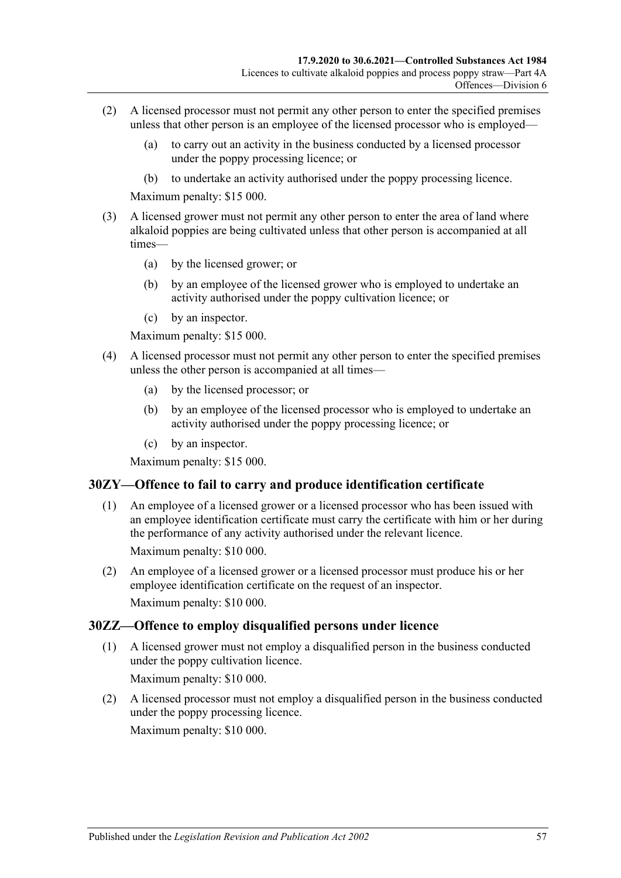- (2) A licensed processor must not permit any other person to enter the specified premises unless that other person is an employee of the licensed processor who is employed—
	- (a) to carry out an activity in the business conducted by a licensed processor under the poppy processing licence; or
	- (b) to undertake an activity authorised under the poppy processing licence.

Maximum penalty: \$15 000.

- (3) A licensed grower must not permit any other person to enter the area of land where alkaloid poppies are being cultivated unless that other person is accompanied at all times—
	- (a) by the licensed grower; or
	- (b) by an employee of the licensed grower who is employed to undertake an activity authorised under the poppy cultivation licence; or
	- (c) by an inspector.

Maximum penalty: \$15 000.

- (4) A licensed processor must not permit any other person to enter the specified premises unless the other person is accompanied at all times—
	- (a) by the licensed processor; or
	- (b) by an employee of the licensed processor who is employed to undertake an activity authorised under the poppy processing licence; or
	- (c) by an inspector.

Maximum penalty: \$15 000.

# **30ZY—Offence to fail to carry and produce identification certificate**

(1) An employee of a licensed grower or a licensed processor who has been issued with an employee identification certificate must carry the certificate with him or her during the performance of any activity authorised under the relevant licence.

Maximum penalty: \$10 000.

(2) An employee of a licensed grower or a licensed processor must produce his or her employee identification certificate on the request of an inspector. Maximum penalty: \$10 000.

# **30ZZ—Offence to employ disqualified persons under licence**

(1) A licensed grower must not employ a disqualified person in the business conducted under the poppy cultivation licence. Maximum penalty: \$10 000.

(2) A licensed processor must not employ a disqualified person in the business conducted under the poppy processing licence.

Maximum penalty: \$10 000.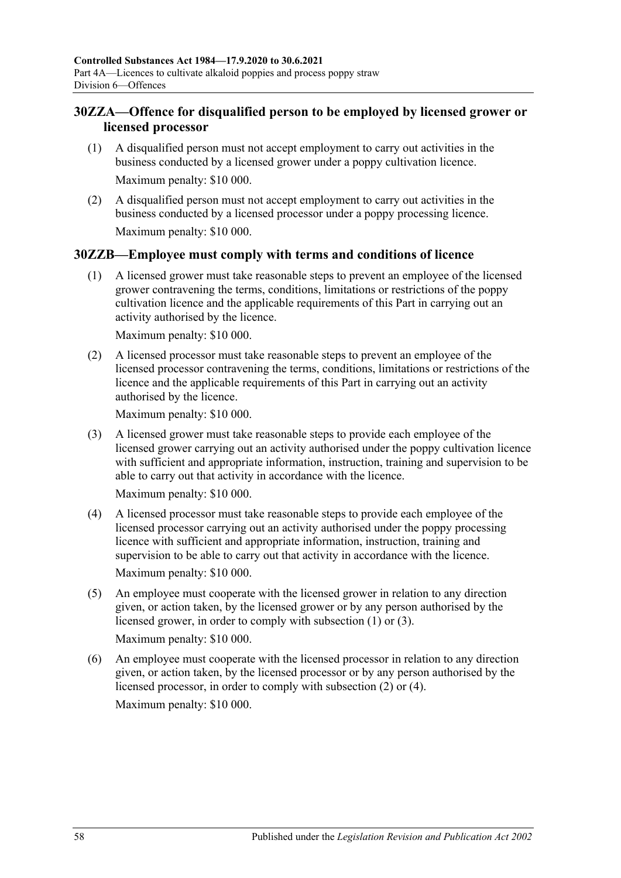# **30ZZA—Offence for disqualified person to be employed by licensed grower or licensed processor**

- (1) A disqualified person must not accept employment to carry out activities in the business conducted by a licensed grower under a poppy cultivation licence. Maximum penalty: \$10 000.
- (2) A disqualified person must not accept employment to carry out activities in the business conducted by a licensed processor under a poppy processing licence. Maximum penalty: \$10 000.

# <span id="page-57-0"></span>**30ZZB—Employee must comply with terms and conditions of licence**

(1) A licensed grower must take reasonable steps to prevent an employee of the licensed grower contravening the terms, conditions, limitations or restrictions of the poppy cultivation licence and the applicable requirements of this Part in carrying out an activity authorised by the licence.

Maximum penalty: \$10 000.

<span id="page-57-2"></span>(2) A licensed processor must take reasonable steps to prevent an employee of the licensed processor contravening the terms, conditions, limitations or restrictions of the licence and the applicable requirements of this Part in carrying out an activity authorised by the licence.

Maximum penalty: \$10 000.

<span id="page-57-1"></span>(3) A licensed grower must take reasonable steps to provide each employee of the licensed grower carrying out an activity authorised under the poppy cultivation licence with sufficient and appropriate information, instruction, training and supervision to be able to carry out that activity in accordance with the licence.

Maximum penalty: \$10 000.

- <span id="page-57-3"></span>(4) A licensed processor must take reasonable steps to provide each employee of the licensed processor carrying out an activity authorised under the poppy processing licence with sufficient and appropriate information, instruction, training and supervision to be able to carry out that activity in accordance with the licence. Maximum penalty: \$10 000.
- (5) An employee must cooperate with the licensed grower in relation to any direction given, or action taken, by the licensed grower or by any person authorised by the licensed grower, in order to comply with [subsection](#page-57-0) (1) or [\(3\).](#page-57-1)

Maximum penalty: \$10 000.

(6) An employee must cooperate with the licensed processor in relation to any direction given, or action taken, by the licensed processor or by any person authorised by the licensed processor, in order to comply with [subsection](#page-57-2) (2) or [\(4\).](#page-57-3) Maximum penalty: \$10 000.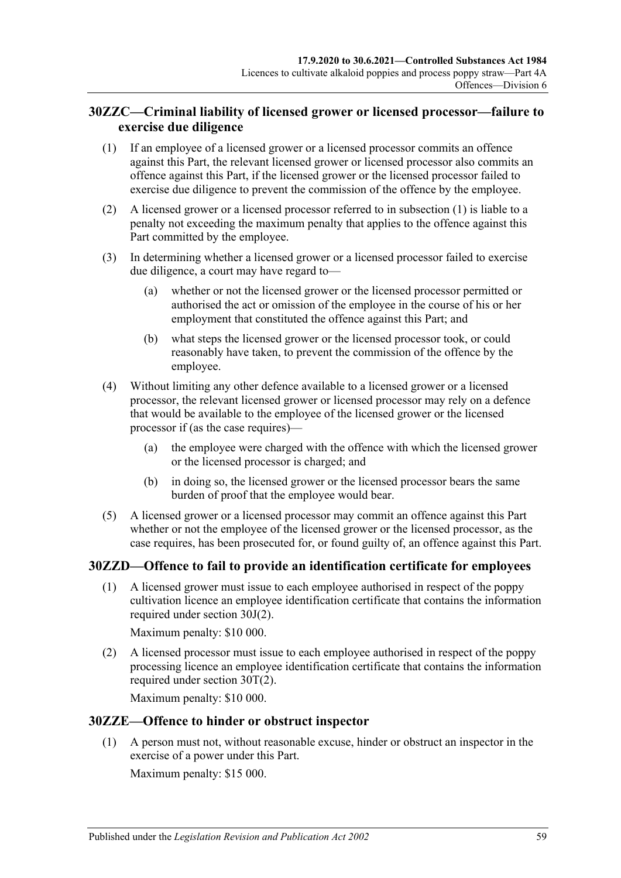# **30ZZC—Criminal liability of licensed grower or licensed processor—failure to exercise due diligence**

- <span id="page-58-0"></span>(1) If an employee of a licensed grower or a licensed processor commits an offence against this Part, the relevant licensed grower or licensed processor also commits an offence against this Part, if the licensed grower or the licensed processor failed to exercise due diligence to prevent the commission of the offence by the employee.
- (2) A licensed grower or a licensed processor referred to in [subsection](#page-58-0) (1) is liable to a penalty not exceeding the maximum penalty that applies to the offence against this Part committed by the employee.
- (3) In determining whether a licensed grower or a licensed processor failed to exercise due diligence, a court may have regard to—
	- (a) whether or not the licensed grower or the licensed processor permitted or authorised the act or omission of the employee in the course of his or her employment that constituted the offence against this Part; and
	- (b) what steps the licensed grower or the licensed processor took, or could reasonably have taken, to prevent the commission of the offence by the employee.
- (4) Without limiting any other defence available to a licensed grower or a licensed processor, the relevant licensed grower or licensed processor may rely on a defence that would be available to the employee of the licensed grower or the licensed processor if (as the case requires)—
	- (a) the employee were charged with the offence with which the licensed grower or the licensed processor is charged; and
	- (b) in doing so, the licensed grower or the licensed processor bears the same burden of proof that the employee would bear.
- (5) A licensed grower or a licensed processor may commit an offence against this Part whether or not the employee of the licensed grower or the licensed processor, as the case requires, has been prosecuted for, or found guilty of, an offence against this Part.

# **30ZZD—Offence to fail to provide an identification certificate for employees**

(1) A licensed grower must issue to each employee authorised in respect of the poppy cultivation licence an employee identification certificate that contains the information required under [section](#page-39-2) 30J(2).

Maximum penalty: \$10 000.

(2) A licensed processor must issue to each employee authorised in respect of the poppy processing licence an employee identification certificate that contains the information required under [section](#page-44-2) 30T(2).

Maximum penalty: \$10 000.

# **30ZZE—Offence to hinder or obstruct inspector**

(1) A person must not, without reasonable excuse, hinder or obstruct an inspector in the exercise of a power under this Part.

Maximum penalty: \$15 000.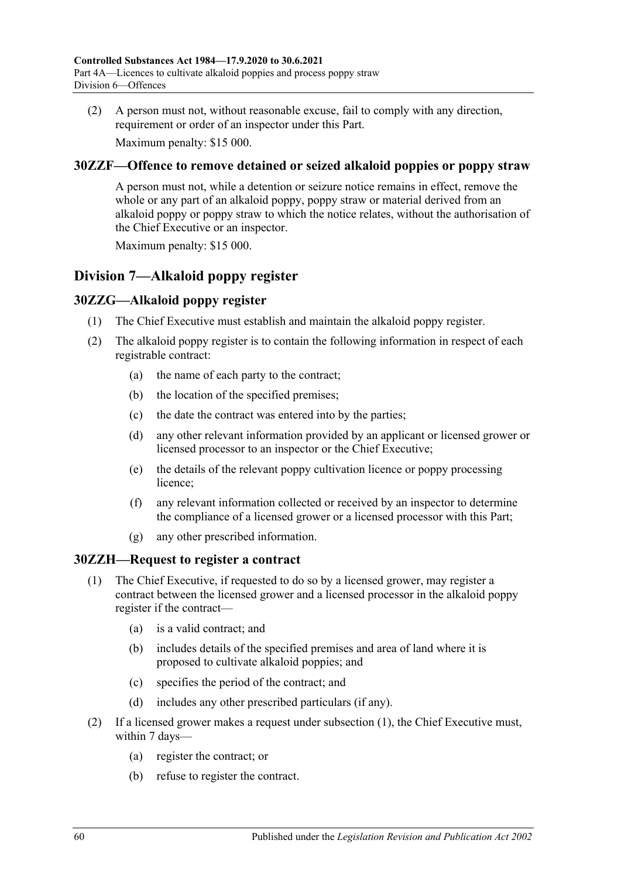(2) A person must not, without reasonable excuse, fail to comply with any direction, requirement or order of an inspector under this Part.

Maximum penalty: \$15 000.

# **30ZZF—Offence to remove detained or seized alkaloid poppies or poppy straw**

A person must not, while a detention or seizure notice remains in effect, remove the whole or any part of an alkaloid poppy, poppy straw or material derived from an alkaloid poppy or poppy straw to which the notice relates, without the authorisation of the Chief Executive or an inspector.

Maximum penalty: \$15 000.

# **Division 7—Alkaloid poppy register**

# **30ZZG—Alkaloid poppy register**

- (1) The Chief Executive must establish and maintain the alkaloid poppy register.
- (2) The alkaloid poppy register is to contain the following information in respect of each registrable contract:
	- (a) the name of each party to the contract;
	- (b) the location of the specified premises;
	- (c) the date the contract was entered into by the parties;
	- (d) any other relevant information provided by an applicant or licensed grower or licensed processor to an inspector or the Chief Executive;
	- (e) the details of the relevant poppy cultivation licence or poppy processing licence;
	- (f) any relevant information collected or received by an inspector to determine the compliance of a licensed grower or a licensed processor with this Part;
	- (g) any other prescribed information.

# <span id="page-59-0"></span>**30ZZH—Request to register a contract**

- (1) The Chief Executive, if requested to do so by a licensed grower, may register a contract between the licensed grower and a licensed processor in the alkaloid poppy register if the contract—
	- (a) is a valid contract; and
	- (b) includes details of the specified premises and area of land where it is proposed to cultivate alkaloid poppies; and
	- (c) specifies the period of the contract; and
	- (d) includes any other prescribed particulars (if any).
- <span id="page-59-2"></span><span id="page-59-1"></span>(2) If a licensed grower makes a request under [subsection](#page-59-0) (1), the Chief Executive must, within 7 days—
	- (a) register the contract; or
	- (b) refuse to register the contract.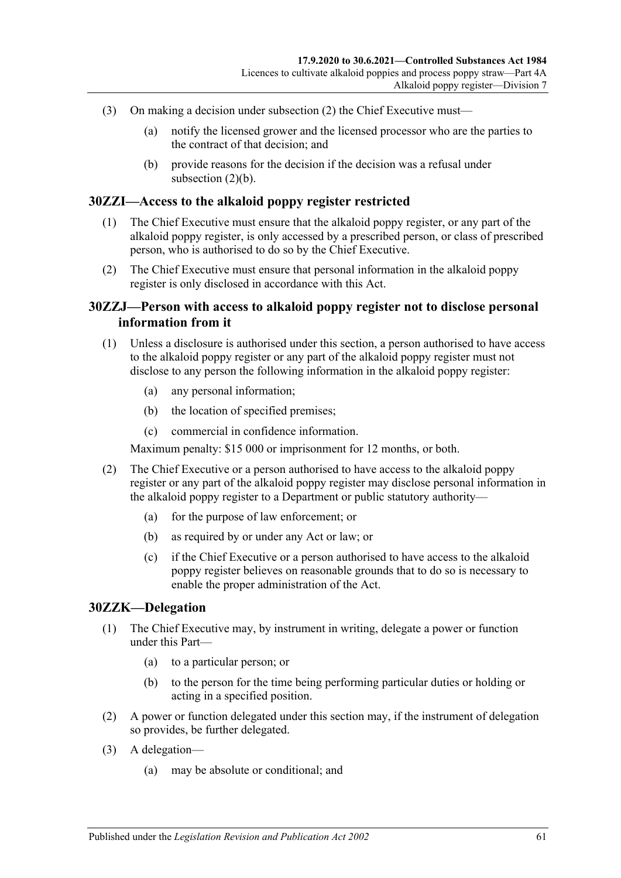- (3) On making a decision under [subsection](#page-59-1) (2) the Chief Executive must—
	- (a) notify the licensed grower and the licensed processor who are the parties to the contract of that decision; and
	- (b) provide reasons for the decision if the decision was a refusal under [subsection](#page-59-2)  $(2)(b)$ .

### **30ZZI—Access to the alkaloid poppy register restricted**

- (1) The Chief Executive must ensure that the alkaloid poppy register, or any part of the alkaloid poppy register, is only accessed by a prescribed person, or class of prescribed person, who is authorised to do so by the Chief Executive.
- (2) The Chief Executive must ensure that personal information in the alkaloid poppy register is only disclosed in accordance with this Act.

# **30ZZJ—Person with access to alkaloid poppy register not to disclose personal information from it**

- (1) Unless a disclosure is authorised under this section, a person authorised to have access to the alkaloid poppy register or any part of the alkaloid poppy register must not disclose to any person the following information in the alkaloid poppy register:
	- (a) any personal information;
	- (b) the location of specified premises;
	- (c) commercial in confidence information.

Maximum penalty: \$15 000 or imprisonment for 12 months, or both.

- (2) The Chief Executive or a person authorised to have access to the alkaloid poppy register or any part of the alkaloid poppy register may disclose personal information in the alkaloid poppy register to a Department or public statutory authority—
	- (a) for the purpose of law enforcement; or
	- (b) as required by or under any Act or law; or
	- (c) if the Chief Executive or a person authorised to have access to the alkaloid poppy register believes on reasonable grounds that to do so is necessary to enable the proper administration of the Act.

#### **30ZZK—Delegation**

- (1) The Chief Executive may, by instrument in writing, delegate a power or function under this Part—
	- (a) to a particular person; or
	- (b) to the person for the time being performing particular duties or holding or acting in a specified position.
- (2) A power or function delegated under this section may, if the instrument of delegation so provides, be further delegated.
- (3) A delegation—
	- (a) may be absolute or conditional; and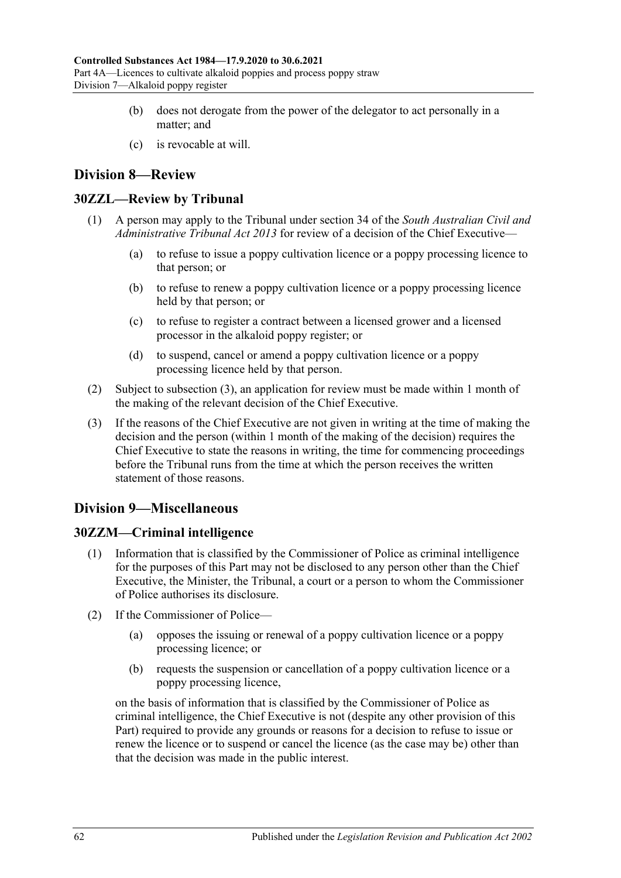- (b) does not derogate from the power of the delegator to act personally in a matter; and
- (c) is revocable at will.

# **Division 8—Review**

# **30ZZL—Review by Tribunal**

- (1) A person may apply to the Tribunal under section 34 of the *[South Australian Civil and](http://www.legislation.sa.gov.au/index.aspx?action=legref&type=act&legtitle=South%20Australian%20Civil%20and%20Administrative%20Tribunal%20Act%202013)  [Administrative Tribunal Act](http://www.legislation.sa.gov.au/index.aspx?action=legref&type=act&legtitle=South%20Australian%20Civil%20and%20Administrative%20Tribunal%20Act%202013) 2013* for review of a decision of the Chief Executive—
	- (a) to refuse to issue a poppy cultivation licence or a poppy processing licence to that person; or
	- (b) to refuse to renew a poppy cultivation licence or a poppy processing licence held by that person; or
	- (c) to refuse to register a contract between a licensed grower and a licensed processor in the alkaloid poppy register; or
	- (d) to suspend, cancel or amend a poppy cultivation licence or a poppy processing licence held by that person.
- (2) Subject to [subsection](#page-61-0) (3), an application for review must be made within 1 month of the making of the relevant decision of the Chief Executive.
- <span id="page-61-0"></span>(3) If the reasons of the Chief Executive are not given in writing at the time of making the decision and the person (within 1 month of the making of the decision) requires the Chief Executive to state the reasons in writing, the time for commencing proceedings before the Tribunal runs from the time at which the person receives the written statement of those reasons.

# **Division 9—Miscellaneous**

# **30ZZM—Criminal intelligence**

- (1) Information that is classified by the Commissioner of Police as criminal intelligence for the purposes of this Part may not be disclosed to any person other than the Chief Executive, the Minister, the Tribunal, a court or a person to whom the Commissioner of Police authorises its disclosure.
- (2) If the Commissioner of Police—
	- (a) opposes the issuing or renewal of a poppy cultivation licence or a poppy processing licence; or
	- (b) requests the suspension or cancellation of a poppy cultivation licence or a poppy processing licence,

on the basis of information that is classified by the Commissioner of Police as criminal intelligence, the Chief Executive is not (despite any other provision of this Part) required to provide any grounds or reasons for a decision to refuse to issue or renew the licence or to suspend or cancel the licence (as the case may be) other than that the decision was made in the public interest.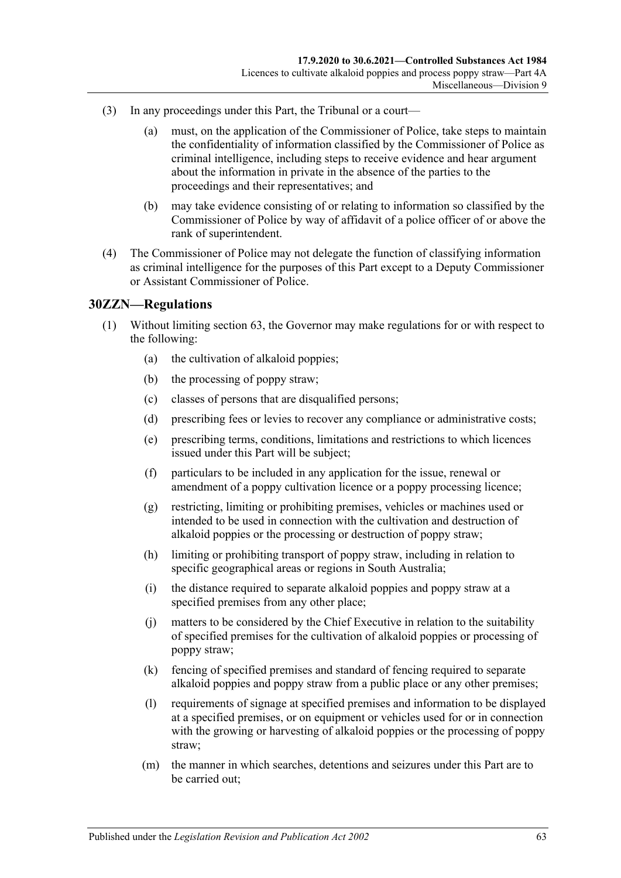- (3) In any proceedings under this Part, the Tribunal or a court—
	- (a) must, on the application of the Commissioner of Police, take steps to maintain the confidentiality of information classified by the Commissioner of Police as criminal intelligence, including steps to receive evidence and hear argument about the information in private in the absence of the parties to the proceedings and their representatives; and
	- (b) may take evidence consisting of or relating to information so classified by the Commissioner of Police by way of affidavit of a police officer of or above the rank of superintendent.
- (4) The Commissioner of Police may not delegate the function of classifying information as criminal intelligence for the purposes of this Part except to a Deputy Commissioner or Assistant Commissioner of Police.

### **30ZZN—Regulations**

- (1) Without limiting section 63, the Governor may make regulations for or with respect to the following:
	- (a) the cultivation of alkaloid poppies;
	- (b) the processing of poppy straw;
	- (c) classes of persons that are disqualified persons;
	- (d) prescribing fees or levies to recover any compliance or administrative costs;
	- (e) prescribing terms, conditions, limitations and restrictions to which licences issued under this Part will be subject;
	- (f) particulars to be included in any application for the issue, renewal or amendment of a poppy cultivation licence or a poppy processing licence;
	- (g) restricting, limiting or prohibiting premises, vehicles or machines used or intended to be used in connection with the cultivation and destruction of alkaloid poppies or the processing or destruction of poppy straw;
	- (h) limiting or prohibiting transport of poppy straw, including in relation to specific geographical areas or regions in South Australia;
	- (i) the distance required to separate alkaloid poppies and poppy straw at a specified premises from any other place;
	- (j) matters to be considered by the Chief Executive in relation to the suitability of specified premises for the cultivation of alkaloid poppies or processing of poppy straw;
	- (k) fencing of specified premises and standard of fencing required to separate alkaloid poppies and poppy straw from a public place or any other premises;
	- (l) requirements of signage at specified premises and information to be displayed at a specified premises, or on equipment or vehicles used for or in connection with the growing or harvesting of alkaloid poppies or the processing of poppy straw;
	- (m) the manner in which searches, detentions and seizures under this Part are to be carried out;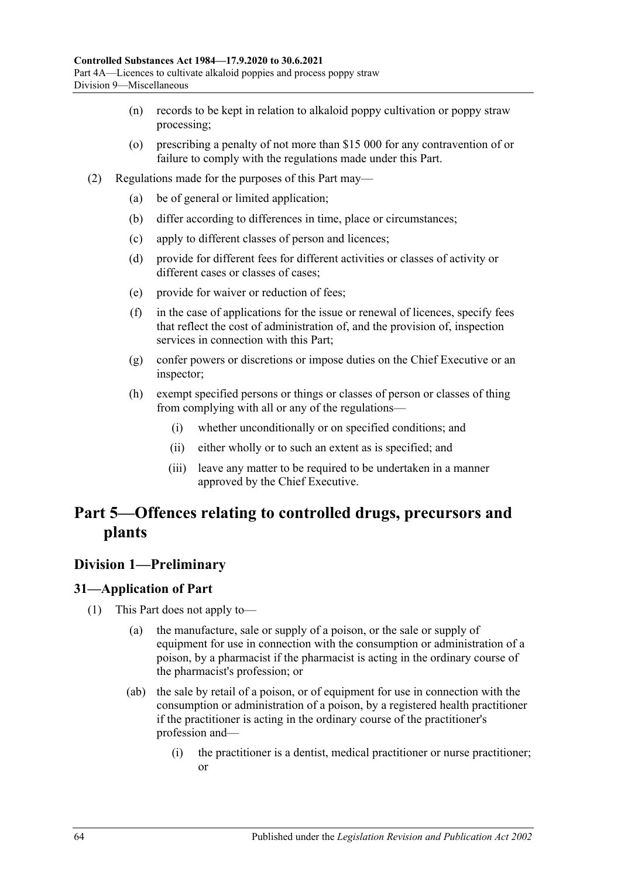- (n) records to be kept in relation to alkaloid poppy cultivation or poppy straw processing;
- (o) prescribing a penalty of not more than \$15 000 for any contravention of or failure to comply with the regulations made under this Part.
- (2) Regulations made for the purposes of this Part may—
	- (a) be of general or limited application;
	- (b) differ according to differences in time, place or circumstances;
	- (c) apply to different classes of person and licences;
	- (d) provide for different fees for different activities or classes of activity or different cases or classes of cases;
	- (e) provide for waiver or reduction of fees;
	- (f) in the case of applications for the issue or renewal of licences, specify fees that reflect the cost of administration of, and the provision of, inspection services in connection with this Part;
	- (g) confer powers or discretions or impose duties on the Chief Executive or an inspector;
	- (h) exempt specified persons or things or classes of person or classes of thing from complying with all or any of the regulations—
		- (i) whether unconditionally or on specified conditions; and
		- (ii) either wholly or to such an extent as is specified; and
		- (iii) leave any matter to be required to be undertaken in a manner approved by the Chief Executive.

# **Part 5—Offences relating to controlled drugs, precursors and plants**

# **Division 1—Preliminary**

# <span id="page-63-0"></span>**31—Application of Part**

- (1) This Part does not apply to—
	- (a) the manufacture, sale or supply of a poison, or the sale or supply of equipment for use in connection with the consumption or administration of a poison, by a pharmacist if the pharmacist is acting in the ordinary course of the pharmacist's profession; or
	- (ab) the sale by retail of a poison, or of equipment for use in connection with the consumption or administration of a poison, by a registered health practitioner if the practitioner is acting in the ordinary course of the practitioner's profession and—
		- (i) the practitioner is a dentist, medical practitioner or nurse practitioner; or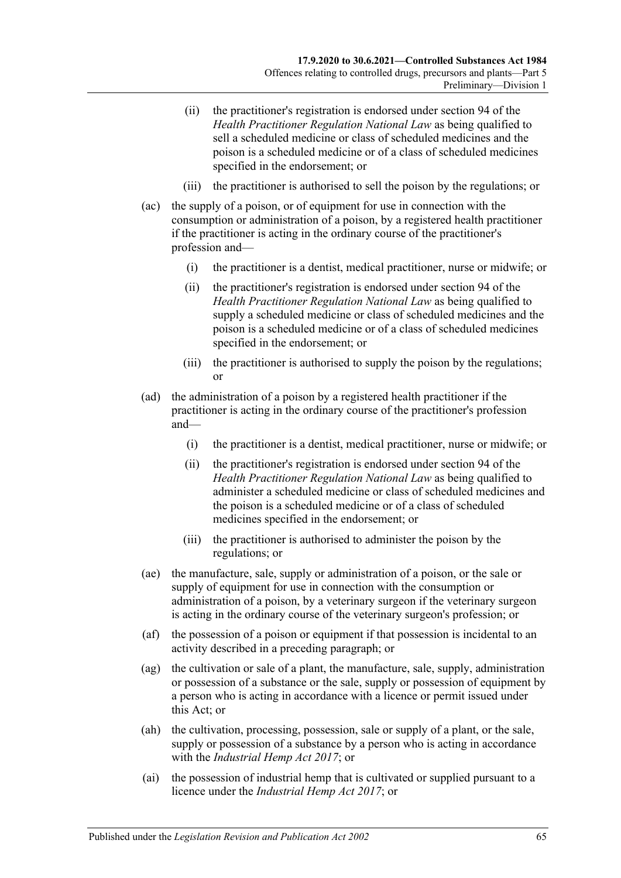- (ii) the practitioner's registration is endorsed under section 94 of the *Health Practitioner Regulation National Law* as being qualified to sell a scheduled medicine or class of scheduled medicines and the poison is a scheduled medicine or of a class of scheduled medicines specified in the endorsement; or
- (iii) the practitioner is authorised to sell the poison by the regulations; or
- (ac) the supply of a poison, or of equipment for use in connection with the consumption or administration of a poison, by a registered health practitioner if the practitioner is acting in the ordinary course of the practitioner's profession and—
	- (i) the practitioner is a dentist, medical practitioner, nurse or midwife; or
	- (ii) the practitioner's registration is endorsed under section 94 of the *Health Practitioner Regulation National Law* as being qualified to supply a scheduled medicine or class of scheduled medicines and the poison is a scheduled medicine or of a class of scheduled medicines specified in the endorsement; or
	- (iii) the practitioner is authorised to supply the poison by the regulations; or
- (ad) the administration of a poison by a registered health practitioner if the practitioner is acting in the ordinary course of the practitioner's profession and—
	- (i) the practitioner is a dentist, medical practitioner, nurse or midwife; or
	- (ii) the practitioner's registration is endorsed under section 94 of the *Health Practitioner Regulation National Law* as being qualified to administer a scheduled medicine or class of scheduled medicines and the poison is a scheduled medicine or of a class of scheduled medicines specified in the endorsement; or
	- (iii) the practitioner is authorised to administer the poison by the regulations; or
- (ae) the manufacture, sale, supply or administration of a poison, or the sale or supply of equipment for use in connection with the consumption or administration of a poison, by a veterinary surgeon if the veterinary surgeon is acting in the ordinary course of the veterinary surgeon's profession; or
- (af) the possession of a poison or equipment if that possession is incidental to an activity described in a preceding paragraph; or
- (ag) the cultivation or sale of a plant, the manufacture, sale, supply, administration or possession of a substance or the sale, supply or possession of equipment by a person who is acting in accordance with a licence or permit issued under this Act; or
- (ah) the cultivation, processing, possession, sale or supply of a plant, or the sale, supply or possession of a substance by a person who is acting in accordance with the *[Industrial Hemp Act](http://www.legislation.sa.gov.au/index.aspx?action=legref&type=act&legtitle=Industrial%20Hemp%20Act%202017) 2017*; or
- (ai) the possession of industrial hemp that is cultivated or supplied pursuant to a licence under the *[Industrial Hemp Act](http://www.legislation.sa.gov.au/index.aspx?action=legref&type=act&legtitle=Industrial%20Hemp%20Act%202017) 2017*; or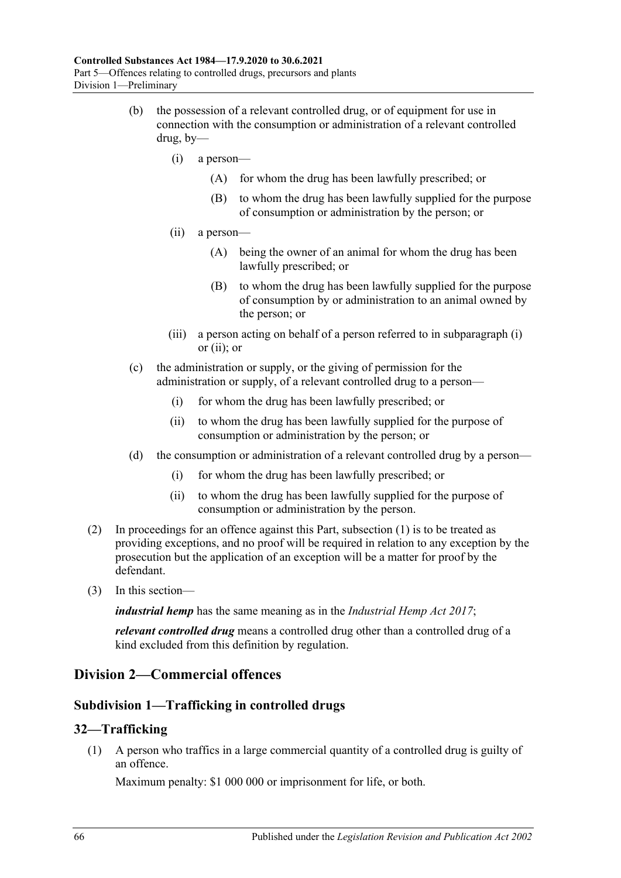- <span id="page-65-1"></span><span id="page-65-0"></span>(b) the possession of a relevant controlled drug, or of equipment for use in connection with the consumption or administration of a relevant controlled drug, by—
	- (i) a person—
		- (A) for whom the drug has been lawfully prescribed; or
		- (B) to whom the drug has been lawfully supplied for the purpose of consumption or administration by the person; or
	- (ii) a person—
		- (A) being the owner of an animal for whom the drug has been lawfully prescribed; or
		- (B) to whom the drug has been lawfully supplied for the purpose of consumption by or administration to an animal owned by the person; or
	- (iii) a person acting on behalf of a person referred to in [subparagraph](#page-65-0) (i) or [\(ii\);](#page-65-1) or
- (c) the administration or supply, or the giving of permission for the administration or supply, of a relevant controlled drug to a person—
	- (i) for whom the drug has been lawfully prescribed; or
	- (ii) to whom the drug has been lawfully supplied for the purpose of consumption or administration by the person; or
- (d) the consumption or administration of a relevant controlled drug by a person—
	- (i) for whom the drug has been lawfully prescribed; or
	- (ii) to whom the drug has been lawfully supplied for the purpose of consumption or administration by the person.
- (2) In proceedings for an offence against this Part, [subsection](#page-63-0) (1) is to be treated as providing exceptions, and no proof will be required in relation to any exception by the prosecution but the application of an exception will be a matter for proof by the defendant.
- (3) In this section—

*industrial hemp* has the same meaning as in the *[Industrial Hemp Act](http://www.legislation.sa.gov.au/index.aspx?action=legref&type=act&legtitle=Industrial%20Hemp%20Act%202017) 2017*;

*relevant controlled drug* means a controlled drug other than a controlled drug of a kind excluded from this definition by regulation.

# **Division 2—Commercial offences**

# **Subdivision 1—Trafficking in controlled drugs**

# <span id="page-65-2"></span>**32—Trafficking**

(1) A person who traffics in a large commercial quantity of a controlled drug is guilty of an offence.

Maximum penalty: \$1 000 000 or imprisonment for life, or both.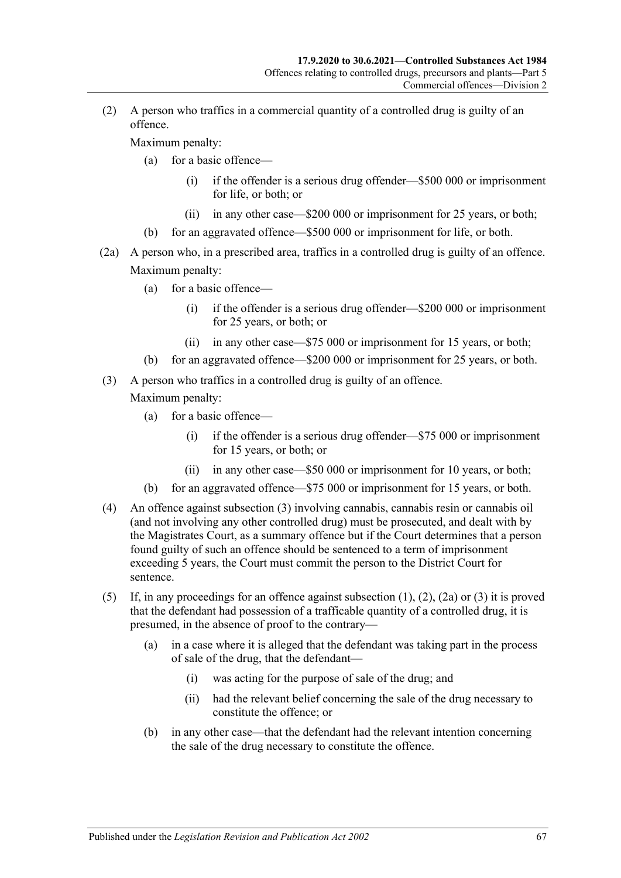<span id="page-66-1"></span>(2) A person who traffics in a commercial quantity of a controlled drug is guilty of an offence.

Maximum penalty:

- (a) for a basic offence—
	- (i) if the offender is a serious drug offender—\$500 000 or imprisonment for life, or both; or
	- (ii) in any other case—\$200 000 or imprisonment for 25 years, or both;
- (b) for an aggravated offence—\$500 000 or imprisonment for life, or both.
- <span id="page-66-2"></span>(2a) A person who, in a prescribed area, traffics in a controlled drug is guilty of an offence. Maximum penalty:
	- (a) for a basic offence—
		- (i) if the offender is a serious drug offender—\$200 000 or imprisonment for 25 years, or both; or
		- (ii) in any other case—\$75 000 or imprisonment for 15 years, or both;
	- (b) for an aggravated offence—\$200 000 or imprisonment for 25 years, or both.
- <span id="page-66-0"></span>(3) A person who traffics in a controlled drug is guilty of an offence.

- (a) for a basic offence—
	- (i) if the offender is a serious drug offender—\$75 000 or imprisonment for 15 years, or both; or
	- (ii) in any other case—\$50 000 or imprisonment for 10 years, or both;
- (b) for an aggravated offence—\$75 000 or imprisonment for 15 years, or both.
- (4) An offence against [subsection](#page-66-0) (3) involving cannabis, cannabis resin or cannabis oil (and not involving any other controlled drug) must be prosecuted, and dealt with by the Magistrates Court, as a summary offence but if the Court determines that a person found guilty of such an offence should be sentenced to a term of imprisonment exceeding 5 years, the Court must commit the person to the District Court for sentence.
- (5) If, in any proceedings for an offence against [subsection](#page-65-2) (1), [\(2\),](#page-66-1) [\(2a\)](#page-66-2) or [\(3\)](#page-66-0) it is proved that the defendant had possession of a trafficable quantity of a controlled drug, it is presumed, in the absence of proof to the contrary—
	- (a) in a case where it is alleged that the defendant was taking part in the process of sale of the drug, that the defendant—
		- (i) was acting for the purpose of sale of the drug; and
		- (ii) had the relevant belief concerning the sale of the drug necessary to constitute the offence; or
	- (b) in any other case—that the defendant had the relevant intention concerning the sale of the drug necessary to constitute the offence.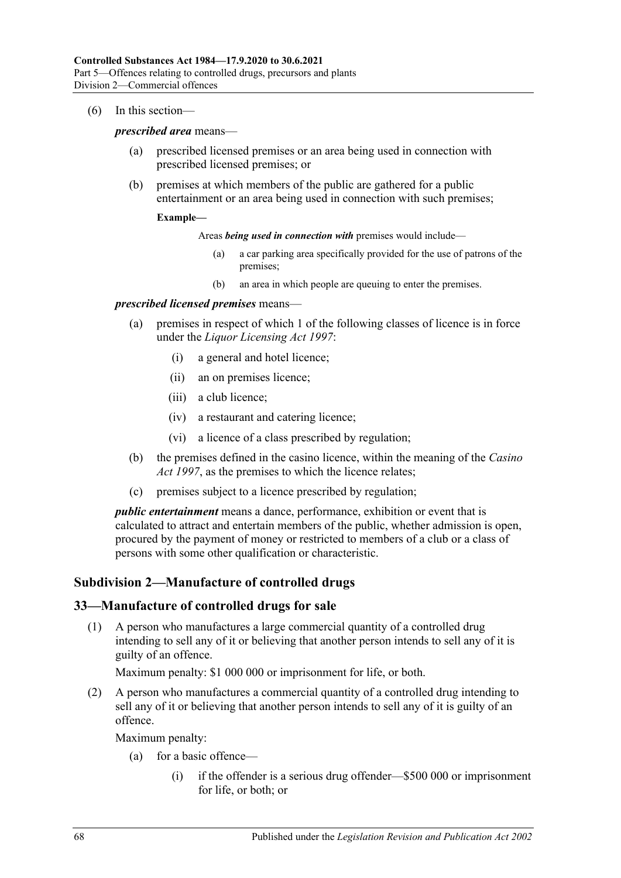(6) In this section—

#### *prescribed area* means—

- (a) prescribed licensed premises or an area being used in connection with prescribed licensed premises; or
- (b) premises at which members of the public are gathered for a public entertainment or an area being used in connection with such premises;

#### **Example—**

Areas *being used in connection with* premises would include—

- (a) a car parking area specifically provided for the use of patrons of the premises;
- (b) an area in which people are queuing to enter the premises.

#### *prescribed licensed premises* means—

- (a) premises in respect of which 1 of the following classes of licence is in force under the *[Liquor Licensing Act](http://www.legislation.sa.gov.au/index.aspx?action=legref&type=act&legtitle=Liquor%20Licensing%20Act%201997) 1997*:
	- (i) a general and hotel licence;
	- (ii) an on premises licence;
	- (iii) a club licence;
	- (iv) a restaurant and catering licence;
	- (vi) a licence of a class prescribed by regulation;
- (b) the premises defined in the casino licence, within the meaning of the *[Casino](http://www.legislation.sa.gov.au/index.aspx?action=legref&type=act&legtitle=Casino%20Act%201997)  Act [1997](http://www.legislation.sa.gov.au/index.aspx?action=legref&type=act&legtitle=Casino%20Act%201997)*, as the premises to which the licence relates;
- (c) premises subject to a licence prescribed by regulation;

*public entertainment* means a dance, performance, exhibition or event that is calculated to attract and entertain members of the public, whether admission is open, procured by the payment of money or restricted to members of a club or a class of persons with some other qualification or characteristic.

# **Subdivision 2—Manufacture of controlled drugs**

#### <span id="page-67-0"></span>**33—Manufacture of controlled drugs for sale**

(1) A person who manufactures a large commercial quantity of a controlled drug intending to sell any of it or believing that another person intends to sell any of it is guilty of an offence.

Maximum penalty: \$1 000 000 or imprisonment for life, or both.

<span id="page-67-1"></span>(2) A person who manufactures a commercial quantity of a controlled drug intending to sell any of it or believing that another person intends to sell any of it is guilty of an offence.

- (a) for a basic offence—
	- (i) if the offender is a serious drug offender—\$500 000 or imprisonment for life, or both; or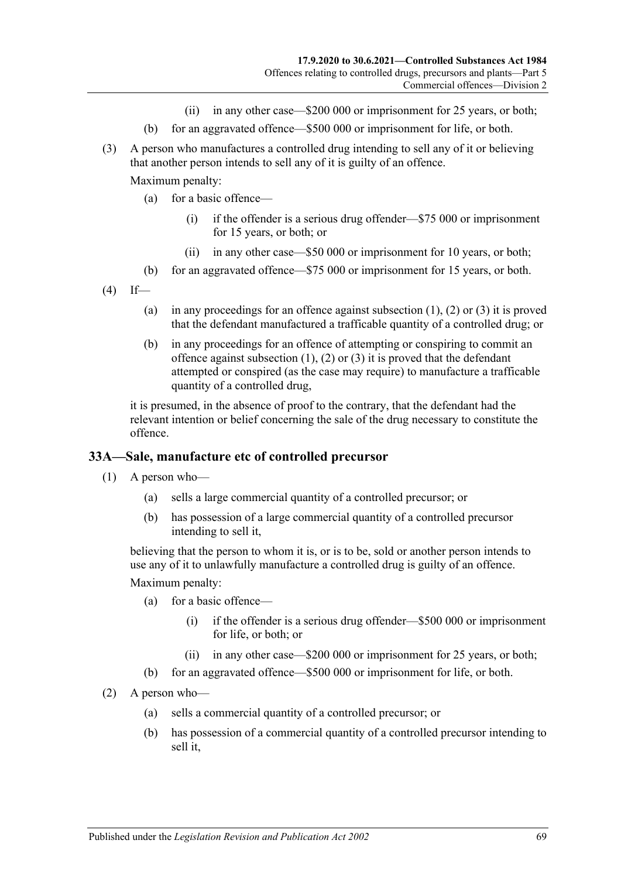- (ii) in any other case—\$200 000 or imprisonment for 25 years, or both;
- (b) for an aggravated offence—\$500 000 or imprisonment for life, or both.
- <span id="page-68-0"></span>(3) A person who manufactures a controlled drug intending to sell any of it or believing that another person intends to sell any of it is guilty of an offence.

Maximum penalty:

- (a) for a basic offence—
	- (i) if the offender is a serious drug offender—\$75 000 or imprisonment for 15 years, or both; or
	- (ii) in any other case—\$50 000 or imprisonment for 10 years, or both;
- (b) for an aggravated offence—\$75 000 or imprisonment for 15 years, or both.
- $(4)$  If
	- (a) in any proceedings for an offence against [subsection](#page-67-0)  $(1)$ ,  $(2)$  or  $(3)$  it is proved that the defendant manufactured a trafficable quantity of a controlled drug; or
	- (b) in any proceedings for an offence of attempting or conspiring to commit an offence against [subsection](#page-67-0)  $(1)$ ,  $(2)$  or  $(3)$  it is proved that the defendant attempted or conspired (as the case may require) to manufacture a trafficable quantity of a controlled drug,

it is presumed, in the absence of proof to the contrary, that the defendant had the relevant intention or belief concerning the sale of the drug necessary to constitute the offence.

#### **33A—Sale, manufacture etc of controlled precursor**

(1) A person who—

- (a) sells a large commercial quantity of a controlled precursor; or
- (b) has possession of a large commercial quantity of a controlled precursor intending to sell it,

believing that the person to whom it is, or is to be, sold or another person intends to use any of it to unlawfully manufacture a controlled drug is guilty of an offence.

- (a) for a basic offence—
	- (i) if the offender is a serious drug offender—\$500 000 or imprisonment for life, or both; or
	- (ii) in any other case—\$200 000 or imprisonment for 25 years, or both;
- (b) for an aggravated offence—\$500 000 or imprisonment for life, or both.
- (2) A person who—
	- (a) sells a commercial quantity of a controlled precursor; or
	- (b) has possession of a commercial quantity of a controlled precursor intending to sell it,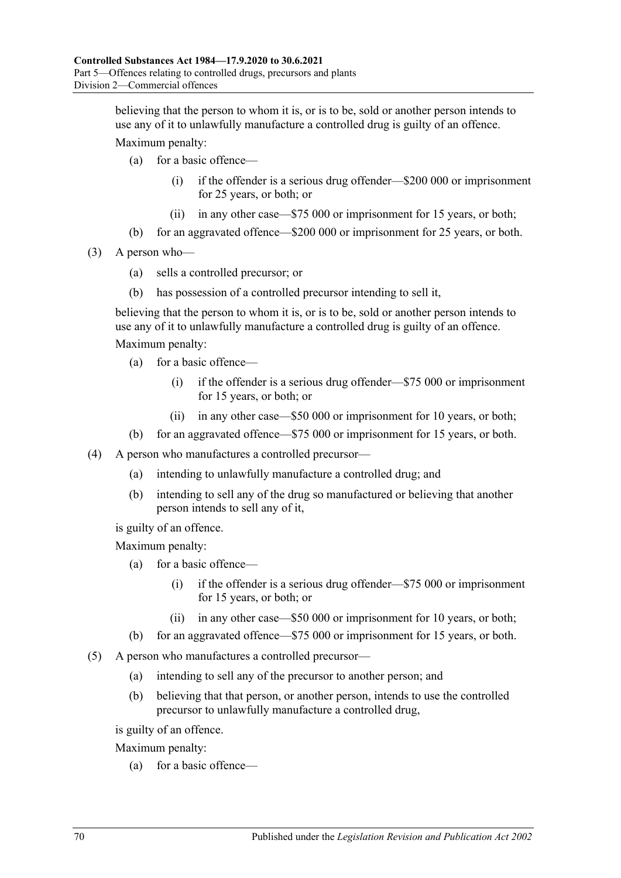believing that the person to whom it is, or is to be, sold or another person intends to use any of it to unlawfully manufacture a controlled drug is guilty of an offence.

Maximum penalty:

- (a) for a basic offence—
	- (i) if the offender is a serious drug offender—\$200 000 or imprisonment for 25 years, or both; or
	- (ii) in any other case—\$75 000 or imprisonment for 15 years, or both;
- (b) for an aggravated offence—\$200 000 or imprisonment for 25 years, or both.
- (3) A person who—
	- (a) sells a controlled precursor; or
	- (b) has possession of a controlled precursor intending to sell it,

believing that the person to whom it is, or is to be, sold or another person intends to use any of it to unlawfully manufacture a controlled drug is guilty of an offence.

Maximum penalty:

- (a) for a basic offence—
	- (i) if the offender is a serious drug offender—\$75 000 or imprisonment for 15 years, or both; or
	- (ii) in any other case—\$50 000 or imprisonment for 10 years, or both;
- (b) for an aggravated offence—\$75 000 or imprisonment for 15 years, or both.
- (4) A person who manufactures a controlled precursor—
	- (a) intending to unlawfully manufacture a controlled drug; and
	- (b) intending to sell any of the drug so manufactured or believing that another person intends to sell any of it,

is guilty of an offence.

Maximum penalty:

- (a) for a basic offence—
	- (i) if the offender is a serious drug offender—\$75 000 or imprisonment for 15 years, or both; or
	- (ii) in any other case—\$50 000 or imprisonment for 10 years, or both;
- (b) for an aggravated offence—\$75 000 or imprisonment for 15 years, or both.
- (5) A person who manufactures a controlled precursor—
	- (a) intending to sell any of the precursor to another person; and
	- (b) believing that that person, or another person, intends to use the controlled precursor to unlawfully manufacture a controlled drug,

is guilty of an offence.

Maximum penalty:

(a) for a basic offence—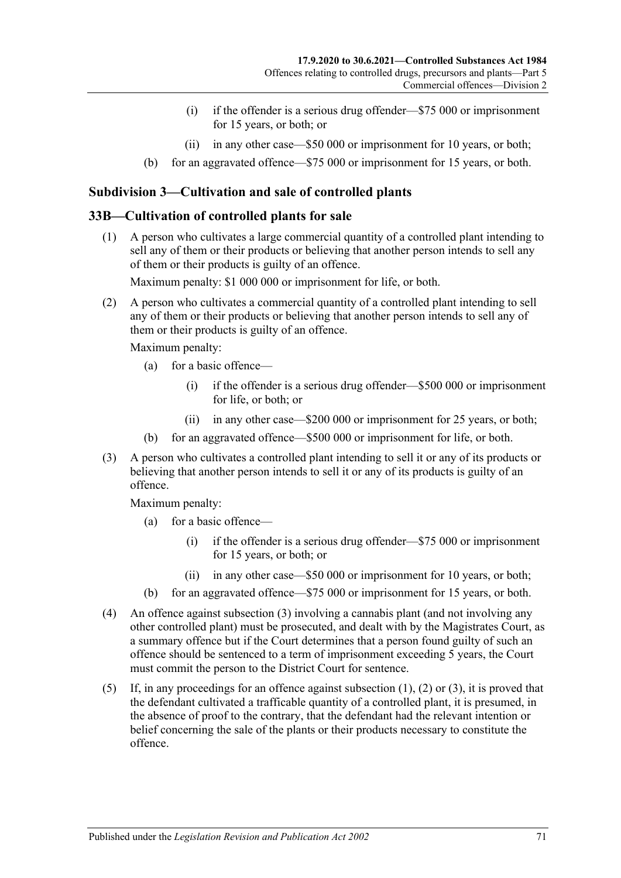- (i) if the offender is a serious drug offender—\$75 000 or imprisonment for 15 years, or both; or
- (ii) in any other case—\$50 000 or imprisonment for 10 years, or both;
- (b) for an aggravated offence—\$75 000 or imprisonment for 15 years, or both.

# **Subdivision 3—Cultivation and sale of controlled plants**

### <span id="page-70-1"></span>**33B—Cultivation of controlled plants for sale**

(1) A person who cultivates a large commercial quantity of a controlled plant intending to sell any of them or their products or believing that another person intends to sell any of them or their products is guilty of an offence.

Maximum penalty: \$1 000 000 or imprisonment for life, or both.

<span id="page-70-2"></span>(2) A person who cultivates a commercial quantity of a controlled plant intending to sell any of them or their products or believing that another person intends to sell any of them or their products is guilty of an offence.

Maximum penalty:

- (a) for a basic offence—
	- (i) if the offender is a serious drug offender—\$500 000 or imprisonment for life, or both; or
	- (ii) in any other case—\$200 000 or imprisonment for 25 years, or both;
- (b) for an aggravated offence—\$500 000 or imprisonment for life, or both.
- <span id="page-70-0"></span>(3) A person who cultivates a controlled plant intending to sell it or any of its products or believing that another person intends to sell it or any of its products is guilty of an offence.

- (a) for a basic offence—
	- (i) if the offender is a serious drug offender—\$75 000 or imprisonment for 15 years, or both; or
	- (ii) in any other case—\$50 000 or imprisonment for 10 years, or both;
- (b) for an aggravated offence—\$75 000 or imprisonment for 15 years, or both.
- (4) An offence against [subsection](#page-70-0) (3) involving a cannabis plant (and not involving any other controlled plant) must be prosecuted, and dealt with by the Magistrates Court, as a summary offence but if the Court determines that a person found guilty of such an offence should be sentenced to a term of imprisonment exceeding 5 years, the Court must commit the person to the District Court for sentence.
- (5) If, in any proceedings for an offence against [subsection](#page-70-1) (1), [\(2\)](#page-70-2) or [\(3\),](#page-70-0) it is proved that the defendant cultivated a trafficable quantity of a controlled plant, it is presumed, in the absence of proof to the contrary, that the defendant had the relevant intention or belief concerning the sale of the plants or their products necessary to constitute the offence.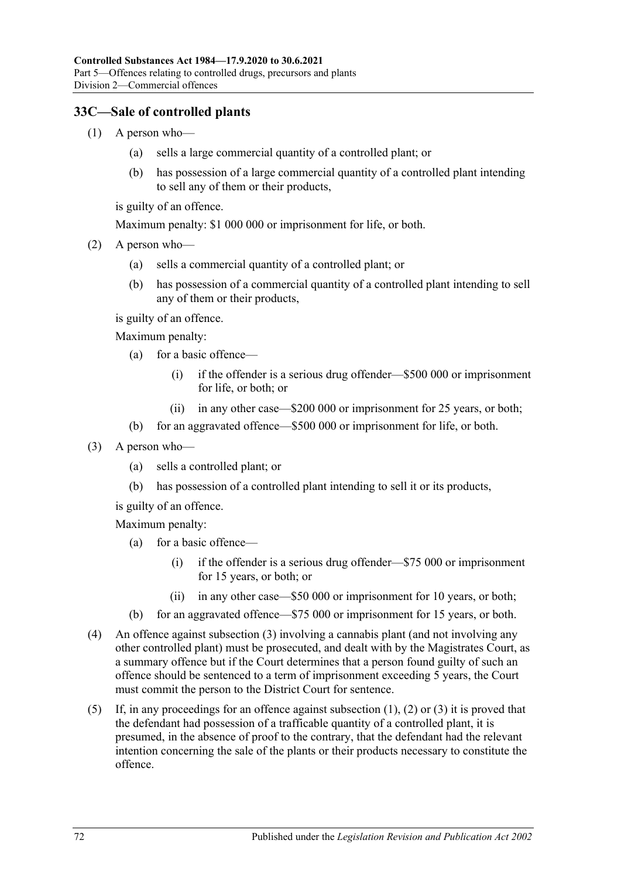# <span id="page-71-1"></span>**33C—Sale of controlled plants**

- (1) A person who—
	- (a) sells a large commercial quantity of a controlled plant; or
	- (b) has possession of a large commercial quantity of a controlled plant intending to sell any of them or their products,

is guilty of an offence.

Maximum penalty: \$1 000 000 or imprisonment for life, or both.

- <span id="page-71-2"></span>(2) A person who—
	- (a) sells a commercial quantity of a controlled plant; or
	- (b) has possession of a commercial quantity of a controlled plant intending to sell any of them or their products,

is guilty of an offence.

Maximum penalty:

- (a) for a basic offence—
	- (i) if the offender is a serious drug offender—\$500 000 or imprisonment for life, or both; or
	- (ii) in any other case—\$200 000 or imprisonment for 25 years, or both;
- (b) for an aggravated offence—\$500 000 or imprisonment for life, or both.
- <span id="page-71-0"></span>(3) A person who—
	- (a) sells a controlled plant; or
	- (b) has possession of a controlled plant intending to sell it or its products,

is guilty of an offence.

- (a) for a basic offence—
	- (i) if the offender is a serious drug offender—\$75 000 or imprisonment for 15 years, or both; or
	- (ii) in any other case—\$50 000 or imprisonment for 10 years, or both;
- (b) for an aggravated offence—\$75 000 or imprisonment for 15 years, or both.
- (4) An offence against [subsection](#page-71-0) (3) involving a cannabis plant (and not involving any other controlled plant) must be prosecuted, and dealt with by the Magistrates Court, as a summary offence but if the Court determines that a person found guilty of such an offence should be sentenced to a term of imprisonment exceeding 5 years, the Court must commit the person to the District Court for sentence.
- (5) If, in any proceedings for an offence against [subsection](#page-71-1) (1), [\(2\)](#page-71-2) or [\(3\)](#page-71-0) it is proved that the defendant had possession of a trafficable quantity of a controlled plant, it is presumed, in the absence of proof to the contrary, that the defendant had the relevant intention concerning the sale of the plants or their products necessary to constitute the offence.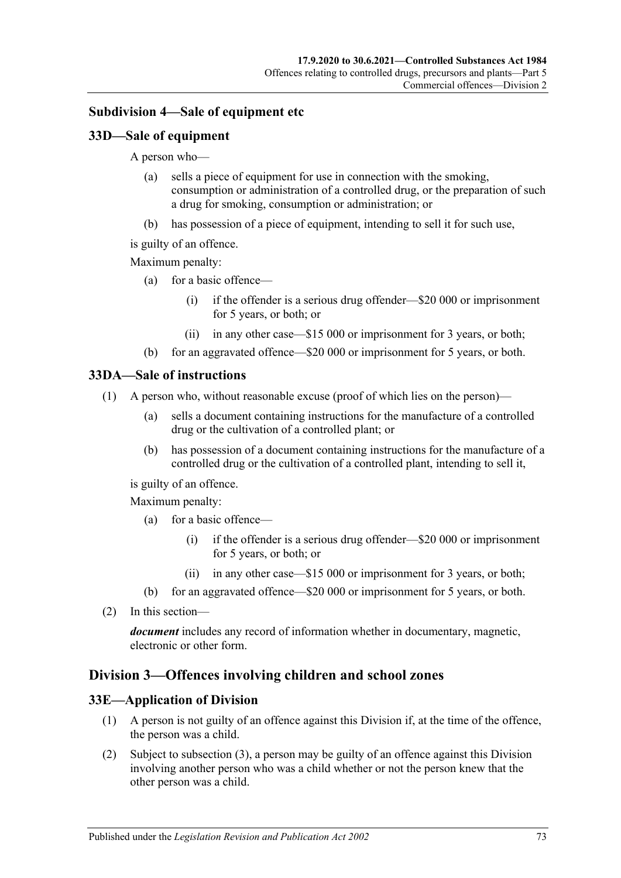#### <span id="page-72-0"></span>**Subdivision 4—Sale of equipment etc**

#### **33D—Sale of equipment**

A person who—

- (a) sells a piece of equipment for use in connection with the smoking, consumption or administration of a controlled drug, or the preparation of such a drug for smoking, consumption or administration; or
- (b) has possession of a piece of equipment, intending to sell it for such use,
- is guilty of an offence.

Maximum penalty:

- (a) for a basic offence—
	- (i) if the offender is a serious drug offender—\$20 000 or imprisonment for 5 years, or both; or
	- (ii) in any other case—\$15 000 or imprisonment for 3 years, or both;
- (b) for an aggravated offence—\$20 000 or imprisonment for 5 years, or both.

#### **33DA—Sale of instructions**

- (1) A person who, without reasonable excuse (proof of which lies on the person)—
	- (a) sells a document containing instructions for the manufacture of a controlled drug or the cultivation of a controlled plant; or
	- (b) has possession of a document containing instructions for the manufacture of a controlled drug or the cultivation of a controlled plant, intending to sell it,

is guilty of an offence.

Maximum penalty:

- (a) for a basic offence—
	- (i) if the offender is a serious drug offender—\$20 000 or imprisonment for 5 years, or both; or
	- (ii) in any other case—\$15 000 or imprisonment for 3 years, or both;
- (b) for an aggravated offence—\$20 000 or imprisonment for 5 years, or both.
- (2) In this section—

*document* includes any record of information whether in documentary, magnetic, electronic or other form.

#### <span id="page-72-1"></span>**Division 3—Offences involving children and school zones**

#### **33E—Application of Division**

- (1) A person is not guilty of an offence against this Division if, at the time of the offence, the person was a child.
- (2) Subject to [subsection](#page-73-0) (3), a person may be guilty of an offence against this Division involving another person who was a child whether or not the person knew that the other person was a child.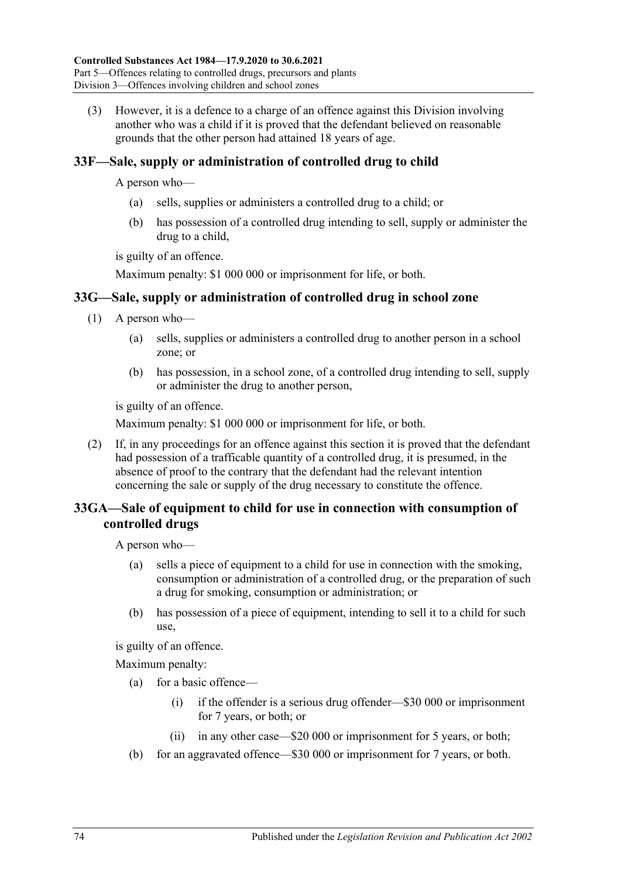<span id="page-73-0"></span>(3) However, it is a defence to a charge of an offence against this Division involving another who was a child if it is proved that the defendant believed on reasonable grounds that the other person had attained 18 years of age.

# <span id="page-73-1"></span>**33F—Sale, supply or administration of controlled drug to child**

A person who—

- (a) sells, supplies or administers a controlled drug to a child; or
- (b) has possession of a controlled drug intending to sell, supply or administer the drug to a child,

is guilty of an offence.

Maximum penalty: \$1 000 000 or imprisonment for life, or both.

# **33G—Sale, supply or administration of controlled drug in school zone**

- (1) A person who—
	- (a) sells, supplies or administers a controlled drug to another person in a school zone; or
	- (b) has possession, in a school zone, of a controlled drug intending to sell, supply or administer the drug to another person,

is guilty of an offence.

Maximum penalty: \$1 000 000 or imprisonment for life, or both.

(2) If, in any proceedings for an offence against this section it is proved that the defendant had possession of a trafficable quantity of a controlled drug, it is presumed, in the absence of proof to the contrary that the defendant had the relevant intention concerning the sale or supply of the drug necessary to constitute the offence.

# **33GA—Sale of equipment to child for use in connection with consumption of controlled drugs**

A person who—

- (a) sells a piece of equipment to a child for use in connection with the smoking, consumption or administration of a controlled drug, or the preparation of such a drug for smoking, consumption or administration; or
- (b) has possession of a piece of equipment, intending to sell it to a child for such use,

is guilty of an offence.

- (a) for a basic offence—
	- (i) if the offender is a serious drug offender—\$30 000 or imprisonment for 7 years, or both; or
	- (ii) in any other case—\$20 000 or imprisonment for 5 years, or both;
- (b) for an aggravated offence—\$30 000 or imprisonment for 7 years, or both.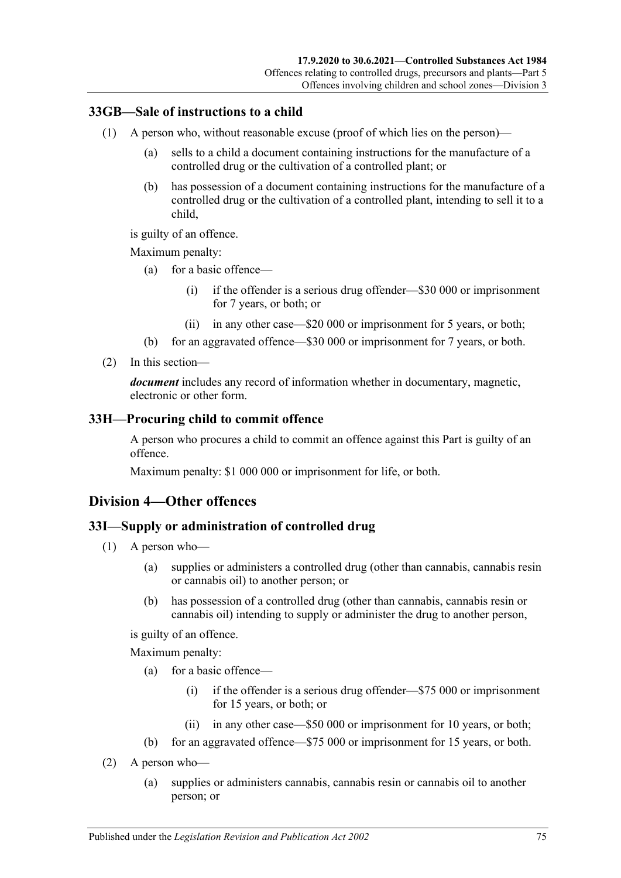#### **33GB—Sale of instructions to a child**

- (1) A person who, without reasonable excuse (proof of which lies on the person)—
	- (a) sells to a child a document containing instructions for the manufacture of a controlled drug or the cultivation of a controlled plant; or
	- (b) has possession of a document containing instructions for the manufacture of a controlled drug or the cultivation of a controlled plant, intending to sell it to a child,

is guilty of an offence.

Maximum penalty:

- (a) for a basic offence—
	- (i) if the offender is a serious drug offender—\$30 000 or imprisonment for 7 years, or both; or
	- (ii) in any other case—\$20 000 or imprisonment for 5 years, or both;
- (b) for an aggravated offence—\$30 000 or imprisonment for 7 years, or both.
- (2) In this section—

*document* includes any record of information whether in documentary, magnetic, electronic or other form.

#### <span id="page-74-2"></span>**33H—Procuring child to commit offence**

A person who procures a child to commit an offence against this Part is guilty of an offence.

Maximum penalty: \$1 000 000 or imprisonment for life, or both.

#### <span id="page-74-0"></span>**Division 4—Other offences**

#### <span id="page-74-3"></span>**33I—Supply or administration of controlled drug**

- (1) A person who—
	- (a) supplies or administers a controlled drug (other than cannabis, cannabis resin or cannabis oil) to another person; or
	- (b) has possession of a controlled drug (other than cannabis, cannabis resin or cannabis oil) intending to supply or administer the drug to another person,

is guilty of an offence.

- (a) for a basic offence—
	- (i) if the offender is a serious drug offender—\$75 000 or imprisonment for 15 years, or both; or
	- (ii) in any other case—\$50 000 or imprisonment for 10 years, or both;
- (b) for an aggravated offence—\$75 000 or imprisonment for 15 years, or both.
- <span id="page-74-1"></span>(2) A person who—
	- (a) supplies or administers cannabis, cannabis resin or cannabis oil to another person; or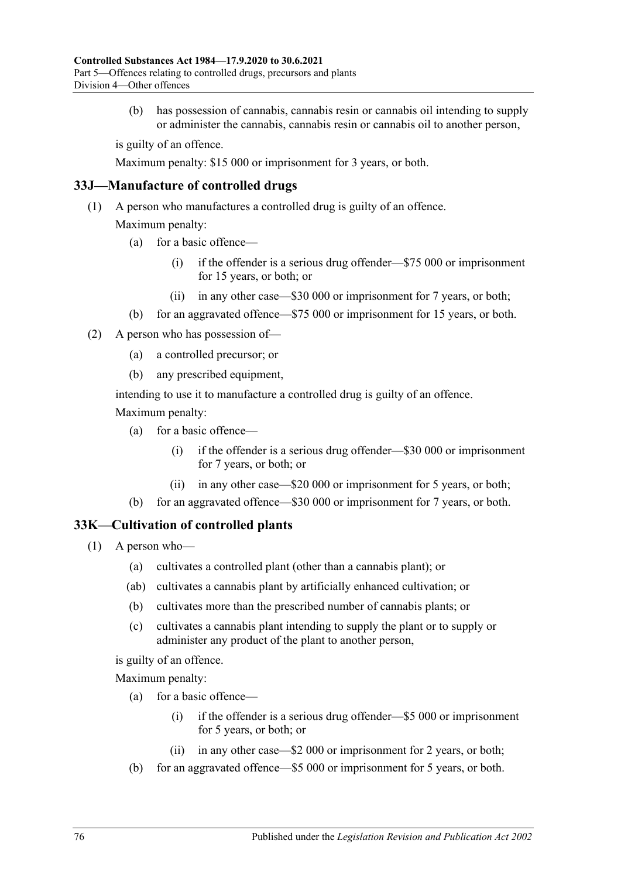(b) has possession of cannabis, cannabis resin or cannabis oil intending to supply or administer the cannabis, cannabis resin or cannabis oil to another person,

is guilty of an offence.

Maximum penalty: \$15 000 or imprisonment for 3 years, or both.

#### **33J—Manufacture of controlled drugs**

(1) A person who manufactures a controlled drug is guilty of an offence.

Maximum penalty:

- (a) for a basic offence—
	- (i) if the offender is a serious drug offender—\$75 000 or imprisonment for 15 years, or both; or
	- (ii) in any other case—\$30 000 or imprisonment for 7 years, or both;
- (b) for an aggravated offence—\$75 000 or imprisonment for 15 years, or both.
- (2) A person who has possession of—
	- (a) a controlled precursor; or
	- (b) any prescribed equipment,

intending to use it to manufacture a controlled drug is guilty of an offence. Maximum penalty:

- (a) for a basic offence—
	- (i) if the offender is a serious drug offender—\$30 000 or imprisonment for 7 years, or both; or
	- (ii) in any other case—\$20 000 or imprisonment for 5 years, or both;
- (b) for an aggravated offence—\$30 000 or imprisonment for 7 years, or both.

#### <span id="page-75-0"></span>**33K—Cultivation of controlled plants**

- (1) A person who—
	- (a) cultivates a controlled plant (other than a cannabis plant); or
	- (ab) cultivates a cannabis plant by artificially enhanced cultivation; or
	- (b) cultivates more than the prescribed number of cannabis plants; or
	- (c) cultivates a cannabis plant intending to supply the plant or to supply or administer any product of the plant to another person,

is guilty of an offence.

- (a) for a basic offence—
	- (i) if the offender is a serious drug offender—\$5 000 or imprisonment for 5 years, or both; or
	- (ii) in any other case—\$2 000 or imprisonment for 2 years, or both;
- (b) for an aggravated offence—\$5 000 or imprisonment for 5 years, or both.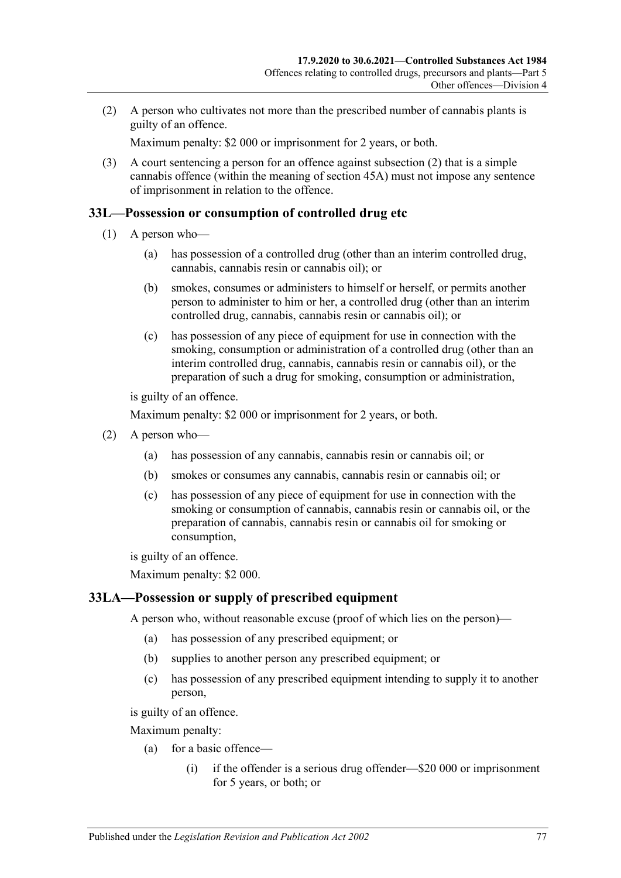<span id="page-76-0"></span>(2) A person who cultivates not more than the prescribed number of cannabis plants is guilty of an offence.

Maximum penalty: \$2 000 or imprisonment for 2 years, or both.

(3) A court sentencing a person for an offence against [subsection](#page-76-0) (2) that is a simple cannabis offence (within the meaning of [section](#page-90-0) 45A) must not impose any sentence of imprisonment in relation to the offence.

#### <span id="page-76-1"></span>**33L—Possession or consumption of controlled drug etc**

- (1) A person who—
	- (a) has possession of a controlled drug (other than an interim controlled drug, cannabis, cannabis resin or cannabis oil); or
	- (b) smokes, consumes or administers to himself or herself, or permits another person to administer to him or her, a controlled drug (other than an interim controlled drug, cannabis, cannabis resin or cannabis oil); or
	- (c) has possession of any piece of equipment for use in connection with the smoking, consumption or administration of a controlled drug (other than an interim controlled drug, cannabis, cannabis resin or cannabis oil), or the preparation of such a drug for smoking, consumption or administration,

is guilty of an offence.

Maximum penalty: \$2 000 or imprisonment for 2 years, or both.

- <span id="page-76-4"></span><span id="page-76-3"></span><span id="page-76-2"></span>(2) A person who—
	- (a) has possession of any cannabis, cannabis resin or cannabis oil; or
	- (b) smokes or consumes any cannabis, cannabis resin or cannabis oil; or
	- (c) has possession of any piece of equipment for use in connection with the smoking or consumption of cannabis, cannabis resin or cannabis oil, or the preparation of cannabis, cannabis resin or cannabis oil for smoking or consumption,

is guilty of an offence.

Maximum penalty: \$2 000.

#### <span id="page-76-5"></span>**33LA—Possession or supply of prescribed equipment**

A person who, without reasonable excuse (proof of which lies on the person)—

- (a) has possession of any prescribed equipment; or
- (b) supplies to another person any prescribed equipment; or
- (c) has possession of any prescribed equipment intending to supply it to another person,

is guilty of an offence.

- (a) for a basic offence—
	- (i) if the offender is a serious drug offender—\$20 000 or imprisonment for 5 years, or both; or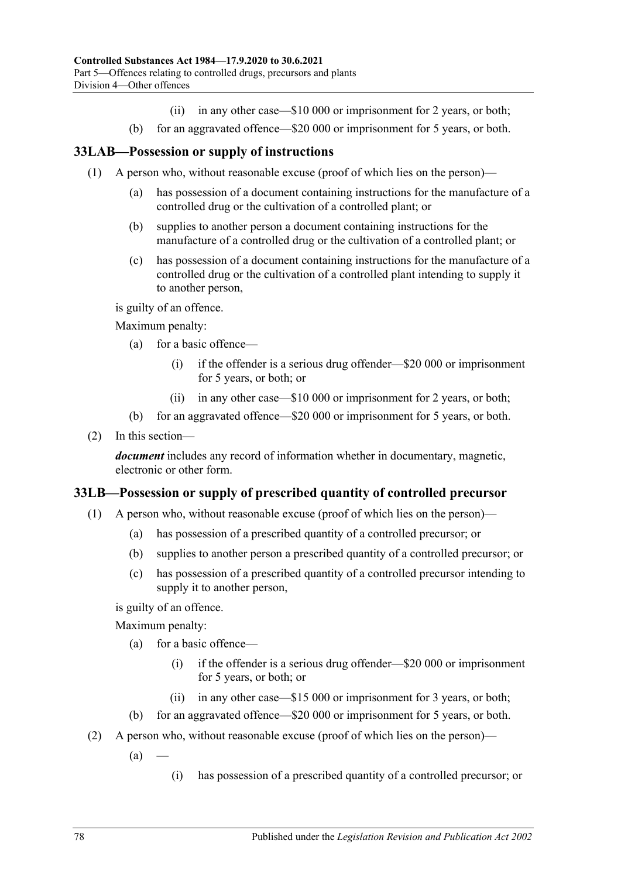- (ii) in any other case—\$10 000 or imprisonment for 2 years, or both;
- (b) for an aggravated offence—\$20 000 or imprisonment for 5 years, or both.

#### **33LAB—Possession or supply of instructions**

- (1) A person who, without reasonable excuse (proof of which lies on the person)—
	- (a) has possession of a document containing instructions for the manufacture of a controlled drug or the cultivation of a controlled plant; or
	- (b) supplies to another person a document containing instructions for the manufacture of a controlled drug or the cultivation of a controlled plant; or
	- (c) has possession of a document containing instructions for the manufacture of a controlled drug or the cultivation of a controlled plant intending to supply it to another person,

is guilty of an offence.

Maximum penalty:

- (a) for a basic offence—
	- (i) if the offender is a serious drug offender—\$20 000 or imprisonment for 5 years, or both; or
	- (ii) in any other case—\$10 000 or imprisonment for 2 years, or both;
- (b) for an aggravated offence—\$20 000 or imprisonment for 5 years, or both.
- (2) In this section—

*document* includes any record of information whether in documentary, magnetic, electronic or other form.

#### <span id="page-77-0"></span>**33LB—Possession or supply of prescribed quantity of controlled precursor**

- (1) A person who, without reasonable excuse (proof of which lies on the person)—
	- (a) has possession of a prescribed quantity of a controlled precursor; or
	- (b) supplies to another person a prescribed quantity of a controlled precursor; or
	- (c) has possession of a prescribed quantity of a controlled precursor intending to supply it to another person,

is guilty of an offence.

- (a) for a basic offence—
	- (i) if the offender is a serious drug offender—\$20 000 or imprisonment for 5 years, or both; or
	- (ii) in any other case—\$15 000 or imprisonment for 3 years, or both;
- (b) for an aggravated offence—\$20 000 or imprisonment for 5 years, or both.
- (2) A person who, without reasonable excuse (proof of which lies on the person)—
	- $(a)$ 
		- (i) has possession of a prescribed quantity of a controlled precursor; or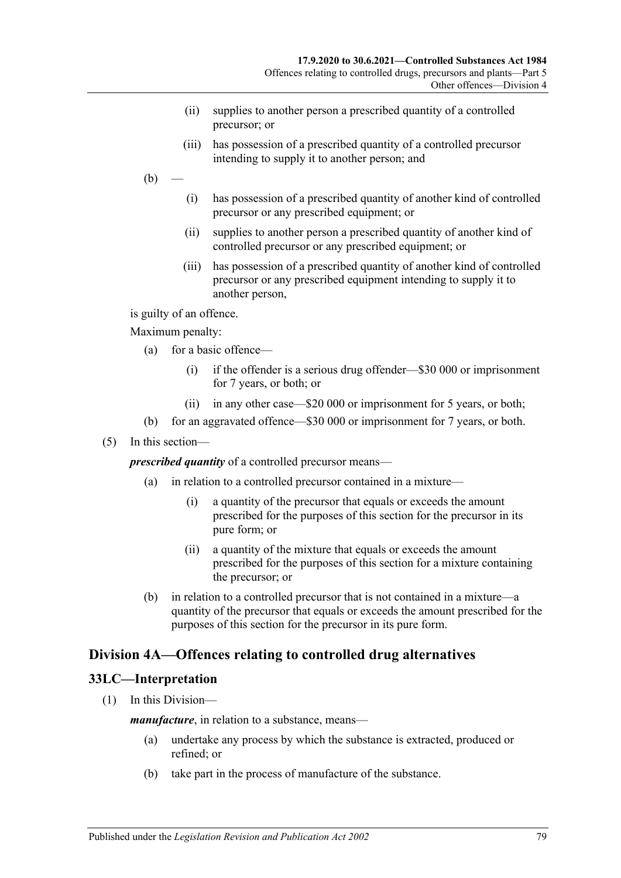- (ii) supplies to another person a prescribed quantity of a controlled precursor; or
- (iii) has possession of a prescribed quantity of a controlled precursor intending to supply it to another person; and
- $(b)$ 
	- (i) has possession of a prescribed quantity of another kind of controlled precursor or any prescribed equipment; or
	- (ii) supplies to another person a prescribed quantity of another kind of controlled precursor or any prescribed equipment; or
	- (iii) has possession of a prescribed quantity of another kind of controlled precursor or any prescribed equipment intending to supply it to another person,

is guilty of an offence.

Maximum penalty:

- (a) for a basic offence—
	- (i) if the offender is a serious drug offender—\$30 000 or imprisonment for 7 years, or both; or
	- (ii) in any other case—\$20 000 or imprisonment for 5 years, or both;
- (b) for an aggravated offence—\$30 000 or imprisonment for 7 years, or both.
- (5) In this section—

*prescribed quantity* of a controlled precursor means—

- (a) in relation to a controlled precursor contained in a mixture—
	- (i) a quantity of the precursor that equals or exceeds the amount prescribed for the purposes of this section for the precursor in its pure form; or
	- (ii) a quantity of the mixture that equals or exceeds the amount prescribed for the purposes of this section for a mixture containing the precursor; or
- (b) in relation to a controlled precursor that is not contained in a mixture—a quantity of the precursor that equals or exceeds the amount prescribed for the purposes of this section for the precursor in its pure form.

# <span id="page-78-0"></span>**Division 4A—Offences relating to controlled drug alternatives**

#### **33LC—Interpretation**

(1) In this Division—

*manufacture*, in relation to a substance, means—

- (a) undertake any process by which the substance is extracted, produced or refined; or
- (b) take part in the process of manufacture of the substance.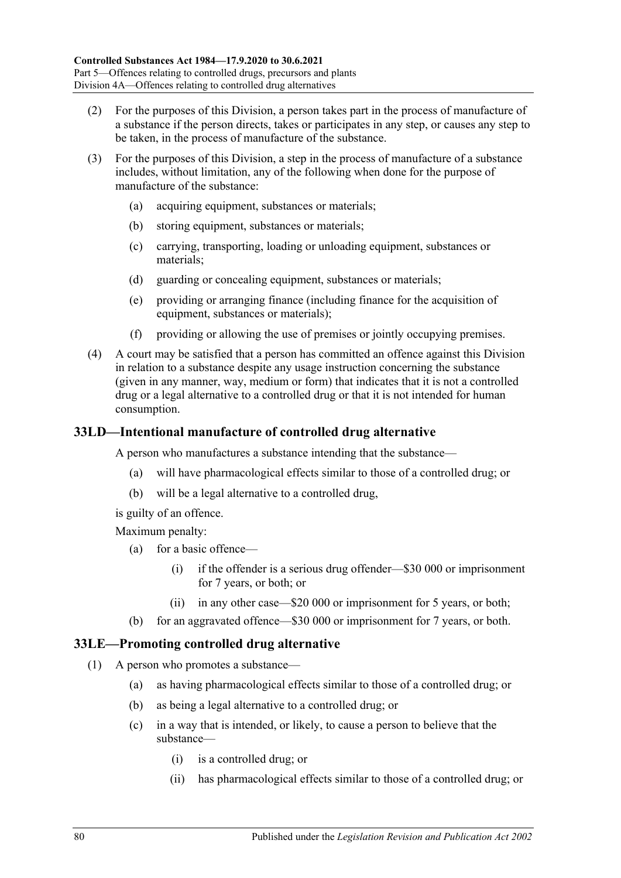- (2) For the purposes of this Division, a person takes part in the process of manufacture of a substance if the person directs, takes or participates in any step, or causes any step to be taken, in the process of manufacture of the substance.
- (3) For the purposes of this Division, a step in the process of manufacture of a substance includes, without limitation, any of the following when done for the purpose of manufacture of the substance:
	- (a) acquiring equipment, substances or materials;
	- (b) storing equipment, substances or materials;
	- (c) carrying, transporting, loading or unloading equipment, substances or materials;
	- (d) guarding or concealing equipment, substances or materials;
	- (e) providing or arranging finance (including finance for the acquisition of equipment, substances or materials);
	- (f) providing or allowing the use of premises or jointly occupying premises.
- (4) A court may be satisfied that a person has committed an offence against this Division in relation to a substance despite any usage instruction concerning the substance (given in any manner, way, medium or form) that indicates that it is not a controlled drug or a legal alternative to a controlled drug or that it is not intended for human consumption.

#### <span id="page-79-2"></span>**33LD—Intentional manufacture of controlled drug alternative**

A person who manufactures a substance intending that the substance—

- (a) will have pharmacological effects similar to those of a controlled drug; or
- (b) will be a legal alternative to a controlled drug,

is guilty of an offence.

Maximum penalty:

- (a) for a basic offence—
	- (i) if the offender is a serious drug offender—\$30 000 or imprisonment for 7 years, or both; or
	- (ii) in any other case—\$20 000 or imprisonment for 5 years, or both;
- (b) for an aggravated offence—\$30 000 or imprisonment for 7 years, or both.

#### <span id="page-79-1"></span><span id="page-79-0"></span>**33LE—Promoting controlled drug alternative**

- (1) A person who promotes a substance—
	- (a) as having pharmacological effects similar to those of a controlled drug; or
	- (b) as being a legal alternative to a controlled drug; or
	- (c) in a way that is intended, or likely, to cause a person to believe that the substance—
		- (i) is a controlled drug; or
		- (ii) has pharmacological effects similar to those of a controlled drug; or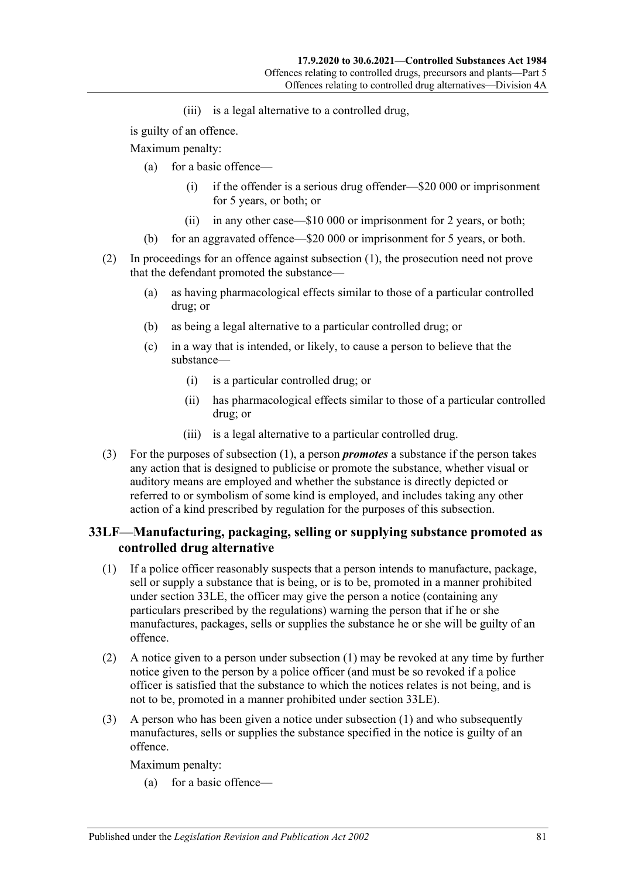(iii) is a legal alternative to a controlled drug,

is guilty of an offence.

Maximum penalty:

- (a) for a basic offence—
	- (i) if the offender is a serious drug offender—\$20 000 or imprisonment for 5 years, or both; or
	- (ii) in any other case—\$10 000 or imprisonment for 2 years, or both;
- (b) for an aggravated offence—\$20 000 or imprisonment for 5 years, or both.
- (2) In proceedings for an offence against [subsection](#page-79-0) (1), the prosecution need not prove that the defendant promoted the substance—
	- (a) as having pharmacological effects similar to those of a particular controlled drug; or
	- (b) as being a legal alternative to a particular controlled drug; or
	- (c) in a way that is intended, or likely, to cause a person to believe that the substance—
		- (i) is a particular controlled drug; or
		- (ii) has pharmacological effects similar to those of a particular controlled drug; or
		- (iii) is a legal alternative to a particular controlled drug.
- (3) For the purposes of [subsection](#page-79-0) (1), a person *promotes* a substance if the person takes any action that is designed to publicise or promote the substance, whether visual or auditory means are employed and whether the substance is directly depicted or referred to or symbolism of some kind is employed, and includes taking any other action of a kind prescribed by regulation for the purposes of this subsection.

#### **33LF—Manufacturing, packaging, selling or supplying substance promoted as controlled drug alternative**

- <span id="page-80-0"></span>(1) If a police officer reasonably suspects that a person intends to manufacture, package, sell or supply a substance that is being, or is to be, promoted in a manner prohibited under [section](#page-79-1) 33LE, the officer may give the person a notice (containing any particulars prescribed by the regulations) warning the person that if he or she manufactures, packages, sells or supplies the substance he or she will be guilty of an offence.
- <span id="page-80-1"></span>(2) A notice given to a person under [subsection](#page-80-0) (1) may be revoked at any time by further notice given to the person by a police officer (and must be so revoked if a police officer is satisfied that the substance to which the notices relates is not being, and is not to be, promoted in a manner prohibited under [section](#page-79-1) 33LE).
- (3) A person who has been given a notice under [subsection](#page-80-0) (1) and who subsequently manufactures, sells or supplies the substance specified in the notice is guilty of an offence.

Maximum penalty:

(a) for a basic offence—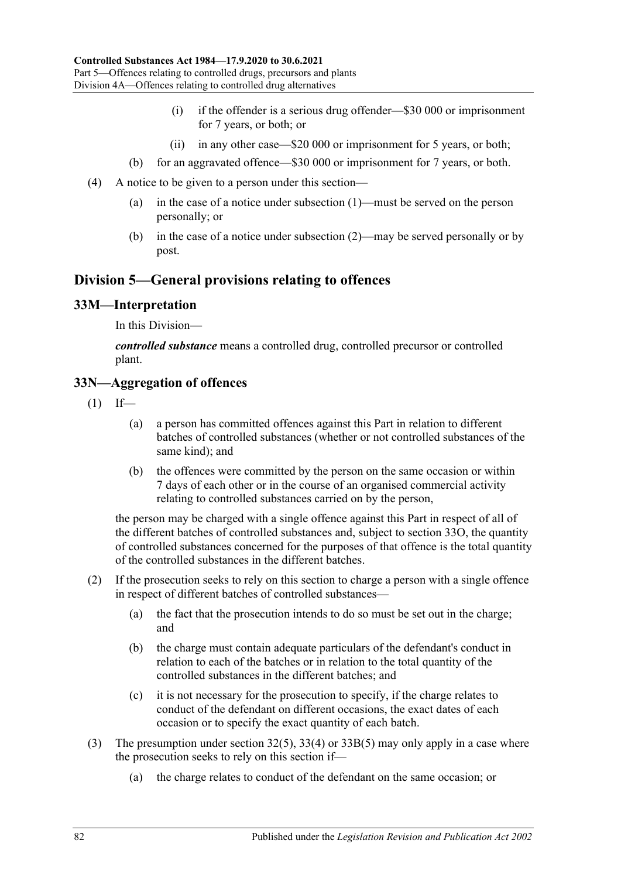- (i) if the offender is a serious drug offender—\$30 000 or imprisonment for 7 years, or both; or
- (ii) in any other case—\$20 000 or imprisonment for 5 years, or both;
- (b) for an aggravated offence—\$30 000 or imprisonment for 7 years, or both.
- (4) A notice to be given to a person under this section—
	- (a) in the case of a notice under [subsection](#page-80-0) (1)—must be served on the person personally; or
	- (b) in the case of a notice under [subsection](#page-80-1) (2)—may be served personally or by post.

# **Division 5—General provisions relating to offences**

#### **33M—Interpretation**

In this Division—

*controlled substance* means a controlled drug, controlled precursor or controlled plant.

#### **33N—Aggregation of offences**

- $(1)$  If—
	- (a) a person has committed offences against this Part in relation to different batches of controlled substances (whether or not controlled substances of the same kind); and
	- (b) the offences were committed by the person on the same occasion or within 7 days of each other or in the course of an organised commercial activity relating to controlled substances carried on by the person,

the person may be charged with a single offence against this Part in respect of all of the different batches of controlled substances and, subject to [section](#page-82-0) 33O, the quantity of controlled substances concerned for the purposes of that offence is the total quantity of the controlled substances in the different batches.

- (2) If the prosecution seeks to rely on this section to charge a person with a single offence in respect of different batches of controlled substances—
	- (a) the fact that the prosecution intends to do so must be set out in the charge; and
	- (b) the charge must contain adequate particulars of the defendant's conduct in relation to each of the batches or in relation to the total quantity of the controlled substances in the different batches; and
	- (c) it is not necessary for the prosecution to specify, if the charge relates to conduct of the defendant on different occasions, the exact dates of each occasion or to specify the exact quantity of each batch.
- (3) The presumption under [section](#page-66-0) 32(5), [33\(4\)](#page-68-0) or [33B\(5\)](#page-70-0) may only apply in a case where the prosecution seeks to rely on this section if—
	- (a) the charge relates to conduct of the defendant on the same occasion; or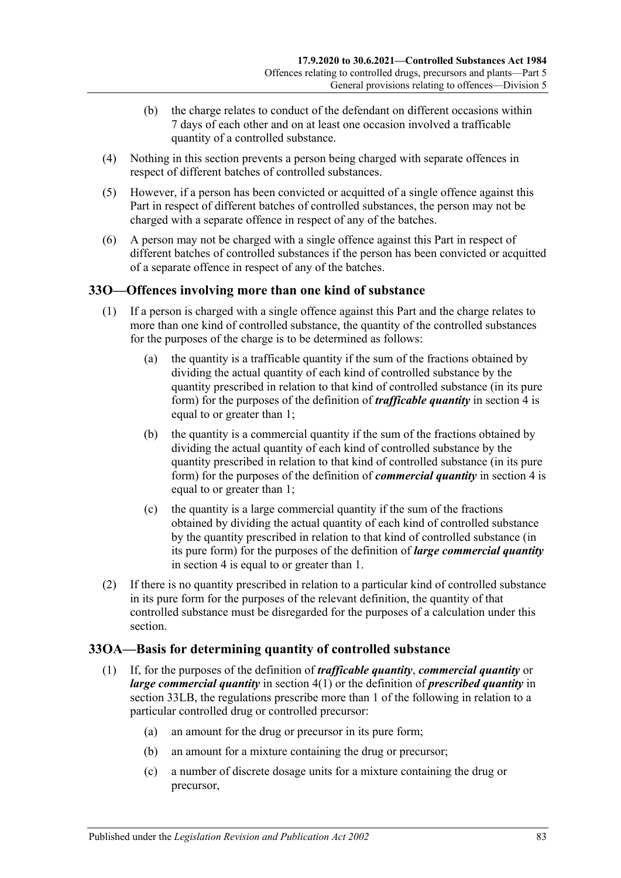- (b) the charge relates to conduct of the defendant on different occasions within 7 days of each other and on at least one occasion involved a trafficable quantity of a controlled substance.
- (4) Nothing in this section prevents a person being charged with separate offences in respect of different batches of controlled substances.
- (5) However, if a person has been convicted or acquitted of a single offence against this Part in respect of different batches of controlled substances, the person may not be charged with a separate offence in respect of any of the batches.
- (6) A person may not be charged with a single offence against this Part in respect of different batches of controlled substances if the person has been convicted or acquitted of a separate offence in respect of any of the batches.

# <span id="page-82-0"></span>**33O—Offences involving more than one kind of substance**

- (1) If a person is charged with a single offence against this Part and the charge relates to more than one kind of controlled substance, the quantity of the controlled substances for the purposes of the charge is to be determined as follows:
	- (a) the quantity is a trafficable quantity if the sum of the fractions obtained by dividing the actual quantity of each kind of controlled substance by the quantity prescribed in relation to that kind of controlled substance (in its pure form) for the purposes of the definition of *trafficable quantity* in [section](#page-5-0) 4 is equal to or greater than 1;
	- (b) the quantity is a commercial quantity if the sum of the fractions obtained by dividing the actual quantity of each kind of controlled substance by the quantity prescribed in relation to that kind of controlled substance (in its pure form) for the purposes of the definition of *commercial quantity* in [section](#page-5-0) 4 is equal to or greater than 1;
	- (c) the quantity is a large commercial quantity if the sum of the fractions obtained by dividing the actual quantity of each kind of controlled substance by the quantity prescribed in relation to that kind of controlled substance (in its pure form) for the purposes of the definition of *large commercial quantity* in [section](#page-5-0) 4 is equal to or greater than 1.
- (2) If there is no quantity prescribed in relation to a particular kind of controlled substance in its pure form for the purposes of the relevant definition, the quantity of that controlled substance must be disregarded for the purposes of a calculation under this section.

# **33OA—Basis for determining quantity of controlled substance**

- (1) If, for the purposes of the definition of *trafficable quantity*, *commercial quantity* or *large commercial quantity* in [section](#page-5-1) 4(1) or the definition of *prescribed quantity* in [section](#page-77-0) 33LB, the regulations prescribe more than 1 of the following in relation to a particular controlled drug or controlled precursor:
	- (a) an amount for the drug or precursor in its pure form;
	- (b) an amount for a mixture containing the drug or precursor;
	- (c) a number of discrete dosage units for a mixture containing the drug or precursor,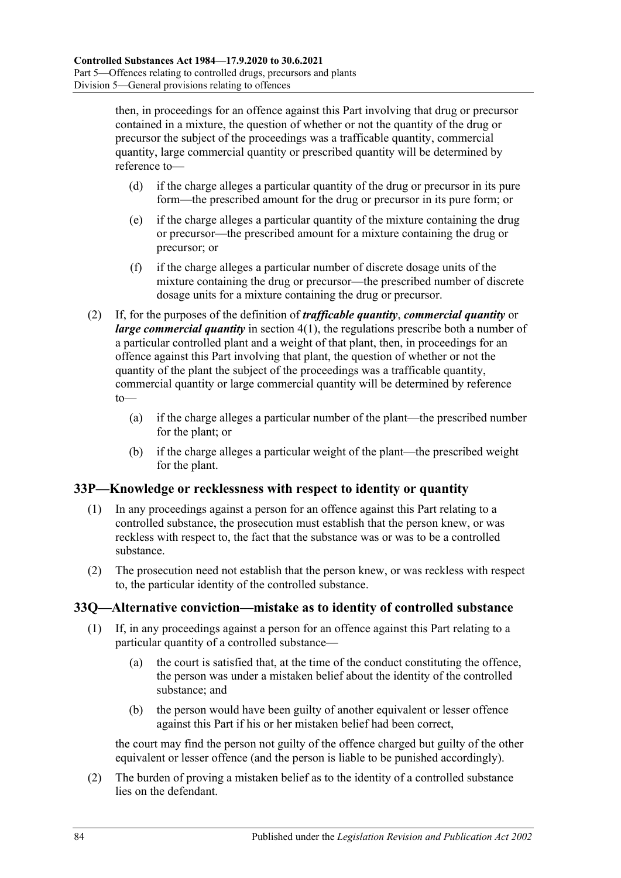then, in proceedings for an offence against this Part involving that drug or precursor contained in a mixture, the question of whether or not the quantity of the drug or precursor the subject of the proceedings was a trafficable quantity, commercial quantity, large commercial quantity or prescribed quantity will be determined by reference to—

- (d) if the charge alleges a particular quantity of the drug or precursor in its pure form—the prescribed amount for the drug or precursor in its pure form; or
- (e) if the charge alleges a particular quantity of the mixture containing the drug or precursor—the prescribed amount for a mixture containing the drug or precursor; or
- (f) if the charge alleges a particular number of discrete dosage units of the mixture containing the drug or precursor—the prescribed number of discrete dosage units for a mixture containing the drug or precursor.
- (2) If, for the purposes of the definition of *trafficable quantity*, *commercial quantity* or *large commercial quantity* in [section](#page-5-1) 4(1), the regulations prescribe both a number of a particular controlled plant and a weight of that plant, then, in proceedings for an offence against this Part involving that plant, the question of whether or not the quantity of the plant the subject of the proceedings was a trafficable quantity, commercial quantity or large commercial quantity will be determined by reference to—
	- (a) if the charge alleges a particular number of the plant—the prescribed number for the plant; or
	- (b) if the charge alleges a particular weight of the plant—the prescribed weight for the plant.

#### **33P—Knowledge or recklessness with respect to identity or quantity**

- (1) In any proceedings against a person for an offence against this Part relating to a controlled substance, the prosecution must establish that the person knew, or was reckless with respect to, the fact that the substance was or was to be a controlled substance.
- (2) The prosecution need not establish that the person knew, or was reckless with respect to, the particular identity of the controlled substance.

#### **33Q—Alternative conviction—mistake as to identity of controlled substance**

- (1) If, in any proceedings against a person for an offence against this Part relating to a particular quantity of a controlled substance—
	- (a) the court is satisfied that, at the time of the conduct constituting the offence, the person was under a mistaken belief about the identity of the controlled substance; and
	- (b) the person would have been guilty of another equivalent or lesser offence against this Part if his or her mistaken belief had been correct,

the court may find the person not guilty of the offence charged but guilty of the other equivalent or lesser offence (and the person is liable to be punished accordingly).

(2) The burden of proving a mistaken belief as to the identity of a controlled substance lies on the defendant.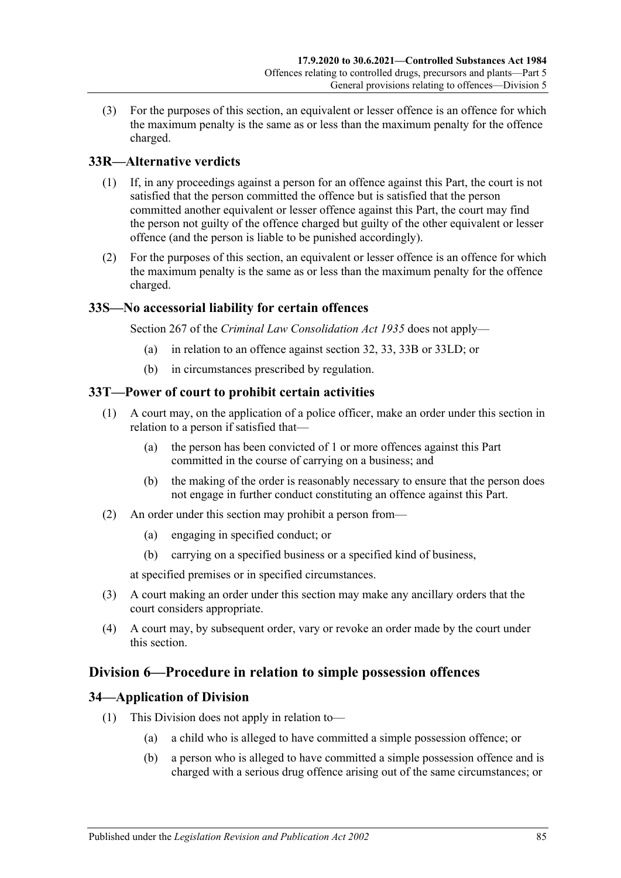(3) For the purposes of this section, an equivalent or lesser offence is an offence for which the maximum penalty is the same as or less than the maximum penalty for the offence charged.

# **33R—Alternative verdicts**

- (1) If, in any proceedings against a person for an offence against this Part, the court is not satisfied that the person committed the offence but is satisfied that the person committed another equivalent or lesser offence against this Part, the court may find the person not guilty of the offence charged but guilty of the other equivalent or lesser offence (and the person is liable to be punished accordingly).
- (2) For the purposes of this section, an equivalent or lesser offence is an offence for which the maximum penalty is the same as or less than the maximum penalty for the offence charged.

#### **33S—No accessorial liability for certain offences**

Section 267 of the *[Criminal Law Consolidation Act](http://www.legislation.sa.gov.au/index.aspx?action=legref&type=act&legtitle=Criminal%20Law%20Consolidation%20Act%201935) 1935* does not apply—

- (a) in relation to an offence against [section](#page-65-0) 32, [33,](#page-67-0) [33B](#page-70-1) or [33LD;](#page-79-2) or
- (b) in circumstances prescribed by regulation.

#### **33T—Power of court to prohibit certain activities**

- (1) A court may, on the application of a police officer, make an order under this section in relation to a person if satisfied that—
	- (a) the person has been convicted of 1 or more offences against this Part committed in the course of carrying on a business; and
	- (b) the making of the order is reasonably necessary to ensure that the person does not engage in further conduct constituting an offence against this Part.
- (2) An order under this section may prohibit a person from—
	- (a) engaging in specified conduct; or
	- (b) carrying on a specified business or a specified kind of business,

at specified premises or in specified circumstances.

- (3) A court making an order under this section may make any ancillary orders that the court considers appropriate.
- (4) A court may, by subsequent order, vary or revoke an order made by the court under this section.

### **Division 6—Procedure in relation to simple possession offences**

#### **34—Application of Division**

- (1) This Division does not apply in relation to—
	- (a) a child who is alleged to have committed a simple possession offence; or
	- (b) a person who is alleged to have committed a simple possession offence and is charged with a serious drug offence arising out of the same circumstances; or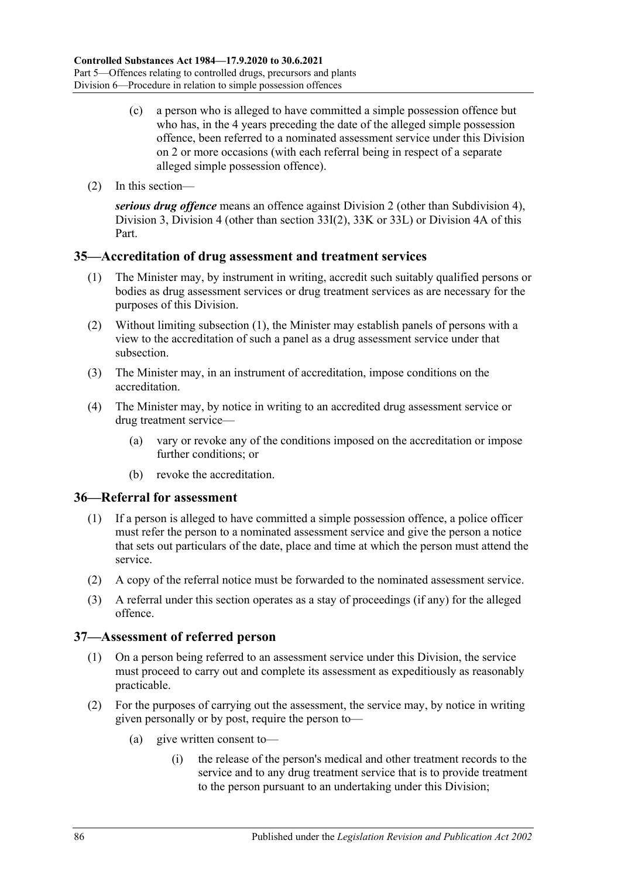- (c) a person who is alleged to have committed a simple possession offence but who has, in the 4 years preceding the date of the alleged simple possession offence, been referred to a nominated assessment service under this Division on 2 or more occasions (with each referral being in respect of a separate alleged simple possession offence).
- (2) In this section—

*serious drug offence* means an offence against [Division 2](#page-65-1) (other than [Subdivision 4\)](#page-72-0), [Division 3,](#page-72-1) [Division 4](#page-74-0) (other than [section](#page-74-1) 33I(2), [33K](#page-75-0) or [33L\)](#page-76-1) or [Division 4A](#page-78-0) of this Part.

#### <span id="page-85-0"></span>**35—Accreditation of drug assessment and treatment services**

- (1) The Minister may, by instrument in writing, accredit such suitably qualified persons or bodies as drug assessment services or drug treatment services as are necessary for the purposes of this Division.
- (2) Without limiting [subsection](#page-85-0) (1), the Minister may establish panels of persons with a view to the accreditation of such a panel as a drug assessment service under that subsection.
- (3) The Minister may, in an instrument of accreditation, impose conditions on the accreditation.
- (4) The Minister may, by notice in writing to an accredited drug assessment service or drug treatment service—
	- (a) vary or revoke any of the conditions imposed on the accreditation or impose further conditions; or
	- (b) revoke the accreditation.

#### **36—Referral for assessment**

- (1) If a person is alleged to have committed a simple possession offence, a police officer must refer the person to a nominated assessment service and give the person a notice that sets out particulars of the date, place and time at which the person must attend the service.
- (2) A copy of the referral notice must be forwarded to the nominated assessment service.
- (3) A referral under this section operates as a stay of proceedings (if any) for the alleged offence.

#### **37—Assessment of referred person**

- (1) On a person being referred to an assessment service under this Division, the service must proceed to carry out and complete its assessment as expeditiously as reasonably practicable.
- (2) For the purposes of carrying out the assessment, the service may, by notice in writing given personally or by post, require the person to—
	- (a) give written consent to—
		- (i) the release of the person's medical and other treatment records to the service and to any drug treatment service that is to provide treatment to the person pursuant to an undertaking under this Division;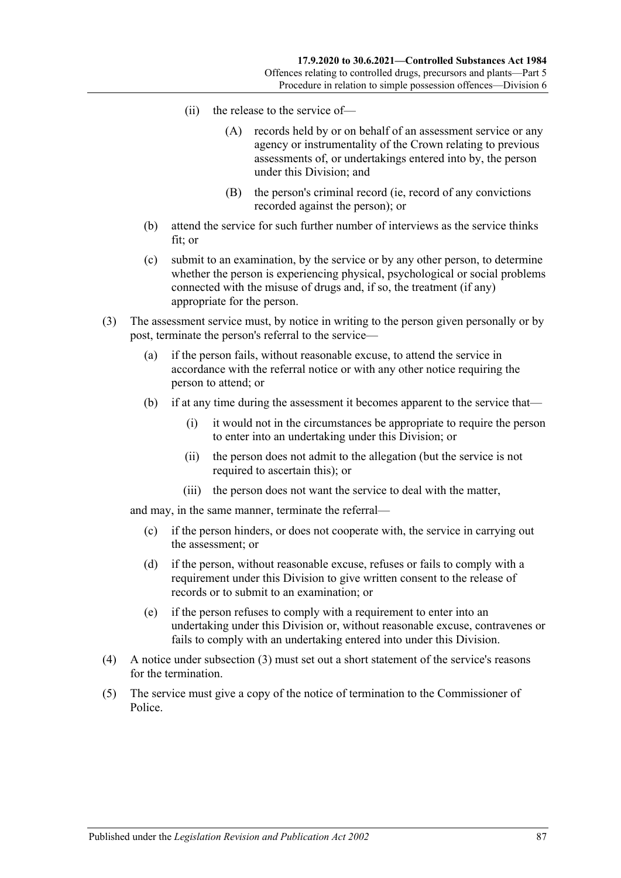- (ii) the release to the service of—
	- (A) records held by or on behalf of an assessment service or any agency or instrumentality of the Crown relating to previous assessments of, or undertakings entered into by, the person under this Division; and
	- (B) the person's criminal record (ie, record of any convictions recorded against the person); or
- (b) attend the service for such further number of interviews as the service thinks fit; or
- (c) submit to an examination, by the service or by any other person, to determine whether the person is experiencing physical, psychological or social problems connected with the misuse of drugs and, if so, the treatment (if any) appropriate for the person.
- <span id="page-86-0"></span>(3) The assessment service must, by notice in writing to the person given personally or by post, terminate the person's referral to the service—
	- (a) if the person fails, without reasonable excuse, to attend the service in accordance with the referral notice or with any other notice requiring the person to attend; or
	- (b) if at any time during the assessment it becomes apparent to the service that—
		- (i) it would not in the circumstances be appropriate to require the person to enter into an undertaking under this Division; or
		- (ii) the person does not admit to the allegation (but the service is not required to ascertain this); or
		- (iii) the person does not want the service to deal with the matter,

and may, in the same manner, terminate the referral—

- (c) if the person hinders, or does not cooperate with, the service in carrying out the assessment; or
- (d) if the person, without reasonable excuse, refuses or fails to comply with a requirement under this Division to give written consent to the release of records or to submit to an examination; or
- (e) if the person refuses to comply with a requirement to enter into an undertaking under this Division or, without reasonable excuse, contravenes or fails to comply with an undertaking entered into under this Division.
- (4) A notice under [subsection](#page-86-0) (3) must set out a short statement of the service's reasons for the termination.
- (5) The service must give a copy of the notice of termination to the Commissioner of Police.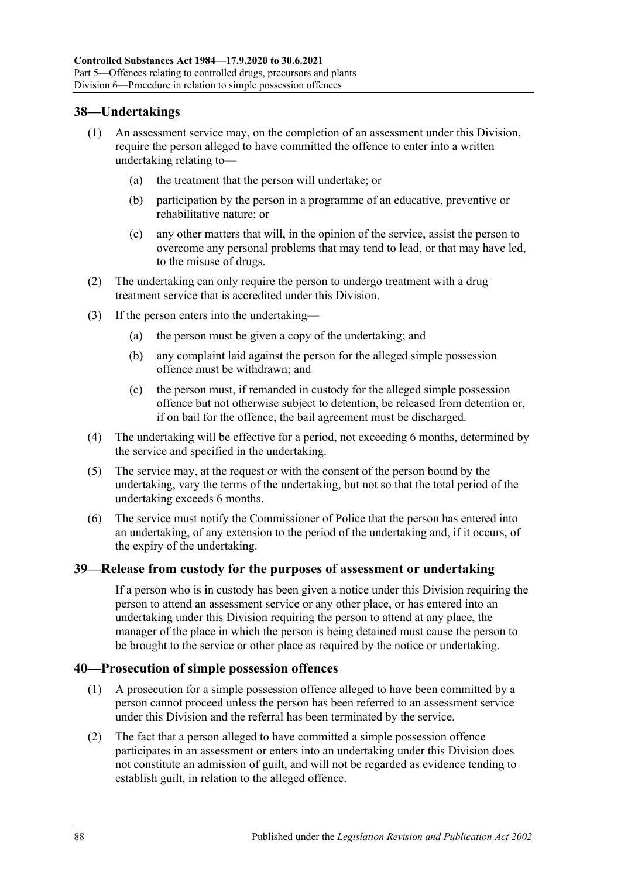## **38—Undertakings**

- (1) An assessment service may, on the completion of an assessment under this Division, require the person alleged to have committed the offence to enter into a written undertaking relating to—
	- (a) the treatment that the person will undertake; or
	- (b) participation by the person in a programme of an educative, preventive or rehabilitative nature; or
	- (c) any other matters that will, in the opinion of the service, assist the person to overcome any personal problems that may tend to lead, or that may have led, to the misuse of drugs.
- (2) The undertaking can only require the person to undergo treatment with a drug treatment service that is accredited under this Division.
- (3) If the person enters into the undertaking—
	- (a) the person must be given a copy of the undertaking; and
	- (b) any complaint laid against the person for the alleged simple possession offence must be withdrawn; and
	- (c) the person must, if remanded in custody for the alleged simple possession offence but not otherwise subject to detention, be released from detention or, if on bail for the offence, the bail agreement must be discharged.
- (4) The undertaking will be effective for a period, not exceeding 6 months, determined by the service and specified in the undertaking.
- (5) The service may, at the request or with the consent of the person bound by the undertaking, vary the terms of the undertaking, but not so that the total period of the undertaking exceeds 6 months.
- (6) The service must notify the Commissioner of Police that the person has entered into an undertaking, of any extension to the period of the undertaking and, if it occurs, of the expiry of the undertaking.

#### **39—Release from custody for the purposes of assessment or undertaking**

If a person who is in custody has been given a notice under this Division requiring the person to attend an assessment service or any other place, or has entered into an undertaking under this Division requiring the person to attend at any place, the manager of the place in which the person is being detained must cause the person to be brought to the service or other place as required by the notice or undertaking.

#### **40—Prosecution of simple possession offences**

- (1) A prosecution for a simple possession offence alleged to have been committed by a person cannot proceed unless the person has been referred to an assessment service under this Division and the referral has been terminated by the service.
- (2) The fact that a person alleged to have committed a simple possession offence participates in an assessment or enters into an undertaking under this Division does not constitute an admission of guilt, and will not be regarded as evidence tending to establish guilt, in relation to the alleged offence.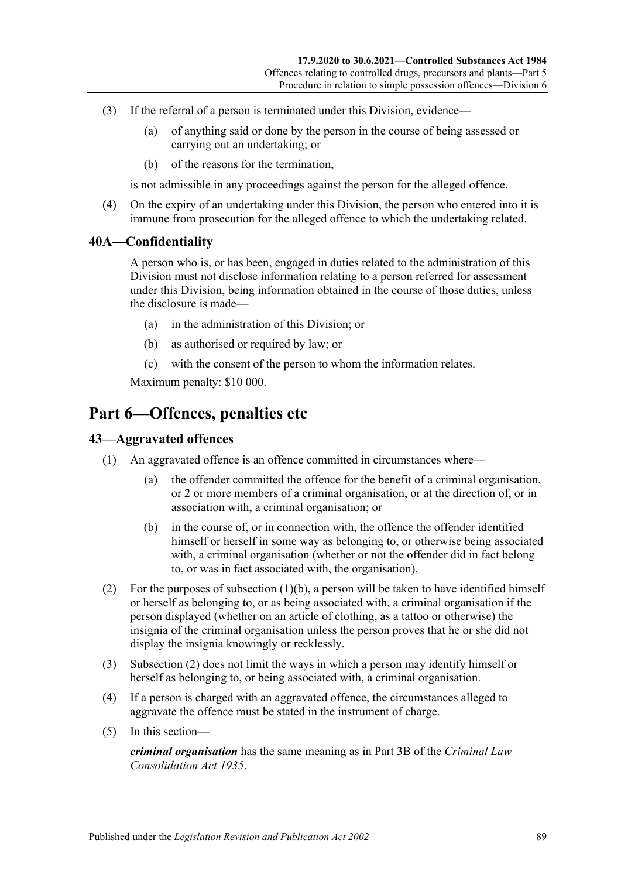- (3) If the referral of a person is terminated under this Division, evidence—
	- (a) of anything said or done by the person in the course of being assessed or carrying out an undertaking; or
	- (b) of the reasons for the termination,

is not admissible in any proceedings against the person for the alleged offence.

(4) On the expiry of an undertaking under this Division, the person who entered into it is immune from prosecution for the alleged offence to which the undertaking related.

#### **40A—Confidentiality**

A person who is, or has been, engaged in duties related to the administration of this Division must not disclose information relating to a person referred for assessment under this Division, being information obtained in the course of those duties, unless the disclosure is made—

- (a) in the administration of this Division; or
- (b) as authorised or required by law; or
- (c) with the consent of the person to whom the information relates.

Maximum penalty: \$10 000.

# **Part 6—Offences, penalties etc**

#### **43—Aggravated offences**

- <span id="page-88-0"></span>(1) An aggravated offence is an offence committed in circumstances where—
	- (a) the offender committed the offence for the benefit of a criminal organisation, or 2 or more members of a criminal organisation, or at the direction of, or in association with, a criminal organisation; or
	- (b) in the course of, or in connection with, the offence the offender identified himself or herself in some way as belonging to, or otherwise being associated with, a criminal organisation (whether or not the offender did in fact belong to, or was in fact associated with, the organisation).
- <span id="page-88-1"></span>(2) For the purposes of [subsection](#page-88-0)  $(1)(b)$ , a person will be taken to have identified himself or herself as belonging to, or as being associated with, a criminal organisation if the person displayed (whether on an article of clothing, as a tattoo or otherwise) the insignia of the criminal organisation unless the person proves that he or she did not display the insignia knowingly or recklessly.
- (3) [Subsection](#page-88-1) (2) does not limit the ways in which a person may identify himself or herself as belonging to, or being associated with, a criminal organisation.
- (4) If a person is charged with an aggravated offence, the circumstances alleged to aggravate the offence must be stated in the instrument of charge.
- (5) In this section—

*criminal organisation* has the same meaning as in Part 3B of the *[Criminal Law](http://www.legislation.sa.gov.au/index.aspx?action=legref&type=act&legtitle=Criminal%20Law%20Consolidation%20Act%201935)  [Consolidation Act](http://www.legislation.sa.gov.au/index.aspx?action=legref&type=act&legtitle=Criminal%20Law%20Consolidation%20Act%201935) 1935*.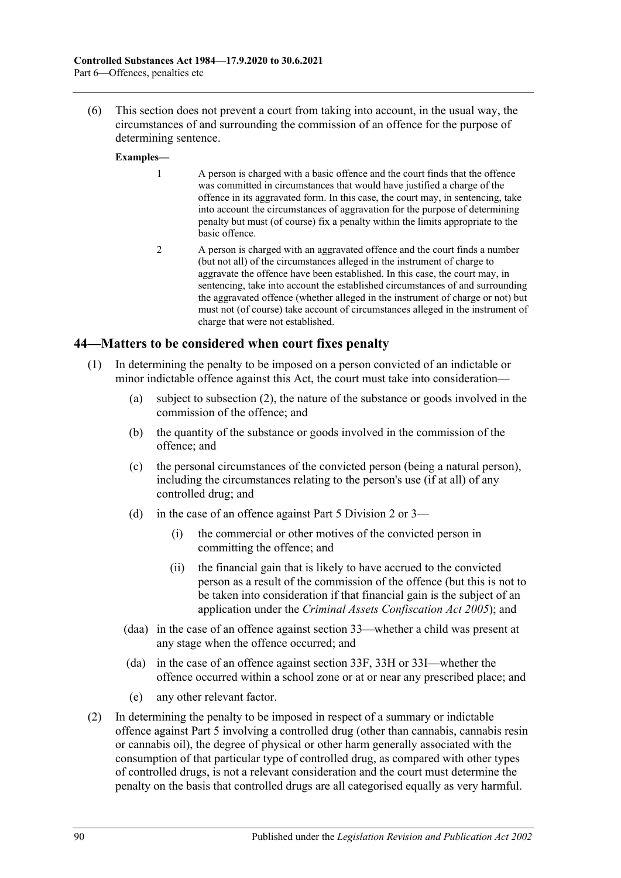(6) This section does not prevent a court from taking into account, in the usual way, the circumstances of and surrounding the commission of an offence for the purpose of determining sentence.

#### **Examples—**

- 1 A person is charged with a basic offence and the court finds that the offence was committed in circumstances that would have justified a charge of the offence in its aggravated form. In this case, the court may, in sentencing, take into account the circumstances of aggravation for the purpose of determining penalty but must (of course) fix a penalty within the limits appropriate to the basic offence.
- 2 A person is charged with an aggravated offence and the court finds a number (but not all) of the circumstances alleged in the instrument of charge to aggravate the offence have been established. In this case, the court may, in sentencing, take into account the established circumstances of and surrounding the aggravated offence (whether alleged in the instrument of charge or not) but must not (of course) take account of circumstances alleged in the instrument of charge that were not established.

#### **44—Matters to be considered when court fixes penalty**

- (1) In determining the penalty to be imposed on a person convicted of an indictable or minor indictable offence against this Act, the court must take into consideration—
	- (a) subject to [subsection](#page-89-0) (2), the nature of the substance or goods involved in the commission of the offence; and
	- (b) the quantity of the substance or goods involved in the commission of the offence; and
	- (c) the personal circumstances of the convicted person (being a natural person), including the circumstances relating to the person's use (if at all) of any controlled drug; and
	- (d) in the case of an offence against Part 5 [Division 2](#page-65-1) or [3—](#page-72-1)
		- (i) the commercial or other motives of the convicted person in committing the offence; and
		- (ii) the financial gain that is likely to have accrued to the convicted person as a result of the commission of the offence (but this is not to be taken into consideration if that financial gain is the subject of an application under the *[Criminal Assets Confiscation Act](http://www.legislation.sa.gov.au/index.aspx?action=legref&type=act&legtitle=Criminal%20Assets%20Confiscation%20Act%202005) 2005*); and
	- (daa) in the case of an offence against section 33—whether a child was present at any stage when the offence occurred; and
	- (da) in the case of an offence against [section](#page-73-1) 33F, [33H](#page-74-2) or [33I—](#page-74-3)whether the offence occurred within a school zone or at or near any prescribed place; and
	- (e) any other relevant factor.
- <span id="page-89-0"></span>(2) In determining the penalty to be imposed in respect of a summary or indictable offence against [Part 5](#page-63-0) involving a controlled drug (other than cannabis, cannabis resin or cannabis oil), the degree of physical or other harm generally associated with the consumption of that particular type of controlled drug, as compared with other types of controlled drugs, is not a relevant consideration and the court must determine the penalty on the basis that controlled drugs are all categorised equally as very harmful.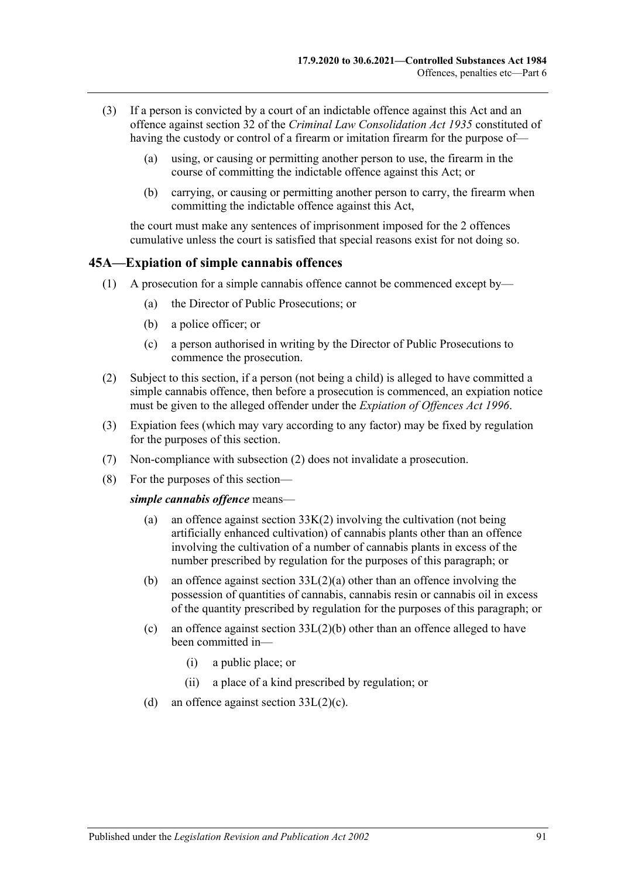- (3) If a person is convicted by a court of an indictable offence against this Act and an offence against section 32 of the *[Criminal Law Consolidation Act](http://www.legislation.sa.gov.au/index.aspx?action=legref&type=act&legtitle=Criminal%20Law%20Consolidation%20Act%201935) 1935* constituted of having the custody or control of a firearm or imitation firearm for the purpose of—
	- (a) using, or causing or permitting another person to use, the firearm in the course of committing the indictable offence against this Act; or
	- (b) carrying, or causing or permitting another person to carry, the firearm when committing the indictable offence against this Act,

the court must make any sentences of imprisonment imposed for the 2 offences cumulative unless the court is satisfied that special reasons exist for not doing so.

#### <span id="page-90-0"></span>**45A—Expiation of simple cannabis offences**

- (1) A prosecution for a simple cannabis offence cannot be commenced except by—
	- (a) the Director of Public Prosecutions; or
	- (b) a police officer; or
	- (c) a person authorised in writing by the Director of Public Prosecutions to commence the prosecution.
- <span id="page-90-1"></span>(2) Subject to this section, if a person (not being a child) is alleged to have committed a simple cannabis offence, then before a prosecution is commenced, an expiation notice must be given to the alleged offender under the *[Expiation of Offences Act](http://www.legislation.sa.gov.au/index.aspx?action=legref&type=act&legtitle=Expiation%20of%20Offences%20Act%201996) 1996*.
- (3) Expiation fees (which may vary according to any factor) may be fixed by regulation for the purposes of this section.
- (7) Non-compliance with [subsection](#page-90-1) (2) does not invalidate a prosecution.
- (8) For the purposes of this section—

#### *simple cannabis offence* means—

- (a) an offence against [section](#page-76-0) 33K(2) involving the cultivation (not being artificially enhanced cultivation) of cannabis plants other than an offence involving the cultivation of a number of cannabis plants in excess of the number prescribed by regulation for the purposes of this paragraph; or
- (b) an offence against section [33L\(2\)\(a\)](#page-76-2) other than an offence involving the possession of quantities of cannabis, cannabis resin or cannabis oil in excess of the quantity prescribed by regulation for the purposes of this paragraph; or
- (c) an offence against section [33L\(2\)\(b\)](#page-76-3) other than an offence alleged to have been committed in—
	- (i) a public place; or
	- (ii) a place of a kind prescribed by regulation; or
- (d) an offence against section [33L\(2\)\(c\).](#page-76-4)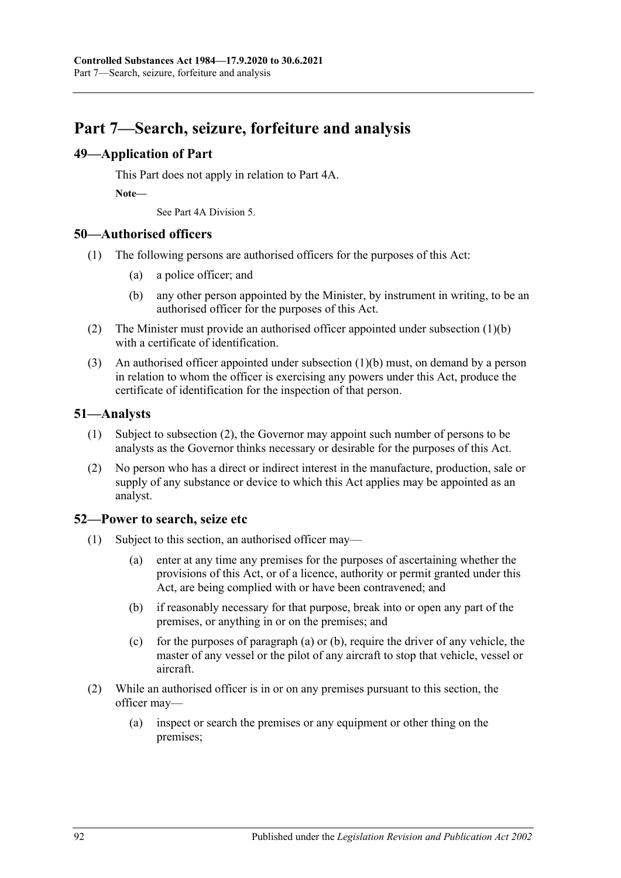# **Part 7—Search, seizure, forfeiture and analysis**

# **49—Application of Part**

This Part does not apply in relation to [Part 4A.](#page-31-0)

**Note—**

See [Part 4A Division](#page-47-0) 5.

#### **50—Authorised officers**

- <span id="page-91-0"></span>(1) The following persons are authorised officers for the purposes of this Act:
	- (a) a police officer; and
	- (b) any other person appointed by the Minister, by instrument in writing, to be an authorised officer for the purposes of this Act.
- (2) The Minister must provide an authorised officer appointed under [subsection](#page-91-0) (1)(b) with a certificate of identification.
- (3) An authorised officer appointed under [subsection](#page-91-0) (1)(b) must, on demand by a person in relation to whom the officer is exercising any powers under this Act, produce the certificate of identification for the inspection of that person.

#### **51—Analysts**

- (1) Subject to [subsection](#page-91-1) (2), the Governor may appoint such number of persons to be analysts as the Governor thinks necessary or desirable for the purposes of this Act.
- <span id="page-91-1"></span>(2) No person who has a direct or indirect interest in the manufacture, production, sale or supply of any substance or device to which this Act applies may be appointed as an analyst.

#### <span id="page-91-4"></span>**52—Power to search, seize etc**

- <span id="page-91-3"></span><span id="page-91-2"></span>(1) Subject to this section, an authorised officer may—
	- (a) enter at any time any premises for the purposes of ascertaining whether the provisions of this Act, or of a licence, authority or permit granted under this Act, are being complied with or have been contravened; and
	- (b) if reasonably necessary for that purpose, break into or open any part of the premises, or anything in or on the premises; and
	- (c) for the purposes of [paragraph](#page-91-2) (a) or [\(b\),](#page-91-3) require the driver of any vehicle, the master of any vessel or the pilot of any aircraft to stop that vehicle, vessel or aircraft.
- (2) While an authorised officer is in or on any premises pursuant to this section, the officer may—
	- (a) inspect or search the premises or any equipment or other thing on the premises;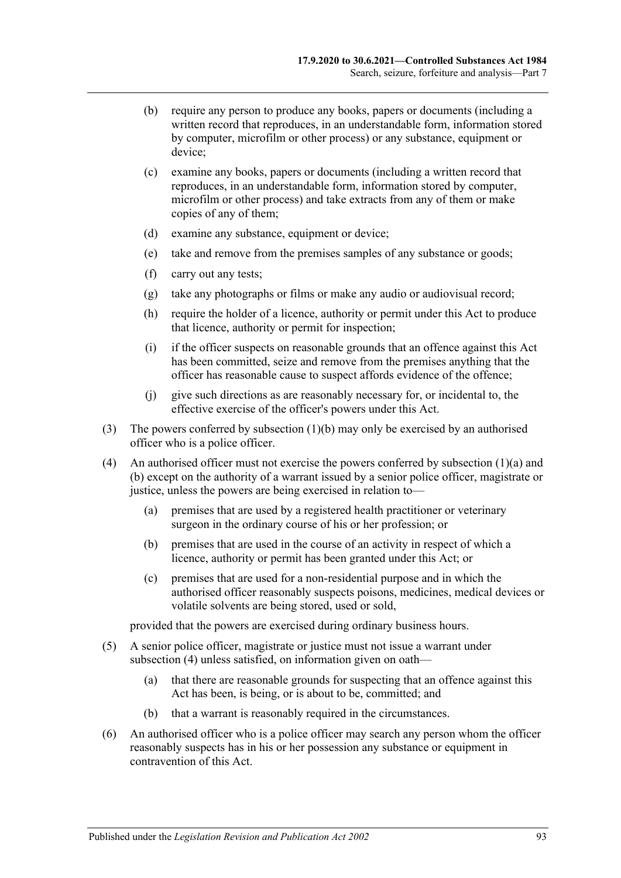- (b) require any person to produce any books, papers or documents (including a written record that reproduces, in an understandable form, information stored by computer, microfilm or other process) or any substance, equipment or device;
- (c) examine any books, papers or documents (including a written record that reproduces, in an understandable form, information stored by computer, microfilm or other process) and take extracts from any of them or make copies of any of them;
- (d) examine any substance, equipment or device;
- (e) take and remove from the premises samples of any substance or goods;
- (f) carry out any tests;
- (g) take any photographs or films or make any audio or audiovisual record;
- (h) require the holder of a licence, authority or permit under this Act to produce that licence, authority or permit for inspection;
- (i) if the officer suspects on reasonable grounds that an offence against this Act has been committed, seize and remove from the premises anything that the officer has reasonable cause to suspect affords evidence of the offence;
- (j) give such directions as are reasonably necessary for, or incidental to, the effective exercise of the officer's powers under this Act.
- (3) The powers conferred by [subsection](#page-91-3) (1)(b) may only be exercised by an authorised officer who is a police officer.
- <span id="page-92-0"></span>(4) An authorised officer must not exercise the powers conferred by [subsection](#page-91-2)  $(1)(a)$  and [\(b\)](#page-91-3) except on the authority of a warrant issued by a senior police officer, magistrate or justice, unless the powers are being exercised in relation to—
	- (a) premises that are used by a registered health practitioner or veterinary surgeon in the ordinary course of his or her profession; or
	- (b) premises that are used in the course of an activity in respect of which a licence, authority or permit has been granted under this Act; or
	- (c) premises that are used for a non-residential purpose and in which the authorised officer reasonably suspects poisons, medicines, medical devices or volatile solvents are being stored, used or sold,

provided that the powers are exercised during ordinary business hours.

- (5) A senior police officer, magistrate or justice must not issue a warrant under [subsection](#page-92-0) (4) unless satisfied, on information given on oath—
	- (a) that there are reasonable grounds for suspecting that an offence against this Act has been, is being, or is about to be, committed; and
	- (b) that a warrant is reasonably required in the circumstances.
- (6) An authorised officer who is a police officer may search any person whom the officer reasonably suspects has in his or her possession any substance or equipment in contravention of this Act.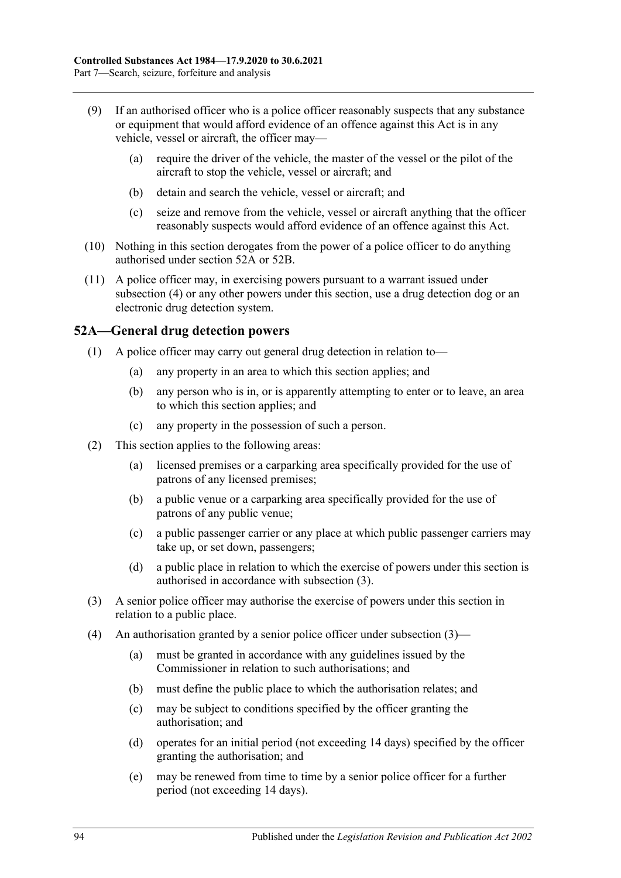- (9) If an authorised officer who is a police officer reasonably suspects that any substance or equipment that would afford evidence of an offence against this Act is in any vehicle, vessel or aircraft, the officer may—
	- (a) require the driver of the vehicle, the master of the vessel or the pilot of the aircraft to stop the vehicle, vessel or aircraft; and
	- (b) detain and search the vehicle, vessel or aircraft; and
	- (c) seize and remove from the vehicle, vessel or aircraft anything that the officer reasonably suspects would afford evidence of an offence against this Act.
- (10) Nothing in this section derogates from the power of a police officer to do anything authorised under [section](#page-93-0) 52A or [52B.](#page-94-0)
- (11) A police officer may, in exercising powers pursuant to a warrant issued under [subsection](#page-92-0) (4) or any other powers under this section, use a drug detection dog or an electronic drug detection system.

#### <span id="page-93-0"></span>**52A—General drug detection powers**

- (1) A police officer may carry out general drug detection in relation to—
	- (a) any property in an area to which this section applies; and
	- (b) any person who is in, or is apparently attempting to enter or to leave, an area to which this section applies; and
	- (c) any property in the possession of such a person.
- (2) This section applies to the following areas:
	- (a) licensed premises or a carparking area specifically provided for the use of patrons of any licensed premises;
	- (b) a public venue or a carparking area specifically provided for the use of patrons of any public venue;
	- (c) a public passenger carrier or any place at which public passenger carriers may take up, or set down, passengers;
	- (d) a public place in relation to which the exercise of powers under this section is authorised in accordance with [subsection](#page-93-1) (3).
- <span id="page-93-1"></span>(3) A senior police officer may authorise the exercise of powers under this section in relation to a public place.
- (4) An authorisation granted by a senior police officer under [subsection](#page-93-1)  $(3)$ 
	- (a) must be granted in accordance with any guidelines issued by the Commissioner in relation to such authorisations; and
	- (b) must define the public place to which the authorisation relates; and
	- (c) may be subject to conditions specified by the officer granting the authorisation; and
	- (d) operates for an initial period (not exceeding 14 days) specified by the officer granting the authorisation; and
	- (e) may be renewed from time to time by a senior police officer for a further period (not exceeding 14 days).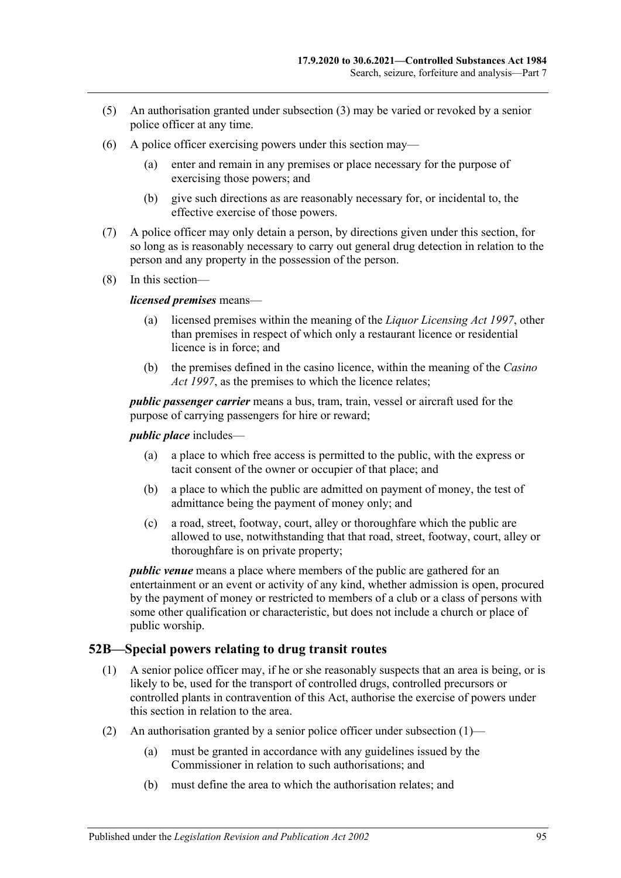- (5) An authorisation granted under [subsection](#page-93-1) (3) may be varied or revoked by a senior police officer at any time.
- (6) A police officer exercising powers under this section may—
	- (a) enter and remain in any premises or place necessary for the purpose of exercising those powers; and
	- (b) give such directions as are reasonably necessary for, or incidental to, the effective exercise of those powers.
- (7) A police officer may only detain a person, by directions given under this section, for so long as is reasonably necessary to carry out general drug detection in relation to the person and any property in the possession of the person.
- (8) In this section—

#### *licensed premises* means—

- (a) licensed premises within the meaning of the *[Liquor Licensing Act](http://www.legislation.sa.gov.au/index.aspx?action=legref&type=act&legtitle=Liquor%20Licensing%20Act%201997) 1997*, other than premises in respect of which only a restaurant licence or residential licence is in force; and
- (b) the premises defined in the casino licence, within the meaning of the *[Casino](http://www.legislation.sa.gov.au/index.aspx?action=legref&type=act&legtitle=Casino%20Act%201997)  Act [1997](http://www.legislation.sa.gov.au/index.aspx?action=legref&type=act&legtitle=Casino%20Act%201997)*, as the premises to which the licence relates;

*public passenger carrier* means a bus, tram, train, vessel or aircraft used for the purpose of carrying passengers for hire or reward;

*public place* includes—

- (a) a place to which free access is permitted to the public, with the express or tacit consent of the owner or occupier of that place; and
- (b) a place to which the public are admitted on payment of money, the test of admittance being the payment of money only; and
- (c) a road, street, footway, court, alley or thoroughfare which the public are allowed to use, notwithstanding that that road, street, footway, court, alley or thoroughfare is on private property;

*public venue* means a place where members of the public are gathered for an entertainment or an event or activity of any kind, whether admission is open, procured by the payment of money or restricted to members of a club or a class of persons with some other qualification or characteristic, but does not include a church or place of public worship.

#### <span id="page-94-1"></span><span id="page-94-0"></span>**52B—Special powers relating to drug transit routes**

- (1) A senior police officer may, if he or she reasonably suspects that an area is being, or is likely to be, used for the transport of controlled drugs, controlled precursors or controlled plants in contravention of this Act, authorise the exercise of powers under this section in relation to the area.
- (2) An authorisation granted by a senior police officer under [subsection](#page-94-1)  $(1)$ 
	- (a) must be granted in accordance with any guidelines issued by the Commissioner in relation to such authorisations; and
	- (b) must define the area to which the authorisation relates; and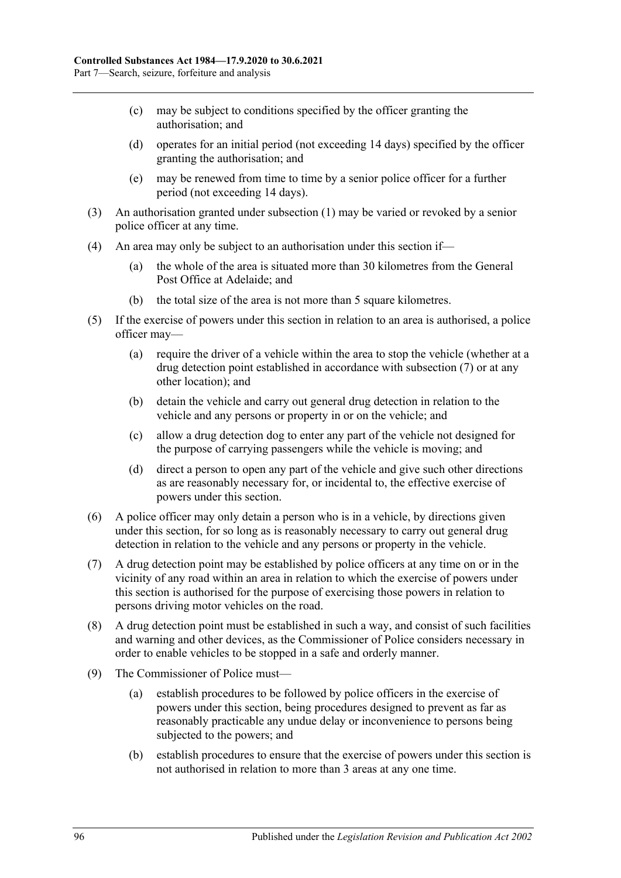- (c) may be subject to conditions specified by the officer granting the authorisation; and
- (d) operates for an initial period (not exceeding 14 days) specified by the officer granting the authorisation; and
- (e) may be renewed from time to time by a senior police officer for a further period (not exceeding 14 days).
- (3) An authorisation granted under [subsection](#page-94-1) (1) may be varied or revoked by a senior police officer at any time.
- (4) An area may only be subject to an authorisation under this section if—
	- (a) the whole of the area is situated more than 30 kilometres from the General Post Office at Adelaide; and
	- (b) the total size of the area is not more than 5 square kilometres.
- (5) If the exercise of powers under this section in relation to an area is authorised, a police officer may—
	- (a) require the driver of a vehicle within the area to stop the vehicle (whether at a drug detection point established in accordance with [subsection](#page-95-0) (7) or at any other location); and
	- (b) detain the vehicle and carry out general drug detection in relation to the vehicle and any persons or property in or on the vehicle; and
	- (c) allow a drug detection dog to enter any part of the vehicle not designed for the purpose of carrying passengers while the vehicle is moving; and
	- (d) direct a person to open any part of the vehicle and give such other directions as are reasonably necessary for, or incidental to, the effective exercise of powers under this section.
- (6) A police officer may only detain a person who is in a vehicle, by directions given under this section, for so long as is reasonably necessary to carry out general drug detection in relation to the vehicle and any persons or property in the vehicle.
- <span id="page-95-0"></span>(7) A drug detection point may be established by police officers at any time on or in the vicinity of any road within an area in relation to which the exercise of powers under this section is authorised for the purpose of exercising those powers in relation to persons driving motor vehicles on the road.
- (8) A drug detection point must be established in such a way, and consist of such facilities and warning and other devices, as the Commissioner of Police considers necessary in order to enable vehicles to be stopped in a safe and orderly manner.
- (9) The Commissioner of Police must—
	- (a) establish procedures to be followed by police officers in the exercise of powers under this section, being procedures designed to prevent as far as reasonably practicable any undue delay or inconvenience to persons being subjected to the powers; and
	- (b) establish procedures to ensure that the exercise of powers under this section is not authorised in relation to more than 3 areas at any one time.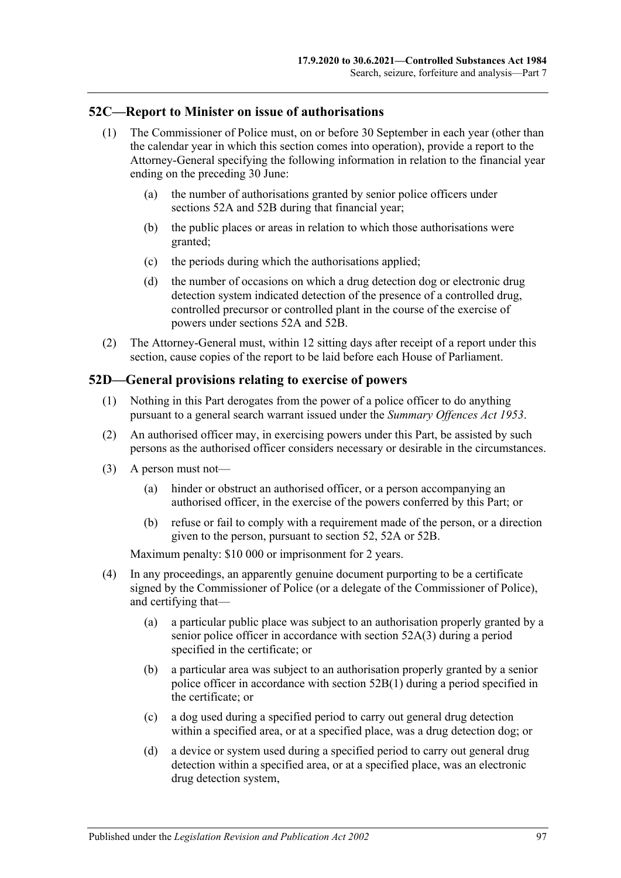## **52C—Report to Minister on issue of authorisations**

- (1) The Commissioner of Police must, on or before 30 September in each year (other than the calendar year in which this section comes into operation), provide a report to the Attorney-General specifying the following information in relation to the financial year ending on the preceding 30 June:
	- (a) the number of authorisations granted by senior police officers under [sections](#page-93-0) 52A and [52B](#page-94-0) during that financial year;
	- (b) the public places or areas in relation to which those authorisations were granted;
	- (c) the periods during which the authorisations applied;
	- (d) the number of occasions on which a drug detection dog or electronic drug detection system indicated detection of the presence of a controlled drug, controlled precursor or controlled plant in the course of the exercise of powers under [sections](#page-93-0) 52A and [52B.](#page-94-0)
- (2) The Attorney-General must, within 12 sitting days after receipt of a report under this section, cause copies of the report to be laid before each House of Parliament.

#### **52D—General provisions relating to exercise of powers**

- (1) Nothing in this Part derogates from the power of a police officer to do anything pursuant to a general search warrant issued under the *[Summary Offences Act](http://www.legislation.sa.gov.au/index.aspx?action=legref&type=act&legtitle=Summary%20Offences%20Act%201953) 1953*.
- (2) An authorised officer may, in exercising powers under this Part, be assisted by such persons as the authorised officer considers necessary or desirable in the circumstances.
- (3) A person must not—
	- (a) hinder or obstruct an authorised officer, or a person accompanying an authorised officer, in the exercise of the powers conferred by this Part; or
	- (b) refuse or fail to comply with a requirement made of the person, or a direction given to the person, pursuant to [section](#page-91-4) 52, [52A](#page-93-0) or [52B.](#page-94-0)

Maximum penalty: \$10 000 or imprisonment for 2 years.

- (4) In any proceedings, an apparently genuine document purporting to be a certificate signed by the Commissioner of Police (or a delegate of the Commissioner of Police), and certifying that—
	- (a) a particular public place was subject to an authorisation properly granted by a senior police officer in accordance with [section](#page-93-1) 52A(3) during a period specified in the certificate; or
	- (b) a particular area was subject to an authorisation properly granted by a senior police officer in accordance with [section](#page-94-1) 52B(1) during a period specified in the certificate; or
	- (c) a dog used during a specified period to carry out general drug detection within a specified area, or at a specified place, was a drug detection dog; or
	- (d) a device or system used during a specified period to carry out general drug detection within a specified area, or at a specified place, was an electronic drug detection system,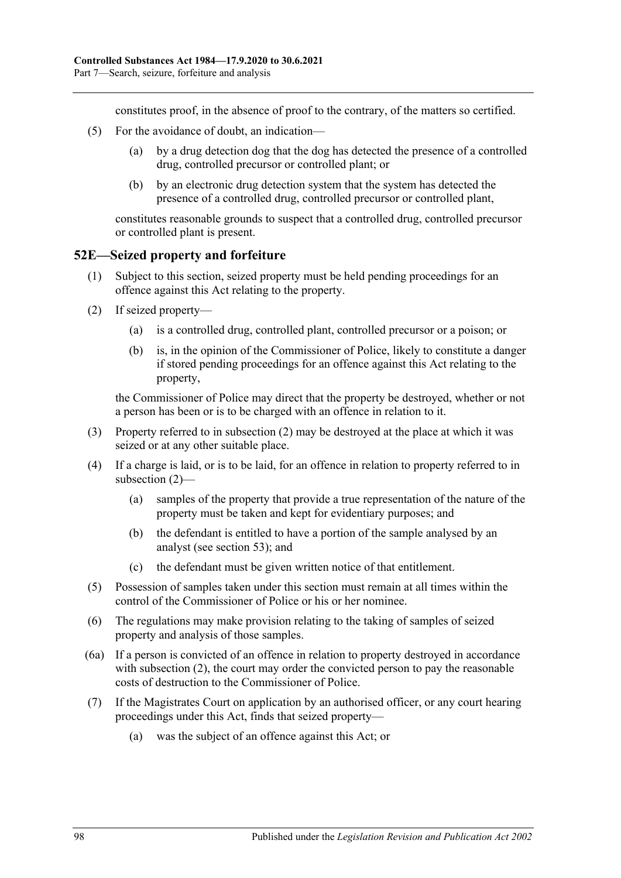constitutes proof, in the absence of proof to the contrary, of the matters so certified.

- (5) For the avoidance of doubt, an indication—
	- (a) by a drug detection dog that the dog has detected the presence of a controlled drug, controlled precursor or controlled plant; or
	- (b) by an electronic drug detection system that the system has detected the presence of a controlled drug, controlled precursor or controlled plant,

constitutes reasonable grounds to suspect that a controlled drug, controlled precursor or controlled plant is present.

#### **52E—Seized property and forfeiture**

- (1) Subject to this section, seized property must be held pending proceedings for an offence against this Act relating to the property.
- <span id="page-97-0"></span>(2) If seized property—
	- (a) is a controlled drug, controlled plant, controlled precursor or a poison; or
	- (b) is, in the opinion of the Commissioner of Police, likely to constitute a danger if stored pending proceedings for an offence against this Act relating to the property,

the Commissioner of Police may direct that the property be destroyed, whether or not a person has been or is to be charged with an offence in relation to it.

- (3) Property referred to in [subsection](#page-97-0) (2) may be destroyed at the place at which it was seized or at any other suitable place.
- (4) If a charge is laid, or is to be laid, for an offence in relation to property referred to in [subsection](#page-97-0) (2)—
	- (a) samples of the property that provide a true representation of the nature of the property must be taken and kept for evidentiary purposes; and
	- (b) the defendant is entitled to have a portion of the sample analysed by an analyst (see [section](#page-98-0) 53); and
	- (c) the defendant must be given written notice of that entitlement.
- (5) Possession of samples taken under this section must remain at all times within the control of the Commissioner of Police or his or her nominee.
- (6) The regulations may make provision relating to the taking of samples of seized property and analysis of those samples.
- (6a) If a person is convicted of an offence in relation to property destroyed in accordance with [subsection](#page-97-0) (2), the court may order the convicted person to pay the reasonable costs of destruction to the Commissioner of Police.
- <span id="page-97-1"></span>(7) If the Magistrates Court on application by an authorised officer, or any court hearing proceedings under this Act, finds that seized property—
	- (a) was the subject of an offence against this Act; or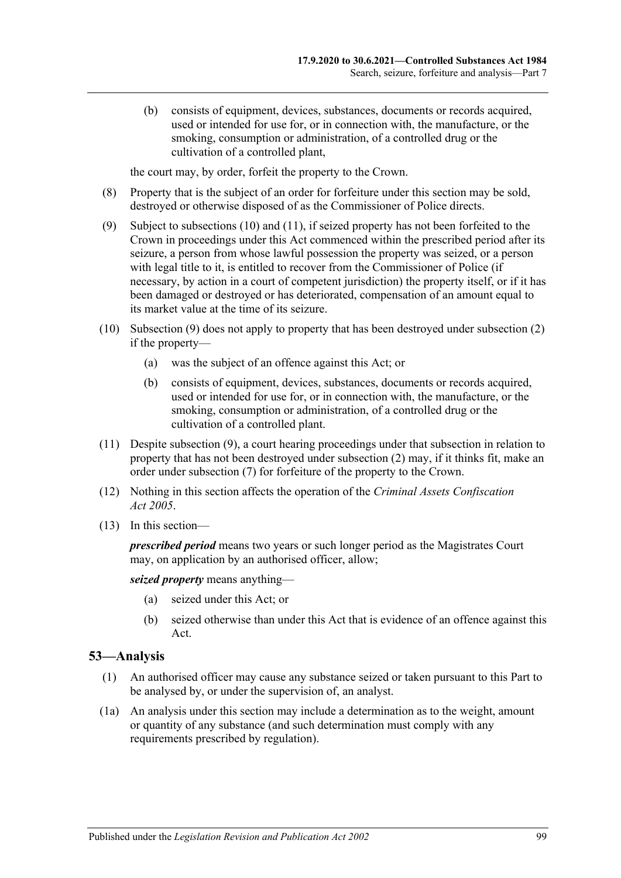(b) consists of equipment, devices, substances, documents or records acquired, used or intended for use for, or in connection with, the manufacture, or the smoking, consumption or administration, of a controlled drug or the cultivation of a controlled plant,

the court may, by order, forfeit the property to the Crown.

- (8) Property that is the subject of an order for forfeiture under this section may be sold, destroyed or otherwise disposed of as the Commissioner of Police directs.
- <span id="page-98-3"></span>(9) Subject to [subsections](#page-98-1) (10) and [\(11\),](#page-98-2) if seized property has not been forfeited to the Crown in proceedings under this Act commenced within the prescribed period after its seizure, a person from whose lawful possession the property was seized, or a person with legal title to it, is entitled to recover from the Commissioner of Police (if necessary, by action in a court of competent jurisdiction) the property itself, or if it has been damaged or destroyed or has deteriorated, compensation of an amount equal to its market value at the time of its seizure.
- <span id="page-98-1"></span>(10) [Subsection](#page-98-3) (9) does not apply to property that has been destroyed under [subsection](#page-97-0) (2) if the property—
	- (a) was the subject of an offence against this Act; or
	- (b) consists of equipment, devices, substances, documents or records acquired, used or intended for use for, or in connection with, the manufacture, or the smoking, consumption or administration, of a controlled drug or the cultivation of a controlled plant.
- <span id="page-98-2"></span>(11) Despite [subsection](#page-98-3) (9), a court hearing proceedings under that subsection in relation to property that has not been destroyed under [subsection](#page-97-0) (2) may, if it thinks fit, make an order under [subsection](#page-97-1) (7) for forfeiture of the property to the Crown.
- (12) Nothing in this section affects the operation of the *[Criminal Assets Confiscation](http://www.legislation.sa.gov.au/index.aspx?action=legref&type=act&legtitle=Criminal%20Assets%20Confiscation%20Act%202005)  Act [2005](http://www.legislation.sa.gov.au/index.aspx?action=legref&type=act&legtitle=Criminal%20Assets%20Confiscation%20Act%202005)*.
- (13) In this section—

*prescribed period* means two years or such longer period as the Magistrates Court may, on application by an authorised officer, allow;

*seized property* means anything—

- (a) seized under this Act; or
- (b) seized otherwise than under this Act that is evidence of an offence against this Act.

#### <span id="page-98-0"></span>**53—Analysis**

- (1) An authorised officer may cause any substance seized or taken pursuant to this Part to be analysed by, or under the supervision of, an analyst.
- (1a) An analysis under this section may include a determination as to the weight, amount or quantity of any substance (and such determination must comply with any requirements prescribed by regulation).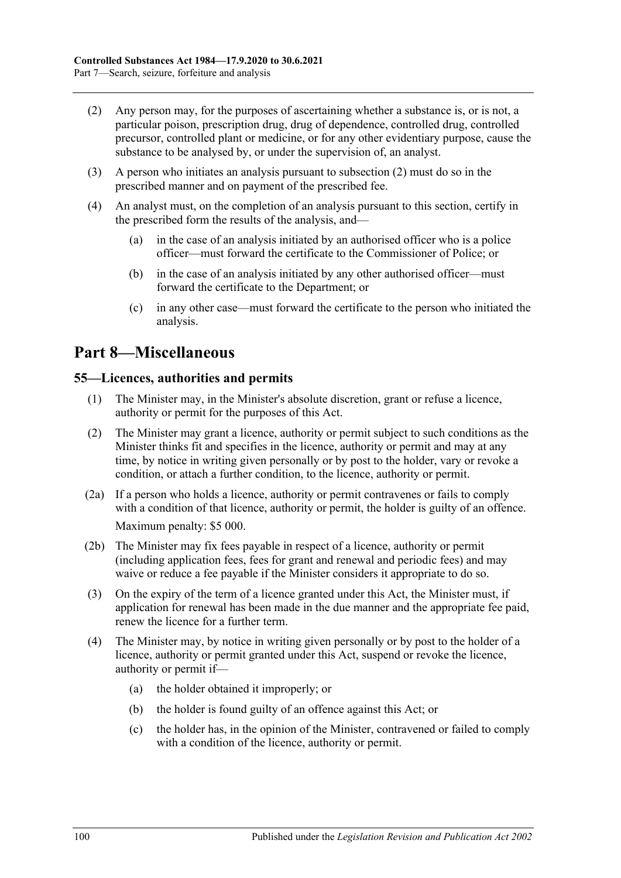- <span id="page-99-0"></span>(2) Any person may, for the purposes of ascertaining whether a substance is, or is not, a particular poison, prescription drug, drug of dependence, controlled drug, controlled precursor, controlled plant or medicine, or for any other evidentiary purpose, cause the substance to be analysed by, or under the supervision of, an analyst.
- (3) A person who initiates an analysis pursuant to [subsection](#page-99-0) (2) must do so in the prescribed manner and on payment of the prescribed fee.
- (4) An analyst must, on the completion of an analysis pursuant to this section, certify in the prescribed form the results of the analysis, and—
	- (a) in the case of an analysis initiated by an authorised officer who is a police officer—must forward the certificate to the Commissioner of Police; or
	- (b) in the case of an analysis initiated by any other authorised officer—must forward the certificate to the Department; or
	- (c) in any other case—must forward the certificate to the person who initiated the analysis.

# **Part 8—Miscellaneous**

#### **55—Licences, authorities and permits**

- (1) The Minister may, in the Minister's absolute discretion, grant or refuse a licence, authority or permit for the purposes of this Act.
- (2) The Minister may grant a licence, authority or permit subject to such conditions as the Minister thinks fit and specifies in the licence, authority or permit and may at any time, by notice in writing given personally or by post to the holder, vary or revoke a condition, or attach a further condition, to the licence, authority or permit.
- (2a) If a person who holds a licence, authority or permit contravenes or fails to comply with a condition of that licence, authority or permit, the holder is guilty of an offence. Maximum penalty: \$5 000.
- (2b) The Minister may fix fees payable in respect of a licence, authority or permit (including application fees, fees for grant and renewal and periodic fees) and may waive or reduce a fee payable if the Minister considers it appropriate to do so.
- (3) On the expiry of the term of a licence granted under this Act, the Minister must, if application for renewal has been made in the due manner and the appropriate fee paid, renew the licence for a further term.
- <span id="page-99-1"></span>(4) The Minister may, by notice in writing given personally or by post to the holder of a licence, authority or permit granted under this Act, suspend or revoke the licence, authority or permit if—
	- (a) the holder obtained it improperly; or
	- (b) the holder is found guilty of an offence against this Act; or
	- (c) the holder has, in the opinion of the Minister, contravened or failed to comply with a condition of the licence, authority or permit.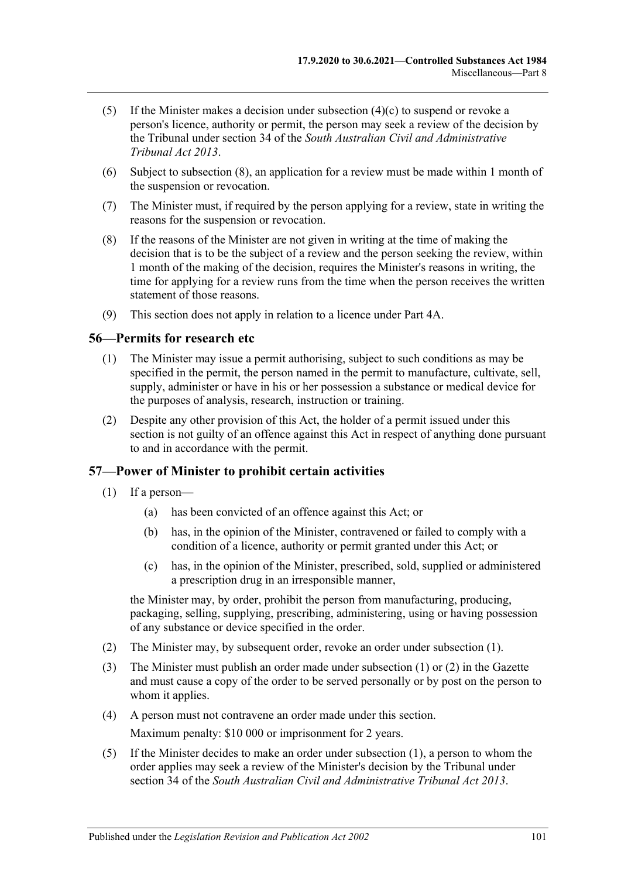- (5) If the Minister makes a decision under [subsection](#page-99-1)  $(4)(c)$  to suspend or revoke a person's licence, authority or permit, the person may seek a review of the decision by the Tribunal under section 34 of the *[South Australian Civil and Administrative](http://www.legislation.sa.gov.au/index.aspx?action=legref&type=act&legtitle=South%20Australian%20Civil%20and%20Administrative%20Tribunal%20Act%202013)  [Tribunal Act](http://www.legislation.sa.gov.au/index.aspx?action=legref&type=act&legtitle=South%20Australian%20Civil%20and%20Administrative%20Tribunal%20Act%202013) 2013*.
- (6) Subject to subsection (8), an application for a review must be made within 1 month of the suspension or revocation.
- (7) The Minister must, if required by the person applying for a review, state in writing the reasons for the suspension or revocation.
- (8) If the reasons of the Minister are not given in writing at the time of making the decision that is to be the subject of a review and the person seeking the review, within 1 month of the making of the decision, requires the Minister's reasons in writing, the time for applying for a review runs from the time when the person receives the written statement of those reasons.
- (9) This section does not apply in relation to a licence under [Part 4A.](#page-31-0)

#### **56—Permits for research etc**

- (1) The Minister may issue a permit authorising, subject to such conditions as may be specified in the permit, the person named in the permit to manufacture, cultivate, sell, supply, administer or have in his or her possession a substance or medical device for the purposes of analysis, research, instruction or training.
- (2) Despite any other provision of this Act, the holder of a permit issued under this section is not guilty of an offence against this Act in respect of anything done pursuant to and in accordance with the permit.

#### <span id="page-100-0"></span>**57—Power of Minister to prohibit certain activities**

- (1) If a person—
	- (a) has been convicted of an offence against this Act; or
	- (b) has, in the opinion of the Minister, contravened or failed to comply with a condition of a licence, authority or permit granted under this Act; or
	- (c) has, in the opinion of the Minister, prescribed, sold, supplied or administered a prescription drug in an irresponsible manner,

the Minister may, by order, prohibit the person from manufacturing, producing, packaging, selling, supplying, prescribing, administering, using or having possession of any substance or device specified in the order.

- <span id="page-100-1"></span>(2) The Minister may, by subsequent order, revoke an order under [subsection](#page-100-0) (1).
- (3) The Minister must publish an order made under [subsection](#page-100-0) (1) or [\(2\)](#page-100-1) in the Gazette and must cause a copy of the order to be served personally or by post on the person to whom it applies.
- (4) A person must not contravene an order made under this section. Maximum penalty: \$10 000 or imprisonment for 2 years.
- (5) If the Minister decides to make an order under [subsection](#page-100-0) (1), a person to whom the order applies may seek a review of the Minister's decision by the Tribunal under section 34 of the *[South Australian Civil and Administrative Tribunal Act](http://www.legislation.sa.gov.au/index.aspx?action=legref&type=act&legtitle=South%20Australian%20Civil%20and%20Administrative%20Tribunal%20Act%202013) 2013*.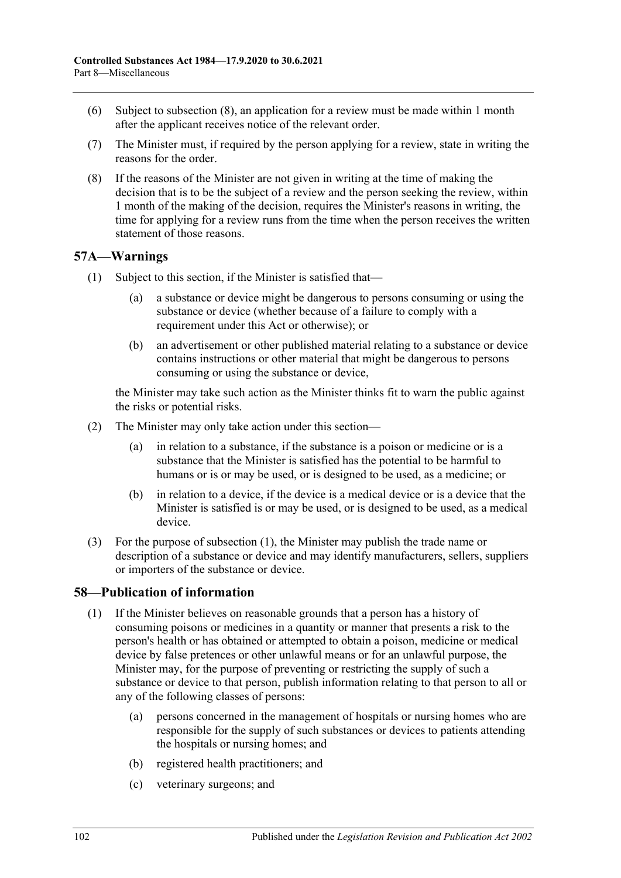- (6) Subject to subsection (8), an application for a review must be made within 1 month after the applicant receives notice of the relevant order.
- (7) The Minister must, if required by the person applying for a review, state in writing the reasons for the order.
- (8) If the reasons of the Minister are not given in writing at the time of making the decision that is to be the subject of a review and the person seeking the review, within 1 month of the making of the decision, requires the Minister's reasons in writing, the time for applying for a review runs from the time when the person receives the written statement of those reasons.

# <span id="page-101-0"></span>**57A—Warnings**

- (1) Subject to this section, if the Minister is satisfied that—
	- (a) a substance or device might be dangerous to persons consuming or using the substance or device (whether because of a failure to comply with a requirement under this Act or otherwise); or
	- (b) an advertisement or other published material relating to a substance or device contains instructions or other material that might be dangerous to persons consuming or using the substance or device,

the Minister may take such action as the Minister thinks fit to warn the public against the risks or potential risks.

- (2) The Minister may only take action under this section—
	- (a) in relation to a substance, if the substance is a poison or medicine or is a substance that the Minister is satisfied has the potential to be harmful to humans or is or may be used, or is designed to be used, as a medicine; or
	- (b) in relation to a device, if the device is a medical device or is a device that the Minister is satisfied is or may be used, or is designed to be used, as a medical device.
- (3) For the purpose of [subsection](#page-101-0) (1), the Minister may publish the trade name or description of a substance or device and may identify manufacturers, sellers, suppliers or importers of the substance or device.

# <span id="page-101-1"></span>**58—Publication of information**

- (1) If the Minister believes on reasonable grounds that a person has a history of consuming poisons or medicines in a quantity or manner that presents a risk to the person's health or has obtained or attempted to obtain a poison, medicine or medical device by false pretences or other unlawful means or for an unlawful purpose, the Minister may, for the purpose of preventing or restricting the supply of such a substance or device to that person, publish information relating to that person to all or any of the following classes of persons:
	- (a) persons concerned in the management of hospitals or nursing homes who are responsible for the supply of such substances or devices to patients attending the hospitals or nursing homes; and
	- (b) registered health practitioners; and
	- (c) veterinary surgeons; and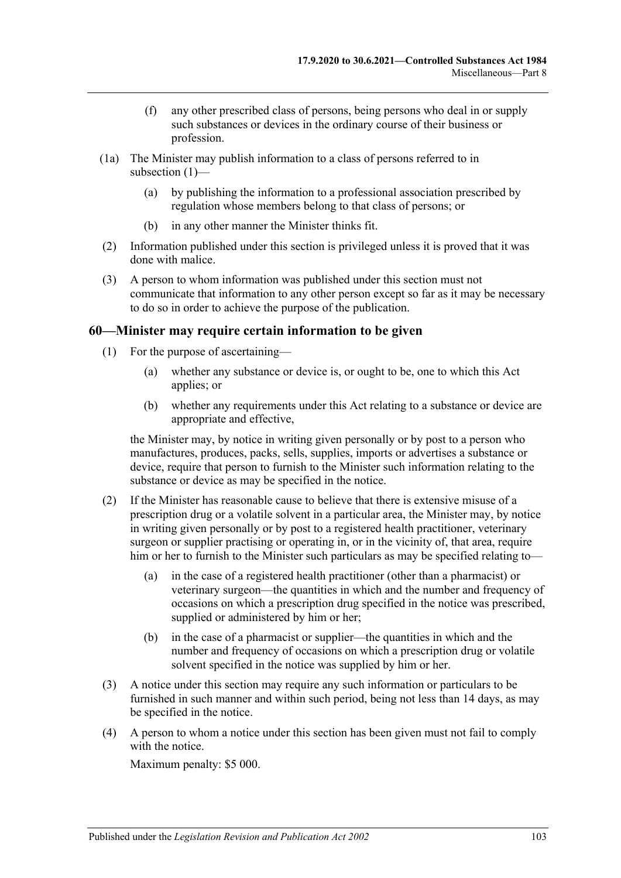- (f) any other prescribed class of persons, being persons who deal in or supply such substances or devices in the ordinary course of their business or profession.
- (1a) The Minister may publish information to a class of persons referred to in [subsection](#page-101-1) (1)—
	- (a) by publishing the information to a professional association prescribed by regulation whose members belong to that class of persons; or
	- (b) in any other manner the Minister thinks fit.
- (2) Information published under this section is privileged unless it is proved that it was done with malice.
- (3) A person to whom information was published under this section must not communicate that information to any other person except so far as it may be necessary to do so in order to achieve the purpose of the publication.

#### **60—Minister may require certain information to be given**

- (1) For the purpose of ascertaining—
	- (a) whether any substance or device is, or ought to be, one to which this Act applies; or
	- (b) whether any requirements under this Act relating to a substance or device are appropriate and effective,

the Minister may, by notice in writing given personally or by post to a person who manufactures, produces, packs, sells, supplies, imports or advertises a substance or device, require that person to furnish to the Minister such information relating to the substance or device as may be specified in the notice.

- (2) If the Minister has reasonable cause to believe that there is extensive misuse of a prescription drug or a volatile solvent in a particular area, the Minister may, by notice in writing given personally or by post to a registered health practitioner, veterinary surgeon or supplier practising or operating in, or in the vicinity of, that area, require him or her to furnish to the Minister such particulars as may be specified relating to—
	- (a) in the case of a registered health practitioner (other than a pharmacist) or veterinary surgeon—the quantities in which and the number and frequency of occasions on which a prescription drug specified in the notice was prescribed, supplied or administered by him or her;
	- (b) in the case of a pharmacist or supplier—the quantities in which and the number and frequency of occasions on which a prescription drug or volatile solvent specified in the notice was supplied by him or her.
- (3) A notice under this section may require any such information or particulars to be furnished in such manner and within such period, being not less than 14 days, as may be specified in the notice.
- (4) A person to whom a notice under this section has been given must not fail to comply with the notice.

Maximum penalty: \$5 000.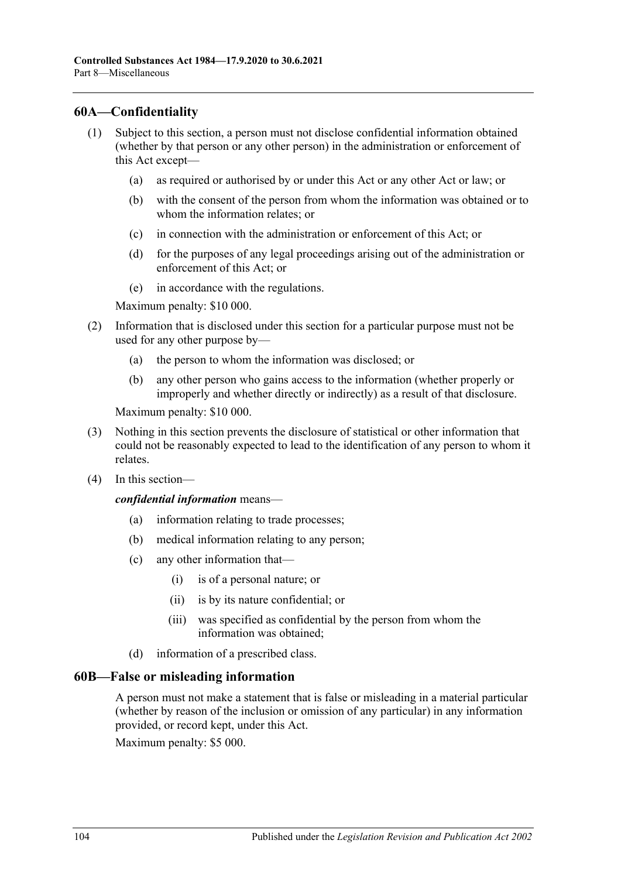## **60A—Confidentiality**

- (1) Subject to this section, a person must not disclose confidential information obtained (whether by that person or any other person) in the administration or enforcement of this Act except—
	- (a) as required or authorised by or under this Act or any other Act or law; or
	- (b) with the consent of the person from whom the information was obtained or to whom the information relates; or
	- (c) in connection with the administration or enforcement of this Act; or
	- (d) for the purposes of any legal proceedings arising out of the administration or enforcement of this Act; or
	- (e) in accordance with the regulations.

Maximum penalty: \$10 000.

- (2) Information that is disclosed under this section for a particular purpose must not be used for any other purpose by—
	- (a) the person to whom the information was disclosed; or
	- (b) any other person who gains access to the information (whether properly or improperly and whether directly or indirectly) as a result of that disclosure.

Maximum penalty: \$10 000.

- (3) Nothing in this section prevents the disclosure of statistical or other information that could not be reasonably expected to lead to the identification of any person to whom it relates.
- (4) In this section—

*confidential information* means—

- (a) information relating to trade processes;
- (b) medical information relating to any person;
- (c) any other information that—
	- (i) is of a personal nature; or
	- (ii) is by its nature confidential; or
	- (iii) was specified as confidential by the person from whom the information was obtained;
- (d) information of a prescribed class.

#### **60B—False or misleading information**

A person must not make a statement that is false or misleading in a material particular (whether by reason of the inclusion or omission of any particular) in any information provided, or record kept, under this Act.

Maximum penalty: \$5 000.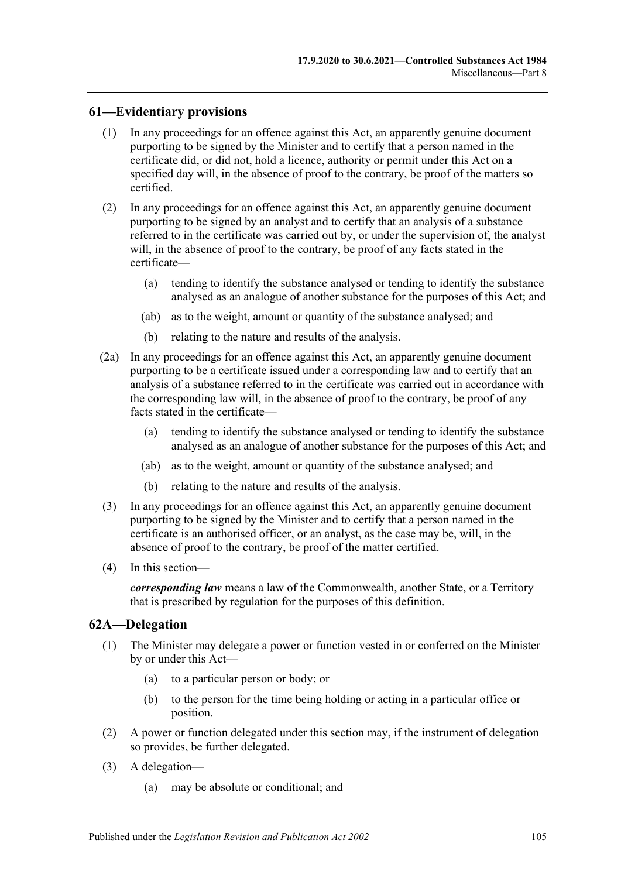## **61—Evidentiary provisions**

- (1) In any proceedings for an offence against this Act, an apparently genuine document purporting to be signed by the Minister and to certify that a person named in the certificate did, or did not, hold a licence, authority or permit under this Act on a specified day will, in the absence of proof to the contrary, be proof of the matters so certified.
- (2) In any proceedings for an offence against this Act, an apparently genuine document purporting to be signed by an analyst and to certify that an analysis of a substance referred to in the certificate was carried out by, or under the supervision of, the analyst will, in the absence of proof to the contrary, be proof of any facts stated in the certificate—
	- (a) tending to identify the substance analysed or tending to identify the substance analysed as an analogue of another substance for the purposes of this Act; and
	- (ab) as to the weight, amount or quantity of the substance analysed; and
	- (b) relating to the nature and results of the analysis.
- (2a) In any proceedings for an offence against this Act, an apparently genuine document purporting to be a certificate issued under a corresponding law and to certify that an analysis of a substance referred to in the certificate was carried out in accordance with the corresponding law will, in the absence of proof to the contrary, be proof of any facts stated in the certificate—
	- (a) tending to identify the substance analysed or tending to identify the substance analysed as an analogue of another substance for the purposes of this Act; and
	- (ab) as to the weight, amount or quantity of the substance analysed; and
	- (b) relating to the nature and results of the analysis.
- (3) In any proceedings for an offence against this Act, an apparently genuine document purporting to be signed by the Minister and to certify that a person named in the certificate is an authorised officer, or an analyst, as the case may be, will, in the absence of proof to the contrary, be proof of the matter certified.
- (4) In this section—

*corresponding law* means a law of the Commonwealth, another State, or a Territory that is prescribed by regulation for the purposes of this definition.

#### **62A—Delegation**

- (1) The Minister may delegate a power or function vested in or conferred on the Minister by or under this Act—
	- (a) to a particular person or body; or
	- (b) to the person for the time being holding or acting in a particular office or position.
- (2) A power or function delegated under this section may, if the instrument of delegation so provides, be further delegated.
- (3) A delegation—
	- (a) may be absolute or conditional; and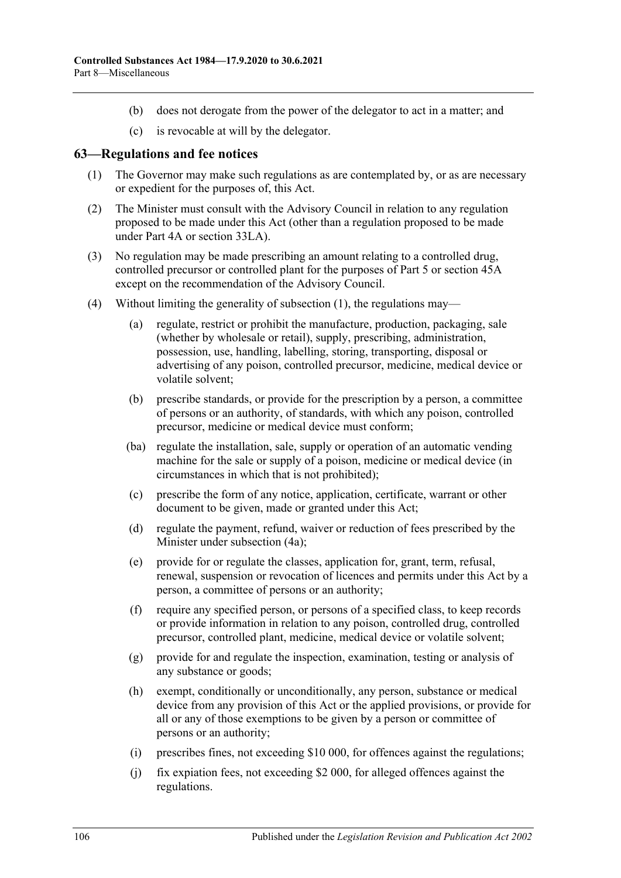- (b) does not derogate from the power of the delegator to act in a matter; and
- (c) is revocable at will by the delegator.

#### <span id="page-105-0"></span>**63—Regulations and fee notices**

- (1) The Governor may make such regulations as are contemplated by, or as are necessary or expedient for the purposes of, this Act.
- (2) The Minister must consult with the Advisory Council in relation to any regulation proposed to be made under this Act (other than a regulation proposed to be made under [Part 4A](#page-31-0) or [section](#page-76-5) 33LA).
- (3) No regulation may be made prescribing an amount relating to a controlled drug, controlled precursor or controlled plant for the purposes of [Part 5](#page-63-0) or [section](#page-90-0) 45A except on the recommendation of the Advisory Council.
- (4) Without limiting the generality of [subsection](#page-105-0) (1), the regulations may—
	- (a) regulate, restrict or prohibit the manufacture, production, packaging, sale (whether by wholesale or retail), supply, prescribing, administration, possession, use, handling, labelling, storing, transporting, disposal or advertising of any poison, controlled precursor, medicine, medical device or volatile solvent;
	- (b) prescribe standards, or provide for the prescription by a person, a committee of persons or an authority, of standards, with which any poison, controlled precursor, medicine or medical device must conform;
	- (ba) regulate the installation, sale, supply or operation of an automatic vending machine for the sale or supply of a poison, medicine or medical device (in circumstances in which that is not prohibited);
	- (c) prescribe the form of any notice, application, certificate, warrant or other document to be given, made or granted under this Act;
	- (d) regulate the payment, refund, waiver or reduction of fees prescribed by the Minister under [subsection](#page-106-0) (4a);
	- (e) provide for or regulate the classes, application for, grant, term, refusal, renewal, suspension or revocation of licences and permits under this Act by a person, a committee of persons or an authority;
	- (f) require any specified person, or persons of a specified class, to keep records or provide information in relation to any poison, controlled drug, controlled precursor, controlled plant, medicine, medical device or volatile solvent;
	- (g) provide for and regulate the inspection, examination, testing or analysis of any substance or goods;
	- (h) exempt, conditionally or unconditionally, any person, substance or medical device from any provision of this Act or the applied provisions, or provide for all or any of those exemptions to be given by a person or committee of persons or an authority;
	- (i) prescribes fines, not exceeding \$10 000, for offences against the regulations;
	- (j) fix expiation fees, not exceeding \$2 000, for alleged offences against the regulations.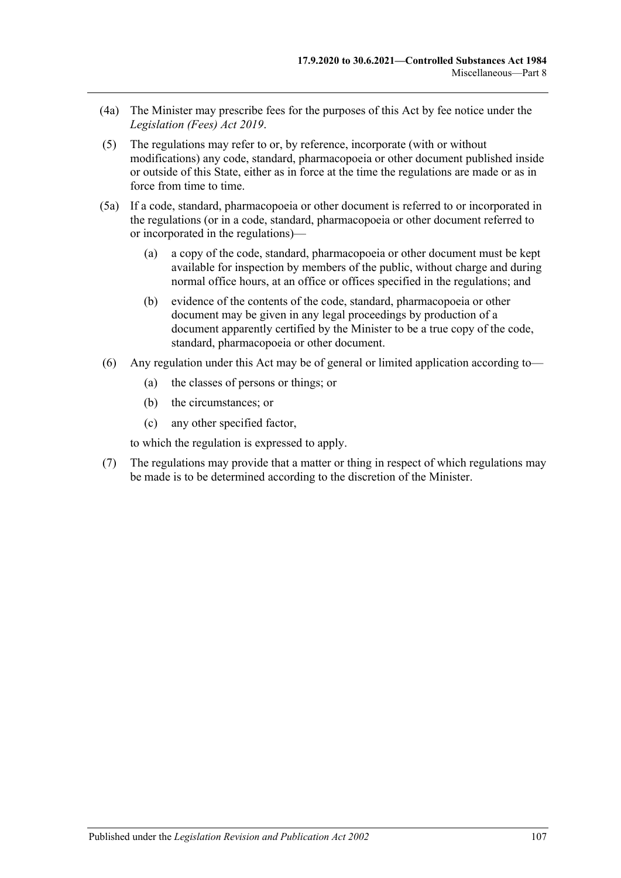- <span id="page-106-0"></span>(4a) The Minister may prescribe fees for the purposes of this Act by fee notice under the *[Legislation \(Fees\) Act](http://www.legislation.sa.gov.au/index.aspx?action=legref&type=act&legtitle=Legislation%20(Fees)%20Act%202019) 2019*.
- (5) The regulations may refer to or, by reference, incorporate (with or without modifications) any code, standard, pharmacopoeia or other document published inside or outside of this State, either as in force at the time the regulations are made or as in force from time to time.
- (5a) If a code, standard, pharmacopoeia or other document is referred to or incorporated in the regulations (or in a code, standard, pharmacopoeia or other document referred to or incorporated in the regulations)—
	- (a) a copy of the code, standard, pharmacopoeia or other document must be kept available for inspection by members of the public, without charge and during normal office hours, at an office or offices specified in the regulations; and
	- (b) evidence of the contents of the code, standard, pharmacopoeia or other document may be given in any legal proceedings by production of a document apparently certified by the Minister to be a true copy of the code, standard, pharmacopoeia or other document.
- (6) Any regulation under this Act may be of general or limited application according to—
	- (a) the classes of persons or things; or
	- (b) the circumstances; or
	- (c) any other specified factor,

to which the regulation is expressed to apply.

(7) The regulations may provide that a matter or thing in respect of which regulations may be made is to be determined according to the discretion of the Minister.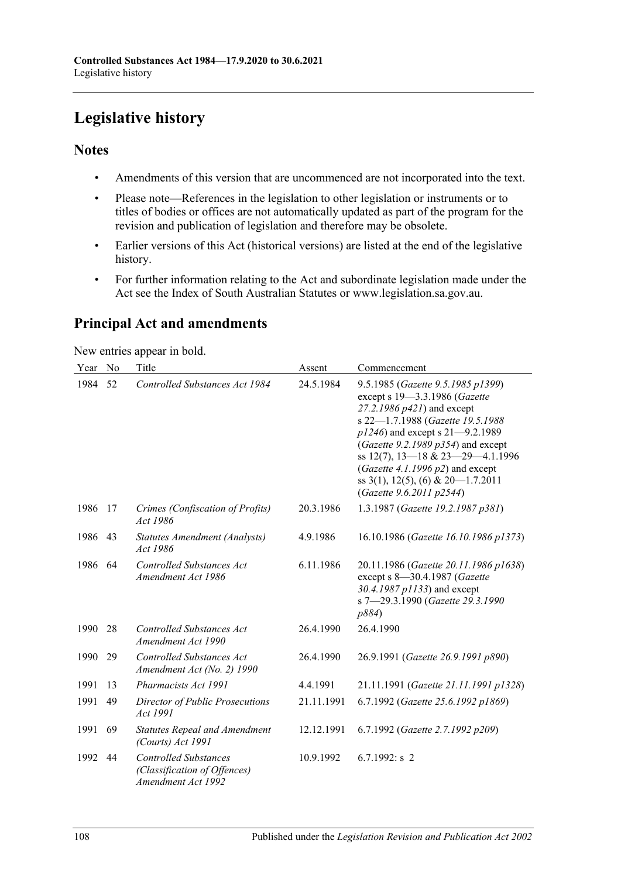# **Legislative history**

# **Notes**

- Amendments of this version that are uncommenced are not incorporated into the text.
- Please note—References in the legislation to other legislation or instruments or to titles of bodies or offices are not automatically updated as part of the program for the revision and publication of legislation and therefore may be obsolete.
- Earlier versions of this Act (historical versions) are listed at the end of the legislative history.
- For further information relating to the Act and subordinate legislation made under the Act see the Index of South Australian Statutes or www.legislation.sa.gov.au.

# **Principal Act and amendments**

New entries appear in bold.

| Year | N <sub>0</sub> | Title                                                                              | Assent     | Commencement                                                                                                                                                                                                                                                                                                                                                              |
|------|----------------|------------------------------------------------------------------------------------|------------|---------------------------------------------------------------------------------------------------------------------------------------------------------------------------------------------------------------------------------------------------------------------------------------------------------------------------------------------------------------------------|
| 1984 | 52             | <b>Controlled Substances Act 1984</b>                                              | 24.5.1984  | 9.5.1985 (Gazette 9.5.1985 p1399)<br>except s 19-3.3.1986 (Gazette<br>27.2.1986 p421) and except<br>s 22-1.7.1988 (Gazette 19.5.1988<br>$p1246$ ) and except s 21–9.2.1989<br>(Gazette 9.2.1989 $p354$ ) and except<br>ss 12(7), 13-18 & 23-29-4.1.1996<br>(Gazette 4.1.1996 $p2$ ) and except<br>ss $3(1)$ , $12(5)$ , $(6)$ & $20-1.7.2011$<br>(Gazette 9.6.2011 p2544) |
| 1986 | 17             | Crimes (Confiscation of Profits)<br>Act 1986                                       | 20.3.1986  | 1.3.1987 (Gazette 19.2.1987 p381)                                                                                                                                                                                                                                                                                                                                         |
| 1986 | 43             | Statutes Amendment (Analysts)<br>Act 1986                                          | 4.9.1986   | 16.10.1986 (Gazette 16.10.1986 p1373)                                                                                                                                                                                                                                                                                                                                     |
| 1986 | 64             | Controlled Substances Act<br>Amendment Act 1986                                    | 6.11.1986  | 20.11.1986 (Gazette 20.11.1986 p1638)<br>except s 8-30.4.1987 (Gazette<br>30.4.1987 p1133) and except<br>s 7-29.3.1990 (Gazette 29.3.1990<br>p884)                                                                                                                                                                                                                        |
| 1990 | 28             | <b>Controlled Substances Act</b><br>Amendment Act 1990                             | 26.4.1990  | 26.4.1990                                                                                                                                                                                                                                                                                                                                                                 |
| 1990 | 29             | <b>Controlled Substances Act</b><br>Amendment Act (No. 2) 1990                     | 26.4.1990  | 26.9.1991 (Gazette 26.9.1991 p890)                                                                                                                                                                                                                                                                                                                                        |
| 1991 | 13             | Pharmacists Act 1991                                                               | 4.4.1991   | 21.11.1991 (Gazette 21.11.1991 p1328)                                                                                                                                                                                                                                                                                                                                     |
| 1991 | 49             | Director of Public Prosecutions<br>Act 1991                                        | 21.11.1991 | 6.7.1992 (Gazette 25.6.1992 p1869)                                                                                                                                                                                                                                                                                                                                        |
| 1991 | 69             | <b>Statutes Repeal and Amendment</b><br>(Courts) Act 1991                          | 12.12.1991 | 6.7.1992 (Gazette 2.7.1992 p209)                                                                                                                                                                                                                                                                                                                                          |
| 1992 | 44             | <b>Controlled Substances</b><br>(Classification of Offences)<br>Amendment Act 1992 | 10.9.1992  | $6.7.1992$ : s 2                                                                                                                                                                                                                                                                                                                                                          |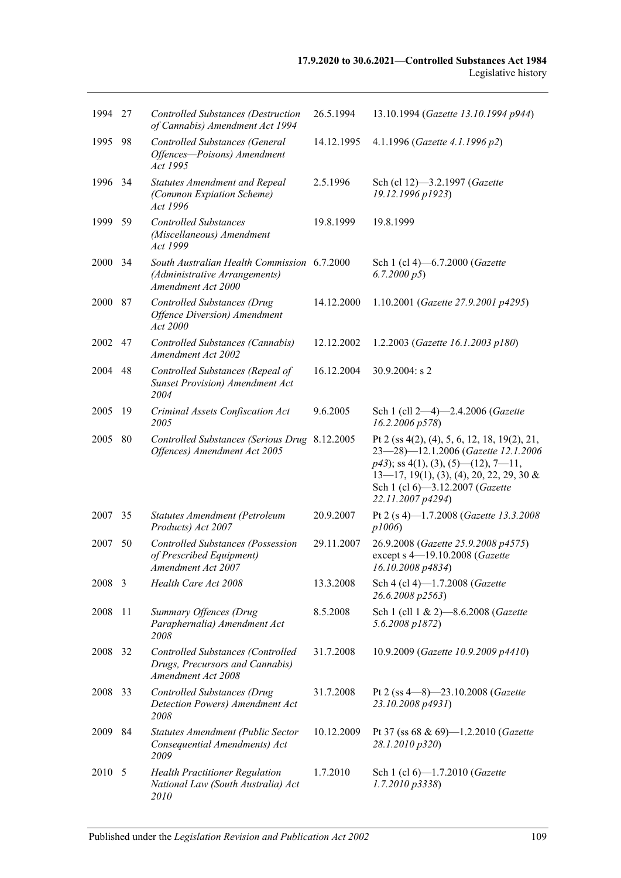| 1994 27 |     | <b>Controlled Substances (Destruction</b><br>of Cannabis) Amendment Act 1994                       | 26.5.1994  | 13.10.1994 (Gazette 13.10.1994 p944)                                                                                                                                                                                                                         |
|---------|-----|----------------------------------------------------------------------------------------------------|------------|--------------------------------------------------------------------------------------------------------------------------------------------------------------------------------------------------------------------------------------------------------------|
| 1995    | 98  | Controlled Substances (General<br>Offences-Poisons) Amendment<br>Act 1995                          | 14.12.1995 | 4.1.1996 (Gazette 4.1.1996 p2)                                                                                                                                                                                                                               |
| 1996    | 34  | <b>Statutes Amendment and Repeal</b><br>(Common Expiation Scheme)<br>Act 1996                      | 2.5.1996   | Sch (cl 12)-3.2.1997 (Gazette<br>19.12.1996 p1923)                                                                                                                                                                                                           |
| 1999    | 59  | <b>Controlled Substances</b><br>(Miscellaneous) Amendment<br>Act 1999                              | 19.8.1999  | 19.8.1999                                                                                                                                                                                                                                                    |
| 2000    | 34  | South Australian Health Commission 6.7.2000<br>(Administrative Arrangements)<br>Amendment Act 2000 |            | Sch 1 (cl 4)-6.7.2000 (Gazette<br>6.7.2000 p5                                                                                                                                                                                                                |
| 2000    | 87  | <b>Controlled Substances (Drug</b><br><b>Offence Diversion</b> ) Amendment<br>Act 2000             | 14.12.2000 | 1.10.2001 (Gazette 27.9.2001 p4295)                                                                                                                                                                                                                          |
| 2002    | 47  | Controlled Substances (Cannabis)<br>Amendment Act 2002                                             | 12.12.2002 | 1.2.2003 (Gazette 16.1.2003 p180)                                                                                                                                                                                                                            |
| 2004    | 48  | Controlled Substances (Repeal of<br><b>Sunset Provision) Amendment Act</b><br>2004                 | 16.12.2004 | $30.9.2004$ : s 2                                                                                                                                                                                                                                            |
| 2005    | -19 | Criminal Assets Confiscation Act<br>2005                                                           | 9.6.2005   | Sch 1 (cll 2-4)-2.4.2006 (Gazette<br>16.2.2006 p578                                                                                                                                                                                                          |
| 2005    | 80  | Controlled Substances (Serious Drug 8.12.2005<br>Offences) Amendment Act 2005                      |            | Pt 2 (ss $4(2)$ , (4), 5, 6, 12, 18, 19(2), 21,<br>23-28)-12.1.2006 (Gazette 12.1.2006<br>$p43$ ); ss 4(1), (3), (5)—(12), 7—11,<br>$13-17$ , $19(1)$ , $(3)$ , $(4)$ , $20$ , $22$ , $29$ , $30 \&$<br>Sch 1 (cl 6)-3.12.2007 (Gazette<br>22.11.2007 p4294) |
| 2007    | 35  | Statutes Amendment (Petroleum<br>Products) Act 2007                                                | 20.9.2007  | Pt 2 (s 4)-1.7.2008 (Gazette 13.3.2008<br>p1006                                                                                                                                                                                                              |
| 2007    | 50  | <b>Controlled Substances (Possession</b><br>of Prescribed Equipment)<br>Amendment Act 2007         | 29.11.2007 | 26.9.2008 (Gazette 25.9.2008 p4575)<br>except s 4-19.10.2008 (Gazette<br>16.10.2008 p4834)                                                                                                                                                                   |
| 2008 3  |     | Health Care Act 2008                                                                               | 13.3.2008  | Sch 4 (cl 4)-1.7.2008 (Gazette<br>26.6.2008 p2563)                                                                                                                                                                                                           |
| 2008    | 11  | Summary Offences (Drug<br>Paraphernalia) Amendment Act<br>2008                                     | 8.5.2008   | Sch 1 (cll 1 & 2)-8.6.2008 (Gazette<br>5.6.2008 p1872)                                                                                                                                                                                                       |
| 2008    | 32  | Controlled Substances (Controlled<br>Drugs, Precursors and Cannabis)<br>Amendment Act 2008         | 31.7.2008  | 10.9.2009 (Gazette 10.9.2009 p4410)                                                                                                                                                                                                                          |
| 2008    | 33  | <b>Controlled Substances (Drug</b><br>Detection Powers) Amendment Act<br>2008                      | 31.7.2008  | Pt 2 (ss $4-8$ )-23.10.2008 ( <i>Gazette</i><br>23.10.2008 p4931)                                                                                                                                                                                            |
| 2009    | 84  | Statutes Amendment (Public Sector<br>Consequential Amendments) Act<br>2009                         | 10.12.2009 | Pt 37 (ss 68 & 69)-1.2.2010 (Gazette<br>28.1.2010 p320)                                                                                                                                                                                                      |
| 2010    | 5   | <b>Health Practitioner Regulation</b><br>National Law (South Australia) Act<br>2010                | 1.7.2010   | Sch 1 (cl 6)-1.7.2010 (Gazette<br>$1.7.2010\,\overline{p}3338$                                                                                                                                                                                               |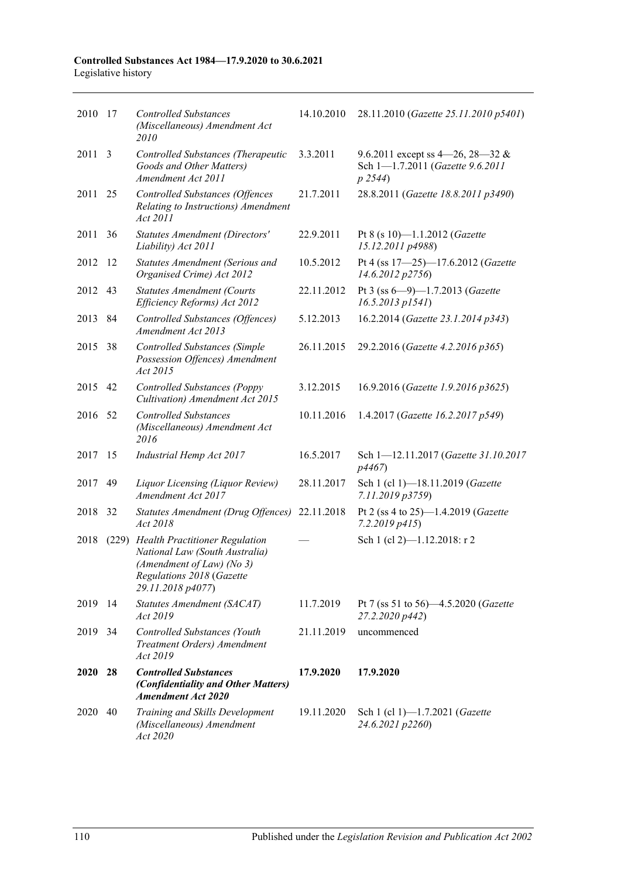| 2010 | -17   | <b>Controlled Substances</b><br>(Miscellaneous) Amendment Act<br>2010                                                                                  | 14.10.2010 | 28.11.2010 (Gazette 25.11.2010 p5401)                                          |
|------|-------|--------------------------------------------------------------------------------------------------------------------------------------------------------|------------|--------------------------------------------------------------------------------|
| 2011 | 3     | Controlled Substances (Therapeutic<br>Goods and Other Matters)<br>Amendment Act 2011                                                                   | 3.3.2011   | 9.6.2011 except ss 4–26, 28–32 &<br>Sch 1-1.7.2011 (Gazette 9.6.2011<br>p 2544 |
| 2011 | 25    | <b>Controlled Substances (Offences</b><br>Relating to Instructions) Amendment<br>Act 2011                                                              | 21.7.2011  | 28.8.2011 (Gazette 18.8.2011 p3490)                                            |
| 2011 | 36    | Statutes Amendment (Directors'<br>Liability) Act 2011                                                                                                  | 22.9.2011  | Pt 8 (s 10)-1.1.2012 ( <i>Gazette</i><br>15.12.2011 p4988)                     |
| 2012 | -12   | Statutes Amendment (Serious and<br>Organised Crime) Act 2012                                                                                           | 10.5.2012  | Pt 4 (ss 17-25)-17.6.2012 (Gazette<br>14.6.2012 p2756)                         |
| 2012 | 43    | <b>Statutes Amendment (Courts</b><br>Efficiency Reforms) Act 2012                                                                                      | 22.11.2012 | Pt 3 (ss $6-9$ )-1.7.2013 (Gazette<br>$16.5.2013$ $p1541$ )                    |
| 2013 | 84    | <b>Controlled Substances (Offences)</b><br>Amendment Act 2013                                                                                          | 5.12.2013  | 16.2.2014 (Gazette 23.1.2014 p343)                                             |
| 2015 | 38    | <b>Controlled Substances (Simple</b><br>Possession Offences) Amendment<br>Act 2015                                                                     | 26.11.2015 | 29.2.2016 (Gazette 4.2.2016 p365)                                              |
| 2015 | 42    | <b>Controlled Substances (Poppy</b><br>Cultivation) Amendment Act 2015                                                                                 | 3.12.2015  | 16.9.2016 (Gazette 1.9.2016 p3625)                                             |
| 2016 | 52    | <b>Controlled Substances</b><br>(Miscellaneous) Amendment Act<br>2016                                                                                  | 10.11.2016 | 1.4.2017 (Gazette 16.2.2017 p549)                                              |
| 2017 | 15    | Industrial Hemp Act 2017                                                                                                                               | 16.5.2017  | Sch 1-12.11.2017 (Gazette 31.10.2017<br>p4467)                                 |
| 2017 | 49    | Liquor Licensing (Liquor Review)<br>Amendment Act 2017                                                                                                 | 28.11.2017 | Sch 1 (cl 1)-18.11.2019 (Gazette<br>7.11.2019 p3759)                           |
| 2018 | 32    | Statutes Amendment (Drug Offences)<br>Act 2018                                                                                                         | 22.11.2018 | Pt 2 (ss 4 to 25)-1.4.2019 (Gazette<br>$7.2.2019$ $p415$                       |
| 2018 | (229) | <b>Health Practitioner Regulation</b><br>National Law (South Australia)<br>(Amendment of Law) (No 3)<br>Regulations 2018 (Gazette<br>29.11.2018 p4077) |            | Sch 1 (cl 2)-1.12.2018: r 2                                                    |
| 2019 | -14   | Statutes Amendment (SACAT)<br>Act 2019                                                                                                                 | 11.7.2019  | Pt 7 (ss 51 to 56)-4.5.2020 (Gazette<br>27.2.2020 p442)                        |
| 2019 | 34    | Controlled Substances (Youth<br>Treatment Orders) Amendment<br>Act 2019                                                                                | 21.11.2019 | uncommenced                                                                    |
| 2020 | 28    | <b>Controlled Substances</b><br>(Confidentiality and Other Matters)<br><b>Amendment Act 2020</b>                                                       | 17.9.2020  | 17.9.2020                                                                      |
| 2020 | 40    | Training and Skills Development<br>(Miscellaneous) Amendment<br>Act 2020                                                                               | 19.11.2020 | Sch 1 (cl 1)-1.7.2021 (Gazette<br>24.6.2021 p2260)                             |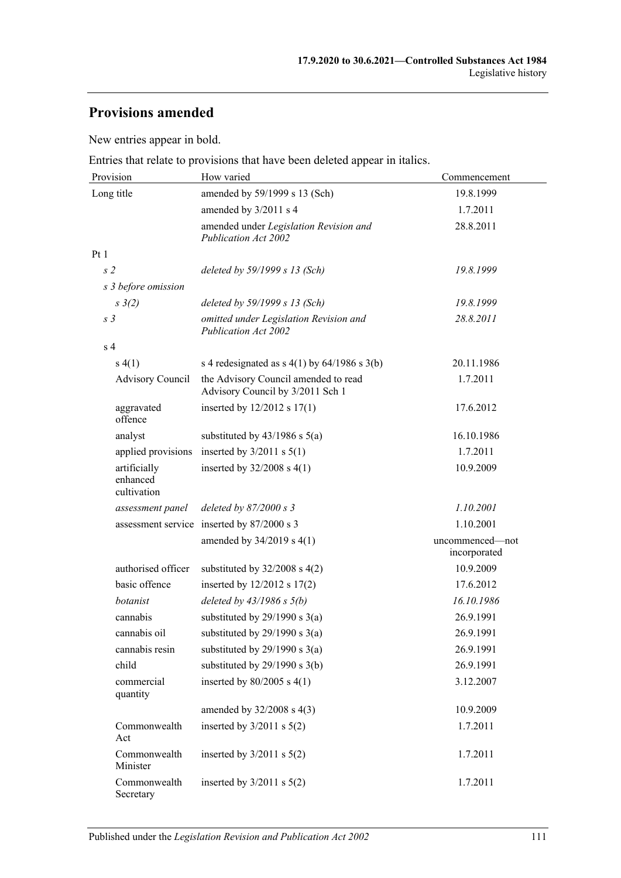# **Provisions amended**

New entries appear in bold.

Entries that relate to provisions that have been deleted appear in italics.

| Provision                               | How varied                                                               | Commencement                    |  |
|-----------------------------------------|--------------------------------------------------------------------------|---------------------------------|--|
| Long title                              | amended by 59/1999 s 13 (Sch)                                            | 19.8.1999                       |  |
|                                         | amended by 3/2011 s 4                                                    | 1.7.2011                        |  |
|                                         | amended under Legislation Revision and<br><b>Publication Act 2002</b>    | 28.8.2011                       |  |
| Pt 1                                    |                                                                          |                                 |  |
| s <sub>2</sub>                          | deleted by 59/1999 s 13 (Sch)                                            | 19.8.1999                       |  |
| s 3 before omission                     |                                                                          |                                 |  |
| $s \frac{3}{2}$                         | deleted by 59/1999 s 13 (Sch)                                            | 19.8.1999                       |  |
| s <sub>3</sub>                          | omitted under Legislation Revision and<br>Publication Act 2002           | 28.8.2011                       |  |
| s <sub>4</sub>                          |                                                                          |                                 |  |
| s(4(1))                                 | s 4 redesignated as $s$ 4(1) by 64/1986 s 3(b)                           | 20.11.1986                      |  |
| <b>Advisory Council</b>                 | the Advisory Council amended to read<br>Advisory Council by 3/2011 Sch 1 | 1.7.2011                        |  |
| aggravated<br>offence                   | inserted by $12/2012$ s $17(1)$                                          | 17.6.2012                       |  |
| analyst                                 | substituted by $43/1986$ s $5(a)$                                        | 16.10.1986                      |  |
| applied provisions                      | inserted by $3/2011$ s $5(1)$                                            | 1.7.2011                        |  |
| artificially<br>enhanced<br>cultivation | inserted by $32/2008$ s 4(1)                                             | 10.9.2009                       |  |
| assessment panel                        | deleted by $87/2000 s3$                                                  | 1.10.2001                       |  |
|                                         | assessment service inserted by 87/2000 s 3                               | 1.10.2001                       |  |
|                                         | amended by 34/2019 s 4(1)                                                | uncommenced-not<br>incorporated |  |
| authorised officer                      | substituted by $32/2008$ s $4(2)$                                        | 10.9.2009                       |  |
| basic offence                           | inserted by 12/2012 s 17(2)                                              | 17.6.2012                       |  |
| botanist                                | deleted by $43/1986 s 5(b)$                                              | 16.10.1986                      |  |
| cannabis                                | substituted by $29/1990$ s $3(a)$                                        | 26.9.1991                       |  |
| cannabis oil                            | substituted by $29/1990$ s $3(a)$                                        | 26.9.1991                       |  |
| cannabis resin                          | substituted by $29/1990$ s $3(a)$                                        | 26.9.1991                       |  |
| child                                   | substituted by 29/1990 s 3(b)                                            | 26.9.1991                       |  |
| commercial<br>quantity                  | inserted by $80/2005$ s $4(1)$                                           | 3.12.2007                       |  |
|                                         | amended by 32/2008 s 4(3)                                                | 10.9.2009                       |  |
| Commonwealth<br>Act                     | inserted by $3/2011$ s $5(2)$                                            | 1.7.2011                        |  |
| Commonwealth<br>Minister                | inserted by $3/2011$ s $5(2)$                                            | 1.7.2011                        |  |
| Commonwealth<br>Secretary               | inserted by $3/2011$ s $5(2)$                                            | 1.7.2011                        |  |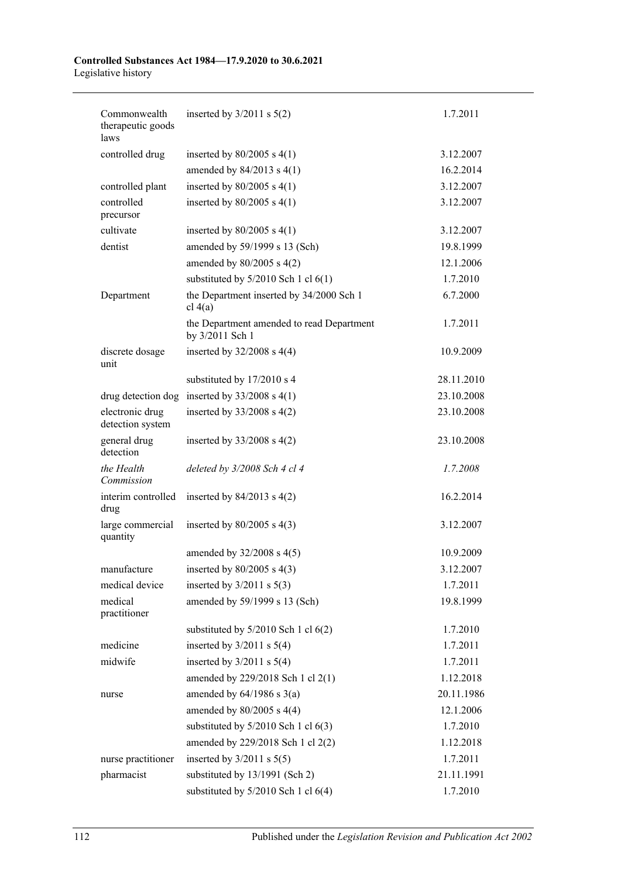| Commonwealth                        | inserted by $3/2011$ s $5(2)$                                | 1.7.2011   |
|-------------------------------------|--------------------------------------------------------------|------------|
| therapeutic goods<br>laws           |                                                              |            |
| controlled drug                     | inserted by $80/2005$ s $4(1)$                               | 3.12.2007  |
|                                     | amended by $84/2013$ s $4(1)$                                | 16.2.2014  |
| controlled plant                    | inserted by $80/2005$ s $4(1)$                               | 3.12.2007  |
| controlled<br>precursor             | inserted by $80/2005$ s $4(1)$                               | 3.12.2007  |
| cultivate                           | inserted by $80/2005$ s $4(1)$                               | 3.12.2007  |
| dentist                             | amended by 59/1999 s 13 (Sch)                                | 19.8.1999  |
|                                     | amended by $80/2005$ s $4(2)$                                | 12.1.2006  |
|                                     | substituted by $5/2010$ Sch 1 cl $6(1)$                      | 1.7.2010   |
| Department                          | the Department inserted by 34/2000 Sch 1<br>cl 4(a)          | 6.7.2000   |
|                                     | the Department amended to read Department<br>by 3/2011 Sch 1 | 1.7.2011   |
| discrete dosage<br>unit             | inserted by $32/2008$ s 4(4)                                 | 10.9.2009  |
|                                     | substituted by 17/2010 s 4                                   | 28.11.2010 |
|                                     | drug detection dog inserted by $33/2008$ s 4(1)              | 23.10.2008 |
| electronic drug<br>detection system | inserted by $33/2008$ s 4(2)                                 | 23.10.2008 |
| general drug<br>detection           | inserted by $33/2008$ s 4(2)                                 | 23.10.2008 |
| the Health<br>Commission            | deleted by 3/2008 Sch 4 cl 4                                 | 1.7.2008   |
| interim controlled<br>drug          | inserted by $84/2013$ s $4(2)$                               | 16.2.2014  |
| large commercial<br>quantity        | inserted by $80/2005$ s $4(3)$                               | 3.12.2007  |
|                                     | amended by 32/2008 s 4(5)                                    | 10.9.2009  |
| manufacture                         | inserted by $80/2005$ s $4(3)$                               | 3.12.2007  |
| medical device                      | inserted by $3/2011$ s $5(3)$                                | 1.7.2011   |
| medical<br>practitioner             | amended by 59/1999 s 13 (Sch)                                | 19.8.1999  |
|                                     | substituted by $5/2010$ Sch 1 cl $6(2)$                      | 1.7.2010   |
| medicine                            | inserted by $3/2011$ s $5(4)$                                | 1.7.2011   |
| midwife                             | inserted by $3/2011$ s $5(4)$                                | 1.7.2011   |
|                                     | amended by 229/2018 Sch 1 cl 2(1)                            | 1.12.2018  |
| nurse                               | amended by $64/1986$ s $3(a)$                                | 20.11.1986 |
|                                     | amended by $80/2005$ s $4(4)$                                | 12.1.2006  |
|                                     | substituted by $5/2010$ Sch 1 cl $6(3)$                      | 1.7.2010   |
|                                     | amended by 229/2018 Sch 1 cl 2(2)                            | 1.12.2018  |
| nurse practitioner                  | inserted by $3/2011$ s $5(5)$                                | 1.7.2011   |
| pharmacist                          | substituted by 13/1991 (Sch 2)                               | 21.11.1991 |
|                                     | substituted by 5/2010 Sch 1 cl 6(4)                          | 1.7.2010   |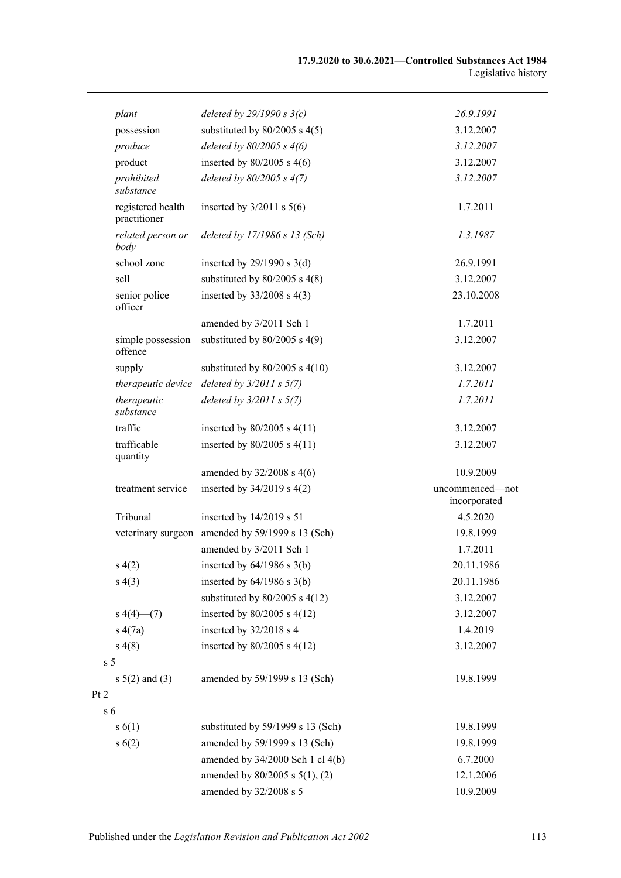| plant                             | deleted by $29/1990 s 3(c)$                      | 26.9.1991                       |
|-----------------------------------|--------------------------------------------------|---------------------------------|
| possession                        | substituted by $80/2005$ s 4(5)                  | 3.12.2007                       |
| produce                           | deleted by $80/2005$ s $4(6)$                    | 3.12.2007                       |
| product                           | inserted by $80/2005$ s $4(6)$                   | 3.12.2007                       |
| prohibited<br>substance           | deleted by $80/2005$ s $4(7)$                    | 3.12.2007                       |
| registered health<br>practitioner | inserted by $3/2011$ s $5(6)$                    | 1.7.2011                        |
| related person or<br>body         | deleted by 17/1986 s 13 (Sch)                    | 1.3.1987                        |
| school zone                       | inserted by $29/1990$ s $3(d)$                   | 26.9.1991                       |
| sell                              | substituted by $80/2005$ s $4(8)$                | 3.12.2007                       |
| senior police<br>officer          | inserted by $33/2008$ s 4(3)                     | 23.10.2008                      |
|                                   | amended by 3/2011 Sch 1                          | 1.7.2011                        |
| simple possession<br>offence      | substituted by $80/2005$ s 4(9)                  | 3.12.2007                       |
| supply                            | substituted by $80/2005$ s $4(10)$               | 3.12.2007                       |
| therapeutic device                | deleted by $3/2011 s 5(7)$                       | 1.7.2011                        |
| therapeutic<br>substance          | deleted by $3/2011 s 5(7)$                       | 1.7.2011                        |
| traffic                           | inserted by $80/2005$ s $4(11)$                  | 3.12.2007                       |
| trafficable<br>quantity           | inserted by $80/2005$ s $4(11)$                  | 3.12.2007                       |
|                                   | amended by $32/2008$ s 4(6)                      | 10.9.2009                       |
| treatment service                 | inserted by $34/2019$ s $4(2)$                   | uncommenced-not<br>incorporated |
| Tribunal                          | inserted by 14/2019 s 51                         | 4.5.2020                        |
|                                   | veterinary surgeon amended by 59/1999 s 13 (Sch) | 19.8.1999                       |
|                                   | amended by 3/2011 Sch 1                          | 1.7.2011                        |
| s(4(2)                            | inserted by $64/1986$ s $3(b)$                   | 20.11.1986                      |
| s(4(3))                           | inserted by $64/1986$ s $3(b)$                   | 20.11.1986                      |
|                                   | substituted by $80/2005$ s $4(12)$               | 3.12.2007                       |
| $s\ 4(4)$ (7)                     | inserted by $80/2005$ s $4(12)$                  | 3.12.2007                       |
| s(4(7a))                          | inserted by 32/2018 s 4                          | 1.4.2019                        |
| s(4(8))                           | inserted by $80/2005$ s $4(12)$                  | 3.12.2007                       |
| s 5                               |                                                  |                                 |
| $s 5(2)$ and (3)                  | amended by 59/1999 s 13 (Sch)                    | 19.8.1999                       |
| $\overline{c}$<br>s 6             |                                                  |                                 |
| s(6(1))                           | substituted by 59/1999 s 13 (Sch)                | 19.8.1999                       |
| s(6(2))                           | amended by 59/1999 s 13 (Sch)                    | 19.8.1999                       |
|                                   | amended by 34/2000 Sch 1 cl 4(b)                 | 6.7.2000                        |
|                                   | amended by $80/2005$ s $5(1)$ , (2)              | 12.1.2006                       |
|                                   | amended by 32/2008 s 5                           | 10.9.2009                       |

 $Pt$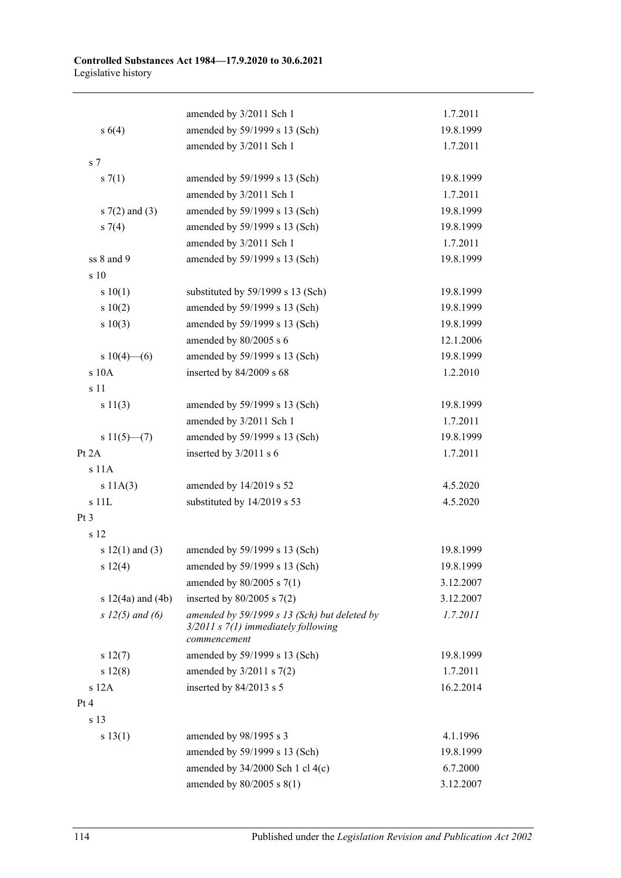|                       | amended by 3/2011 Sch 1                                                                                 | 1.7.2011  |
|-----------------------|---------------------------------------------------------------------------------------------------------|-----------|
| $s\ 6(4)$             | amended by 59/1999 s 13 (Sch)                                                                           | 19.8.1999 |
|                       | amended by 3/2011 Sch 1                                                                                 | 1.7.2011  |
| s <sub>7</sub>        |                                                                                                         |           |
| s(7(1))               | amended by 59/1999 s 13 (Sch)                                                                           | 19.8.1999 |
|                       | amended by 3/2011 Sch 1                                                                                 | 1.7.2011  |
| s $7(2)$ and $(3)$    | amended by 59/1999 s 13 (Sch)                                                                           | 19.8.1999 |
| $s \, 7(4)$           | amended by 59/1999 s 13 (Sch)                                                                           | 19.8.1999 |
|                       | amended by 3/2011 Sch 1                                                                                 | 1.7.2011  |
| ss 8 and 9            | amended by 59/1999 s 13 (Sch)                                                                           | 19.8.1999 |
| s 10                  |                                                                                                         |           |
| s 10(1)               | substituted by 59/1999 s 13 (Sch)                                                                       | 19.8.1999 |
| 10(2)                 | amended by 59/1999 s 13 (Sch)                                                                           | 19.8.1999 |
| s 10(3)               | amended by 59/1999 s 13 (Sch)                                                                           | 19.8.1999 |
|                       | amended by 80/2005 s 6                                                                                  | 12.1.2006 |
| s $10(4)$ - (6)       | amended by 59/1999 s 13 (Sch)                                                                           | 19.8.1999 |
| s 10A                 | inserted by 84/2009 s 68                                                                                | 1.2.2010  |
| s 11                  |                                                                                                         |           |
| s 11(3)               | amended by 59/1999 s 13 (Sch)                                                                           | 19.8.1999 |
|                       | amended by 3/2011 Sch 1                                                                                 | 1.7.2011  |
| $s11(5)$ – (7)        | amended by 59/1999 s 13 (Sch)                                                                           | 19.8.1999 |
| Pt 2A                 | inserted by 3/2011 s 6                                                                                  | 1.7.2011  |
| s 11A                 |                                                                                                         |           |
| s 11A(3)              | amended by 14/2019 s 52                                                                                 | 4.5.2020  |
| s 11L                 | substituted by 14/2019 s 53                                                                             | 4.5.2020  |
| Pt3                   |                                                                                                         |           |
| s 12                  |                                                                                                         |           |
| s $12(1)$ and $(3)$   | amended by 59/1999 s 13 (Sch)                                                                           | 19.8.1999 |
| s 12(4)               | amended by 59/1999 s 13 (Sch)                                                                           | 19.8.1999 |
|                       | amended by $80/2005$ s $7(1)$                                                                           | 3.12.2007 |
| $s 12(4a)$ and $(4b)$ | inserted by $80/2005$ s $7(2)$                                                                          | 3.12.2007 |
| s $12(5)$ and (6)     | amended by 59/1999 s 13 (Sch) but deleted by<br>$3/2011$ s $7(1)$ immediately following<br>commencement | 1.7.2011  |
| s 12(7)               | amended by 59/1999 s 13 (Sch)                                                                           | 19.8.1999 |
| s 12(8)               | amended by $3/2011$ s $7(2)$                                                                            | 1.7.2011  |
| s 12A                 | inserted by 84/2013 s 5                                                                                 | 16.2.2014 |
| Pt 4                  |                                                                                                         |           |
| s 13                  |                                                                                                         |           |
| s 13(1)               | amended by 98/1995 s 3                                                                                  | 4.1.1996  |
|                       | amended by 59/1999 s 13 (Sch)                                                                           | 19.8.1999 |
|                       | amended by $34/2000$ Sch 1 cl $4(c)$                                                                    | 6.7.2000  |
|                       | amended by 80/2005 s 8(1)                                                                               | 3.12.2007 |
|                       |                                                                                                         |           |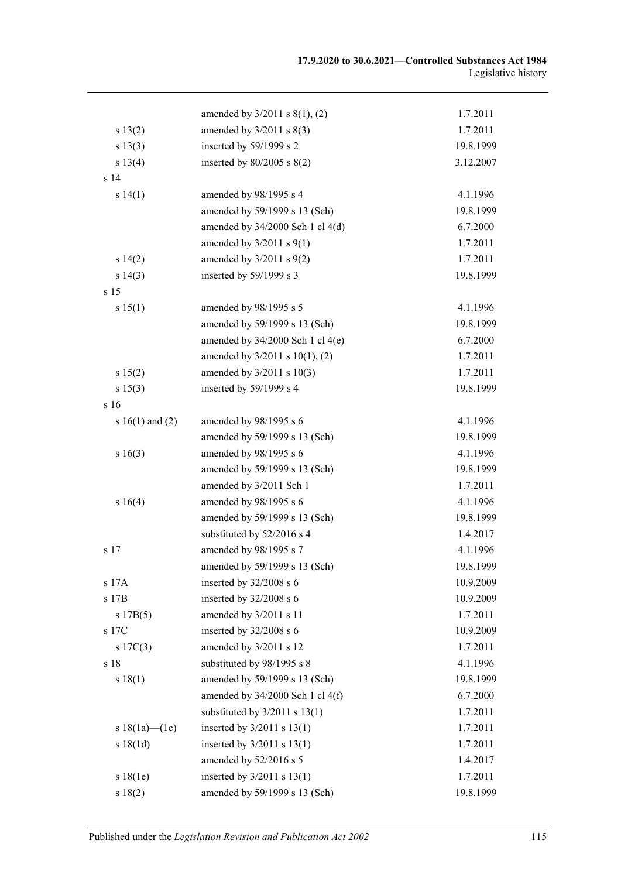|                     | amended by 3/2011 s 8(1), (2)        | 1.7.2011  |
|---------------------|--------------------------------------|-----------|
| s 13(2)             | amended by $3/2011$ s $8(3)$         | 1.7.2011  |
| s 13(3)             | inserted by 59/1999 s 2              | 19.8.1999 |
| s 13(4)             | inserted by $80/2005$ s $8(2)$       | 3.12.2007 |
| s <sub>14</sub>     |                                      |           |
| s 14(1)             | amended by 98/1995 s 4               | 4.1.1996  |
|                     | amended by 59/1999 s 13 (Sch)        | 19.8.1999 |
|                     | amended by 34/2000 Sch 1 cl 4(d)     | 6.7.2000  |
|                     | amended by $3/2011$ s $9(1)$         | 1.7.2011  |
| s 14(2)             | amended by $3/2011$ s $9(2)$         | 1.7.2011  |
| s 14(3)             | inserted by 59/1999 s 3              | 19.8.1999 |
| s <sub>15</sub>     |                                      |           |
| s 15(1)             | amended by 98/1995 s 5               | 4.1.1996  |
|                     | amended by 59/1999 s 13 (Sch)        | 19.8.1999 |
|                     | amended by $34/2000$ Sch 1 cl 4(e)   | 6.7.2000  |
|                     | amended by $3/2011$ s $10(1)$ , (2)  | 1.7.2011  |
| s 15(2)             | amended by 3/2011 s 10(3)            | 1.7.2011  |
| s 15(3)             | inserted by 59/1999 s 4              | 19.8.1999 |
| s <sub>16</sub>     |                                      |           |
| s $16(1)$ and $(2)$ | amended by 98/1995 s 6               | 4.1.1996  |
|                     | amended by 59/1999 s 13 (Sch)        | 19.8.1999 |
| s 16(3)             | amended by 98/1995 s 6               | 4.1.1996  |
|                     | amended by 59/1999 s 13 (Sch)        | 19.8.1999 |
|                     | amended by 3/2011 Sch 1              | 1.7.2011  |
| s 16(4)             | amended by 98/1995 s 6               | 4.1.1996  |
|                     | amended by 59/1999 s 13 (Sch)        | 19.8.1999 |
|                     | substituted by 52/2016 s 4           | 1.4.2017  |
| s 17                | amended by 98/1995 s 7               | 4.1.1996  |
|                     | amended by 59/1999 s 13 (Sch)        | 19.8.1999 |
| s 17A               | inserted by 32/2008 s 6              | 10.9.2009 |
| s 17B               | inserted by 32/2008 s 6              | 10.9.2009 |
| s 17B(5)            | amended by 3/2011 s 11               | 1.7.2011  |
| s 17C               | inserted by 32/2008 s 6              | 10.9.2009 |
| s 17C(3)            | amended by 3/2011 s 12               | 1.7.2011  |
| s 18                | substituted by 98/1995 s 8           | 4.1.1996  |
| s 18(1)             | amended by 59/1999 s 13 (Sch)        | 19.8.1999 |
|                     | amended by $34/2000$ Sch 1 cl $4(f)$ | 6.7.2000  |
|                     | substituted by $3/2011$ s $13(1)$    | 1.7.2011  |
| s $18(1a)$ (1c)     | inserted by $3/2011$ s $13(1)$       | 1.7.2011  |
| s 18(1d)            | inserted by $3/2011$ s $13(1)$       | 1.7.2011  |
|                     | amended by 52/2016 s 5               | 1.4.2017  |
| s18(1e)             | inserted by $3/2011$ s $13(1)$       | 1.7.2011  |
| s 18(2)             | amended by 59/1999 s 13 (Sch)        | 19.8.1999 |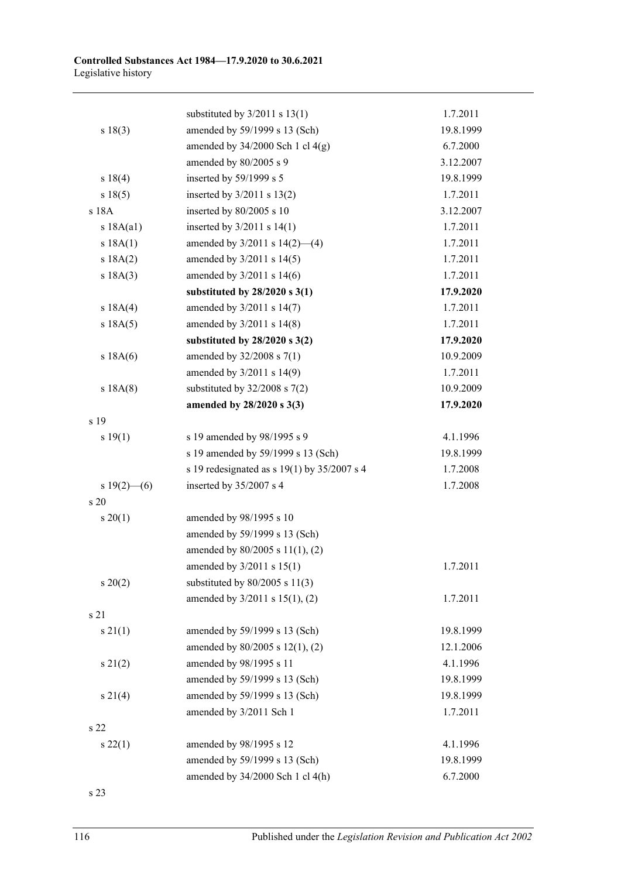|                 | substituted by $3/2011$ s $13(1)$           | 1.7.2011  |
|-----------------|---------------------------------------------|-----------|
| s 18(3)         | amended by 59/1999 s 13 (Sch)               | 19.8.1999 |
|                 | amended by $34/2000$ Sch 1 cl $4(g)$        | 6.7.2000  |
|                 | amended by 80/2005 s 9                      | 3.12.2007 |
| s 18(4)         | inserted by 59/1999 s 5                     | 19.8.1999 |
| s 18(5)         | inserted by $3/2011$ s $13(2)$              | 1.7.2011  |
| s 18A           | inserted by 80/2005 s 10                    | 3.12.2007 |
| s 18A(a1)       | inserted by $3/2011$ s $14(1)$              | 1.7.2011  |
| s 18A(1)        | amended by $3/2011$ s $14(2)$ —(4)          | 1.7.2011  |
| s 18A(2)        | amended by 3/2011 s 14(5)                   | 1.7.2011  |
| s 18A(3)        | amended by 3/2011 s 14(6)                   | 1.7.2011  |
|                 | substituted by $28/2020$ s $3(1)$           | 17.9.2020 |
| s 18A(4)        | amended by 3/2011 s 14(7)                   | 1.7.2011  |
| s 18A(5)        | amended by 3/2011 s 14(8)                   | 1.7.2011  |
|                 | substituted by $28/2020$ s $3(2)$           | 17.9.2020 |
| s 18A(6)        | amended by 32/2008 s 7(1)                   | 10.9.2009 |
|                 | amended by 3/2011 s 14(9)                   | 1.7.2011  |
| s 18A(8)        | substituted by $32/2008$ s $7(2)$           | 10.9.2009 |
|                 | amended by 28/2020 s 3(3)                   | 17.9.2020 |
| s 19            |                                             |           |
| s 19(1)         | s 19 amended by 98/1995 s 9                 | 4.1.1996  |
|                 | s 19 amended by 59/1999 s 13 (Sch)          | 19.8.1999 |
|                 | s 19 redesignated as s 19(1) by 35/2007 s 4 | 1.7.2008  |
| s $19(2)$ - (6) | inserted by 35/2007 s 4                     | 1.7.2008  |
| s 20            |                                             |           |
| $s \ 20(1)$     | amended by 98/1995 s 10                     |           |
|                 | amended by 59/1999 s 13 (Sch)               |           |
|                 | amended by 80/2005 s 11(1), (2)             |           |
|                 | amended by 3/2011 s 15(1)                   | 1.7.2011  |
| $s\,20(2)$      | substituted by $80/2005$ s 11(3)            |           |
|                 | amended by 3/2011 s 15(1), (2)              | 1.7.2011  |
| s 21            |                                             |           |
| $s \, 21(1)$    | amended by 59/1999 s 13 (Sch)               | 19.8.1999 |
|                 | amended by 80/2005 s 12(1), (2)             | 12.1.2006 |
| $s\,21(2)$      | amended by 98/1995 s 11                     | 4.1.1996  |
|                 | amended by 59/1999 s 13 (Sch)               | 19.8.1999 |
| $s \, 21(4)$    | amended by 59/1999 s 13 (Sch)               | 19.8.1999 |
|                 | amended by 3/2011 Sch 1                     | 1.7.2011  |
| s 22            |                                             |           |
| s 22(1)         | amended by 98/1995 s 12                     | 4.1.1996  |
|                 | amended by 59/1999 s 13 (Sch)               | 19.8.1999 |
|                 | amended by 34/2000 Sch 1 cl 4(h)            | 6.7.2000  |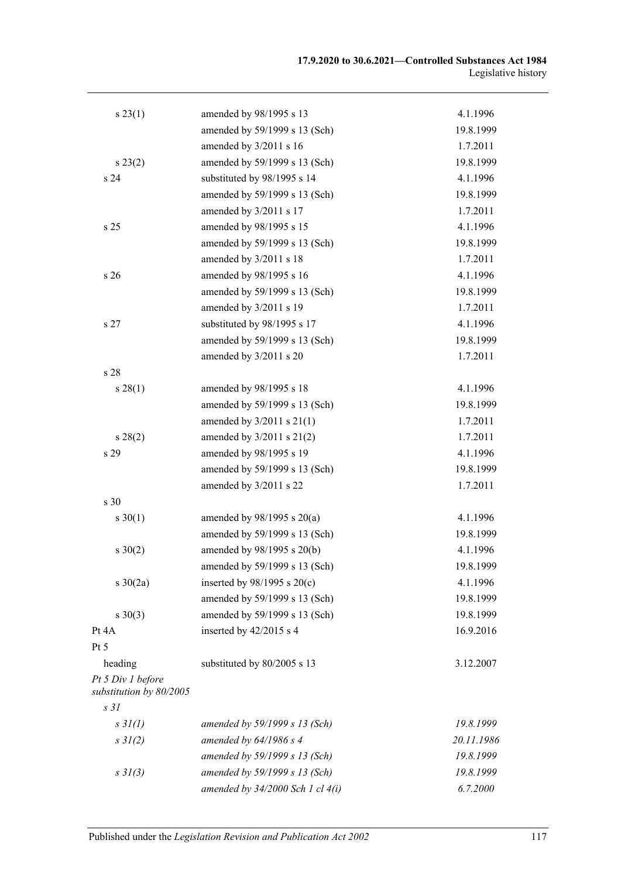| s 23(1)                                      | amended by 98/1995 s 13              | 4.1.1996   |
|----------------------------------------------|--------------------------------------|------------|
|                                              | amended by 59/1999 s 13 (Sch)        | 19.8.1999  |
|                                              | amended by 3/2011 s 16               | 1.7.2011   |
| $s\,23(2)$                                   | amended by 59/1999 s 13 (Sch)        | 19.8.1999  |
| s 24                                         | substituted by 98/1995 s 14          | 4.1.1996   |
|                                              | amended by 59/1999 s 13 (Sch)        | 19.8.1999  |
|                                              | amended by 3/2011 s 17               | 1.7.2011   |
| s 25                                         | amended by 98/1995 s 15              | 4.1.1996   |
|                                              | amended by 59/1999 s 13 (Sch)        | 19.8.1999  |
|                                              | amended by 3/2011 s 18               | 1.7.2011   |
| s 26                                         | amended by 98/1995 s 16              | 4.1.1996   |
|                                              | amended by 59/1999 s 13 (Sch)        | 19.8.1999  |
|                                              | amended by 3/2011 s 19               | 1.7.2011   |
| s 27                                         | substituted by 98/1995 s 17          | 4.1.1996   |
|                                              | amended by 59/1999 s 13 (Sch)        | 19.8.1999  |
|                                              | amended by 3/2011 s 20               | 1.7.2011   |
| s 28                                         |                                      |            |
| $s\,28(1)$                                   | amended by 98/1995 s 18              | 4.1.1996   |
|                                              | amended by 59/1999 s 13 (Sch)        | 19.8.1999  |
|                                              | amended by 3/2011 s 21(1)            | 1.7.2011   |
| s 28(2)                                      | amended by $3/2011$ s $21(2)$        | 1.7.2011   |
| s 29                                         | amended by 98/1995 s 19              | 4.1.1996   |
|                                              | amended by 59/1999 s 13 (Sch)        | 19.8.1999  |
|                                              | amended by 3/2011 s 22               | 1.7.2011   |
| s <sub>30</sub>                              |                                      |            |
| $s \ 30(1)$                                  | amended by $98/1995$ s $20(a)$       | 4.1.1996   |
|                                              | amended by 59/1999 s 13 (Sch)        | 19.8.1999  |
| $s \ 30(2)$                                  | amended by 98/1995 s 20(b)           | 4.1.1996   |
|                                              | amended by 59/1999 s 13 (Sch)        | 19.8.1999  |
| $s \ 30(2a)$                                 | inserted by $98/1995$ s $20(c)$      | 4.1.1996   |
|                                              | amended by 59/1999 s 13 (Sch)        | 19.8.1999  |
| $s \ 30(3)$                                  | amended by 59/1999 s 13 (Sch)        | 19.8.1999  |
| Pt 4A                                        | inserted by 42/2015 s 4              | 16.9.2016  |
| Pt 5                                         |                                      |            |
| heading                                      | substituted by 80/2005 s 13          | 3.12.2007  |
| Pt 5 Div 1 before<br>substitution by 80/2005 |                                      |            |
| s <sub>31</sub>                              |                                      |            |
| $s \frac{3}{I(I)}$                           | amended by 59/1999 s 13 (Sch)        | 19.8.1999  |
| $s \frac{3}{2}$ (2)                          | amended by $64/1986 s 4$             | 20.11.1986 |
|                                              | amended by 59/1999 s 13 (Sch)        | 19.8.1999  |
| $s \frac{3}{3}$ (3)                          | amended by 59/1999 s 13 (Sch)        | 19.8.1999  |
|                                              | amended by $34/2000$ Sch 1 cl $4(i)$ | 6.7.2000   |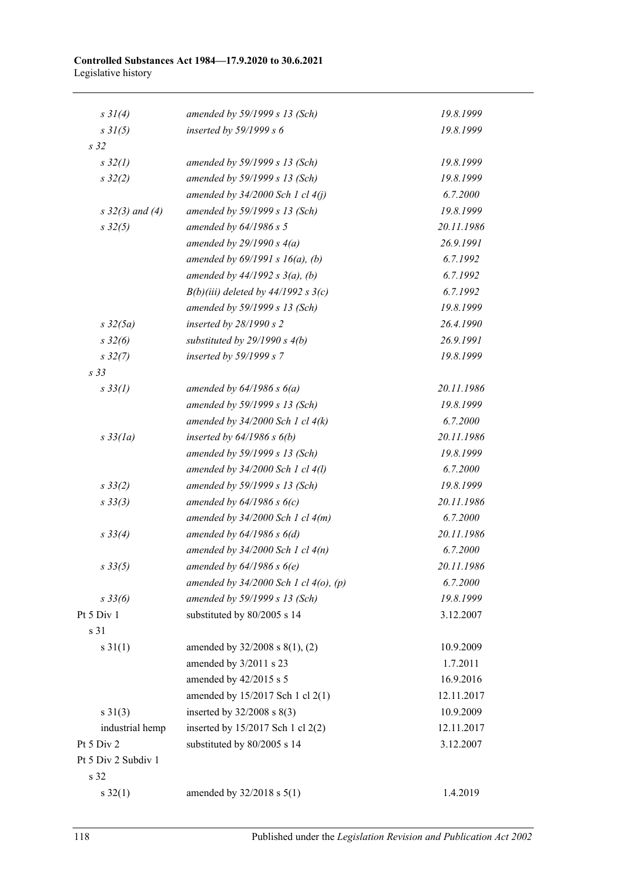| $s \frac{3}{4}$          | amended by 59/1999 s 13 (Sch)              | 19.8.1999  |
|--------------------------|--------------------------------------------|------------|
| $s \frac{3}{(5)}$        | inserted by $59/1999 s 6$                  | 19.8.1999  |
| s <sub>32</sub>          |                                            |            |
| $s\,32(1)$               | amended by 59/1999 s 13 (Sch)              | 19.8.1999  |
| $s\,32(2)$               | amended by 59/1999 s 13 (Sch)              | 19.8.1999  |
|                          | amended by $34/2000$ Sch 1 cl $4(j)$       | 6.7.2000   |
| $s \frac{32}{3}$ and (4) | amended by 59/1999 s 13 (Sch)              | 19.8.1999  |
| $s\,32(5)$               | amended by $64/1986 s 5$                   | 20.11.1986 |
|                          | amended by $29/1990 s 4(a)$                | 26.9.1991  |
|                          | amended by $69/1991 s 16(a)$ , (b)         | 6.7.1992   |
|                          | amended by $44/1992 s 3(a)$ , (b)          | 6.7.1992   |
|                          | $B(b)(iii)$ deleted by 44/1992 s 3(c)      | 6.7.1992   |
|                          | amended by 59/1999 s 13 (Sch)              | 19.8.1999  |
| $s \frac{32(5a)}{2}$     | inserted by $28/1990 s 2$                  | 26.4.1990  |
| $s \frac{32}{6}$         | substituted by $29/1990 s 4(b)$            | 26.9.1991  |
| $s\,32(7)$               | inserted by 59/1999 s 7                    | 19.8.1999  |
| s 33                     |                                            |            |
| $s \, 33(1)$             | amended by $64/1986 s 6(a)$                | 20.11.1986 |
|                          | amended by 59/1999 s 13 (Sch)              | 19.8.1999  |
|                          | amended by $34/2000$ Sch 1 cl $4(k)$       | 6.7.2000   |
| $s\,33(la)$              | inserted by $64/1986$ s $6(b)$             | 20.11.1986 |
|                          | amended by 59/1999 s 13 (Sch)              | 19.8.1999  |
|                          | amended by $34/2000$ Sch 1 cl $4(l)$       | 6.7.2000   |
| $s \frac{33}{2}$         | amended by 59/1999 s 13 (Sch)              | 19.8.1999  |
| $s \frac{33}{3}$         | amended by $64/1986$ s $6(c)$              | 20.11.1986 |
|                          | amended by $34/2000$ Sch 1 cl $4(m)$       | 6.7.2000   |
| $s \frac{33}{4}$         | amended by $64/1986 s 6(d)$                | 20.11.1986 |
|                          | amended by $34/2000$ Sch 1 cl $4(n)$       | 6.7.2000   |
| $s \, 33(5)$             | amended by $64/1986$ s $6(e)$              | 20.11.1986 |
|                          | amended by $34/2000$ Sch 1 cl $4(0)$ , (p) | 6.7.2000   |
| $s \frac{33}{6}$         | amended by 59/1999 s 13 (Sch)              | 19.8.1999  |
| Pt 5 Div 1               | substituted by 80/2005 s 14                | 3.12.2007  |
| s 31                     |                                            |            |
| $s \, 31(1)$             | amended by 32/2008 s 8(1), (2)             | 10.9.2009  |
|                          | amended by 3/2011 s 23                     | 1.7.2011   |
|                          | amended by 42/2015 s 5                     | 16.9.2016  |
|                          | amended by 15/2017 Sch 1 cl 2(1)           | 12.11.2017 |
| $s \ 31(3)$              | inserted by $32/2008$ s $8(3)$             | 10.9.2009  |
| industrial hemp          | inserted by 15/2017 Sch 1 cl 2(2)          | 12.11.2017 |
| Pt 5 Div 2               | substituted by 80/2005 s 14                | 3.12.2007  |
| Pt 5 Div 2 Subdiv 1      |                                            |            |
| s 32                     |                                            |            |
| $s \, 32(1)$             | amended by $32/2018$ s $5(1)$              | 1.4.2019   |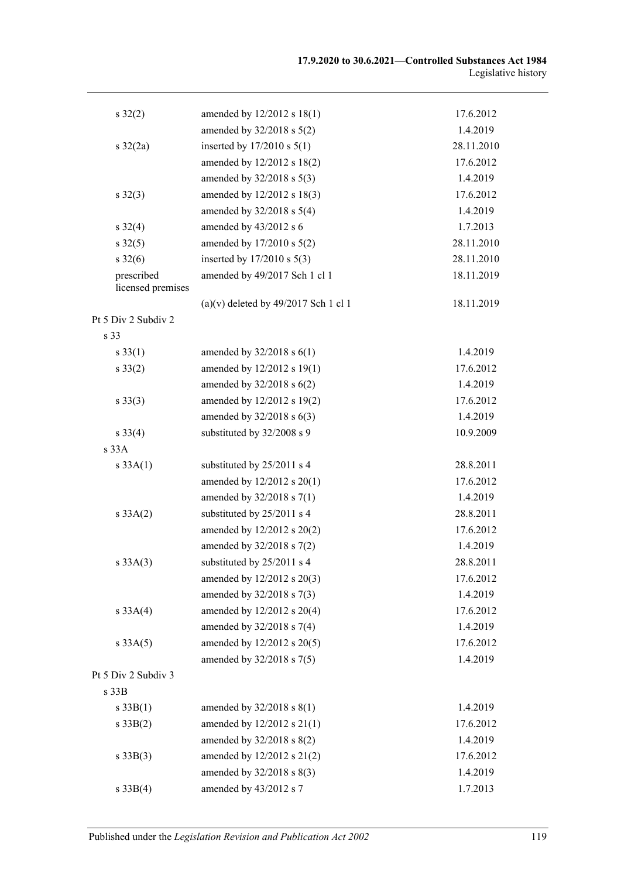| $s \, 32(2)$                    | amended by 12/2012 s 18(1)             | 17.6.2012  |
|---------------------------------|----------------------------------------|------------|
|                                 | amended by 32/2018 s 5(2)              | 1.4.2019   |
| $s \frac{32}{2a}$               | inserted by $17/2010$ s $5(1)$         | 28.11.2010 |
|                                 | amended by 12/2012 s 18(2)             | 17.6.2012  |
|                                 | amended by 32/2018 s 5(3)              | 1.4.2019   |
| $s \, 32(3)$                    | amended by 12/2012 s 18(3)             | 17.6.2012  |
|                                 | amended by $32/2018$ s $5(4)$          | 1.4.2019   |
| $s \, 32(4)$                    | amended by 43/2012 s 6                 | 1.7.2013   |
| $s \, 32(5)$                    | amended by 17/2010 s 5(2)              | 28.11.2010 |
| $s \, 32(6)$                    | inserted by $17/2010$ s $5(3)$         | 28.11.2010 |
| prescribed<br>licensed premises | amended by 49/2017 Sch 1 cl 1          | 18.11.2019 |
|                                 | $(a)(v)$ deleted by 49/2017 Sch 1 cl 1 | 18.11.2019 |
| Pt 5 Div 2 Subdiv 2             |                                        |            |
| s 33                            |                                        |            |
| $s \, 33(1)$                    | amended by $32/2018$ s $6(1)$          | 1.4.2019   |
| $s \, 33(2)$                    | amended by 12/2012 s 19(1)             | 17.6.2012  |
|                                 | amended by $32/2018$ s $6(2)$          | 1.4.2019   |
| $s \, 33(3)$                    | amended by 12/2012 s 19(2)             | 17.6.2012  |
|                                 | amended by $32/2018$ s $6(3)$          | 1.4.2019   |
| $s \, 33(4)$                    | substituted by 32/2008 s 9             | 10.9.2009  |
| s 33A                           |                                        |            |
| s 33A(1)                        | substituted by 25/2011 s 4             | 28.8.2011  |
|                                 | amended by 12/2012 s 20(1)             | 17.6.2012  |
|                                 | amended by 32/2018 s 7(1)              | 1.4.2019   |
| s 33A(2)                        | substituted by 25/2011 s 4             | 28.8.2011  |
|                                 | amended by 12/2012 s 20(2)             | 17.6.2012  |
|                                 | amended by 32/2018 s 7(2)              | 1.4.2019   |
| s 33A(3)                        | substituted by 25/2011 s 4             | 28.8.2011  |
|                                 | amended by 12/2012 s 20(3)             | 17.6.2012  |
|                                 | amended by 32/2018 s 7(3)              | 1.4.2019   |
| s 33A(4)                        | amended by 12/2012 s 20(4)             | 17.6.2012  |
|                                 | amended by 32/2018 s 7(4)              | 1.4.2019   |
| s 33A(5)                        | amended by 12/2012 s 20(5)             | 17.6.2012  |
|                                 | amended by 32/2018 s 7(5)              | 1.4.2019   |
| Pt 5 Div 2 Subdiv 3             |                                        |            |
| s 33B                           |                                        |            |
| s 33B(1)                        | amended by $32/2018$ s $8(1)$          | 1.4.2019   |
| $s \, 33B(2)$                   | amended by 12/2012 s 21(1)             | 17.6.2012  |
|                                 | amended by 32/2018 s 8(2)              | 1.4.2019   |
| $s \, 33B(3)$                   | amended by 12/2012 s 21(2)             | 17.6.2012  |
|                                 | amended by 32/2018 s 8(3)              | 1.4.2019   |
| s 33B(4)                        | amended by 43/2012 s 7                 | 1.7.2013   |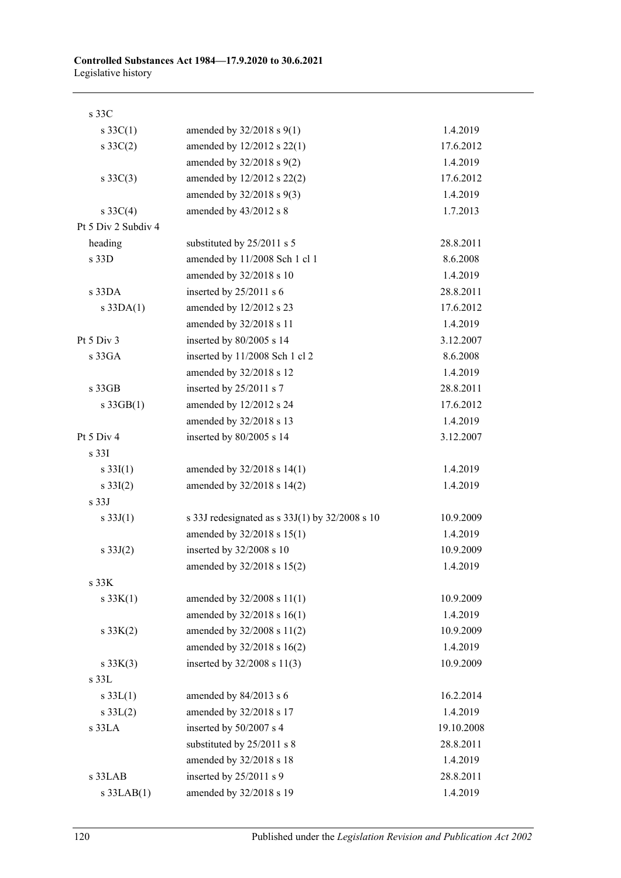| s 33C               |                                                |            |
|---------------------|------------------------------------------------|------------|
| $s \, 33C(1)$       | amended by $32/2018$ s $9(1)$                  | 1.4.2019   |
| $s \, 33C(2)$       | amended by 12/2012 s 22(1)                     | 17.6.2012  |
|                     | amended by 32/2018 s 9(2)                      | 1.4.2019   |
| $s \, 33C(3)$       | amended by 12/2012 s 22(2)                     | 17.6.2012  |
|                     | amended by 32/2018 s 9(3)                      | 1.4.2019   |
| s $33C(4)$          | amended by 43/2012 s 8                         | 1.7.2013   |
| Pt 5 Div 2 Subdiv 4 |                                                |            |
| heading             | substituted by 25/2011 s 5                     | 28.8.2011  |
| s 33D               | amended by 11/2008 Sch 1 cl 1                  | 8.6.2008   |
|                     | amended by 32/2018 s 10                        | 1.4.2019   |
| $s$ 33DA            | inserted by 25/2011 s 6                        | 28.8.2011  |
| $s$ 33DA $(1)$      | amended by 12/2012 s 23                        | 17.6.2012  |
|                     | amended by 32/2018 s 11                        | 1.4.2019   |
| Pt $5$ Div $3$      | inserted by 80/2005 s 14                       | 3.12.2007  |
| s 33GA              | inserted by 11/2008 Sch 1 cl 2                 | 8.6.2008   |
|                     | amended by 32/2018 s 12                        | 1.4.2019   |
| s 33GB              | inserted by 25/2011 s 7                        | 28.8.2011  |
| $s \cdot 33GB(1)$   | amended by 12/2012 s 24                        | 17.6.2012  |
|                     | amended by 32/2018 s 13                        | 1.4.2019   |
| Pt 5 Div 4          | inserted by 80/2005 s 14                       | 3.12.2007  |
| s <sub>331</sub>    |                                                |            |
| $s \, 33I(1)$       | amended by 32/2018 s 14(1)                     | 1.4.2019   |
| $s \, 33I(2)$       | amended by 32/2018 s 14(2)                     | 1.4.2019   |
| s <sub>33J</sub>    |                                                |            |
| s $33J(1)$          | s 33J redesignated as s 33J(1) by 32/2008 s 10 | 10.9.2009  |
|                     | amended by 32/2018 s 15(1)                     | 1.4.2019   |
| s $33J(2)$          | inserted by 32/2008 s 10                       | 10.9.2009  |
|                     | amended by 32/2018 s 15(2)                     | 1.4.2019   |
| s <sub>33K</sub>    |                                                |            |
| $s \, 33K(1)$       | amended by 32/2008 s 11(1)                     | 10.9.2009  |
|                     | amended by 32/2018 s 16(1)                     | 1.4.2019   |
| $s \, 33K(2)$       | amended by 32/2008 s 11(2)                     | 10.9.2009  |
|                     | amended by 32/2018 s 16(2)                     | 1.4.2019   |
| $s \, 33K(3)$       | inserted by 32/2008 s 11(3)                    | 10.9.2009  |
| $s$ 33 $L$          |                                                |            |
| s $33L(1)$          | amended by 84/2013 s 6                         | 16.2.2014  |
| $s \, 33L(2)$       | amended by 32/2018 s 17                        | 1.4.2019   |
| s 33LA              | inserted by 50/2007 s 4                        | 19.10.2008 |
|                     | substituted by 25/2011 s 8                     | 28.8.2011  |
|                     | amended by 32/2018 s 18                        | 1.4.2019   |
| s 33LAB             | inserted by 25/2011 s 9                        | 28.8.2011  |
| $s$ 33LAB $(1)$     | amended by 32/2018 s 19                        | 1.4.2019   |

120 Published under the *Legislation Revision and Publication Act 2002*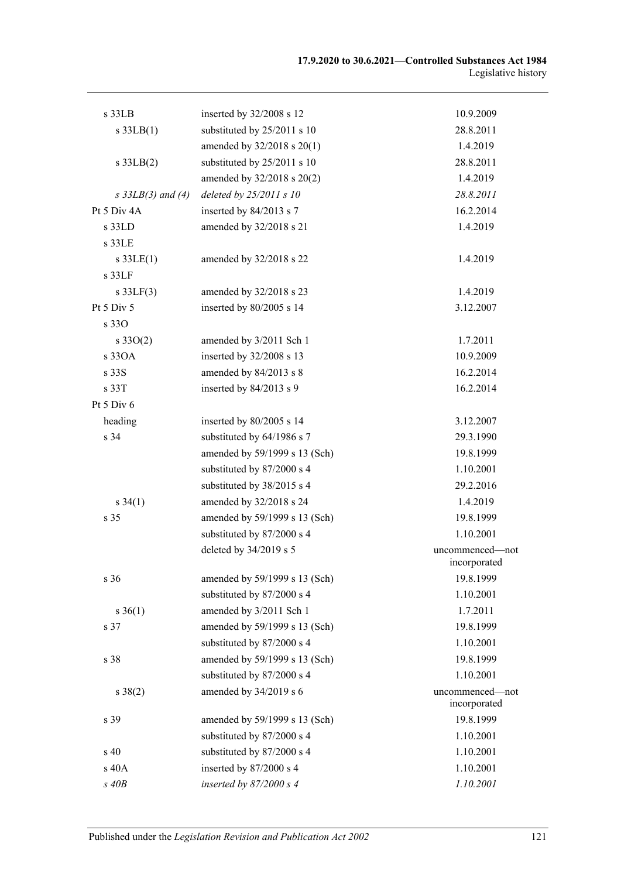| s 33LB              | inserted by 32/2008 s 12      | 10.9.2009                       |
|---------------------|-------------------------------|---------------------------------|
| $s$ 33LB $(1)$      | substituted by 25/2011 s 10   | 28.8.2011                       |
|                     | amended by 32/2018 s 20(1)    | 1.4.2019                        |
| $s$ 33LB $(2)$      | substituted by 25/2011 s 10   | 28.8.2011                       |
|                     | amended by 32/2018 s 20(2)    | 1.4.2019                        |
| $s$ 33LB(3) and (4) | deleted by $25/2011 s 10$     | 28.8.2011                       |
| Pt 5 Div 4A         | inserted by 84/2013 s 7       | 16.2.2014                       |
| s 33LD              | amended by 32/2018 s 21       | 1.4.2019                        |
| $s$ 33LE            |                               |                                 |
| $s$ 33LE(1)         | amended by 32/2018 s 22       | 1.4.2019                        |
| $s$ 33 $LF$         |                               |                                 |
| $s$ 33LF(3)         | amended by 32/2018 s 23       | 1.4.2019                        |
| Pt 5 Div 5          | inserted by 80/2005 s 14      | 3.12.2007                       |
| s 330               |                               |                                 |
| $s \, 33O(2)$       | amended by 3/2011 Sch 1       | 1.7.2011                        |
| s 330A              | inserted by 32/2008 s 13      | 10.9.2009                       |
| s 33S               | amended by 84/2013 s 8        | 16.2.2014                       |
| s 33T               | inserted by 84/2013 s 9       | 16.2.2014                       |
| Pt 5 Div 6          |                               |                                 |
| heading             | inserted by $80/2005$ s 14    | 3.12.2007                       |
| s 34                | substituted by 64/1986 s 7    | 29.3.1990                       |
|                     | amended by 59/1999 s 13 (Sch) | 19.8.1999                       |
|                     | substituted by 87/2000 s 4    | 1.10.2001                       |
|                     | substituted by 38/2015 s 4    | 29.2.2016                       |
| $s \, 34(1)$        | amended by 32/2018 s 24       | 1.4.2019                        |
| s 35                | amended by 59/1999 s 13 (Sch) | 19.8.1999                       |
|                     | substituted by 87/2000 s 4    | 1.10.2001                       |
|                     | deleted by 34/2019 s 5        | uncommenced-not<br>incorporated |
| s 36                | amended by 59/1999 s 13 (Sch) | 19.8.1999                       |
|                     | substituted by 87/2000 s 4    | 1.10.2001                       |
| $s \; 36(1)$        | amended by 3/2011 Sch 1       | 1.7.2011                        |
| s 37                | amended by 59/1999 s 13 (Sch) | 19.8.1999                       |
|                     | substituted by 87/2000 s 4    | 1.10.2001                       |
| s 38                | amended by 59/1999 s 13 (Sch) | 19.8.1999                       |
|                     | substituted by 87/2000 s 4    | 1.10.2001                       |
| $s \ 38(2)$         | amended by 34/2019 s 6        | uncommenced-not<br>incorporated |
| s 39                | amended by 59/1999 s 13 (Sch) | 19.8.1999                       |
|                     | substituted by 87/2000 s 4    | 1.10.2001                       |
| $\sin 40$           | substituted by 87/2000 s 4    | 1.10.2001                       |
| s 40A               | inserted by 87/2000 s 4       | 1.10.2001                       |
| $s$ 40 $B$          | inserted by $87/2000 s 4$     | 1.10.2001                       |
|                     |                               |                                 |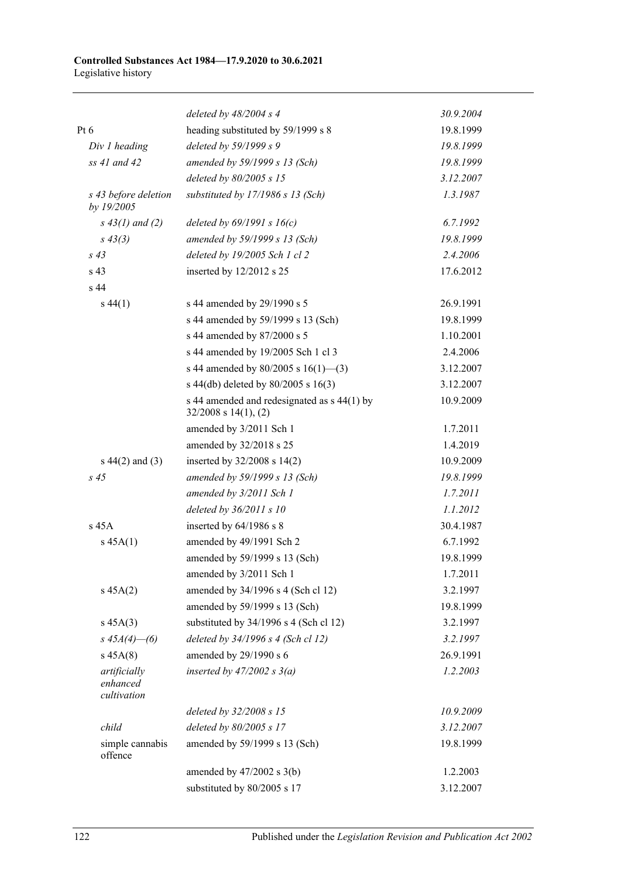|                                         | deleted by $48/2004$ s 4                                                   | 30.9.2004 |
|-----------------------------------------|----------------------------------------------------------------------------|-----------|
| Pt $6$                                  | heading substituted by 59/1999 s 8                                         | 19.8.1999 |
| Div 1 heading                           | deleted by 59/1999 s 9                                                     | 19.8.1999 |
| $ss$ 41 and 42                          | amended by 59/1999 s 13 (Sch)                                              | 19.8.1999 |
|                                         | deleted by 80/2005 s 15                                                    | 3.12.2007 |
| s 43 before deletion<br>by 19/2005      | substituted by 17/1986 s 13 (Sch)                                          | 1.3.1987  |
| $s\,43(1)$ and (2)                      | deleted by $69/1991 s 16(c)$                                               | 6.7.1992  |
| $s\,43(3)$                              | amended by 59/1999 s 13 (Sch)                                              | 19.8.1999 |
| $s\,43$                                 | deleted by 19/2005 Sch 1 cl 2                                              | 2.4.2006  |
| s 43                                    | inserted by $12/2012$ s 25                                                 | 17.6.2012 |
| s 44                                    |                                                                            |           |
| $s\,44(1)$                              | s 44 amended by 29/1990 s 5                                                | 26.9.1991 |
|                                         | s 44 amended by 59/1999 s 13 (Sch)                                         | 19.8.1999 |
|                                         | s 44 amended by 87/2000 s 5                                                | 1.10.2001 |
|                                         | s 44 amended by 19/2005 Sch 1 cl 3                                         | 2.4.2006  |
|                                         | s 44 amended by $80/2005$ s $16(1)$ —(3)                                   | 3.12.2007 |
|                                         | s 44(db) deleted by $80/2005$ s 16(3)                                      | 3.12.2007 |
|                                         | s 44 amended and redesignated as $s$ 44(1) by<br>$32/2008$ s $14(1)$ , (2) | 10.9.2009 |
|                                         | amended by 3/2011 Sch 1                                                    | 1.7.2011  |
|                                         | amended by 32/2018 s 25                                                    | 1.4.2019  |
| $s\ 44(2)$ and (3)                      | inserted by $32/2008$ s $14(2)$                                            | 10.9.2009 |
| $s\,45$                                 | amended by 59/1999 s 13 (Sch)                                              | 19.8.1999 |
|                                         | amended by 3/2011 Sch 1                                                    | 1.7.2011  |
|                                         | deleted by $36/2011 s 10$                                                  | 1.1.2012  |
| $s$ 45A                                 | inserted by 64/1986 s 8                                                    | 30.4.1987 |
| $s\,45A(1)$                             | amended by 49/1991 Sch 2                                                   | 6.7.1992  |
|                                         | amended by 59/1999 s 13 (Sch)                                              | 19.8.1999 |
|                                         | amended by 3/2011 Sch 1                                                    | 1.7.2011  |
| $s\,45A(2)$                             | amended by 34/1996 s 4 (Sch cl 12)                                         | 3.2.1997  |
|                                         | amended by 59/1999 s 13 (Sch)                                              | 19.8.1999 |
| $s\,45A(3)$                             | substituted by 34/1996 s 4 (Sch cl 12)                                     | 3.2.1997  |
| s $45A(4)$ - (6)                        | deleted by 34/1996 s 4 (Sch cl 12)                                         | 3.2.1997  |
| $s\,45A(8)$                             | amended by 29/1990 s 6                                                     | 26.9.1991 |
| artificially<br>enhanced<br>cultivation | inserted by $47/2002$ s $3(a)$                                             | 1.2.2003  |
|                                         | deleted by 32/2008 s 15                                                    | 10.9.2009 |
| child                                   | deleted by 80/2005 s 17                                                    | 3.12.2007 |
| simple cannabis<br>offence              | amended by 59/1999 s 13 (Sch)                                              | 19.8.1999 |
|                                         | amended by $47/2002$ s $3(b)$                                              | 1.2.2003  |
|                                         | substituted by 80/2005 s 17                                                | 3.12.2007 |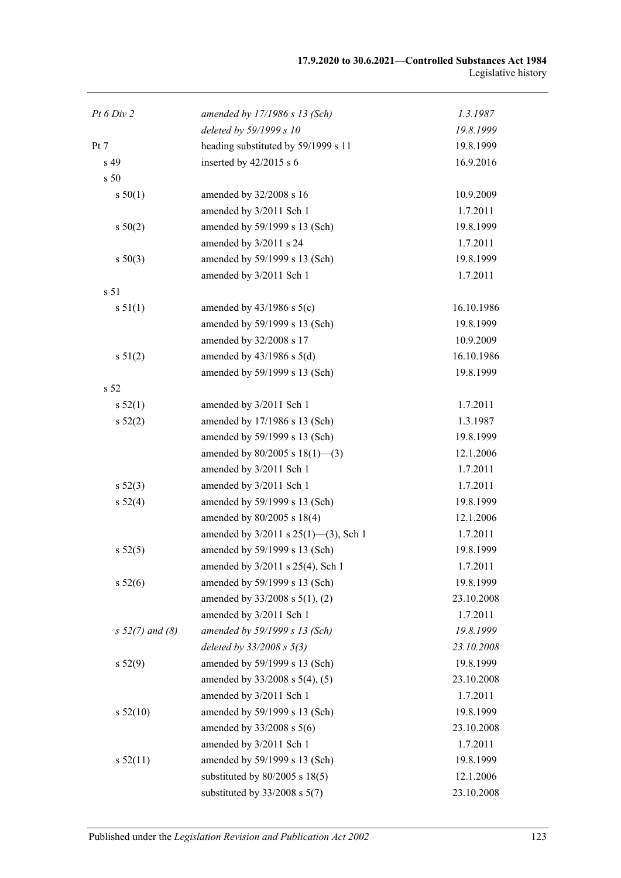| Pt 6 Div 2        | amended by $17/1986 s 13$ (Sch)      | 1.3.1987   |
|-------------------|--------------------------------------|------------|
|                   | deleted by 59/1999 s 10              | 19.8.1999  |
| Pt 7              | heading substituted by 59/1999 s 11  | 19.8.1999  |
| s 49              | inserted by $42/2015$ s 6            | 16.9.2016  |
| s <sub>50</sub>   |                                      |            |
| s 50(1)           | amended by 32/2008 s 16              | 10.9.2009  |
|                   | amended by 3/2011 Sch 1              | 1.7.2011   |
| s 50(2)           | amended by 59/1999 s 13 (Sch)        | 19.8.1999  |
|                   | amended by 3/2011 s 24               | 1.7.2011   |
| $s\ 50(3)$        | amended by 59/1999 s 13 (Sch)        | 19.8.1999  |
|                   | amended by 3/2011 Sch 1              | 1.7.2011   |
| s <sub>51</sub>   |                                      |            |
| s 51(1)           | amended by $43/1986$ s $5(c)$        | 16.10.1986 |
|                   | amended by 59/1999 s 13 (Sch)        | 19.8.1999  |
|                   | amended by 32/2008 s 17              | 10.9.2009  |
| s 51(2)           | amended by $43/1986$ s $5(d)$        | 16.10.1986 |
|                   | amended by 59/1999 s 13 (Sch)        | 19.8.1999  |
| s 52              |                                      |            |
| s 52(1)           | amended by 3/2011 Sch 1              | 1.7.2011   |
| s 52(2)           | amended by 17/1986 s 13 (Sch)        | 1.3.1987   |
|                   | amended by 59/1999 s 13 (Sch)        | 19.8.1999  |
|                   | amended by $80/2005$ s $18(1)$ —(3)  | 12.1.2006  |
|                   | amended by 3/2011 Sch 1              | 1.7.2011   |
| $s\,52(3)$        | amended by 3/2011 Sch 1              | 1.7.2011   |
| s 52(4)           | amended by 59/1999 s 13 (Sch)        | 19.8.1999  |
|                   | amended by 80/2005 s 18(4)           | 12.1.2006  |
|                   | amended by 3/2011 s 25(1)-(3), Sch 1 | 1.7.2011   |
| s 52(5)           | amended by 59/1999 s 13 (Sch)        | 19.8.1999  |
|                   | amended by 3/2011 s 25(4), Sch 1     | 1.7.2011   |
| s 52(6)           | amended by 59/1999 s 13 (Sch)        | 19.8.1999  |
|                   | amended by 33/2008 s 5(1), (2)       | 23.10.2008 |
|                   | amended by 3/2011 Sch 1              | 1.7.2011   |
| $s 52(7)$ and (8) | amended by 59/1999 s 13 (Sch)        | 19.8.1999  |
|                   | deleted by $33/2008 s 5(3)$          | 23.10.2008 |
| s 52(9)           | amended by 59/1999 s 13 (Sch)        | 19.8.1999  |
|                   | amended by 33/2008 s 5(4), (5)       | 23.10.2008 |
|                   | amended by 3/2011 Sch 1              | 1.7.2011   |
| s 52(10)          | amended by 59/1999 s 13 (Sch)        | 19.8.1999  |
|                   | amended by $33/2008$ s $5(6)$        | 23.10.2008 |
|                   | amended by 3/2011 Sch 1              | 1.7.2011   |
| s 52(11)          | amended by 59/1999 s 13 (Sch)        | 19.8.1999  |
|                   | substituted by $80/2005$ s $18(5)$   | 12.1.2006  |
|                   | substituted by $33/2008$ s $5(7)$    | 23.10.2008 |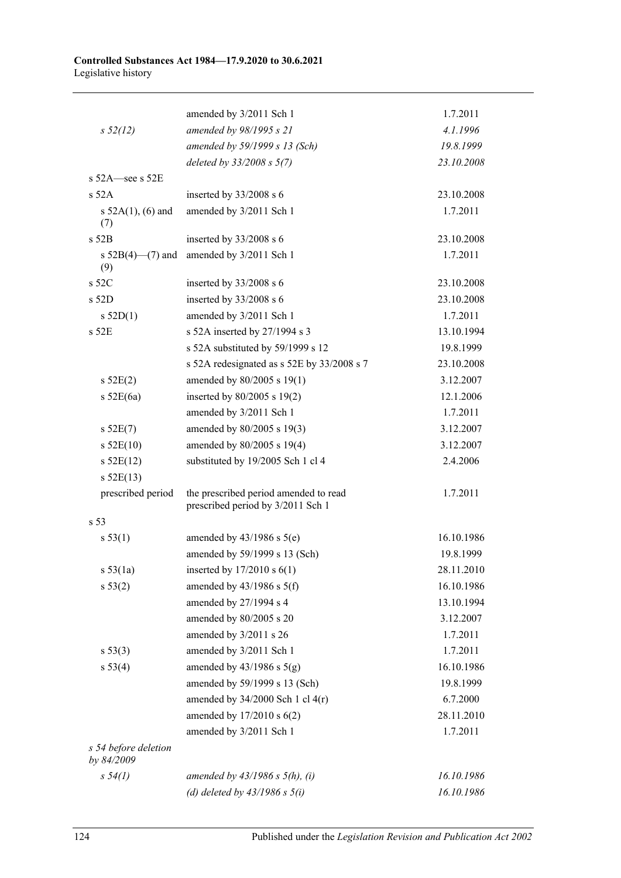|                                    | amended by 3/2011 Sch 1                                                    | 1.7.2011   |
|------------------------------------|----------------------------------------------------------------------------|------------|
| $s\,52(12)$                        | amended by 98/1995 s 21                                                    | 4.1.1996   |
|                                    | amended by 59/1999 s 13 (Sch)                                              | 19.8.1999  |
|                                    | deleted by $33/2008 s 5(7)$                                                | 23.10.2008 |
| s 52A-see s 52E                    |                                                                            |            |
| s 52A                              | inserted by 33/2008 s 6                                                    | 23.10.2008 |
| s $52A(1)$ , (6) and<br>(7)        | amended by 3/2011 Sch 1                                                    | 1.7.2011   |
| $s$ 52 $B$                         | inserted by 33/2008 s 6                                                    | 23.10.2008 |
| s $52B(4)$ —(7) and<br>(9)         | amended by 3/2011 Sch 1                                                    | 1.7.2011   |
| s 52C                              | inserted by 33/2008 s 6                                                    | 23.10.2008 |
| s 52D                              | inserted by 33/2008 s 6                                                    | 23.10.2008 |
| s $52D(1)$                         | amended by 3/2011 Sch 1                                                    | 1.7.2011   |
| s 52E                              | s 52A inserted by 27/1994 s 3                                              | 13.10.1994 |
|                                    | s 52A substituted by 59/1999 s 12                                          | 19.8.1999  |
|                                    | s 52A redesignated as s 52E by 33/2008 s 7                                 | 23.10.2008 |
| s 52E(2)                           | amended by 80/2005 s 19(1)                                                 | 3.12.2007  |
| $s$ 52E(6a)                        | inserted by 80/2005 s 19(2)                                                | 12.1.2006  |
|                                    | amended by 3/2011 Sch 1                                                    | 1.7.2011   |
| s 52E(7)                           | amended by 80/2005 s 19(3)                                                 | 3.12.2007  |
| $s$ 52E(10)                        | amended by 80/2005 s 19(4)                                                 | 3.12.2007  |
| $s$ 52E(12)                        | substituted by 19/2005 Sch 1 cl 4                                          | 2.4.2006   |
| $s$ 52E(13)                        |                                                                            |            |
| prescribed period                  | the prescribed period amended to read<br>prescribed period by 3/2011 Sch 1 | 1.7.2011   |
| s 53                               |                                                                            |            |
| s 53(1)                            | amended by $43/1986$ s $5(e)$                                              | 16.10.1986 |
|                                    | amended by 59/1999 s 13 (Sch)                                              | 19.8.1999  |
| s 53(1a)                           | inserted by $17/2010 s 6(1)$                                               | 28.11.2010 |
| s 53(2)                            | amended by $43/1986$ s $5(f)$                                              | 16.10.1986 |
|                                    | amended by 27/1994 s 4                                                     | 13.10.1994 |
|                                    | amended by 80/2005 s 20                                                    | 3.12.2007  |
|                                    | amended by 3/2011 s 26                                                     | 1.7.2011   |
| s 53(3)                            | amended by 3/2011 Sch 1                                                    | 1.7.2011   |
| s 53(4)                            | amended by $43/1986$ s $5(g)$                                              | 16.10.1986 |
|                                    | amended by 59/1999 s 13 (Sch)                                              | 19.8.1999  |
|                                    | amended by 34/2000 Sch 1 cl 4(r)                                           | 6.7.2000   |
|                                    | amended by $17/2010$ s $6(2)$                                              | 28.11.2010 |
|                                    | amended by 3/2011 Sch 1                                                    | 1.7.2011   |
| s 54 before deletion<br>by 84/2009 |                                                                            |            |
| $s\,54(1)$                         | amended by $43/1986 s 5(h)$ , (i)                                          | 16.10.1986 |
|                                    | (d) deleted by $43/1986$ s $5(i)$                                          | 16.10.1986 |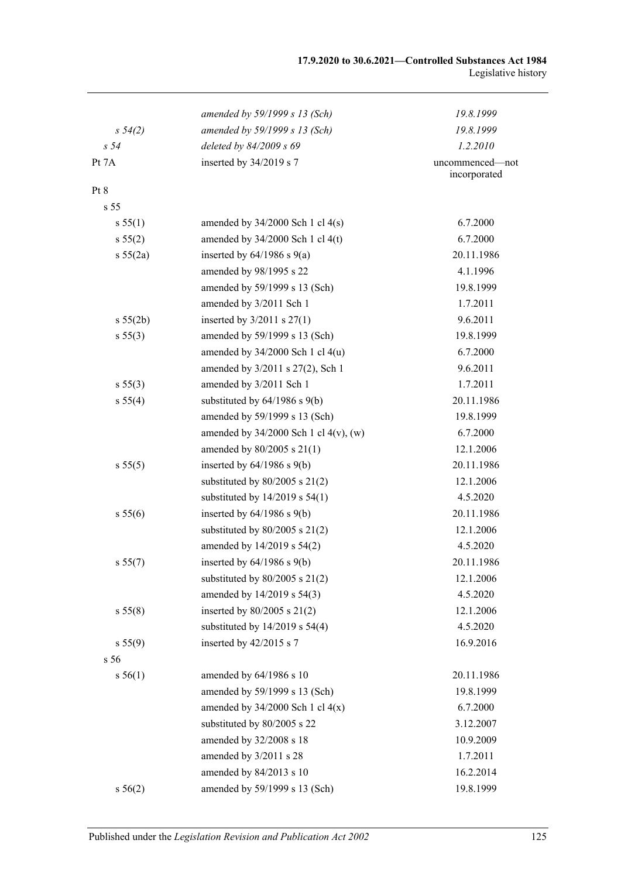|                 | amended by 59/1999 s 13 (Sch)              | 19.8.1999                       |
|-----------------|--------------------------------------------|---------------------------------|
| $s\,54(2)$      | amended by 59/1999 s 13 (Sch)              | 19.8.1999                       |
| s <sub>54</sub> | deleted by 84/2009 s 69                    | 1.2.2010                        |
| Pt 7A           | inserted by 34/2019 s 7                    | uncommenced—not<br>incorporated |
| Pt 8            |                                            |                                 |
| s <sub>55</sub> |                                            |                                 |
| s 55(1)         | amended by $34/2000$ Sch 1 cl $4(s)$       | 6.7.2000                        |
| s 55(2)         | amended by $34/2000$ Sch 1 cl $4(t)$       | 6.7.2000                        |
| s 55(2a)        | inserted by $64/1986$ s $9(a)$             | 20.11.1986                      |
|                 | amended by 98/1995 s 22                    | 4.1.1996                        |
|                 | amended by 59/1999 s 13 (Sch)              | 19.8.1999                       |
|                 | amended by 3/2011 Sch 1                    | 1.7.2011                        |
| s 55(2b)        | inserted by $3/2011$ s $27(1)$             | 9.6.2011                        |
| s 55(3)         | amended by 59/1999 s 13 (Sch)              | 19.8.1999                       |
|                 | amended by $34/2000$ Sch 1 cl $4(u)$       | 6.7.2000                        |
|                 | amended by 3/2011 s 27(2), Sch 1           | 9.6.2011                        |
| s 55(3)         | amended by 3/2011 Sch 1                    | 1.7.2011                        |
| s 55(4)         | substituted by $64/1986$ s $9(b)$          | 20.11.1986                      |
|                 | amended by 59/1999 s 13 (Sch)              | 19.8.1999                       |
|                 | amended by $34/2000$ Sch 1 cl $4(v)$ , (w) | 6.7.2000                        |
|                 | amended by $80/2005$ s $21(1)$             | 12.1.2006                       |
| s 55(5)         | inserted by $64/1986$ s $9(b)$             | 20.11.1986                      |
|                 | substituted by $80/2005$ s $21(2)$         | 12.1.2006                       |
|                 | substituted by $14/2019$ s $54(1)$         | 4.5.2020                        |
| s 55(6)         | inserted by $64/1986$ s $9(b)$             | 20.11.1986                      |
|                 | substituted by $80/2005$ s $21(2)$         | 12.1.2006                       |
|                 | amended by 14/2019 s 54(2)                 | 4.5.2020                        |
| s 55(7)         | inserted by $64/1986$ s $9(b)$             | 20.11.1986                      |
|                 | substituted by $80/2005$ s $21(2)$         | 12.1.2006                       |
|                 | amended by 14/2019 s 54(3)                 | 4.5.2020                        |
| s 55(8)         | inserted by $80/2005$ s $21(2)$            | 12.1.2006                       |
|                 | substituted by $14/2019$ s $54(4)$         | 4.5.2020                        |
| s 55(9)         | inserted by 42/2015 s 7                    | 16.9.2016                       |
| s 56            |                                            |                                 |
| s 56(1)         | amended by 64/1986 s 10                    | 20.11.1986                      |
|                 | amended by 59/1999 s 13 (Sch)              | 19.8.1999                       |
|                 | amended by $34/2000$ Sch 1 cl $4(x)$       | 6.7.2000                        |
|                 | substituted by 80/2005 s 22                | 3.12.2007                       |
|                 | amended by 32/2008 s 18                    | 10.9.2009                       |
|                 | amended by 3/2011 s 28                     | 1.7.2011                        |
|                 | amended by 84/2013 s 10                    | 16.2.2014                       |
| s 56(2)         | amended by 59/1999 s 13 (Sch)              | 19.8.1999                       |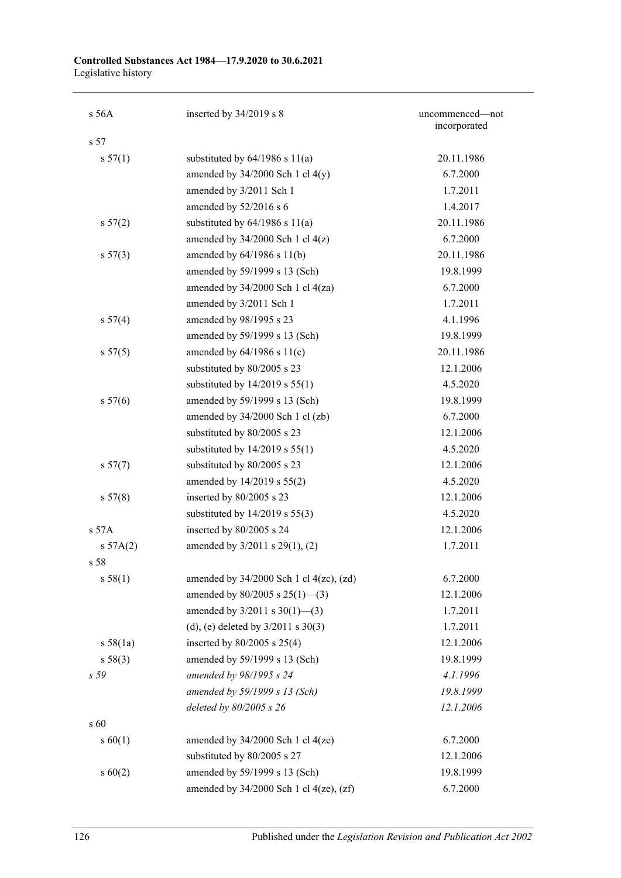| s 56A           | inserted by 34/2019 s 8                        | uncommenced-not<br>incorporated |
|-----------------|------------------------------------------------|---------------------------------|
| s 57            |                                                |                                 |
| s 57(1)         | substituted by $64/1986$ s $11(a)$             | 20.11.1986                      |
|                 | amended by $34/2000$ Sch 1 cl $4(y)$           | 6.7.2000                        |
|                 | amended by 3/2011 Sch 1                        | 1.7.2011                        |
|                 | amended by 52/2016 s 6                         | 1.4.2017                        |
| s 57(2)         | substituted by $64/1986$ s $11(a)$             | 20.11.1986                      |
|                 | amended by $34/2000$ Sch 1 cl $4(z)$           | 6.7.2000                        |
| $s\,57(3)$      | amended by $64/1986$ s $11(b)$                 | 20.11.1986                      |
|                 | amended by 59/1999 s 13 (Sch)                  | 19.8.1999                       |
|                 | amended by $34/2000$ Sch 1 cl $4(za)$          | 6.7.2000                        |
|                 | amended by 3/2011 Sch 1                        | 1.7.2011                        |
| s 57(4)         | amended by 98/1995 s 23                        | 4.1.1996                        |
|                 | amended by 59/1999 s 13 (Sch)                  | 19.8.1999                       |
| s 57(5)         | amended by $64/1986$ s $11(c)$                 | 20.11.1986                      |
|                 | substituted by 80/2005 s 23                    | 12.1.2006                       |
|                 | substituted by $14/2019$ s $55(1)$             | 4.5.2020                        |
| s 57(6)         | amended by 59/1999 s 13 (Sch)                  | 19.8.1999                       |
|                 | amended by 34/2000 Sch 1 cl (zb)               | 6.7.2000                        |
|                 | substituted by 80/2005 s 23                    | 12.1.2006                       |
|                 | substituted by $14/2019$ s $55(1)$             | 4.5.2020                        |
| s 57(7)         | substituted by 80/2005 s 23                    | 12.1.2006                       |
|                 | amended by 14/2019 s 55(2)                     | 4.5.2020                        |
| s 57(8)         | inserted by 80/2005 s 23                       | 12.1.2006                       |
|                 | substituted by $14/2019$ s $55(3)$             | 4.5.2020                        |
| s 57A           | inserted by 80/2005 s 24                       | 12.1.2006                       |
| $s\,57A(2)$     | amended by 3/2011 s 29(1), (2)                 | 1.7.2011                        |
| s 58            |                                                |                                 |
| s 58(1)         | amended by $34/2000$ Sch 1 cl $4(zc)$ , $(zd)$ | 6.7.2000                        |
|                 | amended by $80/2005$ s $25(1)$ —(3)            | 12.1.2006                       |
|                 | amended by $3/2011$ s $30(1)$ —(3)             | 1.7.2011                        |
|                 | (d), (e) deleted by $3/2011$ s $30(3)$         | 1.7.2011                        |
| s 58(1a)        | inserted by $80/2005$ s $25(4)$                | 12.1.2006                       |
| s 58(3)         | amended by 59/1999 s 13 (Sch)                  | 19.8.1999                       |
| s 59            | amended by 98/1995 s 24                        | 4.1.1996                        |
|                 | amended by 59/1999 s 13 (Sch)                  | 19.8.1999                       |
|                 | deleted by 80/2005 s 26                        | 12.1.2006                       |
| $\mathrm{s}$ 60 |                                                |                                 |
| $s\ 60(1)$      | amended by $34/2000$ Sch 1 cl $4(ze)$          | 6.7.2000                        |
|                 | substituted by 80/2005 s 27                    | 12.1.2006                       |
| $s\ 60(2)$      | amended by 59/1999 s 13 (Sch)                  | 19.8.1999                       |
|                 | amended by $34/2000$ Sch 1 cl $4(ze)$ , $(zf)$ | 6.7.2000                        |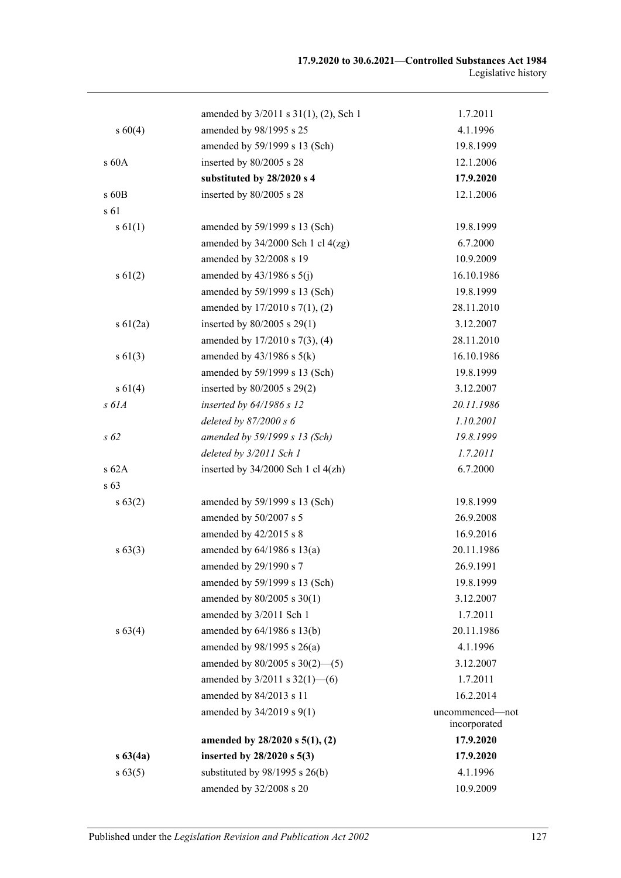|              | amended by 3/2011 s 31(1), (2), Sch 1  | 1.7.2011                        |
|--------------|----------------------------------------|---------------------------------|
| $s\ 60(4)$   | amended by 98/1995 s 25                | 4.1.1996                        |
|              | amended by 59/1999 s 13 (Sch)          | 19.8.1999                       |
| s 60A        | inserted by 80/2005 s 28               | 12.1.2006                       |
|              | substituted by 28/2020 s 4             | 17.9.2020                       |
| $s$ 60 $B$   | inserted by 80/2005 s 28               | 12.1.2006                       |
| s 61         |                                        |                                 |
| $s \, 61(1)$ | amended by 59/1999 s 13 (Sch)          | 19.8.1999                       |
|              | amended by $34/2000$ Sch 1 cl $4(zg)$  | 6.7.2000                        |
|              | amended by 32/2008 s 19                | 10.9.2009                       |
| $s \, 61(2)$ | amended by $43/1986$ s $5(j)$          | 16.10.1986                      |
|              | amended by 59/1999 s 13 (Sch)          | 19.8.1999                       |
|              | amended by 17/2010 s 7(1), (2)         | 28.11.2010                      |
| $s \ 61(2a)$ | inserted by 80/2005 s 29(1)            | 3.12.2007                       |
|              | amended by 17/2010 s 7(3), (4)         | 28.11.2010                      |
| $s \, 61(3)$ | amended by $43/1986$ s $5(k)$          | 16.10.1986                      |
|              | amended by 59/1999 s 13 (Sch)          | 19.8.1999                       |
| $s\ 61(4)$   | inserted by $80/2005$ s $29(2)$        | 3.12.2007                       |
| $s$ 61 $A$   | inserted by 64/1986 s 12               | 20.11.1986                      |
|              | deleted by $87/2000 s 6$               | 1.10.2001                       |
| $s\,62$      | amended by 59/1999 s 13 (Sch)          | 19.8.1999                       |
|              | deleted by 3/2011 Sch 1                | 1.7.2011                        |
| s62A         | inserted by $34/2000$ Sch 1 cl $4(zh)$ | 6.7.2000                        |
| s 63         |                                        |                                 |
| $s\,63(2)$   | amended by 59/1999 s 13 (Sch)          | 19.8.1999                       |
|              | amended by 50/2007 s 5                 | 26.9.2008                       |
|              | amended by 42/2015 s 8                 | 16.9.2016                       |
| $s\,63(3)$   | amended by $64/1986$ s $13(a)$         | 20.11.1986                      |
|              | amended by 29/1990 s 7                 | 26.9.1991                       |
|              | amended by 59/1999 s 13 (Sch)          | 19.8.1999                       |
|              | amended by 80/2005 s 30(1)             | 3.12.2007                       |
|              | amended by 3/2011 Sch 1                | 1.7.2011                        |
| $s\,63(4)$   | amended by 64/1986 s 13(b)             | 20.11.1986                      |
|              | amended by $98/1995$ s $26(a)$         | 4.1.1996                        |
|              | amended by $80/2005$ s $30(2)$ - (5)   | 3.12.2007                       |
|              | amended by $3/2011$ s $32(1)$ - (6)    | 1.7.2011                        |
|              | amended by 84/2013 s 11                | 16.2.2014                       |
|              | amended by 34/2019 s 9(1)              | uncommenced-not<br>incorporated |
|              | amended by $28/2020$ s $5(1)$ , (2)    | 17.9.2020                       |
| $s\,63(4a)$  | inserted by 28/2020 s 5(3)             | 17.9.2020                       |
| $s\,63(5)$   | substituted by $98/1995$ s $26(b)$     | 4.1.1996                        |
|              | amended by 32/2008 s 20                | 10.9.2009                       |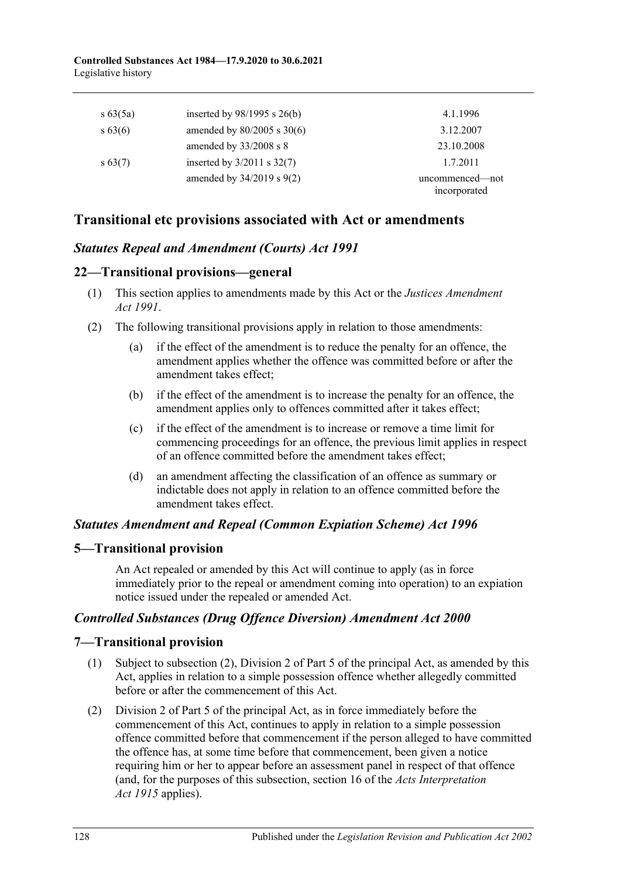| $s\,63(5a)$ | inserted by $98/1995$ s $26(b)$ | 4.1.1996                        |
|-------------|---------------------------------|---------------------------------|
| $s\,63(6)$  | amended by $80/2005$ s $30(6)$  | 3.12.2007                       |
|             | amended by $33/2008$ s 8        | 23.10.2008                      |
| $s\,63(7)$  | inserted by $3/2011$ s $32(7)$  | 1.7.2011                        |
|             | amended by $34/2019$ s $9(2)$   | uncommenced—not<br>incorporated |

# **Transitional etc provisions associated with Act or amendments**

# *Statutes Repeal and Amendment (Courts) Act 1991*

## **22—Transitional provisions—general**

- (1) This section applies to amendments made by this Act or the *[Justices Amendment](http://www.legislation.sa.gov.au/index.aspx?action=legref&type=act&legtitle=Justices%20Amendment%20Act%201991)  Act [1991](http://www.legislation.sa.gov.au/index.aspx?action=legref&type=act&legtitle=Justices%20Amendment%20Act%201991)*.
- (2) The following transitional provisions apply in relation to those amendments:
	- (a) if the effect of the amendment is to reduce the penalty for an offence, the amendment applies whether the offence was committed before or after the amendment takes effect;
	- (b) if the effect of the amendment is to increase the penalty for an offence, the amendment applies only to offences committed after it takes effect;
	- (c) if the effect of the amendment is to increase or remove a time limit for commencing proceedings for an offence, the previous limit applies in respect of an offence committed before the amendment takes effect;
	- (d) an amendment affecting the classification of an offence as summary or indictable does not apply in relation to an offence committed before the amendment takes effect.

### *Statutes Amendment and Repeal (Common Expiation Scheme) Act 1996*

# **5—Transitional provision**

An Act repealed or amended by this Act will continue to apply (as in force immediately prior to the repeal or amendment coming into operation) to an expiation notice issued under the repealed or amended Act.

### *Controlled Substances (Drug Offence Diversion) Amendment Act 2000*

# **7—Transitional provision**

- (1) Subject to subsection (2), Division 2 of Part 5 of the principal Act, as amended by this Act, applies in relation to a simple possession offence whether allegedly committed before or after the commencement of this Act.
- (2) Division 2 of Part 5 of the principal Act, as in force immediately before the commencement of this Act, continues to apply in relation to a simple possession offence committed before that commencement if the person alleged to have committed the offence has, at some time before that commencement, been given a notice requiring him or her to appear before an assessment panel in respect of that offence (and, for the purposes of this subsection, section 16 of the *[Acts Interpretation](http://www.legislation.sa.gov.au/index.aspx?action=legref&type=act&legtitle=Acts%20Interpretation%20Act%201915)  Act [1915](http://www.legislation.sa.gov.au/index.aspx?action=legref&type=act&legtitle=Acts%20Interpretation%20Act%201915)* applies).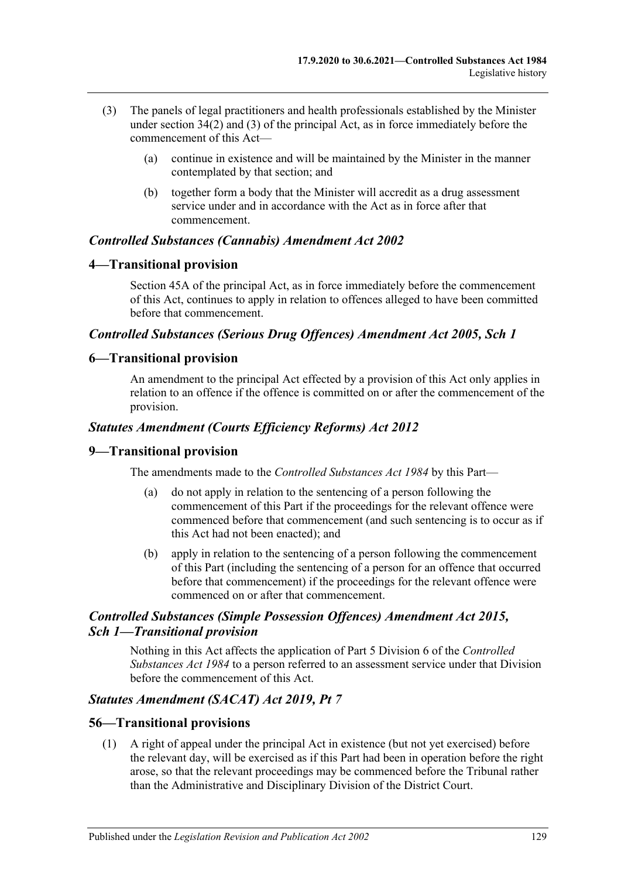- (3) The panels of legal practitioners and health professionals established by the Minister under section 34(2) and (3) of the principal Act, as in force immediately before the commencement of this Act—
	- (a) continue in existence and will be maintained by the Minister in the manner contemplated by that section; and
	- (b) together form a body that the Minister will accredit as a drug assessment service under and in accordance with the Act as in force after that commencement.

### *Controlled Substances (Cannabis) Amendment Act 2002*

### **4—Transitional provision**

Section 45A of the principal Act, as in force immediately before the commencement of this Act, continues to apply in relation to offences alleged to have been committed before that commencement.

### *Controlled Substances (Serious Drug Offences) Amendment Act 2005, Sch 1*

### **6—Transitional provision**

An amendment to the principal Act effected by a provision of this Act only applies in relation to an offence if the offence is committed on or after the commencement of the provision.

### *Statutes Amendment (Courts Efficiency Reforms) Act 2012*

#### **9—Transitional provision**

The amendments made to the *[Controlled Substances Act](http://www.legislation.sa.gov.au/index.aspx?action=legref&type=act&legtitle=Controlled%20Substances%20Act%201984) 1984* by this Part—

- (a) do not apply in relation to the sentencing of a person following the commencement of this Part if the proceedings for the relevant offence were commenced before that commencement (and such sentencing is to occur as if this Act had not been enacted); and
- (b) apply in relation to the sentencing of a person following the commencement of this Part (including the sentencing of a person for an offence that occurred before that commencement) if the proceedings for the relevant offence were commenced on or after that commencement.

### *Controlled Substances (Simple Possession Offences) Amendment Act 2015, Sch 1—Transitional provision*

Nothing in this Act affects the application of Part 5 Division 6 of the *[Controlled](http://www.legislation.sa.gov.au/index.aspx?action=legref&type=act&legtitle=Controlled%20Substances%20Act%201984)  [Substances Act](http://www.legislation.sa.gov.au/index.aspx?action=legref&type=act&legtitle=Controlled%20Substances%20Act%201984) 1984* to a person referred to an assessment service under that Division before the commencement of this Act.

### *Statutes Amendment (SACAT) Act 2019, Pt 7*

#### **56—Transitional provisions**

(1) A right of appeal under the principal Act in existence (but not yet exercised) before the relevant day, will be exercised as if this Part had been in operation before the right arose, so that the relevant proceedings may be commenced before the Tribunal rather than the Administrative and Disciplinary Division of the District Court.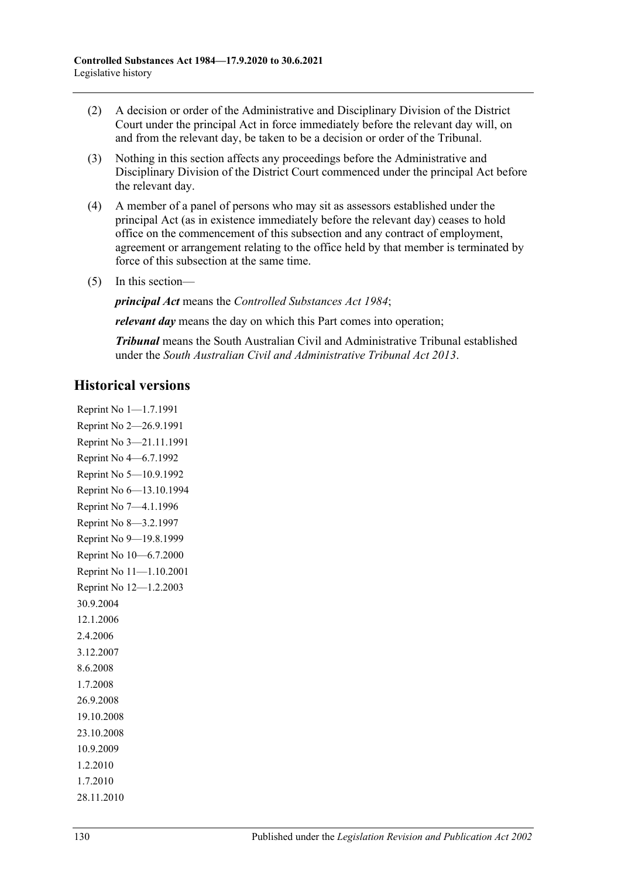- (2) A decision or order of the Administrative and Disciplinary Division of the District Court under the principal Act in force immediately before the relevant day will, on and from the relevant day, be taken to be a decision or order of the Tribunal.
- (3) Nothing in this section affects any proceedings before the Administrative and Disciplinary Division of the District Court commenced under the principal Act before the relevant day.
- (4) A member of a panel of persons who may sit as assessors established under the principal Act (as in existence immediately before the relevant day) ceases to hold office on the commencement of this subsection and any contract of employment, agreement or arrangement relating to the office held by that member is terminated by force of this subsection at the same time.
- (5) In this section—

*principal Act* means the *[Controlled Substances Act](http://www.legislation.sa.gov.au/index.aspx?action=legref&type=act&legtitle=Controlled%20Substances%20Act%201984) 1984*;

*relevant day* means the day on which this Part comes into operation;

*Tribunal* means the South Australian Civil and Administrative Tribunal established under the *[South Australian Civil and Administrative Tribunal Act](http://www.legislation.sa.gov.au/index.aspx?action=legref&type=act&legtitle=South%20Australian%20Civil%20and%20Administrative%20Tribunal%20Act%202013) 2013*.

# **Historical versions**

Reprint No 1—1.7.1991 Reprint No 2—26.9.1991 Reprint No 3—21.11.1991 Reprint No 4—6.7.1992 Reprint No 5—10.9.1992 Reprint No 6—13.10.1994 Reprint No 7—4.1.1996 Reprint No 8—3.2.1997 Reprint No 9—19.8.1999 Reprint No 10—6.7.2000 Reprint No 11—1.10.2001 Reprint No 12—1.2.2003 30.9.2004 12.1.2006 2.4.2006 3.12.2007 8.6.2008 1.7.2008 26.9.2008 19.10.2008 23.10.2008 10.9.2009 1.2.2010 1.7.2010 28.11.2010